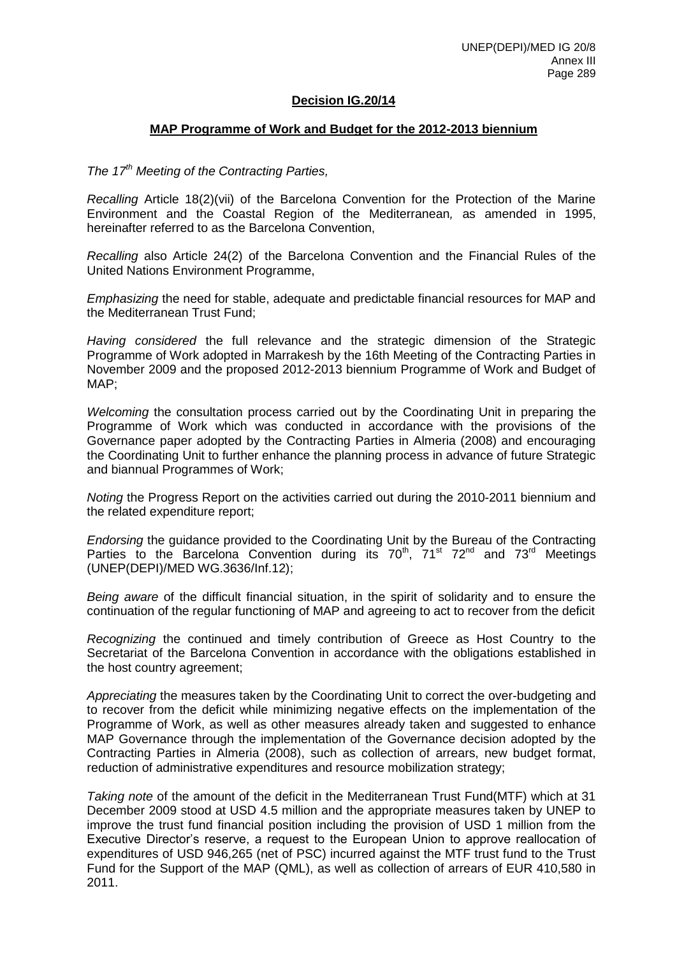# **Decision IG.20/14**

# **MAP Programme of Work and Budget for the 2012-2013 biennium**

# *The 17th Meeting of the Contracting Parties,*

*Recalling* Article 18(2)(vii) of the Barcelona Convention for the Protection of the Marine Environment and the Coastal Region of the Mediterranean*,* as amended in 1995, hereinafter referred to as the Barcelona Convention,

*Recalling* also Article 24(2) of the Barcelona Convention and the Financial Rules of the United Nations Environment Programme,

*Emphasizing* the need for stable, adequate and predictable financial resources for MAP and the Mediterranean Trust Fund;

*Having considered* the full relevance and the strategic dimension of the Strategic Programme of Work adopted in Marrakesh by the 16th Meeting of the Contracting Parties in November 2009 and the proposed 2012-2013 biennium Programme of Work and Budget of MAP;

*Welcoming* the consultation process carried out by the Coordinating Unit in preparing the Programme of Work which was conducted in accordance with the provisions of the Governance paper adopted by the Contracting Parties in Almeria (2008) and encouraging the Coordinating Unit to further enhance the planning process in advance of future Strategic and biannual Programmes of Work;

*Noting* the Progress Report on the activities carried out during the 2010-2011 biennium and the related expenditure report;

*Endorsing* the guidance provided to the Coordinating Unit by the Bureau of the Contracting Parties to the Barcelona Convention during its  $70^{th}$ ,  $71^{st}$   $72^{nd}$  and  $73^{rd}$  Meetings (UNEP(DEPI)/MED WG.3636/Inf.12);

*Being aware* of the difficult financial situation, in the spirit of solidarity and to ensure the continuation of the regular functioning of MAP and agreeing to act to recover from the deficit

*Recognizing* the continued and timely contribution of Greece as Host Country to the Secretariat of the Barcelona Convention in accordance with the obligations established in the host country agreement;

*Appreciating* the measures taken by the Coordinating Unit to correct the over-budgeting and to recover from the deficit while minimizing negative effects on the implementation of the Programme of Work, as well as other measures already taken and suggested to enhance MAP Governance through the implementation of the Governance decision adopted by the Contracting Parties in Almeria (2008), such as collection of arrears, new budget format, reduction of administrative expenditures and resource mobilization strategy;

*Taking note* of the amount of the deficit in the Mediterranean Trust Fund(MTF) which at 31 December 2009 stood at USD 4.5 million and the appropriate measures taken by UNEP to improve the trust fund financial position including the provision of USD 1 million from the Executive Director's reserve, a request to the European Union to approve reallocation of expenditures of USD 946,265 (net of PSC) incurred against the MTF trust fund to the Trust Fund for the Support of the MAP (QML), as well as collection of arrears of EUR 410,580 in 2011.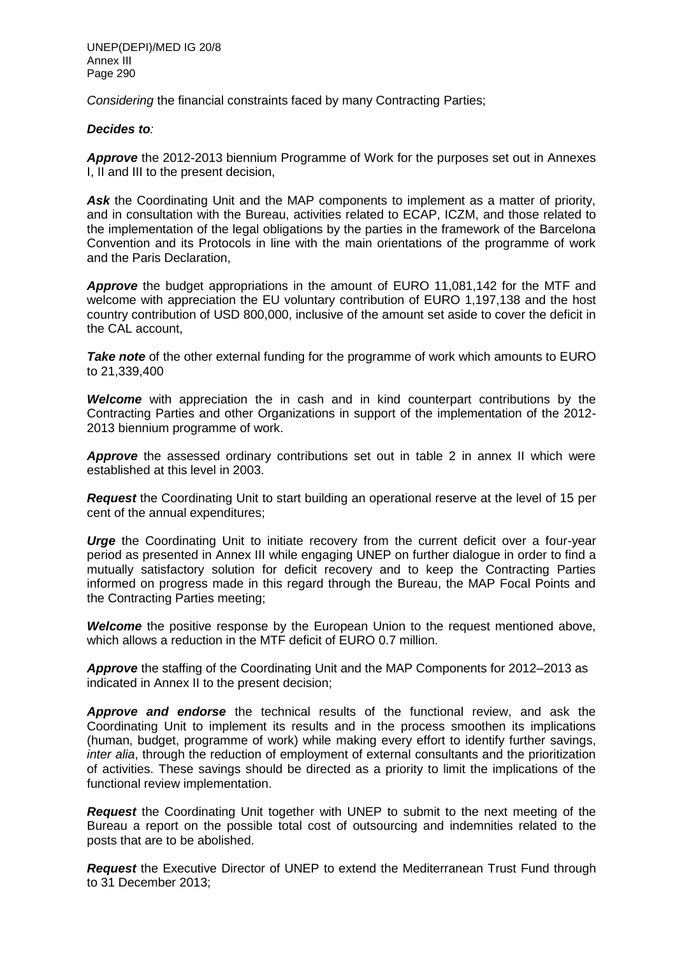UNEP(DEPI)/MED IG 20/8 Annex III Page 290

*Considering* the financial constraints faced by many Contracting Parties;

# *Decides to:*

*Approve* the 2012-2013 biennium Programme of Work for the purposes set out in Annexes I, II and III to the present decision,

Ask the Coordinating Unit and the MAP components to implement as a matter of priority, and in consultation with the Bureau, activities related to ECAP, ICZM, and those related to the implementation of the legal obligations by the parties in the framework of the Barcelona Convention and its Protocols in line with the main orientations of the programme of work and the Paris Declaration,

*Approve* the budget appropriations in the amount of EURO 11,081,142 for the MTF and welcome with appreciation the EU voluntary contribution of EURO 1,197,138 and the host country contribution of USD 800,000, inclusive of the amount set aside to cover the deficit in the CAL account,

**Take note** of the other external funding for the programme of work which amounts to EURO to 21,339,400

*Welcome* with appreciation the in cash and in kind counterpart contributions by the Contracting Parties and other Organizations in support of the implementation of the 2012- 2013 biennium programme of work.

**Approve** the assessed ordinary contributions set out in table 2 in annex II which were established at this level in 2003.

*Request* the Coordinating Unit to start building an operational reserve at the level of 15 per cent of the annual expenditures;

*Urge* the Coordinating Unit to initiate recovery from the current deficit over a four-year period as presented in Annex III while engaging UNEP on further dialogue in order to find a mutually satisfactory solution for deficit recovery and to keep the Contracting Parties informed on progress made in this regard through the Bureau, the MAP Focal Points and the Contracting Parties meeting;

*Welcome* the positive response by the European Union to the request mentioned above, which allows a reduction in the MTF deficit of EURO 0.7 million.

*Approve* the staffing of the Coordinating Unit and the MAP Components for 2012–2013 as indicated in Annex II to the present decision;

*Approve and endorse* the technical results of the functional review, and ask the Coordinating Unit to implement its results and in the process smoothen its implications (human, budget, programme of work) while making every effort to identify further savings, *inter alia*, through the reduction of employment of external consultants and the prioritization of activities. These savings should be directed as a priority to limit the implications of the functional review implementation.

*Request* the Coordinating Unit together with UNEP to submit to the next meeting of the Bureau a report on the possible total cost of outsourcing and indemnities related to the posts that are to be abolished.

*Request* the Executive Director of UNEP to extend the Mediterranean Trust Fund through to 31 December 2013;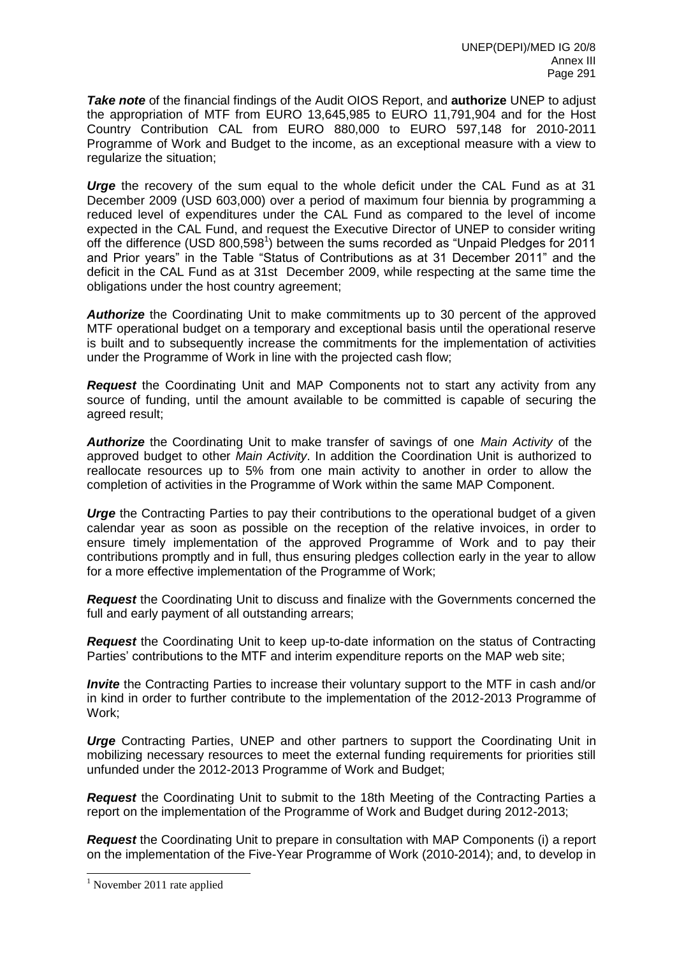*Take note* of the financial findings of the Audit OIOS Report, and **authorize** UNEP to adjust the appropriation of MTF from EURO 13,645,985 to EURO 11,791,904 and for the Host Country Contribution CAL from EURO 880,000 to EURO 597,148 for 2010-2011 Programme of Work and Budget to the income, as an exceptional measure with a view to regularize the situation;

*Urge* the recovery of the sum equal to the whole deficit under the CAL Fund as at 31 December 2009 (USD 603,000) over a period of maximum four biennia by programming a reduced level of expenditures under the CAL Fund as compared to the level of income expected in the CAL Fund, and request the Executive Director of UNEP to consider writing off the difference (USD 800,598<sup>1</sup>) between the sums recorded as "Unpaid Pledges for 2011 and Prior years" in the Table "Status of Contributions as at 31 December 2011" and the deficit in the CAL Fund as at 31st December 2009, while respecting at the same time the obligations under the host country agreement;

*Authorize* the Coordinating Unit to make commitments up to 30 percent of the approved MTF operational budget on a temporary and exceptional basis until the operational reserve is built and to subsequently increase the commitments for the implementation of activities under the Programme of Work in line with the projected cash flow;

*Request* the Coordinating Unit and MAP Components not to start any activity from any source of funding, until the amount available to be committed is capable of securing the agreed result;

*Authorize* the Coordinating Unit to make transfer of savings of one *Main Activity* of the approved budget to other *Main Activity*. In addition the Coordination Unit is authorized to reallocate resources up to 5% from one main activity to another in order to allow the completion of activities in the Programme of Work within the same MAP Component.

**Urge** the Contracting Parties to pay their contributions to the operational budget of a given calendar year as soon as possible on the reception of the relative invoices, in order to ensure timely implementation of the approved Programme of Work and to pay their contributions promptly and in full, thus ensuring pledges collection early in the year to allow for a more effective implementation of the Programme of Work;

*Request* the Coordinating Unit to discuss and finalize with the Governments concerned the full and early payment of all outstanding arrears;

*Request* the Coordinating Unit to keep up-to-date information on the status of Contracting Parties' contributions to the MTF and interim expenditure reports on the MAP web site;

*Invite* the Contracting Parties to increase their voluntary support to the MTF in cash and/or in kind in order to further contribute to the implementation of the 2012-2013 Programme of Work;

*Urge* Contracting Parties, UNEP and other partners to support the Coordinating Unit in mobilizing necessary resources to meet the external funding requirements for priorities still unfunded under the 2012-2013 Programme of Work and Budget;

*Request* the Coordinating Unit to submit to the 18th Meeting of the Contracting Parties a report on the implementation of the Programme of Work and Budget during 2012-2013;

*Request* the Coordinating Unit to prepare in consultation with MAP Components (i) a report on the implementation of the Five-Year Programme of Work (2010-2014); and, to develop in

l

 $<sup>1</sup>$  November 2011 rate applied</sup>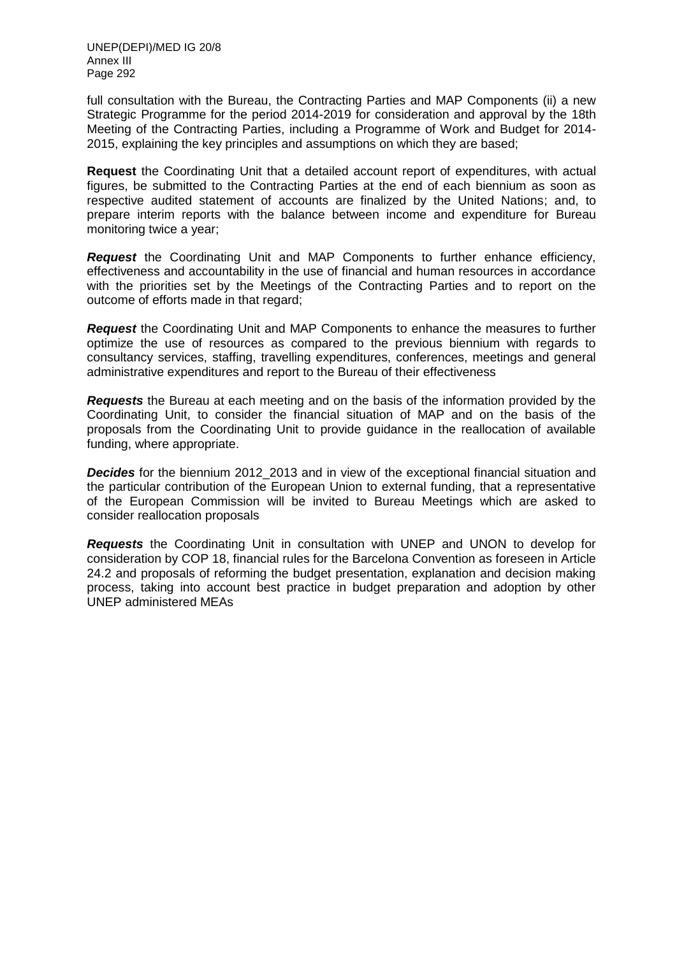full consultation with the Bureau, the Contracting Parties and MAP Components (ii) a new Strategic Programme for the period 2014-2019 for consideration and approval by the 18th Meeting of the Contracting Parties, including a Programme of Work and Budget for 2014- 2015, explaining the key principles and assumptions on which they are based;

**Request** the Coordinating Unit that a detailed account report of expenditures, with actual figures, be submitted to the Contracting Parties at the end of each biennium as soon as respective audited statement of accounts are finalized by the United Nations; and, to prepare interim reports with the balance between income and expenditure for Bureau monitoring twice a year;

*Request* the Coordinating Unit and MAP Components to further enhance efficiency, effectiveness and accountability in the use of financial and human resources in accordance with the priorities set by the Meetings of the Contracting Parties and to report on the outcome of efforts made in that regard;

*Request* the Coordinating Unit and MAP Components to enhance the measures to further optimize the use of resources as compared to the previous biennium with regards to consultancy services, staffing, travelling expenditures, conferences, meetings and general administrative expenditures and report to the Bureau of their effectiveness

*Requests* the Bureau at each meeting and on the basis of the information provided by the Coordinating Unit, to consider the financial situation of MAP and on the basis of the proposals from the Coordinating Unit to provide guidance in the reallocation of available funding, where appropriate.

**Decides** for the biennium 2012\_2013 and in view of the exceptional financial situation and the particular contribution of the European Union to external funding, that a representative of the European Commission will be invited to Bureau Meetings which are asked to consider reallocation proposals

*Requests* the Coordinating Unit in consultation with UNEP and UNON to develop for consideration by COP 18, financial rules for the Barcelona Convention as foreseen in Article 24.2 and proposals of reforming the budget presentation, explanation and decision making process, taking into account best practice in budget preparation and adoption by other UNEP administered MEAs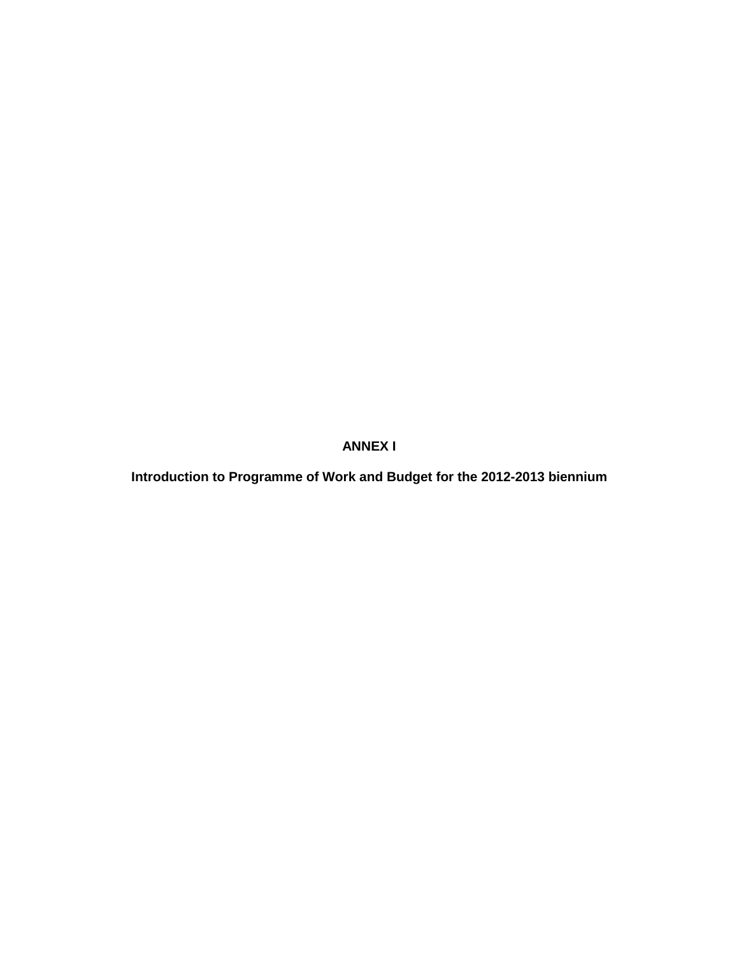**Introduction to Programme of Work and Budget for the 2012-2013 biennium**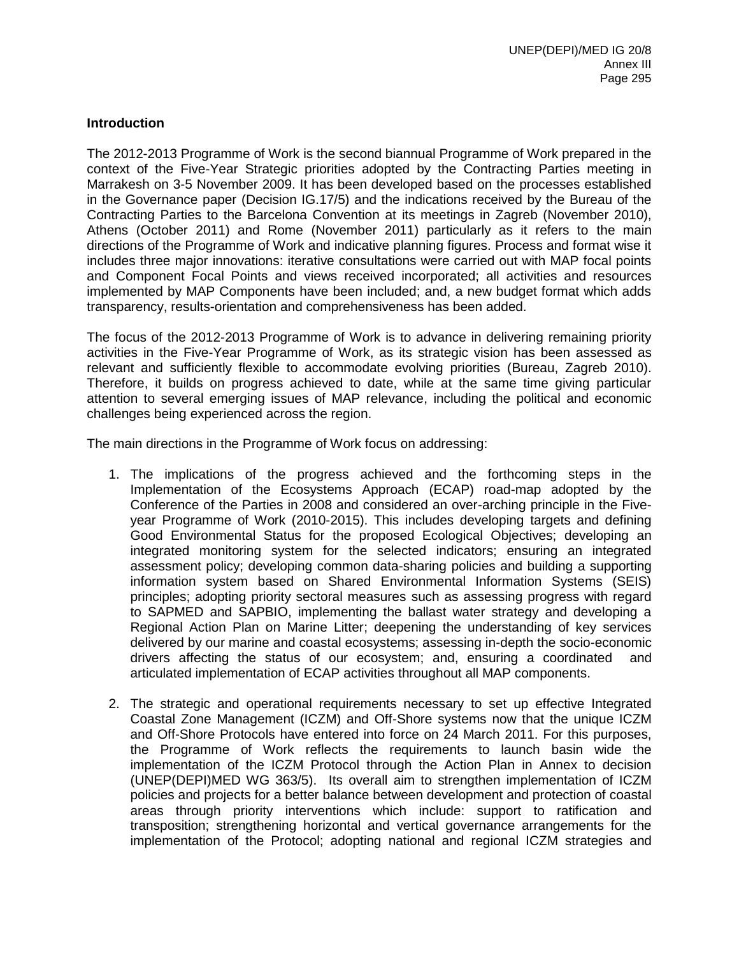# **Introduction**

The 2012-2013 Programme of Work is the second biannual Programme of Work prepared in the context of the Five-Year Strategic priorities adopted by the Contracting Parties meeting in Marrakesh on 3-5 November 2009. It has been developed based on the processes established in the Governance paper (Decision IG.17/5) and the indications received by the Bureau of the Contracting Parties to the Barcelona Convention at its meetings in Zagreb (November 2010), Athens (October 2011) and Rome (November 2011) particularly as it refers to the main directions of the Programme of Work and indicative planning figures. Process and format wise it includes three major innovations: iterative consultations were carried out with MAP focal points and Component Focal Points and views received incorporated; all activities and resources implemented by MAP Components have been included; and, a new budget format which adds transparency, results-orientation and comprehensiveness has been added.

The focus of the 2012-2013 Programme of Work is to advance in delivering remaining priority activities in the Five-Year Programme of Work, as its strategic vision has been assessed as relevant and sufficiently flexible to accommodate evolving priorities (Bureau, Zagreb 2010). Therefore, it builds on progress achieved to date, while at the same time giving particular attention to several emerging issues of MAP relevance, including the political and economic challenges being experienced across the region.

The main directions in the Programme of Work focus on addressing:

- 1. The implications of the progress achieved and the forthcoming steps in the Implementation of the Ecosystems Approach (ECAP) road-map adopted by the Conference of the Parties in 2008 and considered an over-arching principle in the Fiveyear Programme of Work (2010-2015). This includes developing targets and defining Good Environmental Status for the proposed Ecological Objectives; developing an integrated monitoring system for the selected indicators; ensuring an integrated assessment policy; developing common data-sharing policies and building a supporting information system based on Shared Environmental Information Systems (SEIS) principles; adopting priority sectoral measures such as assessing progress with regard to SAPMED and SAPBIO, implementing the ballast water strategy and developing a Regional Action Plan on Marine Litter; deepening the understanding of key services delivered by our marine and coastal ecosystems; assessing in-depth the socio-economic drivers affecting the status of our ecosystem; and, ensuring a coordinated and articulated implementation of ECAP activities throughout all MAP components.
- 2. The strategic and operational requirements necessary to set up effective Integrated Coastal Zone Management (ICZM) and Off-Shore systems now that the unique ICZM and Off-Shore Protocols have entered into force on 24 March 2011. For this purposes, the Programme of Work reflects the requirements to launch basin wide the implementation of the ICZM Protocol through the Action Plan in Annex to decision (UNEP(DEPI)MED WG 363/5). Its overall aim to strengthen implementation of ICZM policies and projects for a better balance between development and protection of coastal areas through priority interventions which include: support to ratification and transposition; strengthening horizontal and vertical governance arrangements for the implementation of the Protocol; adopting national and regional ICZM strategies and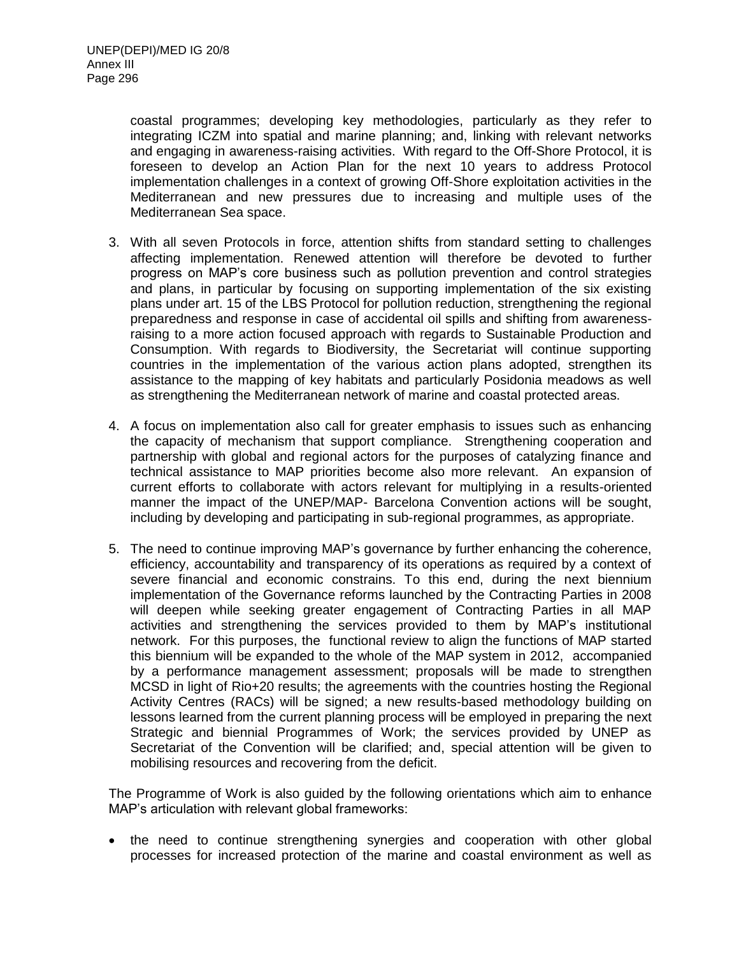coastal programmes; developing key methodologies, particularly as they refer to integrating ICZM into spatial and marine planning; and, linking with relevant networks and engaging in awareness-raising activities. With regard to the Off-Shore Protocol, it is foreseen to develop an Action Plan for the next 10 years to address Protocol implementation challenges in a context of growing Off-Shore exploitation activities in the Mediterranean and new pressures due to increasing and multiple uses of the Mediterranean Sea space.

- 3. With all seven Protocols in force, attention shifts from standard setting to challenges affecting implementation. Renewed attention will therefore be devoted to further progress on MAP's core business such as pollution prevention and control strategies and plans, in particular by focusing on supporting implementation of the six existing plans under art. 15 of the LBS Protocol for pollution reduction, strengthening the regional preparedness and response in case of accidental oil spills and shifting from awarenessraising to a more action focused approach with regards to Sustainable Production and Consumption. With regards to Biodiversity, the Secretariat will continue supporting countries in the implementation of the various action plans adopted, strengthen its assistance to the mapping of key habitats and particularly Posidonia meadows as well as strengthening the Mediterranean network of marine and coastal protected areas.
- 4. A focus on implementation also call for greater emphasis to issues such as enhancing the capacity of mechanism that support compliance. Strengthening cooperation and partnership with global and regional actors for the purposes of catalyzing finance and technical assistance to MAP priorities become also more relevant. An expansion of current efforts to collaborate with actors relevant for multiplying in a results-oriented manner the impact of the UNEP/MAP- Barcelona Convention actions will be sought, including by developing and participating in sub-regional programmes, as appropriate.
- 5. The need to continue improving MAP's governance by further enhancing the coherence, efficiency, accountability and transparency of its operations as required by a context of severe financial and economic constrains. To this end, during the next biennium implementation of the Governance reforms launched by the Contracting Parties in 2008 will deepen while seeking greater engagement of Contracting Parties in all MAP activities and strengthening the services provided to them by MAP's institutional network. For this purposes, the functional review to align the functions of MAP started this biennium will be expanded to the whole of the MAP system in 2012, accompanied by a performance management assessment; proposals will be made to strengthen MCSD in light of Rio+20 results; the agreements with the countries hosting the Regional Activity Centres (RACs) will be signed; a new results-based methodology building on lessons learned from the current planning process will be employed in preparing the next Strategic and biennial Programmes of Work; the services provided by UNEP as Secretariat of the Convention will be clarified; and, special attention will be given to mobilising resources and recovering from the deficit.

The Programme of Work is also guided by the following orientations which aim to enhance MAP's articulation with relevant global frameworks:

• the need to continue strengthening synergies and cooperation with other global processes for increased protection of the marine and coastal environment as well as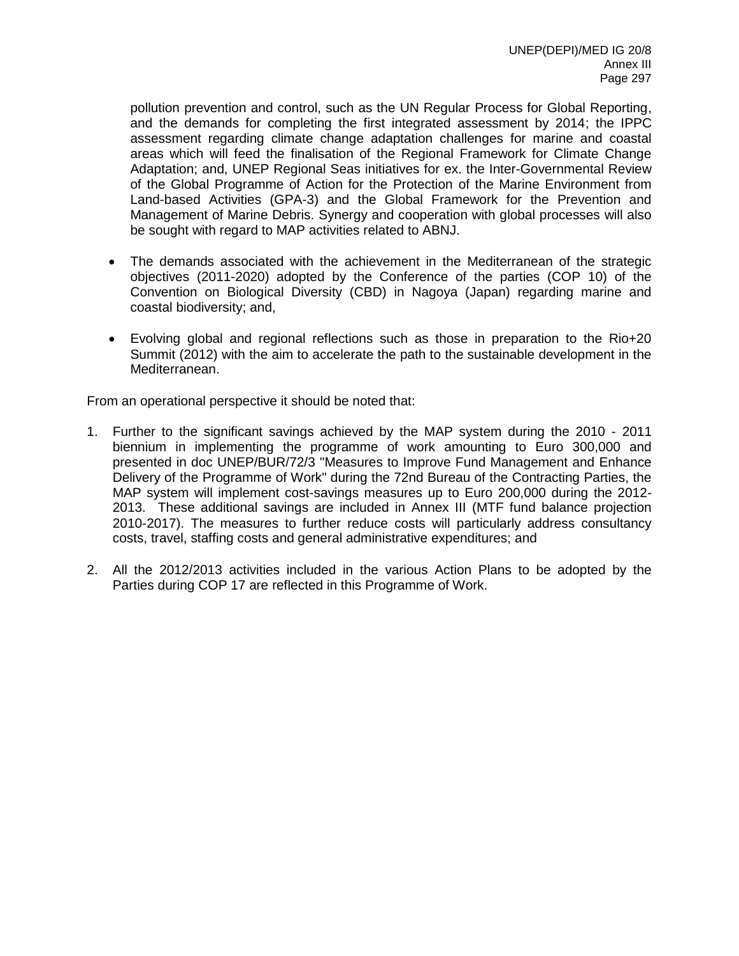pollution prevention and control, such as the UN Regular Process for Global Reporting, and the demands for completing the first integrated assessment by 2014; the IPPC assessment regarding climate change adaptation challenges for marine and coastal areas which will feed the finalisation of the Regional Framework for Climate Change Adaptation; and, UNEP Regional Seas initiatives for ex. the Inter-Governmental Review of the Global Programme of Action for the Protection of the Marine Environment from Land-based Activities (GPA-3) and the Global Framework for the Prevention and Management of Marine Debris. Synergy and cooperation with global processes will also be sought with regard to MAP activities related to ABNJ.

- The demands associated with the achievement in the Mediterranean of the strategic objectives (2011-2020) adopted by the Conference of the parties (COP 10) of the Convention on Biological Diversity (CBD) in Nagoya (Japan) regarding marine and coastal biodiversity; and,
- Evolving global and regional reflections such as those in preparation to the Rio+20 Summit (2012) with the aim to accelerate the path to the sustainable development in the Mediterranean.

From an operational perspective it should be noted that:

- 1. Further to the significant savings achieved by the MAP system during the 2010 2011 biennium in implementing the programme of work amounting to Euro 300,000 and presented in doc UNEP/BUR/72/3 "Measures to Improve Fund Management and Enhance Delivery of the Programme of Work" during the 72nd Bureau of the Contracting Parties, the MAP system will implement cost-savings measures up to Euro 200,000 during the 2012- 2013. These additional savings are included in Annex III (MTF fund balance projection 2010-2017). The measures to further reduce costs will particularly address consultancy costs, travel, staffing costs and general administrative expenditures; and
- 2. All the 2012/2013 activities included in the various Action Plans to be adopted by the Parties during COP 17 are reflected in this Programme of Work.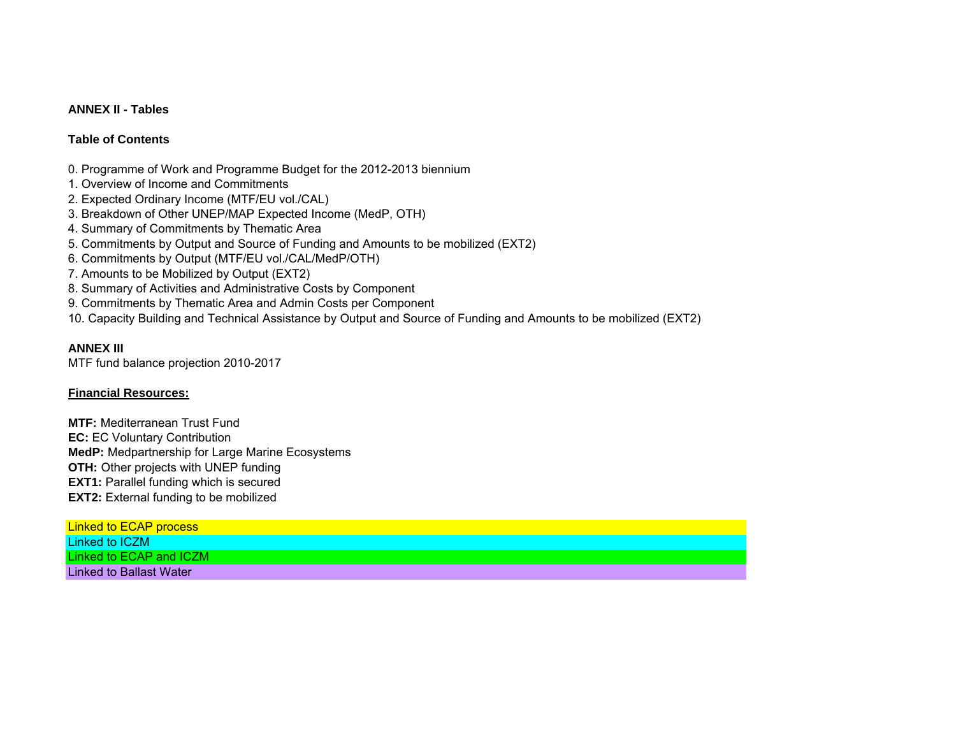# **ANNEX II - Tables**

# **Table of Contents**

- 0. Programme of Work and Programme Budget for the 2012-2013 biennium
- 1. Overview of Income and Commitments
- 2. Expected Ordinary Income (MTF/EU vol./CAL)
- 3. Breakdown of Other UNEP/MAP Expected Income (MedP, OTH)
- 4. Summary of Commitments by Thematic Area
- 5. Commitments by Output and Source of Funding and Amounts to be mobilized (EXT2)
- 6. Commitments by Output (MTF/EU vol./CAL/MedP/OTH)
- 7. Amounts to be Mobilized by Output (EXT2)
- 8. Summary of Activities and Administrative Costs by Component
- 9. Commitments by Thematic Area and Admin Costs per Component
- 10. Capacity Building and Technical Assistance by Output and Source of Funding and Amounts to be mobilized (EXT2)

# **ANNEX III**

MTF fund balance projection 2010-2017

# **Financial Resources:**

**MTF:** Mediterranean Trust Fund**EC: EC Voluntary Contribution MedP:** Medpartnership for Large Marine Ecosystems **OTH:** Other projects with UNEP funding **EXT1:** Parallel funding which is secured **EXT2:** External funding to be mobilized

| Linked to ECAP process  |  |
|-------------------------|--|
| Linked to ICZM          |  |
| Linked to ECAP and ICZM |  |
| Linked to Ballast Water |  |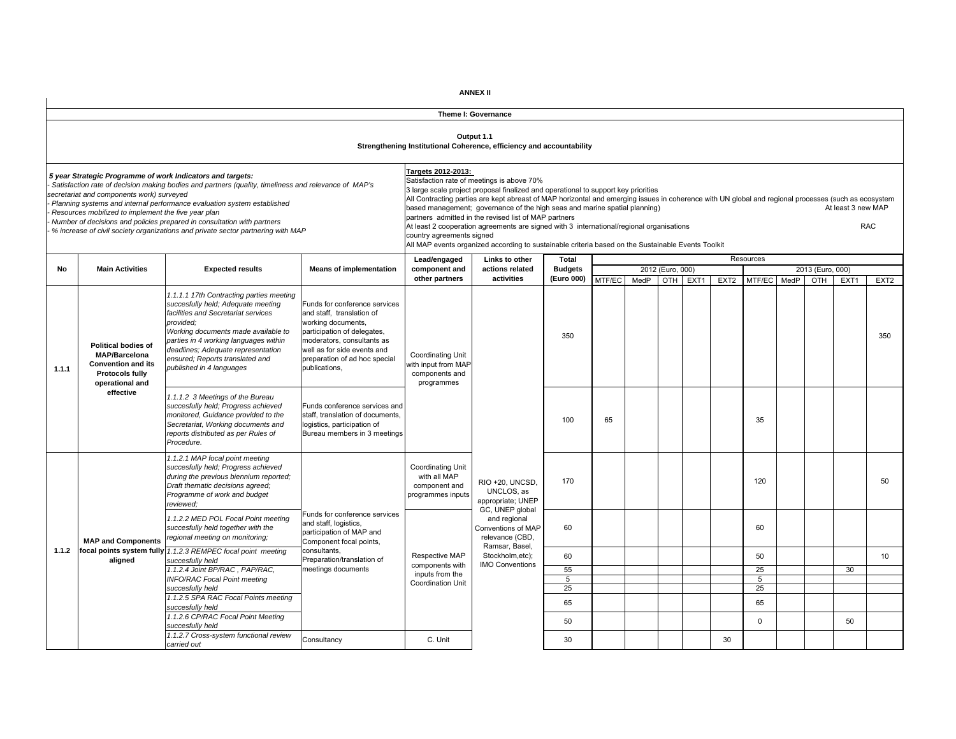|       |                                                                                                                       |                                                                                                                                                                                                                                                                                                                                                                                                              |                                                                                                                                                                                                                                |                                                                                 | Theme I: Governance                                                                                                                                                                                                                                                                                                                                                                                                                                                                                                                                                                                                               |                |        |      |                  |                  |                  |             |      |                  |                    |                  |
|-------|-----------------------------------------------------------------------------------------------------------------------|--------------------------------------------------------------------------------------------------------------------------------------------------------------------------------------------------------------------------------------------------------------------------------------------------------------------------------------------------------------------------------------------------------------|--------------------------------------------------------------------------------------------------------------------------------------------------------------------------------------------------------------------------------|---------------------------------------------------------------------------------|-----------------------------------------------------------------------------------------------------------------------------------------------------------------------------------------------------------------------------------------------------------------------------------------------------------------------------------------------------------------------------------------------------------------------------------------------------------------------------------------------------------------------------------------------------------------------------------------------------------------------------------|----------------|--------|------|------------------|------------------|------------------|-------------|------|------------------|--------------------|------------------|
|       |                                                                                                                       |                                                                                                                                                                                                                                                                                                                                                                                                              |                                                                                                                                                                                                                                |                                                                                 | Output 1.1<br>Strengthening Institutional Coherence, efficiency and accountability                                                                                                                                                                                                                                                                                                                                                                                                                                                                                                                                                |                |        |      |                  |                  |                  |             |      |                  |                    |                  |
|       | secretariat and components work) surveyed<br>Resources mobilized to implement the five year plan                      | 5 year Strategic Programme of work Indicators and targets:<br>Satisfaction rate of decision making bodies and partners (quality, timeliness and relevance of MAP's<br>Planning systems and internal performance evaluation system established<br>Number of decisions and policies prepared in consultation with partners<br>% increase of civil society organizations and private sector partnering with MAP |                                                                                                                                                                                                                                | Targets 2012-2013:<br>country agreements signed                                 | Satisfaction rate of meetings is above 70%<br>3 large scale project proposal finalized and operational to support key priorities<br>All Contracting parties are kept abreast of MAP horizontal and emerging issues in coherence with UN global and regional processes (such as ecosystem<br>based management; governance of the high seas and marine spatial planning)<br>partners admitted in the revised list of MAP partners<br>At least 2 cooperation agreements are signed with 3 international/regional organisations<br>All MAP events organized according to sustainable criteria based on the Sustainable Events Toolkit |                |        |      |                  |                  |                  |             |      |                  | At least 3 new MAP | <b>RAC</b>       |
|       |                                                                                                                       |                                                                                                                                                                                                                                                                                                                                                                                                              |                                                                                                                                                                                                                                | Lead/engaged                                                                    | Links to other                                                                                                                                                                                                                                                                                                                                                                                                                                                                                                                                                                                                                    | Total          |        |      |                  |                  |                  | Resources   |      |                  |                    |                  |
| No    | <b>Main Activities</b>                                                                                                | <b>Expected results</b>                                                                                                                                                                                                                                                                                                                                                                                      | <b>Means of implementation</b>                                                                                                                                                                                                 | component and                                                                   | actions related                                                                                                                                                                                                                                                                                                                                                                                                                                                                                                                                                                                                                   | <b>Budgets</b> |        |      | 2012 (Euro, 000) |                  |                  |             |      | 2013 (Euro, 000) |                    |                  |
|       |                                                                                                                       |                                                                                                                                                                                                                                                                                                                                                                                                              |                                                                                                                                                                                                                                | other partners                                                                  | activities                                                                                                                                                                                                                                                                                                                                                                                                                                                                                                                                                                                                                        | (Euro 000)     | MTF/EC | MedP | OTH              | EXT <sub>1</sub> | EXT <sub>2</sub> | MTF/EC      | MedP | OTH              | EXT <sub>1</sub>   | EXT <sub>2</sub> |
| 1.1.1 | <b>Political bodies of</b><br><b>MAP/Barcelona</b><br><b>Convention and its</b><br>Protocols fully<br>operational and | 1.1.1.1 17th Contracting parties meeting<br>succesfully held; Adequate meeting<br>facilities and Secretariat services<br>provided;<br>Working documents made available to<br>parties in 4 working languages within<br>deadlines; Adequate representation<br>ensured; Reports translated and<br>published in 4 languages                                                                                      | Funds for conference services<br>and staff. translation of<br>working documents,<br>participation of delegates,<br>moderators, consultants as<br>well as for side events and<br>preparation of ad hoc special<br>publications, | <b>Coordinating Unit</b><br>with input from MAF<br>components and<br>programmes |                                                                                                                                                                                                                                                                                                                                                                                                                                                                                                                                                                                                                                   | 350            |        |      |                  |                  |                  |             |      |                  |                    | 350              |
|       | effective                                                                                                             | 1.1.1.2 3 Meetings of the Bureau<br>succesfully held; Progress achieved<br>monitored, Guidance provided to the<br>Secretariat, Working documents and<br>reports distributed as per Rules of<br>Procedure.                                                                                                                                                                                                    | Funds conference services and<br>staff, translation of documents,<br>logistics, participation of<br>Bureau members in 3 meetings                                                                                               |                                                                                 |                                                                                                                                                                                                                                                                                                                                                                                                                                                                                                                                                                                                                                   | 100            | 65     |      |                  |                  |                  | 35          |      |                  |                    |                  |
|       |                                                                                                                       | 1.1.2.1 MAP focal point meeting<br>succesfully held; Progress achieved<br>during the previous biennium reported;<br>Draft thematic decisions agreed;<br>Programme of work and budget<br>reviewed:                                                                                                                                                                                                            |                                                                                                                                                                                                                                | <b>Coordinating Unit</b><br>with all MAP<br>component and<br>programmes inputs  | RIO +20, UNCSD,<br>UNCLOS, as<br>appropriate; UNEP<br>GC, UNEP global                                                                                                                                                                                                                                                                                                                                                                                                                                                                                                                                                             | 170            |        |      |                  |                  |                  | 120         |      |                  |                    | 50               |
|       | <b>MAP and Components</b>                                                                                             | 1.1.2.2 MED POL Focal Point meeting<br>succesfully held together with the<br>regional meeting on monitoring;                                                                                                                                                                                                                                                                                                 | Funds for conference services<br>and staff, logistics,<br>participation of MAP and<br>Component focal points,                                                                                                                  |                                                                                 | and regional<br>Conventions of MAP<br>relevance (CBD.<br>Ramsar, Basel,                                                                                                                                                                                                                                                                                                                                                                                                                                                                                                                                                           | 60             |        |      |                  |                  |                  | 60          |      |                  |                    |                  |
| 1.1.2 |                                                                                                                       | focal points system fully 1.1.2.3 REMPEC focal point meeting                                                                                                                                                                                                                                                                                                                                                 | consultants.<br>Preparation/translation of                                                                                                                                                                                     | Respective MAP                                                                  | Stockholm.etc):                                                                                                                                                                                                                                                                                                                                                                                                                                                                                                                                                                                                                   | 60             |        |      |                  |                  |                  | 50          |      |                  |                    | 10               |
|       | aligned                                                                                                               | succesfully held<br>1.1.2.4 Joint BP/RAC, PAP/RAC,                                                                                                                                                                                                                                                                                                                                                           | meetings documents                                                                                                                                                                                                             | components with                                                                 | <b>IMO Conventions</b>                                                                                                                                                                                                                                                                                                                                                                                                                                                                                                                                                                                                            | 55             |        |      |                  |                  |                  | 25          |      |                  | 30                 |                  |
|       |                                                                                                                       | <b>INFO/RAC Focal Point meeting</b>                                                                                                                                                                                                                                                                                                                                                                          |                                                                                                                                                                                                                                | inputs from the<br><b>Coordination Unit</b>                                     |                                                                                                                                                                                                                                                                                                                                                                                                                                                                                                                                                                                                                                   | 5              |        |      |                  |                  |                  | 5           |      |                  |                    |                  |
|       |                                                                                                                       | succesfully held                                                                                                                                                                                                                                                                                                                                                                                             |                                                                                                                                                                                                                                |                                                                                 |                                                                                                                                                                                                                                                                                                                                                                                                                                                                                                                                                                                                                                   | 25             |        |      |                  |                  |                  | 25          |      |                  |                    |                  |
|       |                                                                                                                       | 1.1.2.5 SPA RAC Focal Points meeting<br>succesfully held                                                                                                                                                                                                                                                                                                                                                     |                                                                                                                                                                                                                                |                                                                                 |                                                                                                                                                                                                                                                                                                                                                                                                                                                                                                                                                                                                                                   | 65             |        |      |                  |                  |                  | 65          |      |                  |                    |                  |
|       |                                                                                                                       | 1.1.2.6 CP/RAC Focal Point Meeting<br>succesfully held                                                                                                                                                                                                                                                                                                                                                       |                                                                                                                                                                                                                                |                                                                                 |                                                                                                                                                                                                                                                                                                                                                                                                                                                                                                                                                                                                                                   | 50             |        |      |                  |                  |                  | $\mathbf 0$ |      |                  | 50                 |                  |
|       |                                                                                                                       | 1.1.2.7 Cross-system functional review<br>carried out                                                                                                                                                                                                                                                                                                                                                        | Consultancy                                                                                                                                                                                                                    | C. Unit                                                                         |                                                                                                                                                                                                                                                                                                                                                                                                                                                                                                                                                                                                                                   | 30             |        |      |                  |                  | 30               |             |      |                  |                    |                  |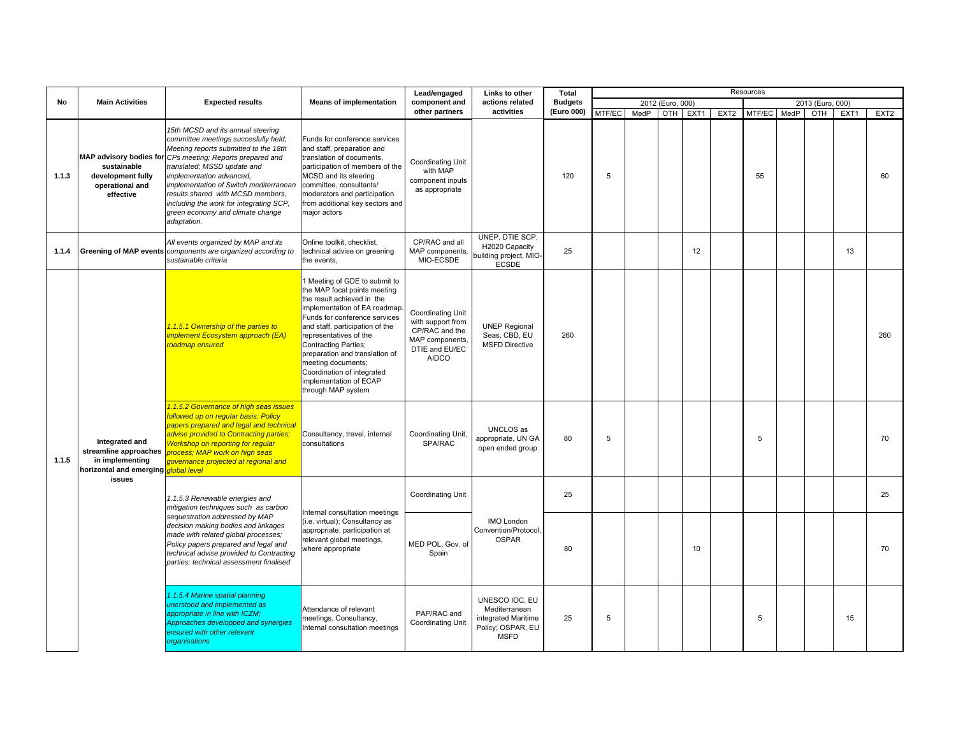|       |                                                                                       |                                                                                                                                                                                                                                                                                                                                                                                                                         |                                                                                                                                                                                                                                                                                                                                                                                              | Lead/engaged                                                                                                         | Links to other                                                                             | <b>Total</b>   |        |      |                  |      |                  | Resources   |                  |      |                  |
|-------|---------------------------------------------------------------------------------------|-------------------------------------------------------------------------------------------------------------------------------------------------------------------------------------------------------------------------------------------------------------------------------------------------------------------------------------------------------------------------------------------------------------------------|----------------------------------------------------------------------------------------------------------------------------------------------------------------------------------------------------------------------------------------------------------------------------------------------------------------------------------------------------------------------------------------------|----------------------------------------------------------------------------------------------------------------------|--------------------------------------------------------------------------------------------|----------------|--------|------|------------------|------|------------------|-------------|------------------|------|------------------|
| No    | <b>Main Activities</b>                                                                | <b>Expected results</b>                                                                                                                                                                                                                                                                                                                                                                                                 | <b>Means of implementation</b>                                                                                                                                                                                                                                                                                                                                                               | component and                                                                                                        | actions related                                                                            | <b>Budgets</b> |        |      | 2012 (Euro, 000) |      |                  |             | 2013 (Euro, 000) |      |                  |
|       |                                                                                       |                                                                                                                                                                                                                                                                                                                                                                                                                         |                                                                                                                                                                                                                                                                                                                                                                                              | other partners                                                                                                       | activities                                                                                 | (Euro 000)     | MTF/EC | MedP | OTH              | EXT1 | EXT <sub>2</sub> | MTF/EC MedP | OTH              | EXT1 | EXT <sub>2</sub> |
| 1.1.3 | sustainable<br>development fully<br>operational and<br>effective                      | 15th MCSD and its annual steering<br>committee meetings succesfully held;<br>Meeting reports submitted to the 18th<br>MAP advisory bodies for CPs meeting; Reports prepared and<br>translated; MSSD update and<br>implementation advanced,<br>implementation of Switch mediterranean<br>results shared with MCSD members,<br>including the work for integrating SCP,<br>green economy and climate change<br>adaptation. | Funds for conference services<br>and staff, preparation and<br>translation of documents,<br>participation of members of the<br>MCSD and its steering<br>committee, consultants/<br>moderators and participation<br>from additional key sectors and<br>major actors                                                                                                                           | Coordinating Unit<br>with MAP<br>component inputs<br>as appropriate                                                  |                                                                                            | 120            | 5      |      |                  |      |                  | 55          |                  |      | 60               |
| 1.1.4 | <b>Greening of MAP events</b>                                                         | All events organized by MAP and its<br>components are organized according to<br>sustainable criteria                                                                                                                                                                                                                                                                                                                    | Online toolkit, checklist,<br>technical advise on greening<br>the events.                                                                                                                                                                                                                                                                                                                    | CP/RAC and all<br>MAP components,<br>MIO-ECSDE                                                                       | UNEP, DTIE SCP,<br>H2020 Capacity<br>building project, MIO-<br>ECSDE                       | 25             |        |      |                  | 12   |                  |             |                  | 13   |                  |
|       |                                                                                       | 1.1.5.1 Ownership of the parties to<br>implement Ecosystem approach (EA)<br>roadmap ensured                                                                                                                                                                                                                                                                                                                             | Meeting of GDE to submit to<br>the MAP focal points meeting<br>the result achieved in the<br>implementation of EA roadmap<br>Funds for conference services<br>and staff, participation of the<br>representatives of the<br><b>Contracting Parties;</b><br>preparation and translation of<br>meeting documents;<br>Coordination of integrated<br>implementation of ECAP<br>through MAP system | <b>Coordinating Unit</b><br>with support from<br>CP/RAC and the<br>MAP components,<br>DTIE and EU/EC<br><b>AIDCO</b> | <b>UNEP Regional</b><br>Seas, CBD, EU<br><b>MSFD Directive</b>                             | 260            |        |      |                  |      |                  |             |                  |      | 260              |
| 1.1.5 | Integrated and<br>streamline approaches<br>in implementing<br>horizontal and emerging | 1.1.5.2 Governance of high seas issues<br>followed up on regular basis; Policy<br>papers prepared and legal and technical<br>advise provided to Contracting parties;<br><b>Workshop on reporting for reqular</b><br>process; MAP work on high seas<br>governance projected at regional and<br>alobal level                                                                                                              | Consultancy, travel, internal<br>consultations                                                                                                                                                                                                                                                                                                                                               | Coordinating Unit,<br>SPA/RAC                                                                                        | UNCLOS as<br>appropriate, UN GA<br>open ended group                                        | 80             | 5      |      |                  |      |                  | 5           |                  |      | 70               |
|       | issues                                                                                | 1.1.5.3 Renewable energies and<br>mitigation techniques such as carbon                                                                                                                                                                                                                                                                                                                                                  | nternal consultation meetings                                                                                                                                                                                                                                                                                                                                                                | Coordinating Unit                                                                                                    |                                                                                            | 25             |        |      |                  |      |                  |             |                  |      | 25               |
|       |                                                                                       | sequestration addressed by MAP<br>decision making bodies and linkages<br>made with related global processes;<br>Policy papers prepared and legal and<br>technical advise provided to Contracting<br>parties; technical assessment finalised                                                                                                                                                                             | (i.e. virtual); Consultancy as<br>appropriate, participation at<br>relevant global meetings,<br>where appropriate                                                                                                                                                                                                                                                                            | MED POL. Gov. of<br>Spain                                                                                            | <b>IMO London</b><br>Convention/Protocol,<br><b>OSPAR</b>                                  | 80             |        |      |                  | 10   |                  |             |                  |      | 70               |
|       |                                                                                       | 1.1.5.4 Marine spatial planning<br>unerstood and implemented as<br>appropriate in line with ICZM;<br>Approaches developped and synergies<br>ensured with other relevant<br>organisations                                                                                                                                                                                                                                | Attendance of relevant<br>neetings, Consultancy,<br>nternal consultation meetings                                                                                                                                                                                                                                                                                                            | PAP/RAC and<br><b>Coordinating Unit</b>                                                                              | UNESCO IOC, EU<br>Mediterranean<br>integrated Maritime<br>Policy; OSPAR, EU<br><b>MSFD</b> | 25             | 5      |      |                  |      |                  | 5           |                  | 15   |                  |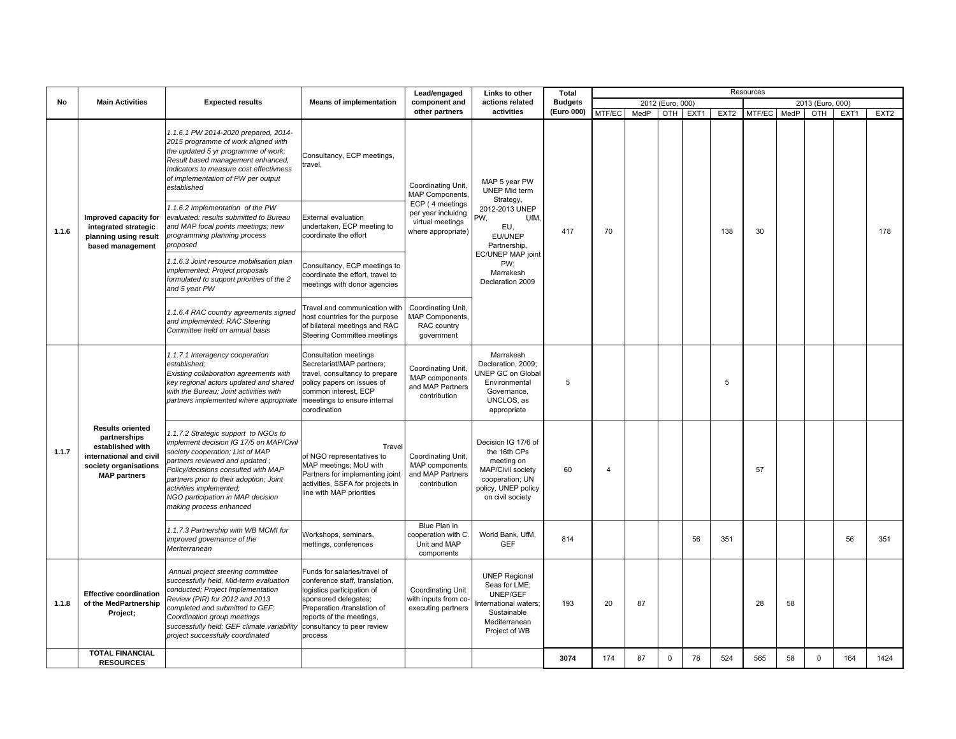|       |                                                                                                                                        |                                                                                                                                                                                                                                                                                                                                    |                                                                                                                                                                                                                          | Lead/engaged                                                                     | Links to other                                                                                                                       | Total          |                |      |                  |      |                  | Resources |      |                  |      |                  |
|-------|----------------------------------------------------------------------------------------------------------------------------------------|------------------------------------------------------------------------------------------------------------------------------------------------------------------------------------------------------------------------------------------------------------------------------------------------------------------------------------|--------------------------------------------------------------------------------------------------------------------------------------------------------------------------------------------------------------------------|----------------------------------------------------------------------------------|--------------------------------------------------------------------------------------------------------------------------------------|----------------|----------------|------|------------------|------|------------------|-----------|------|------------------|------|------------------|
| No    | <b>Main Activities</b>                                                                                                                 | <b>Expected results</b>                                                                                                                                                                                                                                                                                                            | <b>Means of implementation</b>                                                                                                                                                                                           | component and                                                                    | actions related                                                                                                                      | <b>Budgets</b> |                |      | 2012 (Euro, 000) |      |                  |           |      | 2013 (Euro, 000) |      |                  |
|       |                                                                                                                                        |                                                                                                                                                                                                                                                                                                                                    |                                                                                                                                                                                                                          | other partners                                                                   | activities                                                                                                                           | (Euro 000)     | MTF/EC         | MedP | OTH              | EXT1 | EXT <sub>2</sub> | MTF/EC    | MedP | OTH              | EXT1 | EXT <sub>2</sub> |
|       |                                                                                                                                        | 1.1.6.1 PW 2014-2020 prepared, 2014-<br>2015 programme of work aligned with<br>the updated 5 yr programme of work;<br>Result based management enhanced,<br>Indicators to measure cost effectivness<br>of implementation of PW per output<br>established                                                                            | Consultancy, ECP meetings,<br>travel,                                                                                                                                                                                    | Coordinating Unit,<br>MAP Components,                                            | MAP 5 year PW<br>UNEP Mid term                                                                                                       |                |                |      |                  |      |                  |           |      |                  |      |                  |
| 1.1.6 | Improved capacity for<br>integrated strategic<br>planning using result<br>based management                                             | 1.1.6.2 Implementation of the PW<br>evaluated: results submitted to Bureau<br>and MAP focal points meetings; new<br>programming planning process<br>proposed                                                                                                                                                                       | <b>External evaluation</b><br>undertaken, ECP meeting to<br>coordinate the effort                                                                                                                                        | ECP (4 meetings)<br>per year incluidng<br>virtual meetings<br>where appropriate) | Strategy,<br>2012-2013 UNEP<br>UfM.<br>PW,<br>EU,<br>EU/UNEP<br>Partnership,                                                         | 417            | 70             |      |                  |      | 138              | 30        |      |                  |      | 178              |
|       |                                                                                                                                        | 1.1.6.3 Joint resource mobilisation plan<br>implemented; Project proposals<br>formulated to support priorities of the 2<br>and 5 year PW                                                                                                                                                                                           | Consultancy, ECP meetings to<br>coordinate the effort, travel to<br>meetings with donor agencies                                                                                                                         |                                                                                  | EC/UNEP MAP joint<br>PW;<br>Marrakesh<br>Declaration 2009                                                                            |                |                |      |                  |      |                  |           |      |                  |      |                  |
|       |                                                                                                                                        | 1.1.6.4 RAC country agreements signed<br>and implemented; RAC Steering<br>Committee held on annual basis                                                                                                                                                                                                                           | ravel and communication with<br>host countries for the purpose<br>of bilateral meetings and RAC<br>Steering Committee meetings                                                                                           | Coordinating Unit,<br>MAP Components,<br>RAC country<br>government               |                                                                                                                                      |                |                |      |                  |      |                  |           |      |                  |      |                  |
|       |                                                                                                                                        | 1.1.7.1 Interagency cooperation<br>established:<br>Existing collaboration agreements with<br>key regional actors updated and shared<br>with the Bureau; Joint activities with<br>partners implemented where appropriate                                                                                                            | Consultation meetings<br>Secretariat/MAP partners;<br>travel, consultancy to prepare<br>policy papers on issues of<br>common interest, ECP<br>meeetings to ensure internal<br>corodination                               | Coordinating Unit,<br>MAP components<br>and MAP Partners<br>contribution         | Marrakesh<br>Declaration, 2009;<br>UNEP GC on Global<br>Environmental<br>Governance,<br>UNCLOS, as<br>appropriate                    | 5              |                |      |                  |      | 5                |           |      |                  |      |                  |
| 1.1.7 | <b>Results oriented</b><br>partnerships<br>established with<br>international and civil<br>society organisations<br><b>MAP</b> partners | 1.1.7.2 Strategic support to NGOs to<br>implement decision IG 17/5 on MAP/Civil<br>society cooperation; List of MAP<br>partners reviewed and updated;<br>Policy/decisions consulted with MAP<br>partners prior to their adoption; Joint<br>activities implemented;<br>NGO participation in MAP decision<br>making process enhanced | Travel<br>of NGO representatives to<br>MAP meetings; MoU with<br>Partners for implementing joint<br>activities, SSFA for projects in<br>line with MAP priorities                                                         | Coordinating Unit,<br>MAP components<br>and MAP Partners<br>contribution         | Decision IG 17/6 of<br>the 16th CPs<br>meeting on<br>MAP/Civil society<br>cooperation; UN<br>policy, UNEP policy<br>on civil society | 60             | $\overline{4}$ |      |                  |      |                  | 57        |      |                  |      |                  |
|       |                                                                                                                                        | 1.1.7.3 Partnership with WB MCMI for<br>improved governance of the<br>Meriterranean                                                                                                                                                                                                                                                | Workshops, seminars,<br>mettings, conferences                                                                                                                                                                            | Blue Plan in<br>cooperation with C.<br>Unit and MAP<br>components                | World Bank, UfM,<br><b>GEF</b>                                                                                                       | 814            |                |      |                  | 56   | 351              |           |      |                  | 56   | 351              |
| 1.1.8 | <b>Effective coordination</b><br>of the MedPartnership<br>Project;                                                                     | Annual project steering committee<br>successfully held, Mid-term evaluation<br>conducted; Project Implementation<br>Review (PIR) for 2012 and 2013<br>completed and submitted to GEF;<br>Coordination group meetings<br>successfully held; GEF climate variability<br>project successfully coordinated                             | Funds for salaries/travel of<br>conference staff, translation,<br>logistics participation of<br>sponsored delegates;<br>Preparation /translation of<br>reports of the meetings,<br>consultancy to peer review<br>process | Coordinating Unit<br>with inputs from co-<br>executing partners                  | <b>UNEP Regional</b><br>Seas for LME;<br>UNEP/GEF<br>nternational waters;<br>Sustainable<br>Mediterranean<br>Project of WB           | 193            | 20             | 87   |                  |      |                  | 28        | 58   |                  |      |                  |
|       | <b>TOTAL FINANCIAL</b><br><b>RESOURCES</b>                                                                                             |                                                                                                                                                                                                                                                                                                                                    |                                                                                                                                                                                                                          |                                                                                  |                                                                                                                                      | 3074           | 174            | 87   | $\mathbf 0$      | 78   | 524              | 565       | 58   | $\Omega$         | 164  | 1424             |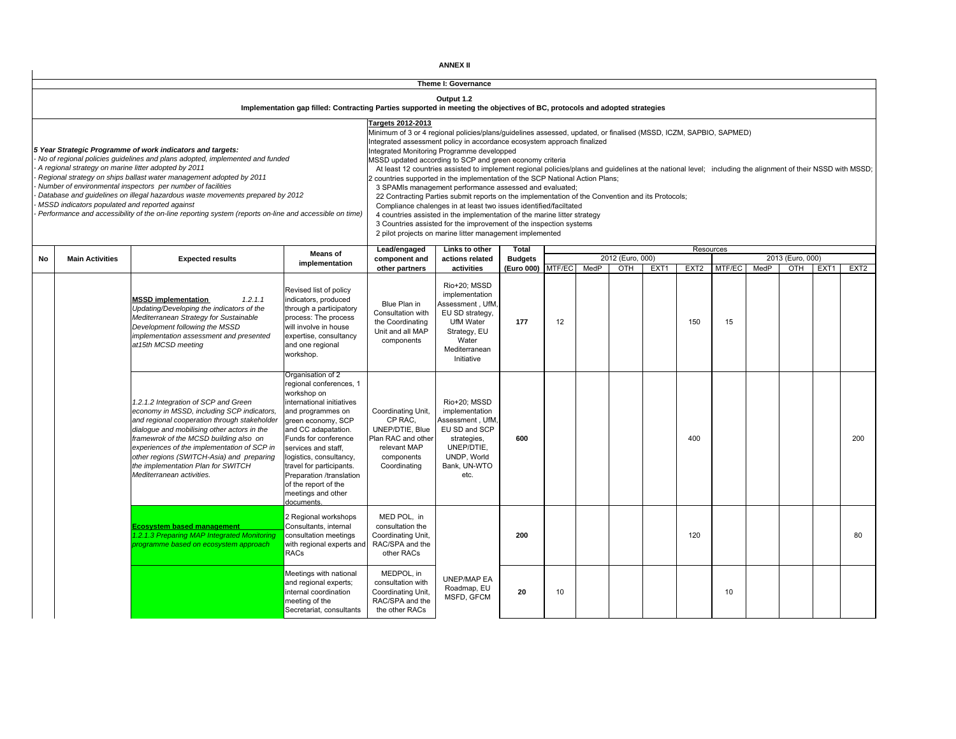| <b>ANNEX II</b> |  |
|-----------------|--|
|-----------------|--|

|    |                                                                                                        |                                                                                                                                                                                                                                                                                                                                                                                                                                                                             | Implementation gap filled: Contracting Parties supported in meeting the objectives of BC, protocols and adopted strategies                                                                                                                                                                                                                               |                                                                                                                      | Theme I: Governance<br>Output 1.2                                                                                                                                                                                                                                                                                                                                                                                                                                                                                                                                                                                                                                                                                                                                                                                                                                                                                                                                                                     |                              |        |      |                  |      |                  |        |      |                  |                  |                  |
|----|--------------------------------------------------------------------------------------------------------|-----------------------------------------------------------------------------------------------------------------------------------------------------------------------------------------------------------------------------------------------------------------------------------------------------------------------------------------------------------------------------------------------------------------------------------------------------------------------------|----------------------------------------------------------------------------------------------------------------------------------------------------------------------------------------------------------------------------------------------------------------------------------------------------------------------------------------------------------|----------------------------------------------------------------------------------------------------------------------|-------------------------------------------------------------------------------------------------------------------------------------------------------------------------------------------------------------------------------------------------------------------------------------------------------------------------------------------------------------------------------------------------------------------------------------------------------------------------------------------------------------------------------------------------------------------------------------------------------------------------------------------------------------------------------------------------------------------------------------------------------------------------------------------------------------------------------------------------------------------------------------------------------------------------------------------------------------------------------------------------------|------------------------------|--------|------|------------------|------|------------------|--------|------|------------------|------------------|------------------|
|    | A regional strategy on marine litter adopted by 2011<br>MSSD indicators populated and reported against | 5 Year Strategic Programme of work indicators and targets:<br>No of regional policies guidelines and plans adopted, implemented and funded<br>Regional strategy on ships ballast water management adopted by 2011<br>Number of environmental inspectors per number of facilities<br>Database and guidelines on illegal hazardous waste movements prepared by 2012<br>Performance and accessibility of the on-line reporting system (reports on-line and accessible on time) |                                                                                                                                                                                                                                                                                                                                                          | Targets 2012-2013                                                                                                    | Minimum of 3 or 4 regional policies/plans/guidelines assessed, updated, or finalised (MSSD, ICZM, SAPBIO, SAPMED)<br>Integrated assessment policy in accordance ecosystem approach finalized<br>Integrated Monitoring Programme developped<br>MSSD updated according to SCP and green economy criteria<br>At least 12 countries assisted to implement regional policies/plans and guidelines at the national level; including the alignment of their NSSD with MSSD;<br>countries supported in the implementation of the SCP National Action Plans;<br>3 SPAMIs management performance assessed and evaluated;<br>22 Contracting Parties submit reports on the implementation of the Convention and its Protocols;<br>Compliance chalenges in at least two issues identified/faciltated<br>4 countries assisted in the implementation of the marine litter strategy<br>3 Countries assisted for the improvement of the inspection systems<br>2 pilot projects on marine litter management implemented |                              |        |      |                  |      |                  |        |      |                  |                  |                  |
|    |                                                                                                        |                                                                                                                                                                                                                                                                                                                                                                                                                                                                             | Means of                                                                                                                                                                                                                                                                                                                                                 | Lead/engaged                                                                                                         | Links to other                                                                                                                                                                                                                                                                                                                                                                                                                                                                                                                                                                                                                                                                                                                                                                                                                                                                                                                                                                                        | Total                        |        |      | 2012 (Euro, 000) |      | Resources        |        |      | 2013 (Euro, 000) |                  |                  |
| No | <b>Main Activities</b>                                                                                 | <b>Expected results</b>                                                                                                                                                                                                                                                                                                                                                                                                                                                     | implementation                                                                                                                                                                                                                                                                                                                                           | component and<br>other partners                                                                                      | actions related<br>activities                                                                                                                                                                                                                                                                                                                                                                                                                                                                                                                                                                                                                                                                                                                                                                                                                                                                                                                                                                         | <b>Budgets</b><br>(Euro 000) | MTF/EC | MedP | OTH              | EXT1 | EXT <sub>2</sub> | MTF/EC | MedP | OTH              | EXT <sub>1</sub> | EXT <sub>2</sub> |
|    |                                                                                                        | <b>MSSD implementation</b><br>1.2.1.1<br>Updating/Developing the indicators of the<br>Mediterranean Strategy for Sustainable<br>Development following the MSSD<br>implementation assessment and presented<br>at15th MCSD meeting                                                                                                                                                                                                                                            | Revised list of policy<br>indicators, produced<br>through a participatory<br>process: The process<br>will involve in house<br>expertise, consultancy<br>and one regional<br>workshop.                                                                                                                                                                    | Blue Plan in<br>Consultation with<br>the Coordinating<br>Unit and all MAP<br>components                              | Rio+20; MSSD<br>implementation<br>Assessment, UfM<br>EU SD strategy.<br>UfM Water<br>Strategy, EU<br>Water<br>Mediterranean<br>Initiative                                                                                                                                                                                                                                                                                                                                                                                                                                                                                                                                                                                                                                                                                                                                                                                                                                                             | 177                          | 12     |      |                  |      | 150              | 15     |      |                  |                  |                  |
|    |                                                                                                        | 1.2.1.2 Integration of SCP and Green<br>economy in MSSD, including SCP indicators,<br>and regional cooperation through stakeholder<br>dialogue and mobilising other actors in the<br>framewrok of the MCSD building also on<br>experiences of the implementation of SCP in<br>other regions (SWITCH-Asia) and preparing<br>the implementation Plan for SWITCH<br>Mediterranean activities.                                                                                  | Organisation of 2<br>regional conferences, 1<br>workshop on<br>international initiatives<br>and programmes on<br>green economy, SCP<br>and CC adapatation.<br>Funds for conference<br>services and staff.<br>logistics, consultancy,<br>travel for participants.<br>Preparation /translation<br>of the report of the<br>meetings and other<br>documents. | Coordinating Unit,<br>CP RAC.<br>UNEP/DTIE, Blue<br>Plan RAC and other<br>relevant MAP<br>components<br>Coordinating | Rio+20: MSSD<br>implementation<br>Assessment, UfM<br>EU SD and SCP<br>strategies,<br>UNEP/DTIE,<br>UNDP, World<br>Bank, UN-WTO<br>etc.                                                                                                                                                                                                                                                                                                                                                                                                                                                                                                                                                                                                                                                                                                                                                                                                                                                                | 600                          |        |      |                  |      | 400              |        |      |                  |                  | 200              |
|    |                                                                                                        | <b>Ecosystem based management</b><br>1.2.1.3 Preparing MAP Integrated Monitoring<br>programme based on ecosystem approach                                                                                                                                                                                                                                                                                                                                                   | 2 Regional workshops<br>Consultants, internal<br>consultation meetings<br>with regional experts and<br><b>RACs</b>                                                                                                                                                                                                                                       | MED POL, in<br>consultation the<br>Coordinating Unit,<br>RAC/SPA and the<br>other RACs                               |                                                                                                                                                                                                                                                                                                                                                                                                                                                                                                                                                                                                                                                                                                                                                                                                                                                                                                                                                                                                       | 200                          |        |      |                  |      | 120              |        |      |                  |                  | 80               |
|    |                                                                                                        |                                                                                                                                                                                                                                                                                                                                                                                                                                                                             | Meetings with national<br>and regional experts;<br>internal coordination<br>meeting of the<br>Secretariat, consultants                                                                                                                                                                                                                                   | MEDPOL, in<br>consultation with<br>Coordinating Unit,<br>RAC/SPA and the<br>the other RACs                           | <b>UNEP/MAP EA</b><br>Roadmap, EU<br>MSFD, GFCM                                                                                                                                                                                                                                                                                                                                                                                                                                                                                                                                                                                                                                                                                                                                                                                                                                                                                                                                                       | 20                           | 10     |      |                  |      |                  | 10     |      |                  |                  |                  |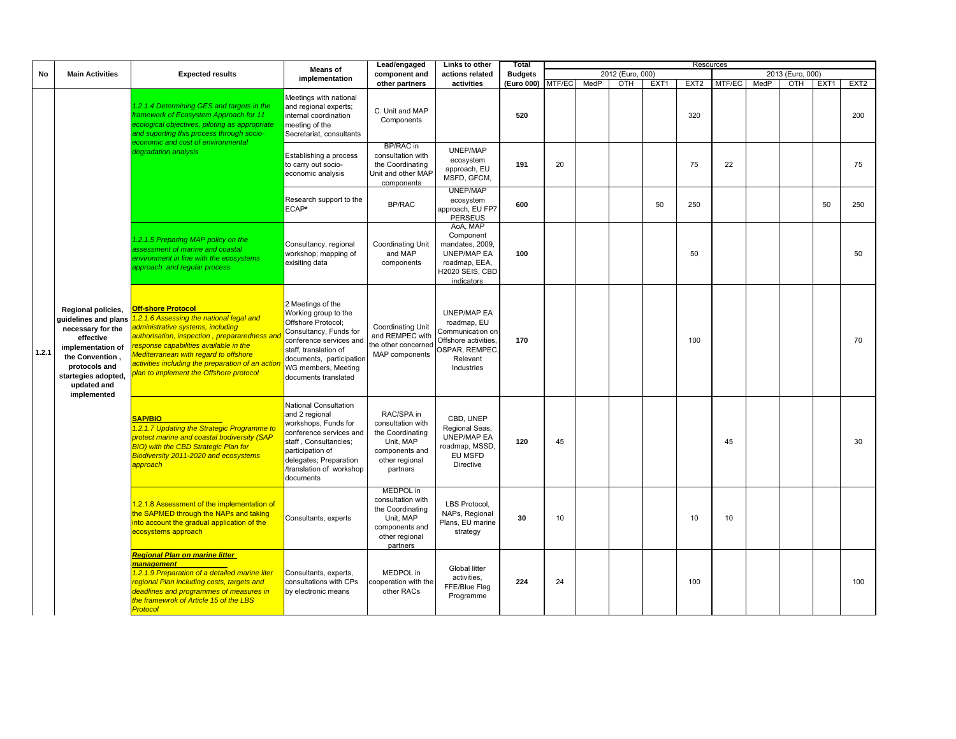|       |                                                                                                                                                                                            |                                                                                                                                                                                                                                                                                                                                                       | <b>Means of</b>                                                                                                                                                                                                          | Lead/engaged                                                                                                           | Links to other                                                                                                            | <b>Total</b>   |        |      |                  |      | Resources        |        |      |                  |      |                  |
|-------|--------------------------------------------------------------------------------------------------------------------------------------------------------------------------------------------|-------------------------------------------------------------------------------------------------------------------------------------------------------------------------------------------------------------------------------------------------------------------------------------------------------------------------------------------------------|--------------------------------------------------------------------------------------------------------------------------------------------------------------------------------------------------------------------------|------------------------------------------------------------------------------------------------------------------------|---------------------------------------------------------------------------------------------------------------------------|----------------|--------|------|------------------|------|------------------|--------|------|------------------|------|------------------|
| No    | <b>Main Activities</b>                                                                                                                                                                     | <b>Expected results</b>                                                                                                                                                                                                                                                                                                                               |                                                                                                                                                                                                                          | component and                                                                                                          | actions related                                                                                                           | <b>Budgets</b> |        |      | 2012 (Euro, 000) |      |                  |        |      | 2013 (Euro, 000) |      |                  |
|       |                                                                                                                                                                                            |                                                                                                                                                                                                                                                                                                                                                       | implementation                                                                                                                                                                                                           | other partners                                                                                                         | activities                                                                                                                | (Euro 000)     | MTF/EC | MedP | OTH              | EXT1 | EXT <sub>2</sub> | MTF/EC | MedP | OTH              | EXT1 | EXT <sub>2</sub> |
|       |                                                                                                                                                                                            | 1.2.1.4 Determining GES and targets in the<br>framework of Ecosystem Approach for 11<br>ecological objectives, piloting as appropriate<br>and suporting this process through socio-                                                                                                                                                                   | Meetings with national<br>and regional experts;<br>internal coordination<br>meeting of the<br>Secretariat, consultants                                                                                                   | C. Unit and MAP<br>Components                                                                                          |                                                                                                                           | 520            |        |      |                  |      | 320              |        |      |                  |      | 200              |
|       |                                                                                                                                                                                            | economic and cost of environmental<br>degradation analysis                                                                                                                                                                                                                                                                                            | Establishing a process<br>to carry out socio-<br>economic analysis                                                                                                                                                       | BP/RAC in<br>consultation with<br>the Coordinating<br>Unit and other MAP<br>components                                 | UNEP/MAP<br>ecosystem<br>approach, EU<br>MSFD, GFCM,                                                                      | 191            | 20     |      |                  |      | 75               | 22     |      |                  |      | 75               |
|       |                                                                                                                                                                                            |                                                                                                                                                                                                                                                                                                                                                       | Research support to the<br>ECAP*                                                                                                                                                                                         | <b>BP/RAC</b>                                                                                                          | <b>UNEP/MAP</b><br>ecosystem<br>approach, EU FP7<br><b>PERSEUS</b>                                                        | 600            |        |      |                  | 50   | 250              |        |      |                  | 50   | 250              |
|       |                                                                                                                                                                                            | 1.2.1.5 Preparing MAP policy on the<br>assessment of marine and coastal<br>environment in line with the ecosystems<br>approach and regular process                                                                                                                                                                                                    | Consultancy, regional<br>workshop; mapping of<br>exisiting data                                                                                                                                                          | Coordinating Unit<br>and MAP<br>components                                                                             | AoA, MAP<br>Component<br>mandates, 2009.<br><b>UNEP/MAP EA</b><br>roadmap, EEA,<br>H2020 SEIS, CBD<br>indicators          | 100            |        |      |                  |      | 50               |        |      |                  |      | 50               |
| 1.2.1 | Regional policies,<br>quidelines and plans<br>necessary for the<br>effective<br>implementation of<br>the Convention.<br>protocols and<br>startegies adopted,<br>updated and<br>implemented | <b>Off-shore Protocol</b><br>1.2.1.6 Assessing the national legal and<br>administrative systems, including<br>authorisation, inspection, prepararedness and<br>response capabilities available in the<br><b>Mediterranean with regard to offshore</b><br>activities including the preparation of an actior<br>plan to implement the Offshore protocol | 2 Meetings of the<br>Working group to the<br>Offshore Protocol:<br>Consultancy, Funds for<br>conference services and<br>staff, translation of<br>documents, participation<br>WG members, Meeting<br>documents translated | <b>Coordinating Unit</b><br>and REMPEC with<br>the other concerned<br>MAP components                                   | <b>UNEP/MAP EA</b><br>roadmap, EU<br>Communication on<br>Offshore activities.<br>OSPAR, REMPEC,<br>Relevant<br>Industries | 170            |        |      |                  |      | 100              |        |      |                  |      | 70               |
|       |                                                                                                                                                                                            | <b>SAP/BIO</b><br>1.2.1.7 Updating the Strategic Programme to<br><b>protect marine and coastal bodiversity (SAP</b><br><b>BIO)</b> with the CBD Strategic Plan for<br>Biodiversity 2011-2020 and ecosystems<br>approach                                                                                                                               | <b>National Consultation</b><br>and 2 regional<br>workshops, Funds for<br>conference services and<br>staff, Consultancies;<br>participation of<br>delegates; Preparation<br>/translation of workshop<br>documents        | RAC/SPA in<br>consultation with<br>the Coordinating<br>Unit, MAP<br>components and<br>other regional<br>partners       | CBD, UNEP<br>Regional Seas,<br><b>UNEP/MAP EA</b><br>roadmap, MSSD<br>EU MSFD<br>Directive                                | 120            | 45     |      |                  |      |                  | 45     |      |                  |      | 30               |
|       |                                                                                                                                                                                            | 1.2.1.8 Assessment of the implementation of<br>the SAPMED through the NAPs and taking<br>into account the gradual application of the<br>ecosystems approach                                                                                                                                                                                           | Consultants, experts                                                                                                                                                                                                     | <b>MEDPOL</b> in<br>consultation with<br>the Coordinating<br>Unit, MAP<br>components and<br>other regional<br>partners | LBS Protocol,<br>NAPs, Regional<br>Plans, EU marine<br>strategy                                                           | 30             | 10     |      |                  |      | 10               | 10     |      |                  |      |                  |
|       |                                                                                                                                                                                            | Regional Plan on marine litter<br>management<br>1.2.1.9 Preparation of a detailed marine liter<br>regional Plan including costs, targets and<br>deadlines and programmes of measures in<br>the framewrok of Article 15 of the LBS<br>Protocol                                                                                                         | Consultants, experts,<br>consultations with CPs<br>by electronic means                                                                                                                                                   | MEDPOL in<br>cooperation with the<br>other RACs                                                                        | <b>Global litter</b><br>activities,<br>FFE/Blue Flag<br>Programme                                                         | 224            | 24     |      |                  |      | 100              |        |      |                  |      | 100              |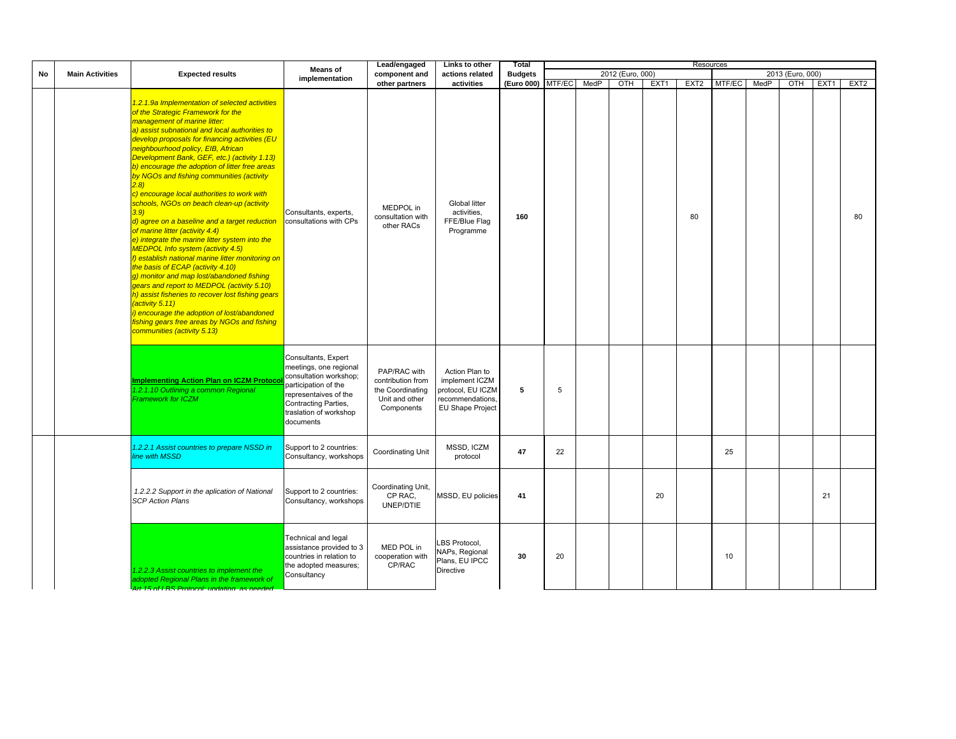|           |                        |                                                                                                                                                                                                                                                                                                                                                                                                                                                                                                                                                                                                                                                                                                                                                                                                                                                                                                                                                                                                                                                                                                         | Means of                                                                                                                                                                                | Lead/engaged                                                                          | Links to other                                                                                | Total          |        |      |                  |      |                  | Resources |      |                  |      |                  |
|-----------|------------------------|---------------------------------------------------------------------------------------------------------------------------------------------------------------------------------------------------------------------------------------------------------------------------------------------------------------------------------------------------------------------------------------------------------------------------------------------------------------------------------------------------------------------------------------------------------------------------------------------------------------------------------------------------------------------------------------------------------------------------------------------------------------------------------------------------------------------------------------------------------------------------------------------------------------------------------------------------------------------------------------------------------------------------------------------------------------------------------------------------------|-----------------------------------------------------------------------------------------------------------------------------------------------------------------------------------------|---------------------------------------------------------------------------------------|-----------------------------------------------------------------------------------------------|----------------|--------|------|------------------|------|------------------|-----------|------|------------------|------|------------------|
| <b>No</b> | <b>Main Activities</b> | <b>Expected results</b>                                                                                                                                                                                                                                                                                                                                                                                                                                                                                                                                                                                                                                                                                                                                                                                                                                                                                                                                                                                                                                                                                 | implementation                                                                                                                                                                          | component and                                                                         | actions related                                                                               | <b>Budgets</b> |        |      | 2012 (Euro, 000) |      |                  |           |      | 2013 (Euro, 000) |      |                  |
|           |                        |                                                                                                                                                                                                                                                                                                                                                                                                                                                                                                                                                                                                                                                                                                                                                                                                                                                                                                                                                                                                                                                                                                         |                                                                                                                                                                                         | other partners                                                                        | activities                                                                                    | (Euro 000)     | MTF/EC | MedP | OTH              | EXT1 | EXT <sub>2</sub> | MTF/EC    | MedP | OTH              | EXT1 | EXT <sub>2</sub> |
|           |                        | 1.2.1.9a Implementation of selected activities<br>of the Strategic Framework for the<br>management of marine litter:<br>a) assist subnational and local authorities to<br>develop proposals for financing activities (EU<br>neighbourhood policy, EIB, African<br>Development Bank, GEF, etc.) (activity 1.13)<br>b) encourage the adoption of litter free areas<br>by NGOs and fishing communities (activity<br>(2.8)<br>c) encourage local authorities to work with<br>schools, NGOs on beach clean-up (activity<br>3.9)<br>d) agree on a baseline and a target reduction<br>of marine litter (activity 4.4)<br>e) integrate the marine litter system into the<br><b>MEDPOL Info system (activity 4.5)</b><br>f) establish national marine litter monitoring on<br>the basis of ECAP (activity 4.10)<br>g) monitor and map lost/abandoned fishing<br>gears and report to MEDPOL (activity 5.10)<br>h) assist fisheries to recover lost fishing gears<br>(activity 5.11)<br>i) encourage the adoption of lost/abandoned<br>fishing gears free areas by NGOs and fishing<br>communities (activity 5.13) | Consultants, experts,<br>consultations with CPs                                                                                                                                         | MEDPOL in<br>consultation with<br>other RACs                                          | Global litter<br>activities,<br>FFE/Blue Flag<br>Programme                                    | 160            |        |      |                  |      | 80               |           |      |                  |      | 80               |
|           |                        | <b>Implementing Action Plan on ICZM Protoco</b><br>1.2.1.10 Outlining a common Regional<br><b>Framework for ICZM</b>                                                                                                                                                                                                                                                                                                                                                                                                                                                                                                                                                                                                                                                                                                                                                                                                                                                                                                                                                                                    | Consultants, Expert<br>meetings, one regional<br>consultation workshop;<br>participation of the<br>representaives of the<br>Contracting Parties,<br>traslation of workshop<br>documents | PAP/RAC with<br>contribution from<br>the Coordinating<br>Unit and other<br>Components | Action Plan to<br>implement ICZM<br>protocol, EU ICZM<br>recommendations.<br>EU Shape Project | 5              | 5      |      |                  |      |                  |           |      |                  |      |                  |
|           |                        | 1.2.2.1 Assist countries to prepare NSSD in<br>line with MSSD                                                                                                                                                                                                                                                                                                                                                                                                                                                                                                                                                                                                                                                                                                                                                                                                                                                                                                                                                                                                                                           | Support to 2 countries:<br>Consultancy, workshops                                                                                                                                       | Coordinating Unit                                                                     | MSSD, ICZM<br>protocol                                                                        | 47             | 22     |      |                  |      |                  | 25        |      |                  |      |                  |
|           |                        | 1.2.2.2 Support in the aplication of National<br><b>SCP Action Plans</b>                                                                                                                                                                                                                                                                                                                                                                                                                                                                                                                                                                                                                                                                                                                                                                                                                                                                                                                                                                                                                                | Support to 2 countries:<br>Consultancy, workshops                                                                                                                                       | Coordinating Unit,<br>CP RAC.<br>UNEP/DTIE                                            | MSSD, EU policies                                                                             | 41             |        |      |                  | 20   |                  |           |      |                  | 21   |                  |
|           |                        | 1.2.2.3 Assist countries to implement the<br>adopted Regional Plans in the framework of<br>Art 15 of LBS Protocol: undatir                                                                                                                                                                                                                                                                                                                                                                                                                                                                                                                                                                                                                                                                                                                                                                                                                                                                                                                                                                              | Technical and legal<br>assistance provided to 3<br>countries in relation to<br>the adopted measures;<br>Consultancy                                                                     | MED POL in<br>cooperation with<br>CP/RAC                                              | LBS Protocol,<br>NAPs, Regional<br>Plans, EU IPCC<br>Directive                                | 30             | 20     |      |                  |      |                  | 10        |      |                  |      |                  |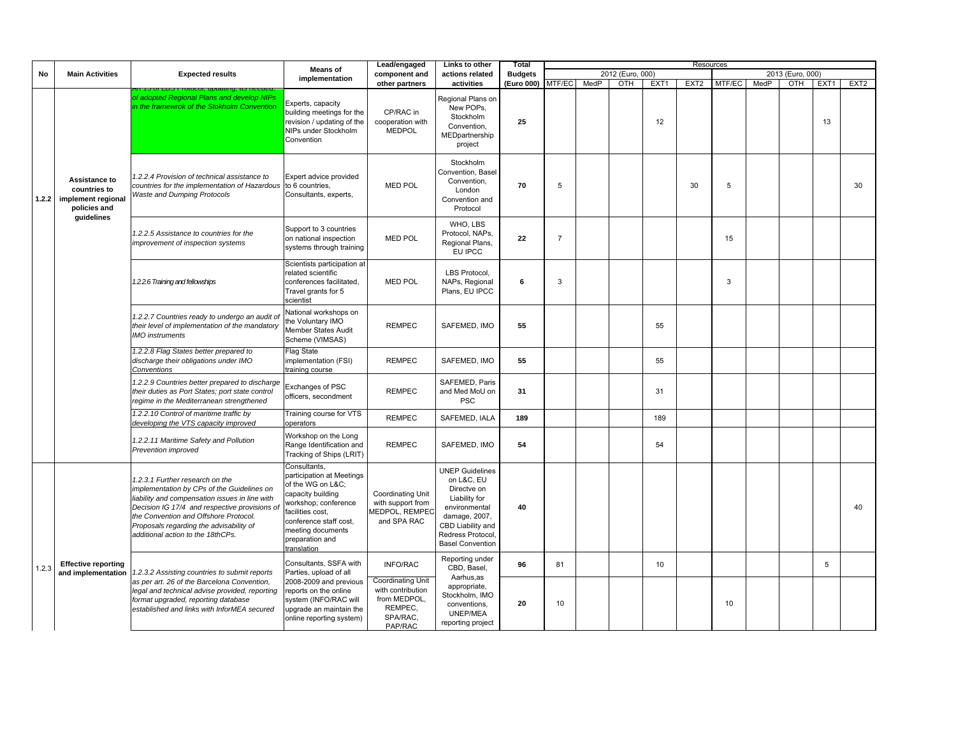|       |                                                                           |                                                                                                                                                                                                                                                                                                           | <b>Means of</b>                                                                                                                                                                                                 | Lead/engaged                                                                                    | Links to other                                                                                                                                                              | Total          |                |      |                  |      | Resources        |        |      |                  |      |                  |
|-------|---------------------------------------------------------------------------|-----------------------------------------------------------------------------------------------------------------------------------------------------------------------------------------------------------------------------------------------------------------------------------------------------------|-----------------------------------------------------------------------------------------------------------------------------------------------------------------------------------------------------------------|-------------------------------------------------------------------------------------------------|-----------------------------------------------------------------------------------------------------------------------------------------------------------------------------|----------------|----------------|------|------------------|------|------------------|--------|------|------------------|------|------------------|
| No    | <b>Main Activities</b>                                                    | <b>Expected results</b>                                                                                                                                                                                                                                                                                   | implementation                                                                                                                                                                                                  | component and                                                                                   | actions related                                                                                                                                                             | <b>Budgets</b> |                |      | 2012 (Euro, 000) |      |                  |        |      | 2013 (Euro, 000) |      |                  |
|       |                                                                           |                                                                                                                                                                                                                                                                                                           |                                                                                                                                                                                                                 | other partners                                                                                  | activities                                                                                                                                                                  | (Euro 000)     | MTF/EC         | MedP | OTH              | EXT1 | EXT <sub>2</sub> | MTF/EC | MedP | OTH              | EXT1 | EXT <sub>2</sub> |
|       |                                                                           | of adopted Regional Plans and develop NIPs<br>in the framewrok of the Stokholm Convention                                                                                                                                                                                                                 | Experts, capacity<br>building meetings for the<br>revision / updating of the<br>NIPs under Stockholm<br>Convention                                                                                              | CP/RAC in<br>cooperation with<br><b>MEDPOL</b>                                                  | Regional Plans on<br>New POPs.<br>Stockholm<br>Convention,<br>MEDpartnership<br>project                                                                                     | 25             |                |      |                  | 12   |                  |        |      |                  | 13   |                  |
|       | Assistance to<br>countries to<br>1.2.2 implement regional<br>policies and | 1.2.2.4 Provision of technical assistance to<br>countries for the implementation of Hazardous<br><b>Waste and Dumping Protocols</b>                                                                                                                                                                       | Expert advice provided<br>to 6 countries,<br>Consultants, experts,                                                                                                                                              | <b>MED POL</b>                                                                                  | Stockholm<br>Convention, Basel<br>Convention,<br>London<br>Convention and<br>Protocol                                                                                       | 70             | 5              |      |                  |      | 30               | 5      |      |                  |      | 30               |
|       | guidelines                                                                | 1.2.2.5 Assistance to countries for the<br>improvement of inspection systems                                                                                                                                                                                                                              | Support to 3 countries<br>on national inspection<br>systems through training                                                                                                                                    | <b>MED POL</b>                                                                                  | WHO, LBS<br>Protocol, NAPs.<br>Regional Plans,<br>EU IPCC                                                                                                                   | 22             | $\overline{7}$ |      |                  |      |                  | 15     |      |                  |      |                  |
|       |                                                                           | 1.2.2.6 Training and fellowships                                                                                                                                                                                                                                                                          | Scientists participation at<br>related scientific<br>conferences facilitated,<br>Travel grants for 5<br>scientist                                                                                               | <b>MED POL</b>                                                                                  | LBS Protocol,<br>NAPs, Regional<br>Plans, EU IPCC                                                                                                                           | 6              | 3              |      |                  |      |                  | 3      |      |                  |      |                  |
|       |                                                                           | 1.2.2.7 Countries ready to undergo an audit of<br>their level of implementation of the mandatory<br><b>IMO</b> instruments                                                                                                                                                                                | National workshops on<br>the Voluntary IMO<br>Member States Audit<br>Scheme (VIMSAS)                                                                                                                            | <b>REMPEC</b>                                                                                   | SAFEMED, IMO                                                                                                                                                                | 55             |                |      |                  | 55   |                  |        |      |                  |      |                  |
|       |                                                                           | 1.2.2.8 Flag States better prepared to<br>discharge their obligations under IMO<br>Conventions                                                                                                                                                                                                            | Flag State<br>implementation (FSI)<br>training course                                                                                                                                                           | <b>REMPEC</b>                                                                                   | SAFEMED, IMO                                                                                                                                                                | 55             |                |      |                  | 55   |                  |        |      |                  |      |                  |
|       |                                                                           | 1.2.2.9 Countries better prepared to discharge<br>their duties as Port States; port state control<br>regime in the Mediterranean strengthened                                                                                                                                                             | Exchanges of PSC<br>officers, secondment                                                                                                                                                                        | <b>REMPEC</b>                                                                                   | SAFEMED, Paris<br>and Med MoU on<br><b>PSC</b>                                                                                                                              | 31             |                |      |                  | 31   |                  |        |      |                  |      |                  |
|       |                                                                           | 1.2.2.10 Control of maritime traffic by<br>developing the VTS capacity improved                                                                                                                                                                                                                           | Training course for VTS<br>operators                                                                                                                                                                            | <b>REMPEC</b>                                                                                   | SAFEMED, IALA                                                                                                                                                               | 189            |                |      |                  | 189  |                  |        |      |                  |      |                  |
|       |                                                                           | 1.2.2.11 Maritime Safety and Pollution<br>Prevention improved                                                                                                                                                                                                                                             | Workshop on the Long<br>Range Identification and<br>Tracking of Ships (LRIT)                                                                                                                                    | <b>REMPEC</b>                                                                                   | SAFEMED, IMO                                                                                                                                                                | 54             |                |      |                  | 54   |                  |        |      |                  |      |                  |
|       |                                                                           | 1.2.3.1 Further research on the<br>implementation by CPs of the Guidelines on<br>liability and compensation issues in line with<br>Decision IG 17/4 and respective provisions of<br>the Convention and Offshore Protocol.<br>Proposals regarding the advisability of<br>additional action to the 18thCPs. | Consultants,<br>participation at Meetings<br>of the WG on L&C<br>capacity building<br>workshop; conference<br>facilities cost,<br>conference staff cost,<br>meeting documents<br>preparation and<br>translation | <b>Coordinating Unit</b><br>with support from<br><b>IEDPOL, REMPEC</b><br>and SPA RAC           | <b>UNEP Guidelines</b><br>on L&C, EU<br>Directve on<br>Liability for<br>environmental<br>damage, 2007,<br>CBD Liability and<br>Redress Protocol,<br><b>Basel Convention</b> | 40             |                |      |                  |      |                  |        |      |                  |      | 40               |
| 1.2.3 | <b>Effective reporting</b><br>and implementation                          | 1.2.3.2 Assisting countries to submit reports                                                                                                                                                                                                                                                             | Consultants, SSFA with<br>Parties, upload of all                                                                                                                                                                | <b>INFO/RAC</b>                                                                                 | Reporting under<br>CBD, Basel,                                                                                                                                              | 96             | 81             |      |                  | 10   |                  |        |      |                  | 5    |                  |
|       |                                                                           | as per art. 26 of the Barcelona Convention,<br>legal and technical advise provided, reporting<br>format upgraded, reporting database<br>established and links with InforMEA secured                                                                                                                       | 2008-2009 and previous<br>reports on the online<br>system (INFO/RAC will<br>upgrade an maintain the<br>online reporting system)                                                                                 | <b>Coordinating Unit</b><br>with contribution<br>from MEDPOL,<br>REMPEC,<br>SPA/RAC,<br>PAP/RAC | Aarhus,as<br>appropriate,<br>Stockholm, IMO<br>conventions,<br><b>UNEP/MEA</b><br>reporting project                                                                         | 20             | 10             |      |                  |      |                  | 10     |      |                  |      |                  |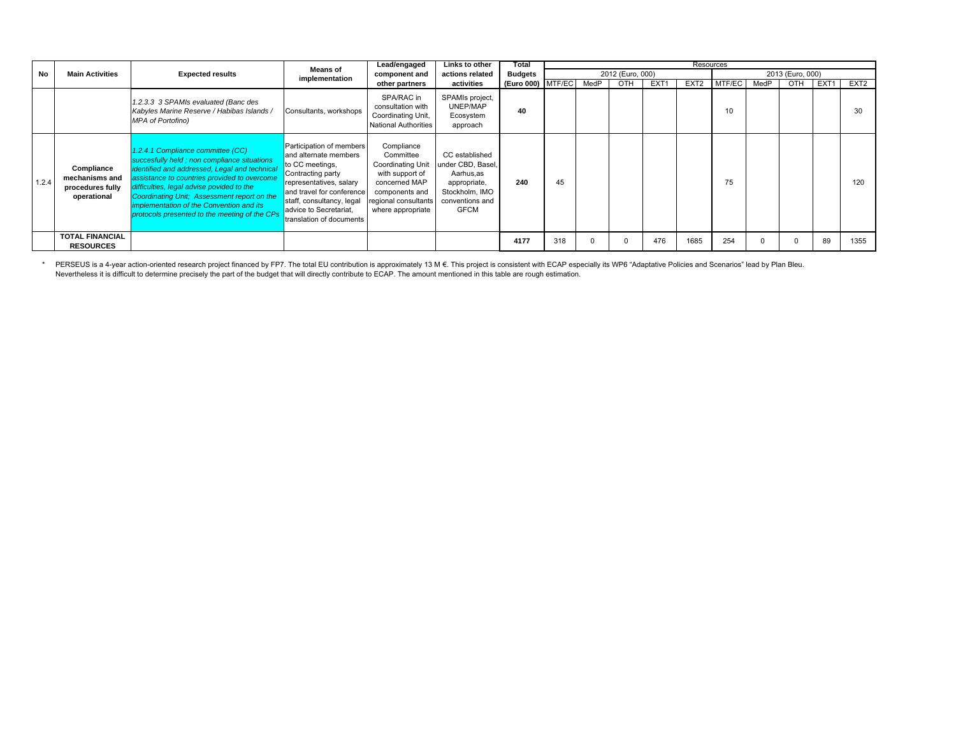|       |                                                                 |                                                                                                                                                                                                                                                                                                                                                                            | <b>Means of</b>                                                                                                                                                                                                                      | Lead/engaged                                                                                                                                           | Links to other                                                                                                       | Total             |     |      |                  |                  | Resources        |        |      |                  |      |                  |
|-------|-----------------------------------------------------------------|----------------------------------------------------------------------------------------------------------------------------------------------------------------------------------------------------------------------------------------------------------------------------------------------------------------------------------------------------------------------------|--------------------------------------------------------------------------------------------------------------------------------------------------------------------------------------------------------------------------------------|--------------------------------------------------------------------------------------------------------------------------------------------------------|----------------------------------------------------------------------------------------------------------------------|-------------------|-----|------|------------------|------------------|------------------|--------|------|------------------|------|------------------|
| No    | <b>Main Activities</b>                                          | <b>Expected results</b>                                                                                                                                                                                                                                                                                                                                                    | implementation                                                                                                                                                                                                                       | component and                                                                                                                                          | actions related                                                                                                      | <b>Budgets</b>    |     |      | 2012 (Euro, 000) |                  |                  |        |      | 2013 (Euro, 000) |      |                  |
|       |                                                                 |                                                                                                                                                                                                                                                                                                                                                                            |                                                                                                                                                                                                                                      | other partners                                                                                                                                         | activities                                                                                                           | (Euro 000) MTF/EC |     | MedP | OTH              | EXT <sub>1</sub> | EXT <sub>2</sub> | MTF/EC | MedP | OTH              | EXT1 | EXT <sub>2</sub> |
|       |                                                                 | 1.2.3.3 3 SPAMIs evaluated (Banc des<br>Kabyles Marine Reserve / Habibas Islands /<br><b>MPA of Portofino)</b>                                                                                                                                                                                                                                                             | Consultants, workshops                                                                                                                                                                                                               | SPA/RAC in<br>consultation with<br>Coordinating Unit,<br><b>National Authorities</b>                                                                   | SPAMIs project,<br>UNEP/MAP<br>Ecosystem<br>approach                                                                 | 40                |     |      |                  |                  |                  | 10     |      |                  |      | 30               |
| 1.2.4 | Compliance<br>mechanisms and<br>procedures fully<br>operational | 1.2.4.1 Compliance committee (CC)<br>succesfully held; non compliance situations<br>identified and addressed, Legal and technical<br>assistance to countries provided to overcome<br>difficulties, legal advise povided to the<br>Coordinating Unit; Assessment report on the<br>implementation of the Convention and its<br>protocols presented to the meeting of the CPs | Participation of members<br>and alternate members<br>to CC meetings,<br>Contracting party<br>representatives, salary<br>and travel for conference<br>staff, consultancy, legal<br>advice to Secretariat,<br>translation of documents | Compliance<br>Committee<br><b>Coordinating Unit</b><br>with support of<br>concerned MAP<br>components and<br>regional consultants<br>where appropriate | CC established<br>under CBD, Basel,<br>Aarhus.as<br>appropriate,<br>Stockholm, IMO<br>conventions and<br><b>GFCM</b> | 240               | 45  |      |                  |                  |                  | 75     |      |                  |      | 120              |
|       | <b>TOTAL FINANCIAL</b><br><b>RESOURCES</b>                      |                                                                                                                                                                                                                                                                                                                                                                            |                                                                                                                                                                                                                                      |                                                                                                                                                        |                                                                                                                      | 4177              | 318 |      |                  | 476              | 1685             | 254    |      |                  | 89   | 1355             |

\* PERSEUS is a 4-year action-oriented research project financed by FP7. The total EU contribution is approximately 13 M €. This project is consistent with ECAP especially its WP6 "Adaptative Policies and Scenarios" lead b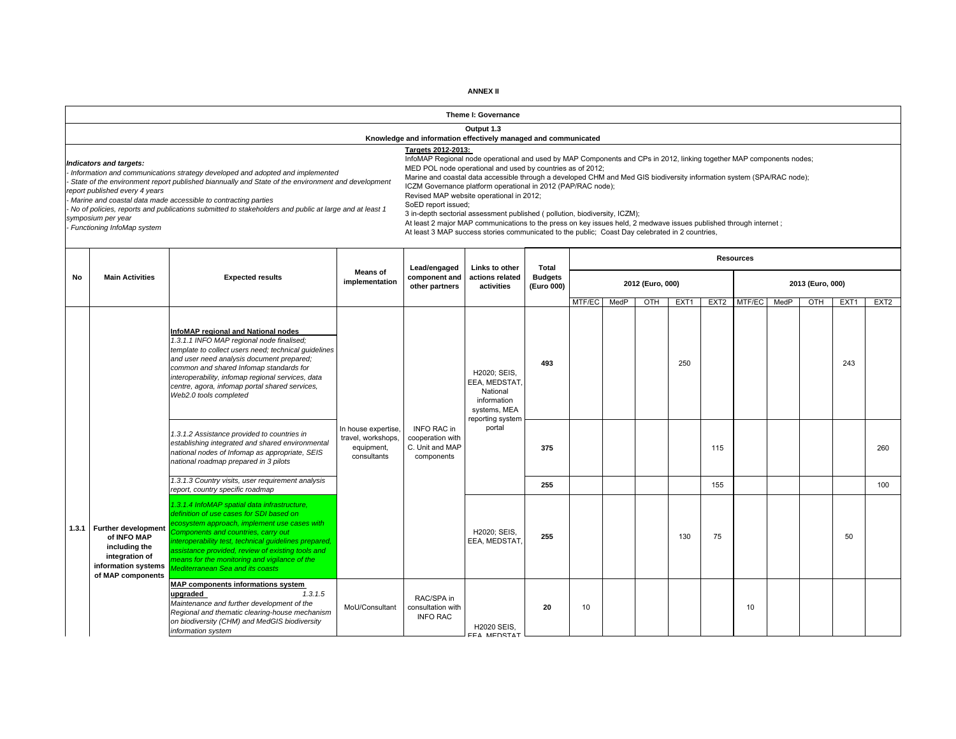|    |                                                                                                                         |                                                                                                                                                                                                                                                                                                                                                                                    |                                                                        |                                                                                                                                                                                                                                                                                                                                                                                           | Theme I: Governance                                                                                                                                                                                                                                                                                                                                                            |                              |        |      |                  |                  |                  |                  |      |                  |                  |                  |
|----|-------------------------------------------------------------------------------------------------------------------------|------------------------------------------------------------------------------------------------------------------------------------------------------------------------------------------------------------------------------------------------------------------------------------------------------------------------------------------------------------------------------------|------------------------------------------------------------------------|-------------------------------------------------------------------------------------------------------------------------------------------------------------------------------------------------------------------------------------------------------------------------------------------------------------------------------------------------------------------------------------------|--------------------------------------------------------------------------------------------------------------------------------------------------------------------------------------------------------------------------------------------------------------------------------------------------------------------------------------------------------------------------------|------------------------------|--------|------|------------------|------------------|------------------|------------------|------|------------------|------------------|------------------|
|    |                                                                                                                         |                                                                                                                                                                                                                                                                                                                                                                                    |                                                                        | Knowledge and information effectively managed and communicated                                                                                                                                                                                                                                                                                                                            | Output 1.3                                                                                                                                                                                                                                                                                                                                                                     |                              |        |      |                  |                  |                  |                  |      |                  |                  |                  |
|    | ndicators and targets:<br>eport published every 4 years<br>symposium per year<br>Functioning InfoMap system             | Information and communications strategy developed and adopted and implemented<br>State of the environment report published biannually and State of the environment and development<br>Marine and coastal data made accessible to contracting parties<br>No of policies, reports and publications submitted to stakeholders and public at large and at least 1                      |                                                                        | Targets 2012-2013:<br>InfoMAP Regional node operational and used by MAP Components and CPs in 2012, linking together MAP components nodes;<br>SoED report issued;<br>At least 2 major MAP communications to the press on key issues held, 2 medwave issues published through internet;<br>At least 3 MAP success stories communicated to the public; Coast Day celebrated in 2 countries, | MED POL node operational and used by countries as of 2012;<br>Marine and coastal data accessible through a developed CHM and Med GIS biodiversity information system (SPA/RAC node);<br>ICZM Governance platform operational in 2012 (PAP/RAC node);<br>Revised MAP website operational in 2012;<br>3 in-depth sectorial assessment published (pollution, biodiversity, ICZM); |                              |        |      |                  |                  |                  |                  |      |                  |                  |                  |
|    |                                                                                                                         |                                                                                                                                                                                                                                                                                                                                                                                    |                                                                        | Lead/engaged                                                                                                                                                                                                                                                                                                                                                                              | Links to other                                                                                                                                                                                                                                                                                                                                                                 | Total                        |        |      |                  |                  |                  | <b>Resources</b> |      |                  |                  |                  |
| No | <b>Main Activities</b>                                                                                                  | <b>Expected results</b>                                                                                                                                                                                                                                                                                                                                                            | <b>Means of</b><br>implementation                                      | component and<br>other partners                                                                                                                                                                                                                                                                                                                                                           | actions related<br>activities                                                                                                                                                                                                                                                                                                                                                  | <b>Budgets</b><br>(Euro 000) |        |      | 2012 (Euro, 000) |                  |                  |                  |      | 2013 (Euro, 000) |                  |                  |
|    |                                                                                                                         |                                                                                                                                                                                                                                                                                                                                                                                    |                                                                        |                                                                                                                                                                                                                                                                                                                                                                                           |                                                                                                                                                                                                                                                                                                                                                                                |                              | MTF/EC | MedP | <b>OTH</b>       | EXT <sub>1</sub> | EXT <sub>2</sub> | MTF/EC           | MedP | OTH              | EXT <sub>1</sub> | EXT <sub>2</sub> |
|    |                                                                                                                         | InfoMAP regional and National nodes<br>1.3.1.1 INFO MAP regional node finalised;<br>template to collect users need; technical quidelines<br>and user need analysis document prepared;<br>common and shared Infomap standards for<br>interoperability, infomap regional services, data<br>centre, agora, infomap portal shared services,<br>Web2.0 tools completed                  |                                                                        |                                                                                                                                                                                                                                                                                                                                                                                           | H2020; SEIS,<br>EEA, MEDSTAT<br>National<br>information<br>systems, MEA<br>reporting system                                                                                                                                                                                                                                                                                    | 493                          |        |      |                  | 250              |                  |                  |      |                  | 243              |                  |
|    |                                                                                                                         | 1.3.1.2 Assistance provided to countries in<br>establishing integrated and shared environmental<br>national nodes of Infomap as appropriate, SEIS<br>national roadmap prepared in 3 pilots                                                                                                                                                                                         | In house expertise,<br>travel, workshops,<br>equipment,<br>consultants | <b>INFO RAC in</b><br>cooperation with<br>C. Unit and MAP<br>components                                                                                                                                                                                                                                                                                                                   | portal                                                                                                                                                                                                                                                                                                                                                                         | 375                          |        |      |                  |                  | 115              |                  |      |                  |                  | 260              |
|    |                                                                                                                         | 1.3.1.3 Country visits, user requirement analysis<br>report, country specific roadmap                                                                                                                                                                                                                                                                                              |                                                                        |                                                                                                                                                                                                                                                                                                                                                                                           |                                                                                                                                                                                                                                                                                                                                                                                | 255                          |        |      |                  |                  | 155              |                  |      |                  |                  | 100              |
|    | 1.3.1 Further development<br>of INFO MAP<br>including the<br>integration of<br>information systems<br>of MAP components | 1.3.1.4 InfoMAP spatial data infrastructure,<br>definition of use cases for SDI based on<br>ecosystem approach, implement use cases with<br>Components and countries, carry out<br>interoperability test, technical guidelines prepared,<br>assistance provided, review of existing tools and<br>means for the monitoring and vigilance of the<br>Mediterranean Sea and its coasts |                                                                        |                                                                                                                                                                                                                                                                                                                                                                                           | H2020; SEIS,<br>EEA, MEDSTAT                                                                                                                                                                                                                                                                                                                                                   | 255                          |        |      |                  | 130              | 75               |                  |      |                  | 50               |                  |
|    |                                                                                                                         | <b>MAP components informations system</b><br>upgraded<br>1,3,1.5<br>Maintenance and further development of the<br>Regional and thematic clearing-house mechanism<br>on biodiversity (CHM) and MedGIS biodiversity<br>information system                                                                                                                                            | MoU/Consultant                                                         | RAC/SPA in<br>consultation with<br><b>INFO RAC</b>                                                                                                                                                                                                                                                                                                                                        | <b>H2020 SEIS,</b><br>FFA MEDSTAT                                                                                                                                                                                                                                                                                                                                              | 20                           | 10     |      |                  |                  |                  | 10               |      |                  |                  |                  |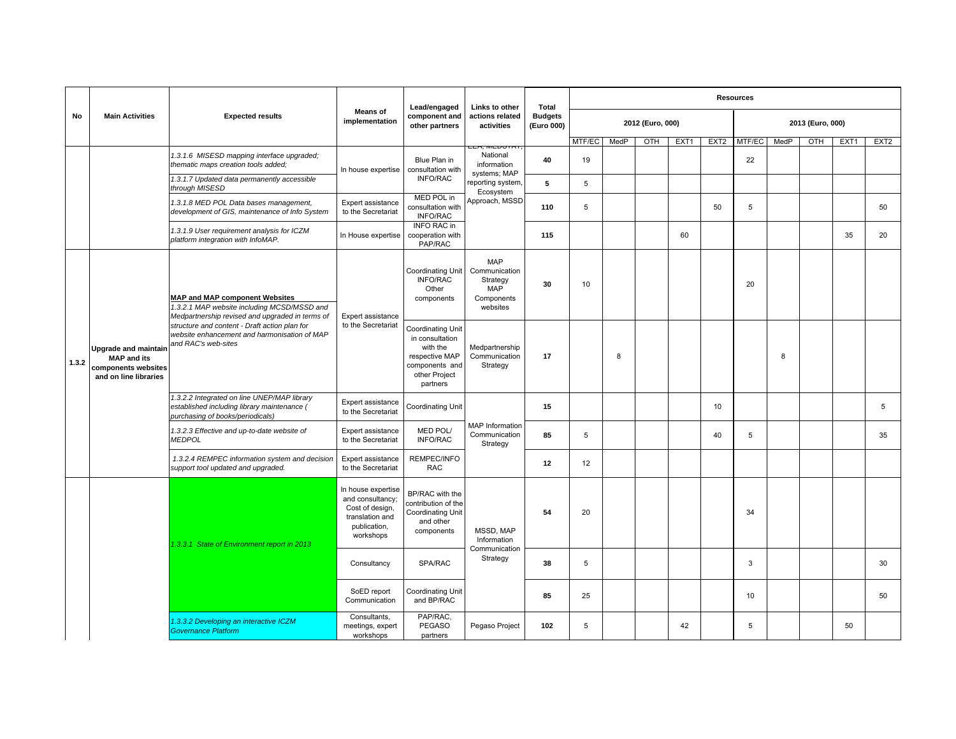|       |                                                                          |                                                                                                                                  |                                                                                                           | Lead/engaged                                                                                                             | <b>Links to other</b>                                                           | Total                        |        |      |                  |      |                  | <b>Resources</b> |      |                  |      |                  |
|-------|--------------------------------------------------------------------------|----------------------------------------------------------------------------------------------------------------------------------|-----------------------------------------------------------------------------------------------------------|--------------------------------------------------------------------------------------------------------------------------|---------------------------------------------------------------------------------|------------------------------|--------|------|------------------|------|------------------|------------------|------|------------------|------|------------------|
| No    | <b>Main Activities</b>                                                   | <b>Expected results</b>                                                                                                          | <b>Means of</b><br>implementation                                                                         | component and<br>other partners                                                                                          | actions related<br>activities                                                   | <b>Budgets</b><br>(Euro 000) |        |      | 2012 (Euro, 000) |      |                  |                  |      | 2013 (Euro, 000) |      |                  |
|       |                                                                          |                                                                                                                                  |                                                                                                           |                                                                                                                          |                                                                                 |                              | MTF/EC | MedP | OTH              | EXT1 | EXT <sub>2</sub> | MTF/EC           | MedP | OTH              | EXT1 | EXT <sub>2</sub> |
|       |                                                                          | 1.3.1.6 MISESD mapping interface upgraded;<br>thematic maps creation tools added;                                                | In house expertise                                                                                        | Blue Plan in<br>consultation with                                                                                        | National<br>information                                                         | 40                           | 19     |      |                  |      |                  | 22               |      |                  |      |                  |
|       |                                                                          | 1.3.1.7 Updated data permanently accessible<br>through MISESD                                                                    |                                                                                                           | <b>INFO/RAC</b>                                                                                                          | systems; MAP<br>eporting system,<br>Ecosystem                                   | 5                            | 5      |      |                  |      |                  |                  |      |                  |      |                  |
|       |                                                                          | 1.3.1.8 MED POL Data bases management,<br>development of GIS, maintenance of Info System                                         | Expert assistance<br>to the Secretariat                                                                   | MED POL in<br>consultation with<br><b>INFO/RAC</b>                                                                       | Approach, MSSD                                                                  | 110                          | 5      |      |                  |      | 50               | 5                |      |                  |      | 50               |
|       |                                                                          | 1.3.1.9 User requirement analysis for ICZM<br>platform integration with InfoMAP.                                                 | In House expertise                                                                                        | <b>INFO RAC in</b><br>cooperation with<br>PAP/RAC                                                                        |                                                                                 | 115                          |        |      |                  | 60   |                  |                  |      |                  | 35   | 20               |
|       | <b>Upgrade and maintain</b><br><b>MAP and its</b><br>components websites | MAP and MAP component Websites<br>1.3.2.1 MAP website including MCSD/MSSD and<br>Medpartnership revised and upgraded in terms of | Expert assistance                                                                                         | Coordinating Unit<br><b>INFO/RAC</b><br>Other<br>components                                                              | <b>MAP</b><br>Communication<br>Strategy<br><b>MAP</b><br>Components<br>websites | 30                           | 10     |      |                  |      |                  | 20               |      |                  |      |                  |
| 1.3.2 | and on line libraries                                                    | structure and content - Draft action plan for<br>website enhancement and harmonisation of MAP<br>and RAC's web-sites             | to the Secretariat                                                                                        | <b>Coordinating Unit</b><br>in consultation<br>with the<br>respective MAP<br>components and<br>other Project<br>partners | Medpartnership<br>Communication<br>Strategy                                     | 17                           |        | 8    |                  |      |                  |                  | 8    |                  |      |                  |
|       |                                                                          | 1.3.2.2 Integrated on line UNEP/MAP library<br>established including library maintenance (<br>purchasing of books/periodicals)   | Expert assistance<br>to the Secretariat                                                                   | Coordinating Unit                                                                                                        |                                                                                 | 15                           |        |      |                  |      | 10               |                  |      |                  |      | 5                |
|       |                                                                          | 1.3.2.3 Effective and up-to-date website of<br><b>MEDPOL</b>                                                                     | Expert assistance<br>to the Secretariat                                                                   | MED POL/<br><b>INFO/RAC</b>                                                                                              | <b>MAP Information</b><br>Communication<br>Strategy                             | 85                           | 5      |      |                  |      | 40               | 5                |      |                  |      | 35               |
|       |                                                                          | 1.3.2.4 REMPEC information system and decision<br>support tool updated and upgraded.                                             | Expert assistance<br>to the Secretariat                                                                   | REMPEC/INFO<br><b>RAC</b>                                                                                                |                                                                                 | 12                           | 12     |      |                  |      |                  |                  |      |                  |      |                  |
|       |                                                                          | 1.3.3.1 State of Environment report in 2013                                                                                      | In house expertise<br>and consultancy;<br>Cost of design,<br>translation and<br>publication,<br>workshops | BP/RAC with the<br>contribution of the<br>Coordinating Unit<br>and other<br>components                                   | MSSD, MAP<br>Information                                                        | 54                           | 20     |      |                  |      |                  | 34               |      |                  |      |                  |
|       |                                                                          |                                                                                                                                  | Consultancy                                                                                               | <b>SPA/RAC</b>                                                                                                           | Communication<br>Strategy                                                       | 38                           | 5      |      |                  |      |                  | 3                |      |                  |      | 30               |
|       |                                                                          |                                                                                                                                  | SoED report<br>Communication                                                                              | Coordinating Unit<br>and BP/RAC                                                                                          |                                                                                 | 85                           | 25     |      |                  |      |                  | 10               |      |                  |      | 50               |
|       |                                                                          | 1.3.3.2 Developing an interactive ICZM<br>Governance Platform                                                                    | Consultants,<br>meetings, expert<br>workshops                                                             | PAP/RAC.<br>PEGASO<br>partners                                                                                           | Pegaso Project                                                                  | 102                          | 5      |      |                  | 42   |                  | $5\phantom{.0}$  |      |                  | 50   |                  |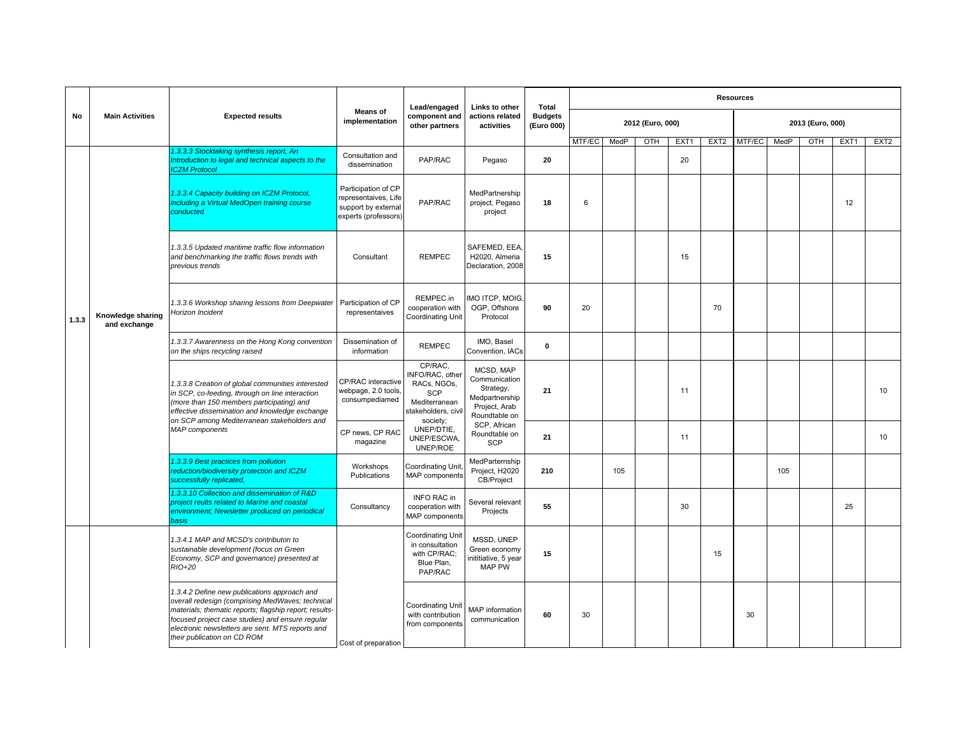|       |                                   |                                                                                                                                                                                                                                                                                                   |                                                                                            | Lead/engaged                                                                                                | Links to other                                                                              | <b>Total</b>                 |        |      |                  |      |                  | <b>Resources</b> |      |                  |      |                  |
|-------|-----------------------------------|---------------------------------------------------------------------------------------------------------------------------------------------------------------------------------------------------------------------------------------------------------------------------------------------------|--------------------------------------------------------------------------------------------|-------------------------------------------------------------------------------------------------------------|---------------------------------------------------------------------------------------------|------------------------------|--------|------|------------------|------|------------------|------------------|------|------------------|------|------------------|
| No    | <b>Main Activities</b>            | <b>Expected results</b>                                                                                                                                                                                                                                                                           | <b>Means of</b><br>implementation                                                          | component and<br>other partners                                                                             | actions related<br>activities                                                               | <b>Budgets</b><br>(Euro 000) |        |      | 2012 (Euro, 000) |      |                  |                  |      | 2013 (Euro, 000) |      |                  |
|       |                                   |                                                                                                                                                                                                                                                                                                   |                                                                                            |                                                                                                             |                                                                                             |                              | MTF/EC | MedP | OTH              | EXT1 | EXT <sub>2</sub> | MTF/EC           | MedP | OTH              | EXT1 | EXT <sub>2</sub> |
|       |                                   | 1.3.3.3 Stocktaking synthesis report, An<br>Introduction to legal and technical aspects to the<br><b>CZM Protocol</b>                                                                                                                                                                             | Consultation and<br>dissemination                                                          | PAP/RAC                                                                                                     | Pegaso                                                                                      | 20                           |        |      |                  | 20   |                  |                  |      |                  |      |                  |
|       |                                   | 1.3.3.4 Capacity building on ICZM Protocol,<br>including a Virtual MedOpen training course<br>conducted                                                                                                                                                                                           | Participation of CP<br>representaives, Life<br>support by external<br>experts (professors) | PAP/RAC                                                                                                     | MedPartnership<br>project, Pegaso<br>project                                                | 18                           | 6      |      |                  |      |                  |                  |      |                  | 12   |                  |
|       |                                   | 1.3.3.5 Updated maritime traffic flow information<br>and benchmarking the traffic flows trends with<br>previous trends                                                                                                                                                                            | Consultant                                                                                 | <b>REMPEC</b>                                                                                               | SAFEMED, EEA,<br>H2020, Almeria<br>Declaration, 2008                                        | 15                           |        |      |                  | 15   |                  |                  |      |                  |      |                  |
| 1.3.3 | Knowledge sharing<br>and exchange | 1.3.3.6 Workshop sharing lessons from Deepwater<br>Horizon Incident                                                                                                                                                                                                                               | Participation of CP<br>representaives                                                      | REMPEC in<br>cooperation with<br>Coordinating Unit                                                          | IMO ITCP, MOIG.<br>OGP, Offshore<br>Protocol                                                | 90                           | 20     |      |                  |      | 70               |                  |      |                  |      |                  |
|       |                                   | 1.3.3.7 Awarenness on the Hong Kong convention<br>on the ships recycling raised                                                                                                                                                                                                                   | Dissemination of<br>information                                                            | <b>REMPEC</b>                                                                                               | IMO, Basel<br>Convention, IACs                                                              | $\mathbf 0$                  |        |      |                  |      |                  |                  |      |                  |      |                  |
|       |                                   | 1.3.3.8 Creation of global communities interested<br>in SCP, co-feeding, through on line interaction<br>(more than 150 members participating) and<br>effective dissemination and knowledge exchange<br>on SCP among Mediterranean stakeholders and                                                | CP/RAC interactive<br>webpage, 2.0 tools<br>consumpediamed                                 | CP/RAC,<br>INFO/RAC, other<br>RACs, NGOs,<br><b>SCP</b><br>Mediterranean<br>stakeholders, civil<br>society; | MCSD, MAP<br>Communication<br>Strategy,<br>Medpartnership<br>Project, Arab<br>Roundtable on | 21                           |        |      |                  | 11   |                  |                  |      |                  |      | 10               |
|       |                                   | MAP components                                                                                                                                                                                                                                                                                    | CP news, CP RAC<br>magazine                                                                | UNEP/DTIE,<br>UNEP/ESCWA,<br>UNEP/ROE                                                                       | SCP. African<br>Roundtable on<br>SCP                                                        | 21                           |        |      |                  | 11   |                  |                  |      |                  |      | 10               |
|       |                                   | 1.3.3.9 Best practices from pollution<br>reduction/biodiversity protection and ICZM<br>successfully replicated,                                                                                                                                                                                   | Workshops<br>Publications                                                                  | <b>Coordinating Unit</b><br>MAP components                                                                  | MedParternship<br>Project, H2020<br>CB/Project                                              | 210                          |        | 105  |                  |      |                  |                  | 105  |                  |      |                  |
|       |                                   | 1.3.3.10 Collection and dissemination of R&D<br>project reults related to Marine and coastal<br>environment; Newsletter produced on periodical<br>basis                                                                                                                                           | Consultancy                                                                                | <b>INFO RAC in</b><br>cooperation with<br>MAP components                                                    | Several relevant<br>Projects                                                                | 55                           |        |      |                  | 30   |                  |                  |      |                  | 25   |                  |
|       |                                   | 1.3.4.1 MAP and MCSD's contributon to<br>sustainable development (focus on Green<br>Economy, SCP and governance) presented at<br>RIO+20                                                                                                                                                           |                                                                                            | Coordinating Unit<br>in consultation<br>with CP/RAC;<br>Blue Plan,<br>PAP/RAC                               | MSSD, UNEP<br>Green economy<br>nititiative, 5 year<br><b>MAP PW</b>                         | 15                           |        |      |                  |      | 15               |                  |      |                  |      |                  |
|       |                                   | 1.3.4.2 Define new publications approach and<br>overall redesign (comprising MedWaves; technical<br>materials; thematic reports; flagship report; results-<br>focused project case studies) and ensure regular<br>electronic newsletters are sent. MTS reports and<br>their publication on CD ROM | Cost of preparation                                                                        | <b>Coordinating Unit</b><br>with contribution<br>from components                                            | MAP information<br>communication                                                            | 60                           | 30     |      |                  |      |                  | 30               |      |                  |      |                  |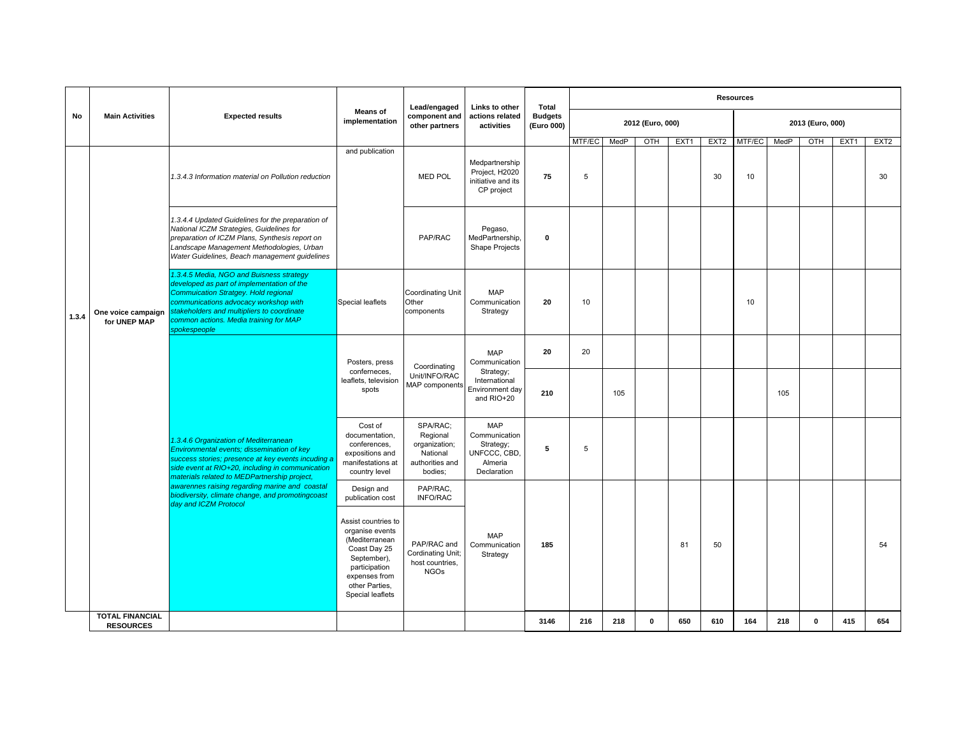|       |                                            | <b>Main Activities</b><br><b>Expected results</b>                                                                                                                                                                                                                                      |                                                                                                                                                                 | Lead/engaged                                                                    | Links to other                                                                     | <b>Total</b>                 |        |      |                  |      |                  | <b>Resources</b> |      |                  |      |                  |
|-------|--------------------------------------------|----------------------------------------------------------------------------------------------------------------------------------------------------------------------------------------------------------------------------------------------------------------------------------------|-----------------------------------------------------------------------------------------------------------------------------------------------------------------|---------------------------------------------------------------------------------|------------------------------------------------------------------------------------|------------------------------|--------|------|------------------|------|------------------|------------------|------|------------------|------|------------------|
| No    |                                            |                                                                                                                                                                                                                                                                                        | <b>Means of</b><br>implementation                                                                                                                               | component and<br>other partners                                                 | actions related<br>activities                                                      | <b>Budgets</b><br>(Euro 000) |        |      | 2012 (Euro, 000) |      |                  |                  |      | 2013 (Euro, 000) |      |                  |
|       |                                            |                                                                                                                                                                                                                                                                                        |                                                                                                                                                                 |                                                                                 |                                                                                    |                              | MTF/EC | MedP | OTH              | EXT1 | EXT <sub>2</sub> | MTF/EC           | MedP | OTH              | EXT1 | EXT <sub>2</sub> |
|       |                                            | 1.3.4.3 Information material on Pollution reduction                                                                                                                                                                                                                                    | and publication                                                                                                                                                 | <b>MED POL</b>                                                                  | Medpartnership<br>Project, H2020<br>initiative and its<br>CP project               | 75                           | 5      |      |                  |      | 30               | 10               |      |                  |      | 30               |
|       |                                            | 1.3.4.4 Updated Guidelines for the preparation of<br>National ICZM Strategies, Guidelines for<br>preparation of ICZM Plans, Synthesis report on<br>Landscape Management Methodologies, Urban<br>Water Guidelines, Beach management guidelines                                          |                                                                                                                                                                 | PAP/RAC                                                                         | Pegaso,<br>MedPartnership,<br>Shape Projects                                       | $\mathbf{0}$                 |        |      |                  |      |                  |                  |      |                  |      |                  |
| 1.3.4 | One voice campaign<br>for UNEP MAP         | 1.3.4.5 Media, NGO and Buisness strategy<br>developed as part of implementation of the<br><b>Commuication Stratgey. Hold regional</b><br>communications advocacy workshop with<br>stakeholders and multipliers to coordinate<br>common actions. Media training for MAP<br>spokespeople | Special leaflets                                                                                                                                                | <b>Coordinating Unit</b><br>Other<br>components                                 | <b>MAP</b><br>Communication<br>Strategy                                            | 20                           | 10     |      |                  |      |                  | 10               |      |                  |      |                  |
|       |                                            |                                                                                                                                                                                                                                                                                        | Posters, press                                                                                                                                                  | Coordinating                                                                    | <b>MAP</b><br>Communication                                                        | 20                           | 20     |      |                  |      |                  |                  |      |                  |      |                  |
|       |                                            |                                                                                                                                                                                                                                                                                        | conferneces,<br>leaflets, television<br>spots                                                                                                                   | Unit/INFO/RAC<br>MAP components                                                 | Strategy;<br>International<br>Environment day<br>and RIO+20                        | 210                          |        | 105  |                  |      |                  |                  | 105  |                  |      |                  |
|       |                                            | 1.3.4.6 Organization of Mediterranean<br>Environmental events; dissemination of key<br>success stories; presence at key events incuding a<br>side event at RIO+20, including in communication<br>materials related to MEDPartnership project,                                          | Cost of<br>documentation,<br>conferences,<br>expositions and<br>manifestations at<br>country level                                                              | SPA/RAC;<br>Regional<br>organization;<br>National<br>authorities and<br>bodies; | <b>MAP</b><br>Communication<br>Strategy;<br>UNFCCC, CBD,<br>Almeria<br>Declaration | 5                            | 5      |      |                  |      |                  |                  |      |                  |      |                  |
|       |                                            | awarennes raising regarding marine and coastal<br>biodiversity, climate change, and promotingcoast<br>day and ICZM Protocol                                                                                                                                                            | Design and<br>publication cost                                                                                                                                  | PAP/RAC.<br><b>INFO/RAC</b>                                                     |                                                                                    |                              |        |      |                  |      |                  |                  |      |                  |      |                  |
|       |                                            |                                                                                                                                                                                                                                                                                        | Assist countries to<br>organise events<br>(Mediterranean<br>Coast Day 25<br>September),<br>participation<br>expenses from<br>other Parties,<br>Special leaflets | PAP/RAC and<br>Cordinating Unit;<br>host countries,<br><b>NGOs</b>              | <b>MAP</b><br>Communication<br>Strategy                                            | 185                          |        |      |                  | 81   | 50               |                  |      |                  |      | 54               |
|       | <b>TOTAL FINANCIAL</b><br><b>RESOURCES</b> |                                                                                                                                                                                                                                                                                        |                                                                                                                                                                 |                                                                                 |                                                                                    | 3146                         | 216    | 218  | $\mathbf{0}$     | 650  | 610              | 164              | 218  | $\mathbf 0$      | 415  | 654              |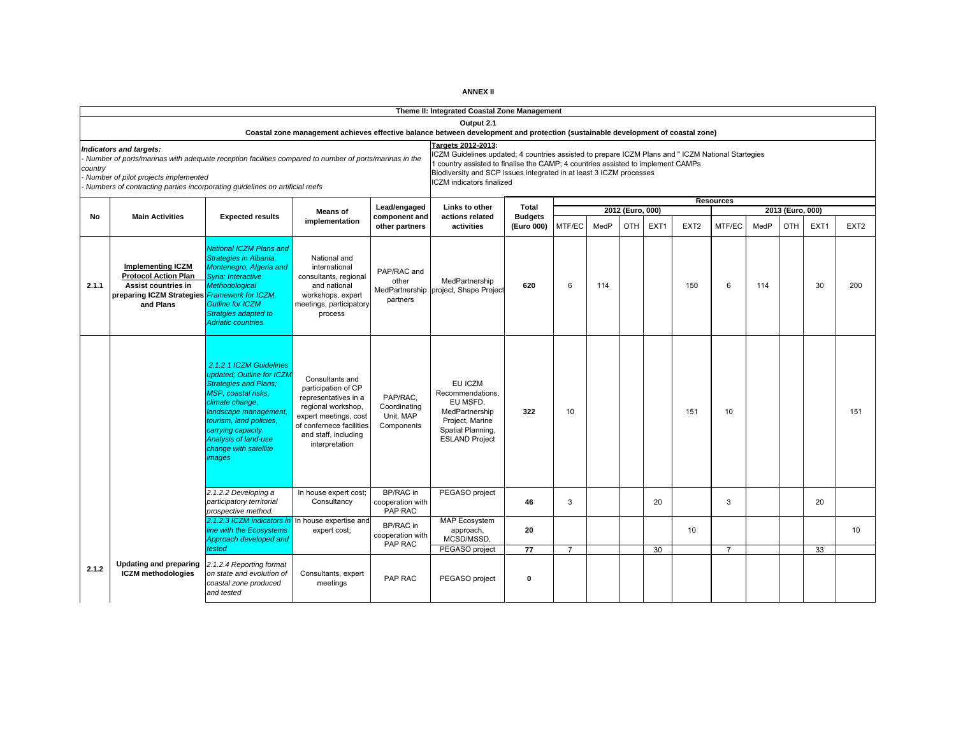| ANNEX II |
|----------|
|----------|

|         |                                                                                                                                                                                                                                                         |                                                                                                                                                                                                                                                                     |                                                                                                                                                                                     |                                                     | Theme II: Integrated Coastal Zone Management                                                                                                                                                                                                                                                                         |                              |                |      |                                |                  |                  |                  |      |                         |      |                  |
|---------|---------------------------------------------------------------------------------------------------------------------------------------------------------------------------------------------------------------------------------------------------------|---------------------------------------------------------------------------------------------------------------------------------------------------------------------------------------------------------------------------------------------------------------------|-------------------------------------------------------------------------------------------------------------------------------------------------------------------------------------|-----------------------------------------------------|----------------------------------------------------------------------------------------------------------------------------------------------------------------------------------------------------------------------------------------------------------------------------------------------------------------------|------------------------------|----------------|------|--------------------------------|------------------|------------------|------------------|------|-------------------------|------|------------------|
|         |                                                                                                                                                                                                                                                         |                                                                                                                                                                                                                                                                     | Coastal zone management achieves effective balance between development and protection (sustainable development of coastal zone)                                                     |                                                     | Output 2.1                                                                                                                                                                                                                                                                                                           |                              |                |      |                                |                  |                  |                  |      |                         |      |                  |
| country | Indicators and targets:<br>Number of ports/marinas with adequate reception facilities compared to number of ports/marinas in the<br>Number of pilot projects implemented<br>Numbers of contracting parties incorporating quidelines on artificial reefs |                                                                                                                                                                                                                                                                     |                                                                                                                                                                                     |                                                     | Targets 2012-2013:<br>CZM Guidelines updated; 4 countries assisted to prepare ICZM Plans and " ICZM National Startegies<br>country assisted to finalise the CAMP; 4 countries assisted to implement CAMPs<br>Biodiversity and SCP issues integrated in at least 3 ICZM processes<br><b>ICZM</b> indicators finalized |                              |                |      |                                |                  |                  |                  |      |                         |      |                  |
|         |                                                                                                                                                                                                                                                         |                                                                                                                                                                                                                                                                     |                                                                                                                                                                                     | Lead/engaged                                        | Links to other                                                                                                                                                                                                                                                                                                       | Total                        |                |      |                                |                  |                  | <b>Resources</b> |      |                         |      |                  |
| No      | <b>Main Activities</b>                                                                                                                                                                                                                                  | <b>Expected results</b>                                                                                                                                                                                                                                             | <b>Means of</b><br>implementation                                                                                                                                                   | component and<br>other partners                     | actions related<br>activities                                                                                                                                                                                                                                                                                        | <b>Budgets</b><br>(Euro 000) | MTF/EC         | MedP | 2012 (Euro, 000)<br><b>OTH</b> | EXT <sub>1</sub> | EXT <sub>2</sub> | MTF/EC           | MedP | 2013 (Euro, 000)<br>OTH | EXT1 | EXT <sub>2</sub> |
| 2.1.1   | <b>Implementing ICZM</b><br><b>Protocol Action Plan</b><br>Assist countries in<br>preparing ICZM Strategies Framework for ICZM,<br>and Plans                                                                                                            | <b>National ICZM Plans and</b><br>Strategies in Albania,<br>Montenegro, Algeria and<br>Svria: Interactive<br><b>Methodological</b><br><b>Outline for ICZM</b><br>Stratgies adapted to<br><b>Adriatic countries</b>                                                  | National and<br>international<br>consultants, regional<br>and national<br>workshops, expert<br>meetings, participatory<br>process                                                   | PAP/RAC and<br>other<br>MedPartnership<br>partners  | MedPartnership<br>project, Shape Project                                                                                                                                                                                                                                                                             | 620                          | 6              | 114  |                                |                  | 150              | 6                | 114  |                         | 30   | 200              |
|         |                                                                                                                                                                                                                                                         | 2.1.2.1 ICZM Guidelines<br>updated: Outline for ICZM<br><b>Strategies and Plans;</b><br>MSP, coastal risks,<br>climate change.<br>landscape management,<br>tourism. land policies.<br>carrying capacity.<br>Analysis of land-use<br>change with satellite<br>images | Consultants and<br>participation of CP<br>representatives in a<br>regional workshop,<br>expert meetings, cost<br>of confernece facilities<br>and staff, including<br>interpretation | PAP/RAC.<br>Coordinating<br>Unit, MAP<br>Components | EU ICZM<br>Recommendations,<br>EU MSFD.<br>MedPartnership<br>Project, Marine<br>Spatial Planning,<br><b>ESLAND Project</b>                                                                                                                                                                                           | 322                          | 10             |      |                                |                  | 151              | 10               |      |                         |      | 151              |
|         |                                                                                                                                                                                                                                                         | 2.1.2.2 Developing a<br>participatory territorial<br>prospective method.                                                                                                                                                                                            | In house expert cost;<br>Consultancy                                                                                                                                                | BP/RAC in<br>cooperation with<br>PAP RAC            | PEGASO project                                                                                                                                                                                                                                                                                                       | 46                           | 3              |      |                                | 20               |                  | 3                |      |                         | 20   |                  |
|         |                                                                                                                                                                                                                                                         | 2.1.2.3 ICZM indicators<br>line with the Ecosystems<br>Approach developed and<br>tested                                                                                                                                                                             | In house expertise and<br>expert cost;                                                                                                                                              | BP/RAC in<br>cooperation with<br>PAP RAC            | MAP Ecosystem<br>approach,<br>MCSD/MSSD,                                                                                                                                                                                                                                                                             | 20                           |                |      |                                |                  | 10               |                  |      |                         |      | 10               |
|         |                                                                                                                                                                                                                                                         |                                                                                                                                                                                                                                                                     |                                                                                                                                                                                     |                                                     | PEGASO project                                                                                                                                                                                                                                                                                                       | 77                           | $\overline{7}$ |      |                                | 30               |                  | $\overline{7}$   |      |                         | 33   |                  |
| 2.1.2   | <b>Updating and preparing</b><br><b>ICZM</b> methodologies                                                                                                                                                                                              | 2.1.2.4 Reporting format<br>on state and evolution of<br>coastal zone produced<br>and tested                                                                                                                                                                        | Consultants, expert<br>meetings                                                                                                                                                     | PAP RAC                                             | PEGASO project                                                                                                                                                                                                                                                                                                       | $\mathbf 0$                  |                |      |                                |                  |                  |                  |      |                         |      |                  |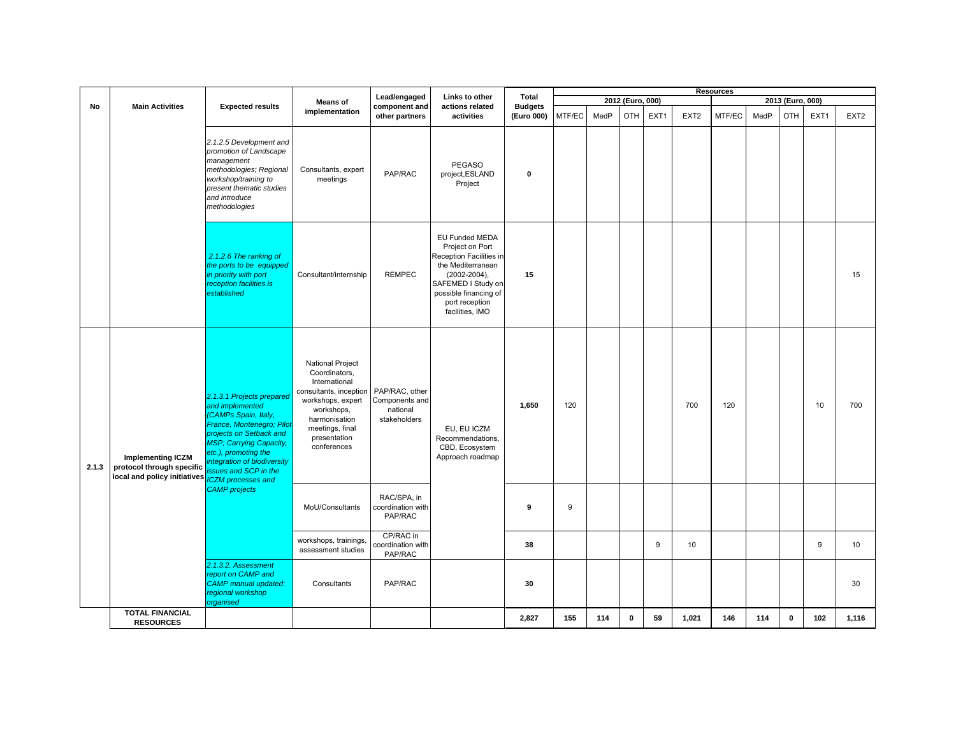|       |                                                                                                                 | Lead/engaged<br>Links to other                                                                                                                                                                                                          |                                                                                                                                                                                           |                                                              |                                                                                                                                                                                                   |                              |        |      | <b>Resources</b> |      |                  |        |      |                  |      |                  |
|-------|-----------------------------------------------------------------------------------------------------------------|-----------------------------------------------------------------------------------------------------------------------------------------------------------------------------------------------------------------------------------------|-------------------------------------------------------------------------------------------------------------------------------------------------------------------------------------------|--------------------------------------------------------------|---------------------------------------------------------------------------------------------------------------------------------------------------------------------------------------------------|------------------------------|--------|------|------------------|------|------------------|--------|------|------------------|------|------------------|
|       |                                                                                                                 |                                                                                                                                                                                                                                         | <b>Means of</b>                                                                                                                                                                           |                                                              |                                                                                                                                                                                                   | Total                        |        |      | 2012 (Euro, 000) |      |                  |        |      | 2013 (Euro, 000) |      |                  |
| No    | <b>Main Activities</b>                                                                                          | <b>Expected results</b>                                                                                                                                                                                                                 | implementation                                                                                                                                                                            | component and<br>other partners                              | actions related<br>activities                                                                                                                                                                     | <b>Budgets</b><br>(Euro 000) | MTF/EC | MedP | OTH              | EXT1 | EXT <sub>2</sub> | MTF/EC | MedP | <b>OTH</b>       | EXT1 | EXT <sub>2</sub> |
|       |                                                                                                                 | 2.1.2.5 Development and<br>promotion of Landscape<br>management<br>methodologies; Regional<br>workshop/training to<br>present thematic studies<br>and introduce<br>methodologies                                                        | Consultants, expert<br>meetings                                                                                                                                                           | PAP/RAC                                                      | <b>PEGASO</b><br>project, ESLAND<br>Project                                                                                                                                                       | $\mathbf 0$                  |        |      |                  |      |                  |        |      |                  |      |                  |
|       |                                                                                                                 | 2.1.2.6 The ranking of<br>the ports to be equipped<br>in priority with port<br>reception facilities is<br>established                                                                                                                   | Consultant/internship                                                                                                                                                                     | <b>REMPEC</b>                                                | <b>EU Funded MEDA</b><br>Project on Port<br>Reception Facilities in<br>the Mediterranean<br>$(2002 - 2004)$ ,<br>SAFEMED I Study on<br>possible financing of<br>port reception<br>facilities, IMO | 15                           |        |      |                  |      |                  |        |      |                  |      | 15               |
| 2.1.3 | <b>Implementing ICZM</b><br>protocol through specific<br>local and policy initiatives <i>ICZM processes and</i> | 2.1.3.1 Projects prepared<br>and implemented<br>(CAMPs Spain, Italy,<br>France, Montenegro; Piloi<br>projects on Setback and<br>MSP; Carrying Capacity,<br>etc.), promoting the<br>integration of biodiversity<br>issues and SCP in the | <b>National Project</b><br>Coordinators,<br>International<br>consultants, inception<br>workshops, expert<br>workshops,<br>harmonisation<br>meetings, final<br>presentation<br>conferences | PAP/RAC, other<br>Components and<br>national<br>stakeholders | EU, EU ICZM<br>Recommendations,<br>CBD, Ecosystem<br>Approach roadmap                                                                                                                             | 1,650                        | 120    |      |                  |      | 700              | 120    |      |                  | 10   | 700              |
|       |                                                                                                                 | <b>CAMP</b> projects                                                                                                                                                                                                                    | MoU/Consultants                                                                                                                                                                           | RAC/SPA, in<br>coordination with<br>PAP/RAC                  |                                                                                                                                                                                                   | 9                            | 9      |      |                  |      |                  |        |      |                  |      |                  |
|       |                                                                                                                 |                                                                                                                                                                                                                                         | workshops, trainings,<br>assessment studies                                                                                                                                               | CP/RAC in<br>coordination with<br>PAP/RAC                    |                                                                                                                                                                                                   | 38                           |        |      |                  | 9    | 10               |        |      |                  | 9    | 10 <sup>1</sup>  |
|       |                                                                                                                 | 2.1.3.2. Assessment<br>report on CAMP and<br><b>CAMP</b> manual updated:<br>regional workshop<br>organised                                                                                                                              | Consultants                                                                                                                                                                               | PAP/RAC                                                      |                                                                                                                                                                                                   | 30                           |        |      |                  |      |                  |        |      |                  |      | 30               |
|       | <b>TOTAL FINANCIAL</b><br><b>RESOURCES</b>                                                                      |                                                                                                                                                                                                                                         |                                                                                                                                                                                           |                                                              |                                                                                                                                                                                                   | 2,827                        | 155    | 114  | $\mathbf 0$      | 59   | 1,021            | 146    | 114  | $\mathbf 0$      | 102  | 1,116            |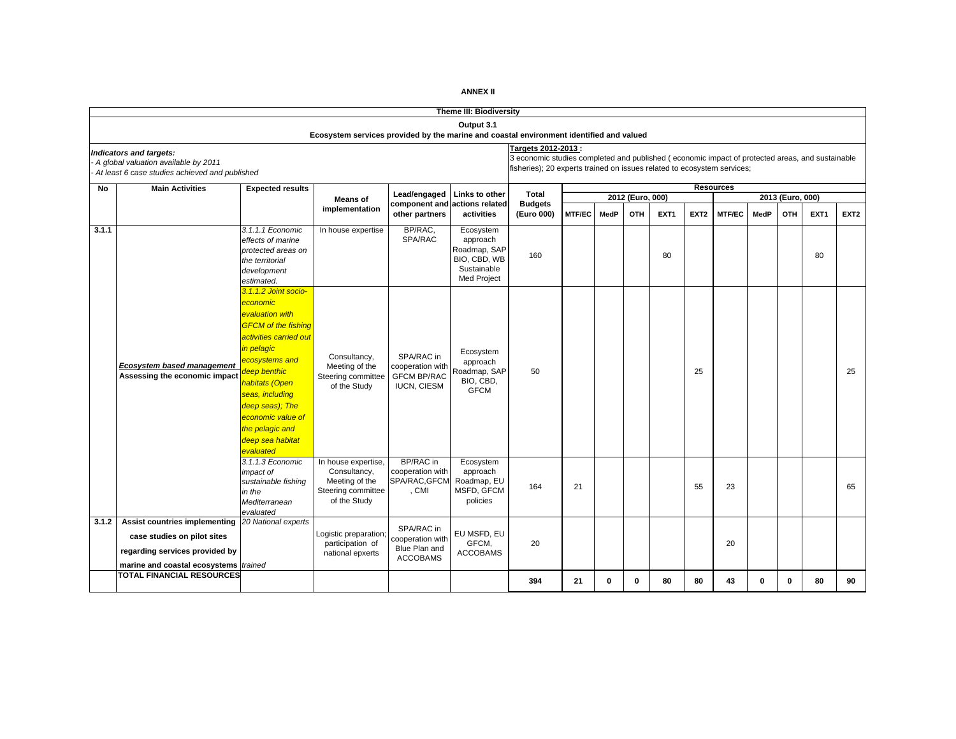|       | <b>Theme III: Biodiversity</b><br>Output 3.1                                                                                            |                                                                                                                                                                                                                                                                                              |                                                                                             |                                                                            |                                                                                     |                                                                                                                                                                                                   |               |              |                  |                  |                  |                  |          |                  |                  |                  |
|-------|-----------------------------------------------------------------------------------------------------------------------------------------|----------------------------------------------------------------------------------------------------------------------------------------------------------------------------------------------------------------------------------------------------------------------------------------------|---------------------------------------------------------------------------------------------|----------------------------------------------------------------------------|-------------------------------------------------------------------------------------|---------------------------------------------------------------------------------------------------------------------------------------------------------------------------------------------------|---------------|--------------|------------------|------------------|------------------|------------------|----------|------------------|------------------|------------------|
|       |                                                                                                                                         |                                                                                                                                                                                                                                                                                              | Ecosystem services provided by the marine and coastal environment identified and valued     |                                                                            |                                                                                     |                                                                                                                                                                                                   |               |              |                  |                  |                  |                  |          |                  |                  |                  |
|       | Indicators and targets:<br>A global valuation available by 2011<br>At least 6 case studies achieved and published                       |                                                                                                                                                                                                                                                                                              |                                                                                             |                                                                            |                                                                                     | Targets 2012-2013 :<br>3 economic studies completed and published (economic impact of protected areas, and sustainable<br>fisheries); 20 experts trained on issues related to ecosystem services; |               |              |                  |                  |                  |                  |          |                  |                  |                  |
| No    | <b>Main Activities</b>                                                                                                                  | <b>Expected results</b>                                                                                                                                                                                                                                                                      |                                                                                             |                                                                            |                                                                                     |                                                                                                                                                                                                   |               |              |                  |                  |                  | <b>Resources</b> |          |                  |                  |                  |
|       |                                                                                                                                         |                                                                                                                                                                                                                                                                                              | <b>Means of</b>                                                                             | Lead/engaged                                                               | Links to other<br>actions related                                                   | Total<br><b>Budgets</b>                                                                                                                                                                           |               |              | 2012 (Euro, 000) |                  |                  |                  |          | 2013 (Euro, 000) |                  |                  |
|       |                                                                                                                                         |                                                                                                                                                                                                                                                                                              | implementation                                                                              | component and<br>other partners                                            | activities                                                                          | (Euro 000)                                                                                                                                                                                        | <b>MTF/EC</b> | MedP         | OTH              | EXT <sub>1</sub> | EXT <sub>2</sub> | <b>MTF/EC</b>    | MedP     | <b>OTH</b>       | EXT <sub>1</sub> | EXT <sub>2</sub> |
| 3.1.1 |                                                                                                                                         | 3.1.1.1 Economic<br>effects of marine<br>protected areas on<br>the territorial<br>development<br>estimated.                                                                                                                                                                                  | In house expertise                                                                          | BP/RAC,<br><b>SPA/RAC</b>                                                  | Ecosystem<br>approach<br>Roadmap, SAP<br>BIO, CBD, WB<br>Sustainable<br>Med Project | 160                                                                                                                                                                                               |               |              |                  | 80               |                  |                  |          |                  | 80               |                  |
|       | <b>Ecosystem based management</b><br>Assessing the economic impact                                                                      | 3.1.1.2 Joint socio-<br>economic<br>evaluation with<br><b>GFCM</b> of the fishing<br>activities carried out<br>in pelagic<br>ecosystems and<br>deep benthic<br>habitats (Open<br>seas, including<br>deep seas); The<br>economic value of<br>the pelagic and<br>deep sea habitat<br>evaluated | Consultancy,<br>Meeting of the<br>Steering committee<br>of the Study                        | SPA/RAC in<br>cooperation with<br><b>GFCM BP/RAC</b><br><b>IUCN, CIESM</b> | Ecosystem<br>approach<br>Roadmap, SAP<br>BIO, CBD,<br><b>GFCM</b>                   | 50                                                                                                                                                                                                |               |              |                  |                  | 25               |                  |          |                  |                  | 25               |
|       |                                                                                                                                         | 3.1.1.3 Economic<br>impact of<br>sustainable fishing<br>in the<br>Mediterranean<br>evaluated                                                                                                                                                                                                 | In house expertise,<br>Consultancy,<br>Meeting of the<br>Steering committee<br>of the Study | BP/RAC in<br>cooperation with<br>SPA/RAC, GFCM<br>, CMI                    | Ecosystem<br>approach<br>Roadmap, EU<br>MSFD, GFCM<br>policies                      | 164                                                                                                                                                                                               | 21            |              |                  |                  | 55               | 23               |          |                  |                  | 65               |
| 3.1.2 | Assist countries implementing<br>case studies on pilot sites<br>regarding services provided by<br>marine and coastal ecosystems trained | 20 National experts                                                                                                                                                                                                                                                                          | Logistic preparation;<br>participation of<br>national epxerts                               | SPA/RAC in<br>cooperation with<br>Blue Plan and<br><b>ACCOBAMS</b>         | EU MSFD, EU<br>GFCM,<br><b>ACCOBAMS</b>                                             | 20                                                                                                                                                                                                |               |              |                  |                  |                  | 20               |          |                  |                  |                  |
|       | <b>TOTAL FINANCIAL RESOURCES</b>                                                                                                        |                                                                                                                                                                                                                                                                                              |                                                                                             |                                                                            |                                                                                     | 394                                                                                                                                                                                               | 21            | $\mathbf{0}$ | $\Omega$         | 80               | 80               | 43               | $\Omega$ | $\mathbf{0}$     | 80               | 90               |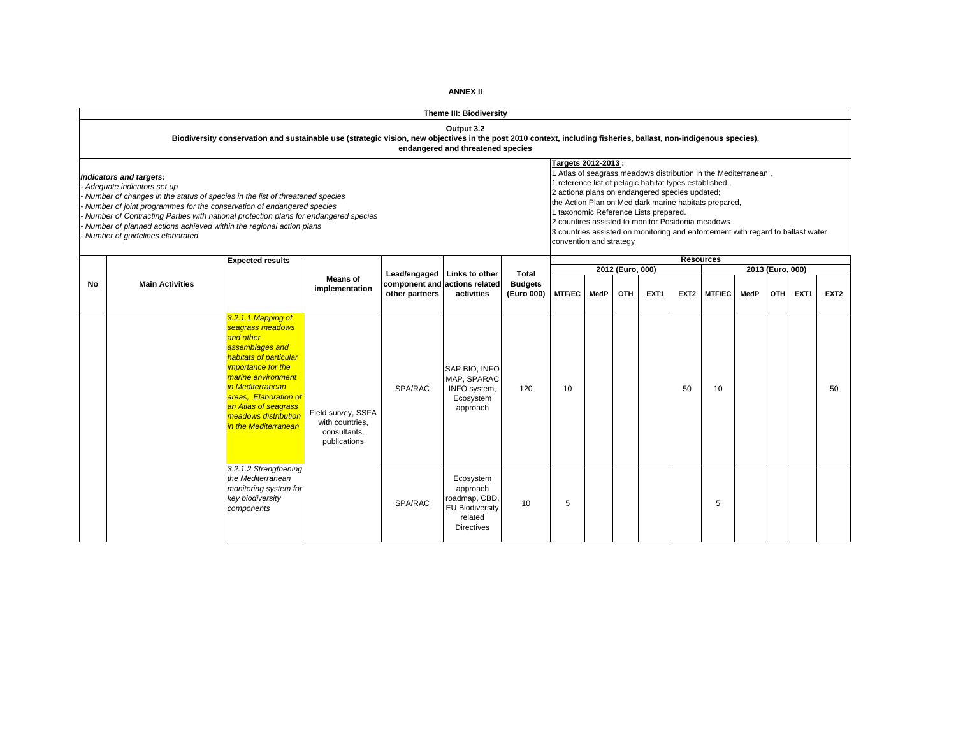|    |                                                                                                                                                                                                                                                                                                                                                                                                                 |                                                                                                                                                                                                                                                                          |                                                                                                 |                                                 | Theme III: Biodiversity                                                                          |                                                                                                                                                      |               |                                                                                                                                                                                                            |                  |                  |                  |                  |      |                  |      |                  |
|----|-----------------------------------------------------------------------------------------------------------------------------------------------------------------------------------------------------------------------------------------------------------------------------------------------------------------------------------------------------------------------------------------------------------------|--------------------------------------------------------------------------------------------------------------------------------------------------------------------------------------------------------------------------------------------------------------------------|-------------------------------------------------------------------------------------------------|-------------------------------------------------|--------------------------------------------------------------------------------------------------|------------------------------------------------------------------------------------------------------------------------------------------------------|---------------|------------------------------------------------------------------------------------------------------------------------------------------------------------------------------------------------------------|------------------|------------------|------------------|------------------|------|------------------|------|------------------|
|    |                                                                                                                                                                                                                                                                                                                                                                                                                 | Biodiversity conservation and sustainable use (strategic vision, new objectives in the post 2010 context, including fisheries, ballast, non-indigenous species),                                                                                                         |                                                                                                 |                                                 | Output 3.2<br>endangered and threatened species                                                  |                                                                                                                                                      |               |                                                                                                                                                                                                            |                  |                  |                  |                  |      |                  |      |                  |
|    | Indicators and targets:<br>Adequate indicators set up<br>Number of changes in the status of species in the list of threatened species<br>Number of joint programmes for the conservation of endangered species<br>Number of Contracting Parties with national protection plans for endangered species<br>Number of planned actions achieved within the regional action plans<br>Number of guidelines elaborated |                                                                                                                                                                                                                                                                          | Targets 2012-2013:<br>2 actiona plans on endangered species updated;<br>convention and strategy |                                                 |                                                                                                  | I reference list of pelagic habitat types established,<br>1 taxonomic Reference Lists prepared.<br>2 countires assisted to monitor Posidonia meadows |               | 1 Atlas of seagrass meadows distribution in the Mediterranean,<br>the Action Plan on Med dark marine habitats prepared,<br>3 countries assisted on monitoring and enforcement with regard to ballast water |                  |                  |                  |                  |      |                  |      |                  |
|    |                                                                                                                                                                                                                                                                                                                                                                                                                 | <b>Expected results</b>                                                                                                                                                                                                                                                  |                                                                                                 |                                                 |                                                                                                  |                                                                                                                                                      |               |                                                                                                                                                                                                            |                  |                  |                  | <b>Resources</b> |      |                  |      |                  |
|    |                                                                                                                                                                                                                                                                                                                                                                                                                 |                                                                                                                                                                                                                                                                          | <b>Means of</b>                                                                                 | Lead/engaged                                    | Links to other                                                                                   | Total                                                                                                                                                |               |                                                                                                                                                                                                            | 2012 (Euro, 000) |                  |                  |                  |      | 2013 (Euro, 000) |      |                  |
| No | <b>Main Activities</b>                                                                                                                                                                                                                                                                                                                                                                                          |                                                                                                                                                                                                                                                                          | implementation                                                                                  | component and actions related<br>other partners | activities                                                                                       | <b>Budgets</b><br>(Euro 000)                                                                                                                         | <b>MTF/EC</b> | MedP                                                                                                                                                                                                       | OTH              | EXT <sub>1</sub> | EXT <sub>2</sub> | <b>MTF/EC</b>    | MedP | <b>OTH</b>       | EXT1 | EXT <sub>2</sub> |
|    |                                                                                                                                                                                                                                                                                                                                                                                                                 | 3.2.1.1 Mapping of<br>seagrass meadows<br>and other<br>assemblages and<br>habitats of particular<br><i>importance for the</i><br>marine environment<br>in Mediterranean<br>areas, Elaboration of<br>an Atlas of seagrass<br>meadows distribution<br>in the Mediterranean | Field survey, SSFA<br>with countries.<br>consultants,<br>publications                           | SPA/RAC                                         | SAP BIO. INFO<br>MAP, SPARAC<br>INFO system,<br>Ecosystem<br>approach                            | 120                                                                                                                                                  | 10            |                                                                                                                                                                                                            |                  |                  | 50               | 10               |      |                  |      | 50               |
|    |                                                                                                                                                                                                                                                                                                                                                                                                                 | 3.2.1.2 Strengthening<br>the Mediterranean<br>monitoring system for<br>key biodiversity<br>components                                                                                                                                                                    |                                                                                                 | <b>SPA/RAC</b>                                  | Ecosystem<br>approach<br>roadmap, CBD,<br><b>EU Biodiversity</b><br>related<br><b>Directives</b> | 10                                                                                                                                                   | 5             |                                                                                                                                                                                                            |                  |                  |                  | 5                |      |                  |      |                  |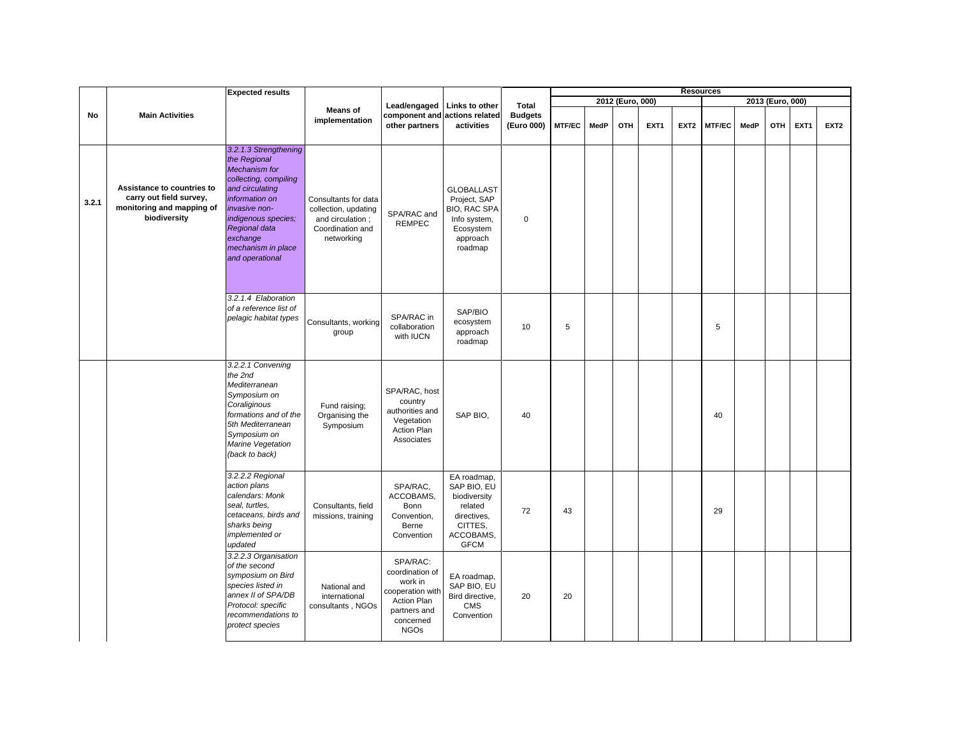|       |                                                                                                    | <b>Expected results</b>                                                                                                                                                                                                                   |                                                                                                     |                                                                                                                       |                                                                                                             |                                              |               |      |                  |      |                  | <b>Resources</b> |             |                  |      |                  |
|-------|----------------------------------------------------------------------------------------------------|-------------------------------------------------------------------------------------------------------------------------------------------------------------------------------------------------------------------------------------------|-----------------------------------------------------------------------------------------------------|-----------------------------------------------------------------------------------------------------------------------|-------------------------------------------------------------------------------------------------------------|----------------------------------------------|---------------|------|------------------|------|------------------|------------------|-------------|------------------|------|------------------|
|       |                                                                                                    |                                                                                                                                                                                                                                           |                                                                                                     |                                                                                                                       |                                                                                                             |                                              |               |      | 2012 (Euro, 000) |      |                  |                  |             | 2013 (Euro, 000) |      |                  |
| No    | <b>Main Activities</b>                                                                             |                                                                                                                                                                                                                                           | <b>Means of</b><br>implementation                                                                   | Lead/engaged<br>component and actions related<br>other partners                                                       | Links to other<br>activities                                                                                | <b>Total</b><br><b>Budgets</b><br>(Euro 000) | <b>MTF/EC</b> | MedP | OTH              | EXT1 | EXT <sub>2</sub> | MTF/EC           | <b>MedP</b> | OTH              | EXT1 | EXT <sub>2</sub> |
| 3.2.1 | Assistance to countries to<br>carry out field survey,<br>monitoring and mapping of<br>biodiversity | 3.2.1.3 Strengthening<br>the Regional<br><b>Mechanism</b> for<br>collecting, compiling<br>and circulating<br>information on<br>invasive non-<br>indigenous species;<br>Regional data<br>exchange<br>mechanism in place<br>and operational | Consultants for data<br>collection, updating<br>and circulation :<br>Coordination and<br>networking | SPA/RAC and<br><b>REMPEC</b>                                                                                          | <b>GLOBALLAST</b><br>Project, SAP<br>BIO, RAC SPA<br>Info system,<br>Ecosystem<br>approach<br>roadmap       | $\mathbf 0$                                  |               |      |                  |      |                  |                  |             |                  |      |                  |
|       |                                                                                                    | 3.2.1.4 Elaboration<br>of a reference list of<br>pelagic habitat types                                                                                                                                                                    | Consultants, working<br>group                                                                       | SPA/RAC in<br>collaboration<br>with IUCN                                                                              | SAP/BIO<br>ecosystem<br>approach<br>roadmap                                                                 | 10                                           | 5             |      |                  |      |                  | 5                |             |                  |      |                  |
|       |                                                                                                    | 3.2.2.1 Convening<br>the 2nd<br>Mediterranean<br>Symposium on<br>Coraliginous<br>formations and of the<br>5th Mediterranean<br>Symposium on<br>Marine Vegetation<br>(back to back)                                                        | Fund raising;<br>Organising the<br>Symposium                                                        | SPA/RAC, host<br>country<br>authorities and<br>Vegetation<br>Action Plan<br>Associates                                | SAP BIO,                                                                                                    | 40                                           |               |      |                  |      |                  | 40               |             |                  |      |                  |
|       |                                                                                                    | 3.2.2.2 Regional<br>action plans<br>calendars: Monk<br>seal, turtles,<br>cetaceans, birds and<br>sharks being<br>implemented or<br>updated                                                                                                | Consultants, field<br>missions, training                                                            | SPA/RAC,<br>ACCOBAMS,<br>Bonn<br>Convention,<br>Berne<br>Convention                                                   | EA roadmap,<br>SAP BIO, EU<br>biodiversity<br>related<br>directives,<br>CITTES,<br>ACCOBAMS,<br><b>GFCM</b> | 72                                           | 43            |      |                  |      |                  | 29               |             |                  |      |                  |
|       |                                                                                                    | 3.2.2.3 Organisation<br>of the second<br>symposium on Bird<br>species listed in<br>annex II of SPA/DB<br>Protocol: specific<br>recommendations to<br>protect species                                                                      | National and<br>international<br>consultants, NGOs                                                  | SPA/RAC:<br>coordination of<br>work in<br>cooperation with<br>Action Plan<br>partners and<br>concerned<br><b>NGOs</b> | EA roadmap,<br>SAP BIO, EU<br>Bird directive,<br>CMS<br>Convention                                          | 20                                           | 20            |      |                  |      |                  |                  |             |                  |      |                  |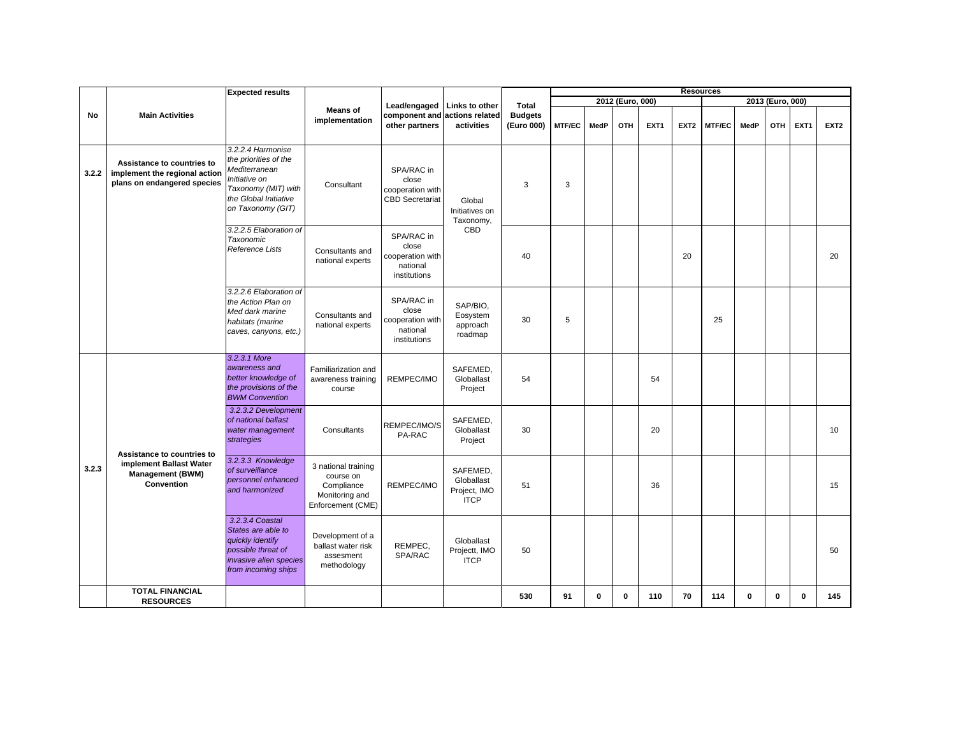|       |                                                                                            | <b>Expected results</b>                                                                                                                           |                                                                                       |                                                                     |                                                       |                                       |               |      |                  |      |                  | <b>Resources</b> |             |                  |             |                  |
|-------|--------------------------------------------------------------------------------------------|---------------------------------------------------------------------------------------------------------------------------------------------------|---------------------------------------------------------------------------------------|---------------------------------------------------------------------|-------------------------------------------------------|---------------------------------------|---------------|------|------------------|------|------------------|------------------|-------------|------------------|-------------|------------------|
|       |                                                                                            |                                                                                                                                                   |                                                                                       |                                                                     |                                                       |                                       |               |      | 2012 (Euro, 000) |      |                  |                  |             | 2013 (Euro, 000) |             |                  |
| No    | <b>Main Activities</b>                                                                     |                                                                                                                                                   | <b>Means of</b><br>implementation                                                     | Lead/engaged<br>component and actions related<br>other partners     | Links to other<br>activities                          | Total<br><b>Budgets</b><br>(Euro 000) | <b>MTF/EC</b> | MedP | OTH              | EXT1 | EXT <sub>2</sub> | <b>MTF/EC</b>    | MedP        | OTH              | EXT1        | EXT <sub>2</sub> |
| 3.2.2 | Assistance to countries to<br>implement the regional action<br>plans on endangered species | 3.2.2.4 Harmonise<br>the priorities of the<br>Mediterranean<br>Initiative on<br>Taxonomy (MIT) with<br>the Global Initiative<br>on Taxonomy (GIT) | Consultant                                                                            | SPA/RAC in<br>close<br>cooperation with<br><b>CBD Secretariat</b>   | Global<br>Initiatives on<br>Taxonomy,                 | 3                                     | 3             |      |                  |      |                  |                  |             |                  |             |                  |
|       |                                                                                            | 3.2.2.5 Elaboration of<br>Taxonomic<br>Reference Lists                                                                                            | Consultants and<br>national experts                                                   | SPA/RAC in<br>close<br>cooperation with<br>national<br>institutions | CBD                                                   | 40                                    |               |      |                  |      | 20               |                  |             |                  |             | 20               |
|       |                                                                                            | 3.2.2.6 Elaboration of<br>the Action Plan on<br>Med dark marine<br>habitats (marine<br>caves, canyons, etc.)                                      | Consultants and<br>national experts                                                   | SPA/RAC in<br>close<br>cooperation with<br>national<br>institutions | SAP/BIO,<br>Eosystem<br>approach<br>roadmap           | 30                                    | 5             |      |                  |      |                  | 25               |             |                  |             |                  |
| 3.2.3 |                                                                                            | 3.2.3.1 More<br>awareness and<br>better knowledge of<br>the provisions of the<br><b>BWM Convention</b>                                            | Familiarization and<br>awareness training<br>course                                   | REMPEC/IMO                                                          | SAFEMED.<br>Globallast<br>Project                     | 54                                    |               |      |                  | 54   |                  |                  |             |                  |             |                  |
|       | Assistance to countries to                                                                 | 3.2.3.2 Development<br>of national ballast<br>water management<br>strategies                                                                      | Consultants                                                                           | REMPEC/IMO/S<br>PA-RAC                                              | SAFEMED,<br>Globallast<br>Project                     | 30                                    |               |      |                  | 20   |                  |                  |             |                  |             | 10               |
|       | implement Ballast Water<br><b>Management (BWM)</b><br>Convention                           | 3.2.3.3 Knowledge<br>of surveillance<br>personnel enhanced<br>and harmonized                                                                      | 3 national training<br>course on<br>Compliance<br>Monitoring and<br>Enforcement (CME) | REMPEC/IMO                                                          | SAFEMED.<br>Globallast<br>Project, IMO<br><b>ITCP</b> | 51                                    |               |      |                  | 36   |                  |                  |             |                  |             | 15               |
|       |                                                                                            | 3.2.3.4 Coastal<br>States are able to<br>quickly identify<br>possible threat of<br>invasive alien species<br>from incoming ships                  | Development of a<br>ballast water risk<br>assesment<br>methodology                    | REMPEC,<br>SPA/RAC                                                  | Globallast<br>Projectt, IMO<br><b>ITCP</b>            | 50                                    |               |      |                  |      |                  |                  |             |                  |             | 50               |
|       | <b>TOTAL FINANCIAL</b><br><b>RESOURCES</b>                                                 |                                                                                                                                                   |                                                                                       |                                                                     |                                                       | 530                                   | 91            | 0    | $\bf{0}$         | 110  | 70               | 114              | $\mathbf 0$ | 0                | $\mathbf 0$ | 145              |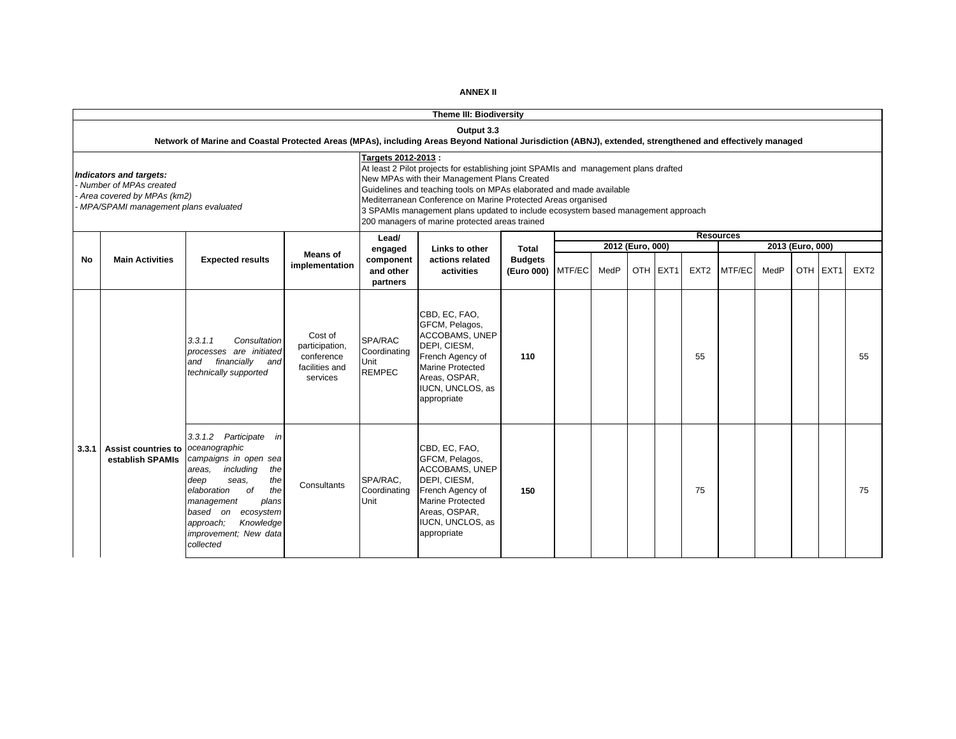|       |                                                                                                                         |                                                                                                                                                                                                                                                                 |                                                                       |                                                  | Theme III: Biodiversity                                                                                                                                                                                                                                                                                                                                                                                           |                                              |        |      |                  |          |                  |                  |      |                  |          |                  |
|-------|-------------------------------------------------------------------------------------------------------------------------|-----------------------------------------------------------------------------------------------------------------------------------------------------------------------------------------------------------------------------------------------------------------|-----------------------------------------------------------------------|--------------------------------------------------|-------------------------------------------------------------------------------------------------------------------------------------------------------------------------------------------------------------------------------------------------------------------------------------------------------------------------------------------------------------------------------------------------------------------|----------------------------------------------|--------|------|------------------|----------|------------------|------------------|------|------------------|----------|------------------|
|       |                                                                                                                         | Network of Marine and Coastal Protected Areas (MPAs), including Areas Beyond National Jurisdiction (ABNJ), extended, strengthened and effectively managed                                                                                                       |                                                                       |                                                  | Output 3.3                                                                                                                                                                                                                                                                                                                                                                                                        |                                              |        |      |                  |          |                  |                  |      |                  |          |                  |
|       | Indicators and targets:<br>Number of MPAs created<br>Area covered by MPAs (km2)<br>MPA/SPAMI management plans evaluated |                                                                                                                                                                                                                                                                 |                                                                       | Targets 2012-2013 :                              | At least 2 Pilot projects for establishing joint SPAMIs and management plans drafted<br>New MPAs with their Management Plans Created<br>Guidelines and teaching tools on MPAs elaborated and made available<br>Mediterranean Conference on Marine Protected Areas organised<br>3 SPAMIs management plans updated to include ecosystem based management approach<br>200 managers of marine protected areas trained |                                              |        |      |                  |          |                  |                  |      |                  |          |                  |
|       |                                                                                                                         |                                                                                                                                                                                                                                                                 |                                                                       | Lead/                                            |                                                                                                                                                                                                                                                                                                                                                                                                                   |                                              |        |      | 2012 (Euro, 000) |          |                  | <b>Resources</b> |      | 2013 (Euro, 000) |          |                  |
| No    | <b>Main Activities</b>                                                                                                  | <b>Expected results</b>                                                                                                                                                                                                                                         | <b>Means of</b><br>implementation                                     | engaged<br>component<br>and other<br>partners    | Links to other<br>actions related<br>activities                                                                                                                                                                                                                                                                                                                                                                   | <b>Total</b><br><b>Budgets</b><br>(Euro 000) | MTF/EC | MedP |                  | OTH EXT1 | EXT <sub>2</sub> | MTF/EC           | MedP |                  | OTH EXT1 | EXT <sub>2</sub> |
|       |                                                                                                                         | 3.3.1.1<br>Consultation<br>processes are initiated<br>financially<br>and<br>and<br>technically supported                                                                                                                                                        | Cost of<br>participation,<br>conference<br>facilities and<br>services | SPA/RAC<br>Coordinating<br>Unit<br><b>REMPEC</b> | CBD, EC, FAO,<br>GFCM, Pelagos,<br>ACCOBAMS, UNEP<br>DEPI, CIESM,<br>French Agency of<br>Marine Protected<br>Areas, OSPAR,<br>IUCN, UNCLOS, as<br>appropriate                                                                                                                                                                                                                                                     | 110                                          |        |      |                  |          | 55               |                  |      |                  |          | 55               |
| 3.3.1 | <b>Assist countries to</b><br>establish SPAMIs                                                                          | 3.3.1.2 Participate in<br>oceanographic<br>campaigns in open sea<br>including<br>the<br>areas,<br>deep<br>the<br>seas.<br>elaboration<br>of<br>the<br>plans<br>management<br>based on ecosystem<br>approach;<br>Knowledge<br>improvement; New data<br>collected | Consultants                                                           | SPA/RAC,<br>Coordinating<br>Unit                 | CBD, EC, FAO,<br>GFCM, Pelagos,<br>ACCOBAMS, UNEP<br>DEPI, CIESM,<br>French Agency of<br><b>Marine Protected</b><br>Areas, OSPAR,<br>IUCN, UNCLOS, as<br>appropriate                                                                                                                                                                                                                                              | 150                                          |        |      |                  |          | 75               |                  |      |                  |          | 75               |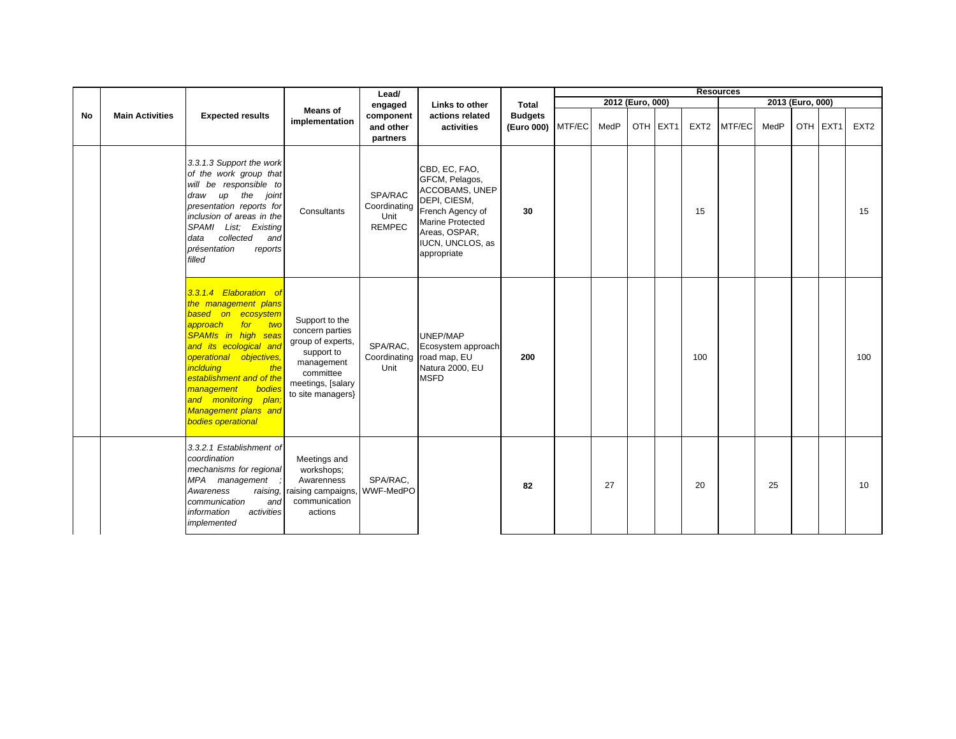|    |                        |                                                                                                                                                                                                                                                                                                                                           |                                                                                                                                           | Lead/                                            |                                                                                                                                                               |                                     |      |                  |          |                  | <b>Resources</b> |      |                  |          |                  |
|----|------------------------|-------------------------------------------------------------------------------------------------------------------------------------------------------------------------------------------------------------------------------------------------------------------------------------------------------------------------------------------|-------------------------------------------------------------------------------------------------------------------------------------------|--------------------------------------------------|---------------------------------------------------------------------------------------------------------------------------------------------------------------|-------------------------------------|------|------------------|----------|------------------|------------------|------|------------------|----------|------------------|
|    |                        |                                                                                                                                                                                                                                                                                                                                           |                                                                                                                                           | engaged                                          | Links to other                                                                                                                                                | <b>Total</b>                        |      | 2012 (Euro, 000) |          |                  |                  |      | 2013 (Euro, 000) |          |                  |
| No | <b>Main Activities</b> | <b>Expected results</b>                                                                                                                                                                                                                                                                                                                   | <b>Means of</b><br>implementation                                                                                                         | component<br>and other<br>partners               | actions related<br>activities                                                                                                                                 | <b>Budgets</b><br>(Euro 000) MTF/EC | MedP |                  | OTH EXT1 | EXT <sub>2</sub> | MTF/EC           | MedP |                  | OTH EXT1 | EXT <sub>2</sub> |
|    |                        | 3.3.1.3 Support the work<br>of the work group that<br>will be responsible to<br>up the joint<br>draw<br>presentation reports for<br>inclusion of areas in the<br>SPAMI List; Existing<br>collected<br>data<br>and<br>présentation<br>reports<br>filled                                                                                    | Consultants                                                                                                                               | SPA/RAC<br>Coordinating<br>Unit<br><b>REMPEC</b> | CBD, EC, FAO,<br>GFCM, Pelagos,<br>ACCOBAMS, UNEP<br>DEPI, CIESM,<br>French Agency of<br>Marine Protected<br>Areas, OSPAR,<br>IUCN, UNCLOS, as<br>appropriate | 30                                  |      |                  |          | 15               |                  |      |                  |          | 15               |
|    |                        | 3.3.1.4 Elaboration of<br>the management plans<br>based on ecosystem<br>approach for<br><b>two</b><br>SPAMIs in high seas<br>and its ecological and<br>operational objectives,<br><i>inclduing</i><br>the<br>establishment and of the<br>bodies<br>management<br>and monitoring plan<br>Management plans and<br><b>bodies operational</b> | Support to the<br>concern parties<br>group of experts,<br>support to<br>management<br>committee<br>meetings, [salary<br>to site managers} | SPA/RAC.<br>Unit                                 | UNEP/MAP<br>Ecosystem approach<br>Coordinating road map, EU<br>Natura 2000, EU<br><b>MSFD</b>                                                                 | 200                                 |      |                  |          | 100              |                  |      |                  |          | 100              |
|    |                        | 3.3.2.1 Establishment of<br>coordination<br>mechanisms for regional<br>MPA management<br>Awareness<br>communication<br>and<br>information<br>activities<br>implemented                                                                                                                                                                    | Meetings and<br>workshops;<br>Awarenness<br>raising, raising campaigns,<br>communication<br>actions                                       | SPA/RAC,<br>WWF-MedPO                            |                                                                                                                                                               | 82                                  | 27   |                  |          | 20               |                  | 25   |                  |          | 10               |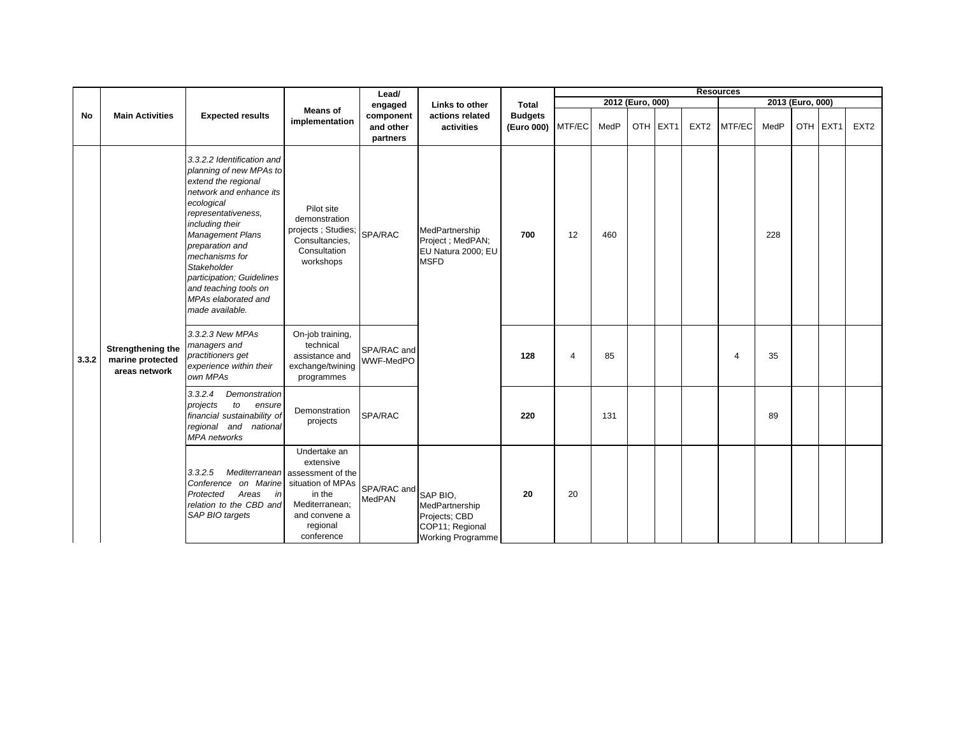|       |                                                        |                                                                                                                                                                                                                                                                                                                                         |                                                                                                                                                          | Lead/                              |                                                                                            |                                     |                |                  |          |                  | <b>Resources</b> |      |                  |          |                  |
|-------|--------------------------------------------------------|-----------------------------------------------------------------------------------------------------------------------------------------------------------------------------------------------------------------------------------------------------------------------------------------------------------------------------------------|----------------------------------------------------------------------------------------------------------------------------------------------------------|------------------------------------|--------------------------------------------------------------------------------------------|-------------------------------------|----------------|------------------|----------|------------------|------------------|------|------------------|----------|------------------|
|       |                                                        |                                                                                                                                                                                                                                                                                                                                         |                                                                                                                                                          | engaged                            | Links to other                                                                             | <b>Total</b>                        |                | 2012 (Euro, 000) |          |                  |                  |      | 2013 (Euro, 000) |          |                  |
| No    | <b>Main Activities</b>                                 | <b>Expected results</b>                                                                                                                                                                                                                                                                                                                 | <b>Means of</b><br>implementation                                                                                                                        | component<br>and other<br>partners | actions related<br>activities                                                              | <b>Budgets</b><br>(Euro 000) MTF/EC |                | MedP             | OTH EXT1 | EXT <sub>2</sub> | MTF/EC           | MedP |                  | OTH EXT1 | EXT <sub>2</sub> |
|       |                                                        | 3.3.2.2 Identification and<br>planning of new MPAs to<br>extend the regional<br>network and enhance its<br>ecological<br>representativeness,<br>including their<br>Management Plans<br>preparation and<br>mechanisms for<br>Stakeholder<br>participation; Guidelines<br>and teaching tools on<br>MPAs elaborated and<br>made available. | Pilot site<br>demonstration<br>projects; Studies;<br>Consultancies,<br>Consultation<br>workshops                                                         | SPA/RAC                            | MedPartnership<br>Project ; MedPAN;<br>EU Natura 2000; EU<br><b>MSFD</b>                   | 700                                 | 12             | 460              |          |                  |                  | 228  |                  |          |                  |
| 3.3.2 | Strengthening the<br>marine protected<br>areas network | 3.3.2.3 New MPAs<br>managers and<br>practitioners get<br>experience within their<br>own MPAs                                                                                                                                                                                                                                            | On-job training,<br>technical<br>assistance and<br>exchange/twining<br>programmes                                                                        | SPA/RAC and<br>WWF-MedPO           |                                                                                            | 128                                 | $\overline{4}$ | 85               |          |                  | 4                | 35   |                  |          |                  |
|       |                                                        | Demonstration<br>3.3.2.4<br>to<br>projects<br>ensure<br>financial sustainability of<br>regional and national<br><b>MPA</b> networks                                                                                                                                                                                                     | Demonstration<br>projects                                                                                                                                | SPA/RAC                            |                                                                                            | 220                                 |                | 131              |          |                  |                  | 89   |                  |          |                  |
|       |                                                        | 3.3.2.5<br>Conference on Marine<br>Protected<br>Areas<br>in<br>relation to the CBD and<br>SAP BIO targets                                                                                                                                                                                                                               | Undertake an<br>extensive<br>Mediterranean assessment of the<br>situation of MPAs<br>in the<br>Mediterranean;<br>and convene a<br>regional<br>conference | SPA/RAC and<br>MedPAN              | SAP BIO.<br>MedPartnership<br>Projects; CBD<br>COP11; Regional<br><b>Working Programme</b> | 20                                  | 20             |                  |          |                  |                  |      |                  |          |                  |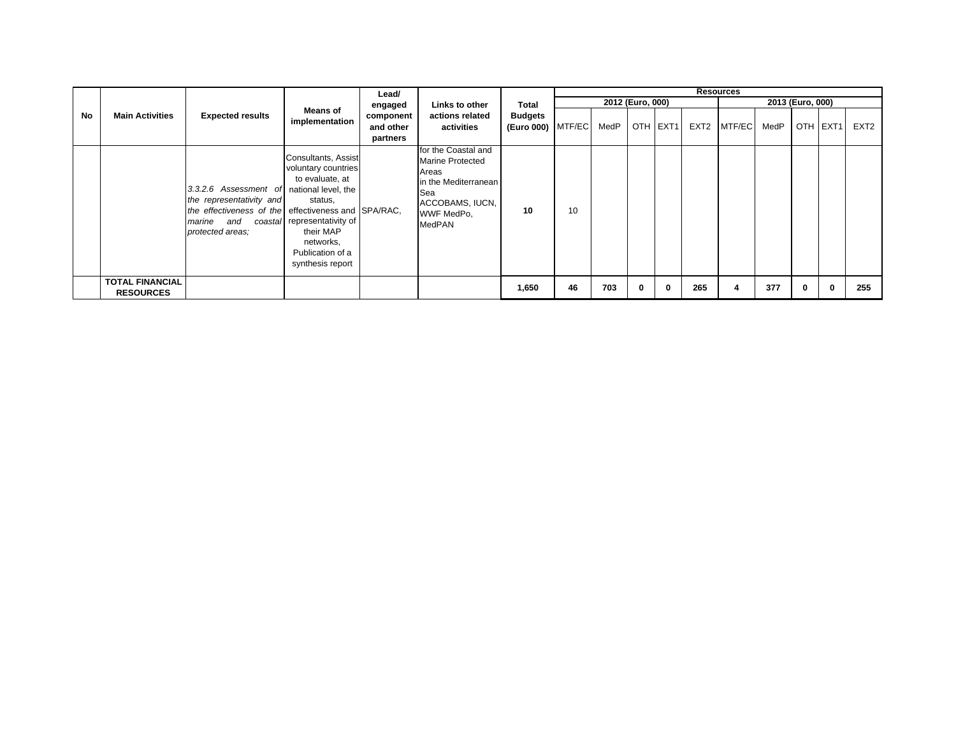|    |                                            |                                                                                                                                            |                                                                                                                                                                                                  | Lead/                              |                                                                                                                                                 |                                       |    |      |                  |          |                  | <b>Resources</b> |      |                  |              |                  |
|----|--------------------------------------------|--------------------------------------------------------------------------------------------------------------------------------------------|--------------------------------------------------------------------------------------------------------------------------------------------------------------------------------------------------|------------------------------------|-------------------------------------------------------------------------------------------------------------------------------------------------|---------------------------------------|----|------|------------------|----------|------------------|------------------|------|------------------|--------------|------------------|
|    |                                            |                                                                                                                                            |                                                                                                                                                                                                  | engaged                            | Links to other                                                                                                                                  | Total                                 |    |      | 2012 (Euro, 000) |          |                  |                  |      | 2013 (Euro, 000) |              |                  |
| No | <b>Main Activities</b>                     | <b>Expected results</b>                                                                                                                    | <b>Means of</b><br>implementation                                                                                                                                                                | component<br>and other<br>partners | actions related<br>activities                                                                                                                   | <b>Budgets</b><br>(Euro 000)   MTF/EC |    | MedP |                  | OTH EXT1 | EXT <sub>2</sub> | MTF/EC           | MedP |                  | OTH EXT1     | EXT <sub>2</sub> |
|    |                                            | 3.3.2.6 Assessment of<br>the representativity and<br>the effectiveness of the effectiveness and SPA/RAC,<br>marine and<br>protected areas: | Consultants, Assist<br>voluntary countries<br>to evaluate, at<br>national level, the<br>status,<br>coastal representativity of<br>their MAP<br>networks,<br>Publication of a<br>synthesis report |                                    | for the Coastal and<br><b>Marine Protected</b><br>Areas<br>in the Mediterranean<br><b>Sea</b><br>ACCOBAMS, IUCN,<br>WWF MedPo,<br><b>MedPAN</b> | 10                                    | 10 |      |                  |          |                  |                  |      |                  |              |                  |
|    | <b>TOTAL FINANCIAL</b><br><b>RESOURCES</b> |                                                                                                                                            |                                                                                                                                                                                                  |                                    |                                                                                                                                                 | 1,650                                 | 46 | 703  | 0                | 0        | 265              |                  | 377  | 0                | $\mathbf{0}$ | 255              |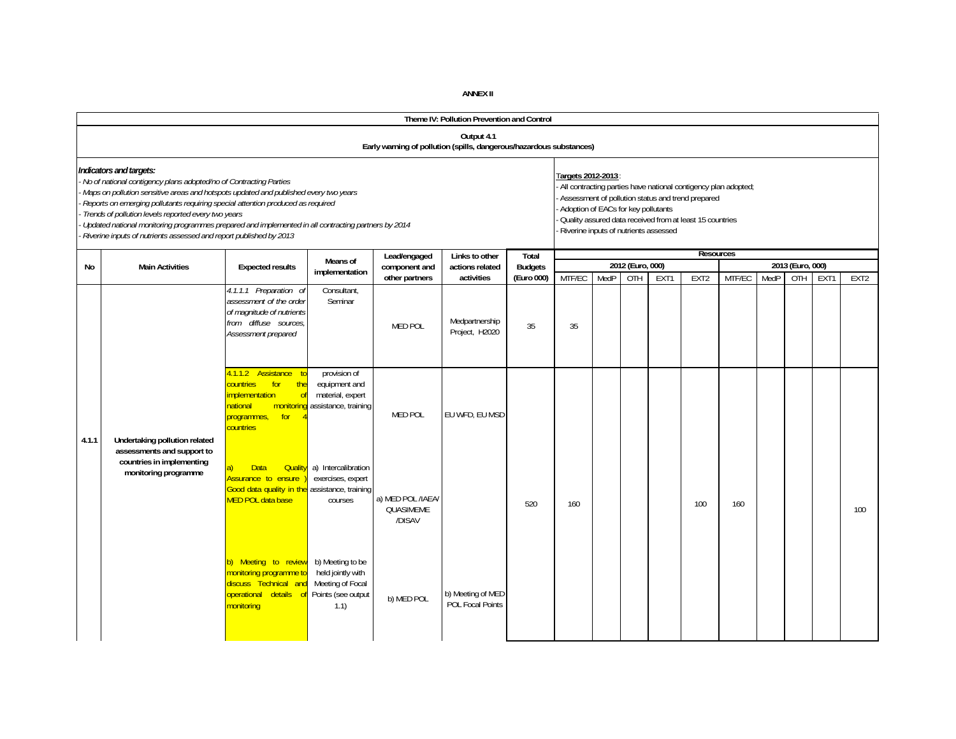|       |                                                                                                                                                                                                                                                                                                                                                                                                                                                                                                             |                                                                                                                                          |                                                                                         |                                                                     | Theme IV: Pollution Prevention and Control   |                         |                                                                                                    |      |                  |      |                                                                                                                                                                                 |        |      |                  |      |                  |
|-------|-------------------------------------------------------------------------------------------------------------------------------------------------------------------------------------------------------------------------------------------------------------------------------------------------------------------------------------------------------------------------------------------------------------------------------------------------------------------------------------------------------------|------------------------------------------------------------------------------------------------------------------------------------------|-----------------------------------------------------------------------------------------|---------------------------------------------------------------------|----------------------------------------------|-------------------------|----------------------------------------------------------------------------------------------------|------|------------------|------|---------------------------------------------------------------------------------------------------------------------------------------------------------------------------------|--------|------|------------------|------|------------------|
|       |                                                                                                                                                                                                                                                                                                                                                                                                                                                                                                             |                                                                                                                                          |                                                                                         | Early warning of pollution (spills, dangerous/hazardous substances) | Output 4.1                                   |                         |                                                                                                    |      |                  |      |                                                                                                                                                                                 |        |      |                  |      |                  |
|       | Indicators and targets:<br>No of national contigency plans adopted/no of Contracting Parties<br>Maps on pollution sensitive areas and hotspots updated and published every two years<br>Reports on emerging pollutants requiring special attention produced as required<br>Trends of pollution levels reported every two years<br>Updated national monitoring programmes prepared and implemented in all contracting partners by 2014<br>Riverine inputs of nutrients assessed and report published by 2013 |                                                                                                                                          |                                                                                         |                                                                     |                                              |                         | Targets 2012-2013:<br>Adoption of EACs for key pollutants<br>Riverine inputs of nutrients assessed |      |                  |      | All contracting parties have national contigency plan adopted;<br>Assessment of pollution status and trend prepared<br>Quality assured data received from at least 15 countries |        |      |                  |      |                  |
| No    | <b>Main Activities</b>                                                                                                                                                                                                                                                                                                                                                                                                                                                                                      | <b>Expected results</b>                                                                                                                  | Means of                                                                                | Lead/engaged<br>component and                                       | Links to other<br>actions related            | Total<br><b>Budgets</b> |                                                                                                    |      | 2012 (Euro, 000) |      | <b>Resources</b>                                                                                                                                                                |        |      | 2013 (Euro, 000) |      |                  |
|       |                                                                                                                                                                                                                                                                                                                                                                                                                                                                                                             |                                                                                                                                          | implementation                                                                          | other partners                                                      | activities                                   | (Euro 000)              | MTF/EC                                                                                             | MedP | OTH              | EXT1 | EXT <sub>2</sub>                                                                                                                                                                | MTF/EC | MedP | OTH              | EXT1 | EXT <sub>2</sub> |
|       |                                                                                                                                                                                                                                                                                                                                                                                                                                                                                                             | 4.1.1.1 Preparation of<br>assessment of the order<br>of magnitude of nutrients<br>from diffuse sources,<br>Assessment prepared           | Consultant,<br>Seminar                                                                  | <b>MED POL</b>                                                      | Medpartnership<br>Project, H2020             | 35                      | 35                                                                                                 |      |                  |      |                                                                                                                                                                                 |        |      |                  |      |                  |
| 4.1.1 | Undertaking pollution related<br>assessments and support to                                                                                                                                                                                                                                                                                                                                                                                                                                                 | Assistance to<br>4.1.1.2<br>countries<br>for<br>the<br>implementation<br>of<br>national<br>monitorine<br>programmes,<br>for<br>countries | provision of<br>equipment and<br>material, expert<br>assistance, training               | <b>MED POL</b>                                                      | EU WFD, EU MSD                               |                         |                                                                                                    |      |                  |      |                                                                                                                                                                                 |        |      |                  |      |                  |
|       | countries in implementing<br>monitoring programme                                                                                                                                                                                                                                                                                                                                                                                                                                                           | <b>Data</b><br><b>Quality</b><br>a)<br>Assurance to ensure<br>Good data quality in the<br><b>MED POL data base</b>                       | a) Intercalibration<br>exercises, expert<br>assistance, training<br>courses             | a) MED POL/IAEA/<br><b>QUASIMEME</b><br>/DISAV                      |                                              | 520                     | 160                                                                                                |      |                  |      | 100                                                                                                                                                                             | 160    |      |                  |      | 100              |
|       |                                                                                                                                                                                                                                                                                                                                                                                                                                                                                                             | b) Meeting to review<br>monitoring programme to<br>discuss Technical and<br>operational details of<br>monitoring                         | b) Meeting to be<br>held jointly with<br>Meeting of Focal<br>Points (see output<br>1.1) | b) MED POL                                                          | b) Meeting of MED<br><b>POL Focal Points</b> |                         |                                                                                                    |      |                  |      |                                                                                                                                                                                 |        |      |                  |      |                  |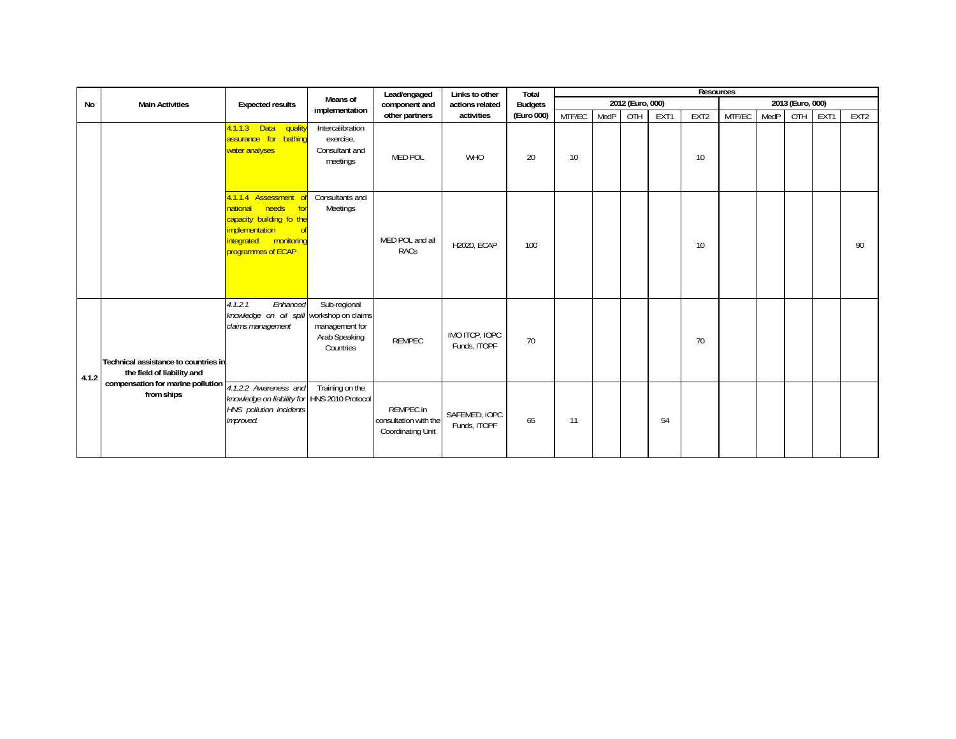|       |                                                                                                                                           |                                                                                                                                                      |                                                              | Lead/engaged                                            | Links to other                 | Total          |        |      |                  |      | <b>Resources</b> |        |      |                  |      |                  |
|-------|-------------------------------------------------------------------------------------------------------------------------------------------|------------------------------------------------------------------------------------------------------------------------------------------------------|--------------------------------------------------------------|---------------------------------------------------------|--------------------------------|----------------|--------|------|------------------|------|------------------|--------|------|------------------|------|------------------|
| No    | <b>Main Activities</b>                                                                                                                    | <b>Expected results</b>                                                                                                                              | Means of                                                     | component and                                           | actions related                | <b>Budgets</b> |        |      | 2012 (Euro, 000) |      |                  |        |      | 2013 (Euro, 000) |      |                  |
|       |                                                                                                                                           |                                                                                                                                                      | implementation                                               | other partners                                          | activities                     | (Euro 000)     | MTF/EC | MedP | OTH              | EXT1 | EXT2             | MTF/EC | MedP | OTH              | EXT1 | EXT <sub>2</sub> |
|       |                                                                                                                                           | 4.1.1.3 Data<br>quality<br>assurance for bathing<br>water analyses                                                                                   | Intercalibration<br>exercise,<br>Consultant and<br>meetings  | <b>MED POL</b>                                          | <b>WHO</b>                     | 20             | 10     |      |                  |      | 10               |        |      |                  |      |                  |
|       |                                                                                                                                           | 4.1.1.4 Assessment<br>needs<br><b>o</b> for<br>national<br>capacity building fo the<br>implementation<br>integrated monitoring<br>programmes of ECAP | Consultants and<br>Meetings                                  | MED POL and all<br>RACs                                 | H2020, ECAP                    | 100            |        |      |                  |      | 10               |        |      |                  |      | 90               |
| 4.1.2 | Technical assistance to countries in<br>the field of liability and<br>compensation for marine pollution $\frac{1}{4.1.2.2}$ Awareness and | Enhanced<br>4.1.2.1<br>knowledge on oil spill workshop on claims<br>claims management                                                                | Sub-regional<br>management for<br>Arab Speaking<br>Countries | <b>REMPEC</b>                                           | IMO ITCP, IOPC<br>Funds, ITOPF | 70             |        |      |                  |      | 70               |        |      |                  |      |                  |
|       | from ships                                                                                                                                | knowledge on liability for HNS 2010 Protocol<br>HNS pollution incidents<br>improved.                                                                 | Training on the                                              | REMPEC in<br>consultation with the<br>Coordinating Unit | SAFEMED, IOPC<br>Funds, ITOPF  | 65             | 11     |      |                  | 54   |                  |        |      |                  |      |                  |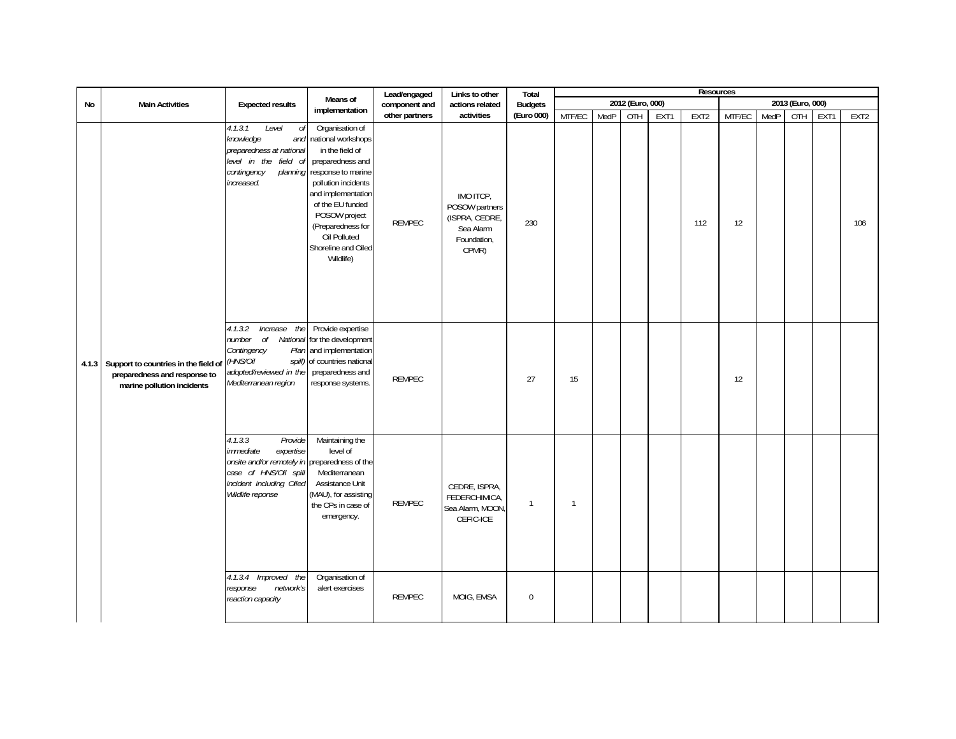|    |                                                                                                          |                                                                                                                                                                        |                                                                                                                                                                                                                                                               | Lead/engaged   | Links to other                                                                     | Total            |                |      |                  |      | <b>Resources</b> |        |      |                  |      |                  |
|----|----------------------------------------------------------------------------------------------------------|------------------------------------------------------------------------------------------------------------------------------------------------------------------------|---------------------------------------------------------------------------------------------------------------------------------------------------------------------------------------------------------------------------------------------------------------|----------------|------------------------------------------------------------------------------------|------------------|----------------|------|------------------|------|------------------|--------|------|------------------|------|------------------|
| No | <b>Main Activities</b>                                                                                   | <b>Expected results</b>                                                                                                                                                | Means of                                                                                                                                                                                                                                                      | component and  | actions related                                                                    | <b>Budgets</b>   |                |      | 2012 (Euro, 000) |      |                  |        |      | 2013 (Euro, 000) |      |                  |
|    |                                                                                                          |                                                                                                                                                                        | implementation                                                                                                                                                                                                                                                | other partners | activities                                                                         | (Euro 000)       | MTF/EC         | MedP | OTH              | EXT1 | EXT <sub>2</sub> | MTF/EC | MedP | OTH              | EXT1 | EXT <sub>2</sub> |
|    |                                                                                                          | 4.1.3.1<br>Level<br>оf<br>knowledge<br>and<br>preparedness at national<br>level in the field of<br>contingency<br>planning<br>increased.                               | Organisation of<br>national workshops<br>in the field of<br>preparedness and<br>response to marine<br>pollution incidents<br>and implementation<br>of the EU funded<br>POSOW project<br>(Preparedness for<br>Oil Polluted<br>Shoreline and Oiled<br>Wildlife) | <b>REMPEC</b>  | IMO ITCP.<br>POSOW partners<br>(ISPRA, CEDRE,<br>Sea Alarm<br>Foundation,<br>CPMR) | 230              |                |      |                  |      | 112              | 12     |      |                  |      | 106              |
|    | 4.1.3 Support to countries in the field of<br>preparedness and response to<br>marine pollution incidents | Increase the<br>4.1.3.2<br>number of National<br>Contingency<br>Plan<br>(HNS/Oil<br>spill)<br>adopted/reviewed in the<br>Mediterranean region                          | Provide expertise<br>for the development<br>and implementation<br>of countries national<br>preparedness and<br>response systems.                                                                                                                              | <b>REMPEC</b>  |                                                                                    | 27               | 15             |      |                  |      |                  | 12     |      |                  |      |                  |
|    |                                                                                                          | 4.1.3.3<br>Provide<br>immediate<br>expertise<br>onsite and/or remotely in preparedness of the<br>case of HNS/Oil spill<br>incident including Oiled<br>Wildlife reponse | Maintaining the<br>level of<br>Mediterranean<br>Assistance Unit<br>(MAU), for assisting<br>the CPs in case of<br>emergency.                                                                                                                                   | <b>REMPEC</b>  | CEDRE, ISPRA,<br>FEDERCHIMICA,<br>Sea Alarm, MOON,<br>CEFIC-ICE                    | $\mathbf{1}$     | $\overline{1}$ |      |                  |      |                  |        |      |                  |      |                  |
|    |                                                                                                          | 4.1.3.4 Improved the<br>network's<br>response<br>reaction capacity                                                                                                     | Organisation of<br>alert exercises                                                                                                                                                                                                                            | <b>REMPEC</b>  | MOIG, EMSA                                                                         | $\boldsymbol{0}$ |                |      |                  |      |                  |        |      |                  |      |                  |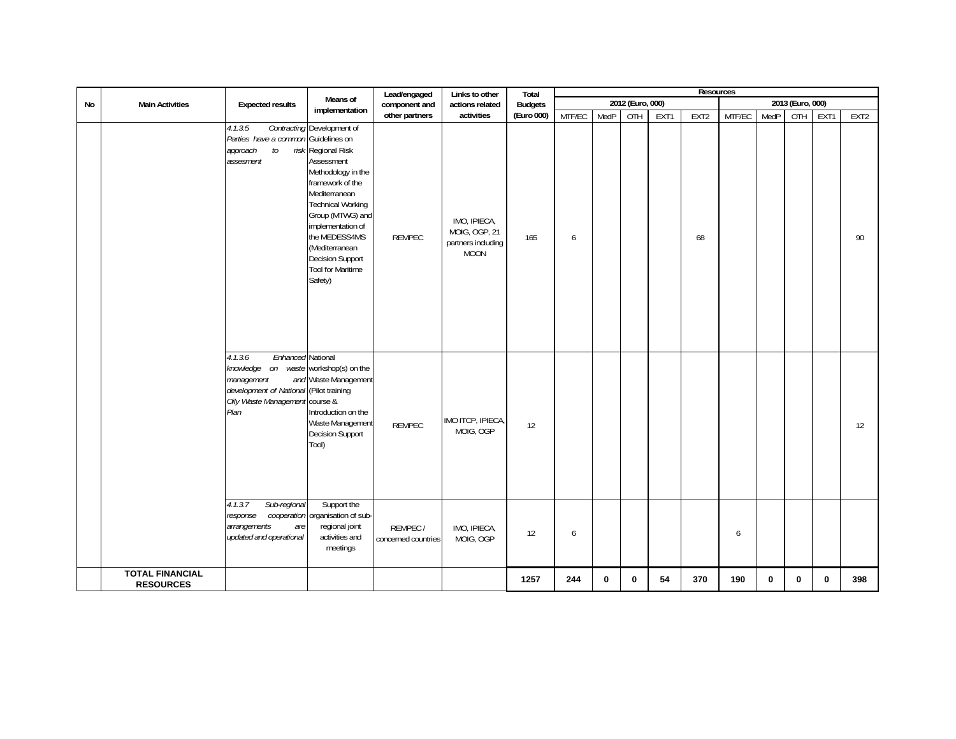|    |                                            |                                                                                                                                                                                        |                                                                                                                                                                                                                                                                                              | Lead/engaged                   | Links to other                                                     | Total          |        |              |                  |      | Resources |        |             |                  |      |                  |
|----|--------------------------------------------|----------------------------------------------------------------------------------------------------------------------------------------------------------------------------------------|----------------------------------------------------------------------------------------------------------------------------------------------------------------------------------------------------------------------------------------------------------------------------------------------|--------------------------------|--------------------------------------------------------------------|----------------|--------|--------------|------------------|------|-----------|--------|-------------|------------------|------|------------------|
| No | <b>Main Activities</b>                     | <b>Expected results</b>                                                                                                                                                                | Means of                                                                                                                                                                                                                                                                                     | component and                  | actions related                                                    | <b>Budgets</b> |        |              | 2012 (Euro, 000) |      |           |        |             | 2013 (Euro, 000) |      |                  |
|    |                                            |                                                                                                                                                                                        | implementation                                                                                                                                                                                                                                                                               | other partners                 | activities                                                         | (Euro 000)     | MTF/EC | MedP         | OTH              | EXT1 | EXT2      | MTF/EC | MedP        | OTH              | EXT1 | EXT <sub>2</sub> |
|    |                                            | 4.1.3.5<br>Parties have a common Guidelines on<br>to<br>approach<br>assesment                                                                                                          | Contracting Development of<br>risk Regional Risk<br>Assessment<br>Methodology in the<br>framework of the<br>Mediterranean<br><b>Technical Working</b><br>Group (MTWG) and<br>implementation of<br>the MEDESS4MS<br>(Mediterranean<br>Decision Support<br><b>Tool for Maritime</b><br>Safety) | <b>REMPEC</b>                  | IMO, IPIECA,<br>MOIG, OGP, 21<br>partners including<br><b>MOON</b> | 165            | 6      |              |                  |      | 68        |        |             |                  |      | 90               |
|    |                                            | Enhanced National<br>4.1.3.6<br>knowledge on<br>management<br>development of National (Pilot training<br>Oily Waste Management course &<br>Plan<br>Sub-regional<br>4.1.3.7<br>response | waste workshop(s) on the<br>and Waste Management<br>Introduction on the<br>Waste Management<br>Decision Support<br>Tool)<br>Support the<br>cooperation organisation of sub-                                                                                                                  | <b>REMPEC</b>                  | IMO ITCP, IPIECA,<br>MOIG, OGP                                     | 12             |        |              |                  |      |           |        |             |                  |      | 12               |
|    |                                            | arrangements<br>are<br>updated and operational                                                                                                                                         | regional joint<br>activities and<br>meetings                                                                                                                                                                                                                                                 | REMPEC/<br>concerned countries | IMO, IPIECA,<br>MOIG, OGP                                          | 12             | 6      |              |                  |      |           | 6      |             |                  |      |                  |
|    | <b>TOTAL FINANCIAL</b><br><b>RESOURCES</b> |                                                                                                                                                                                        |                                                                                                                                                                                                                                                                                              |                                |                                                                    | 1257           | 244    | $\mathbf{0}$ | $\bf{0}$         | 54   | 370       | 190    | $\mathbf 0$ | $\mathbf{0}$     | 0    | 398              |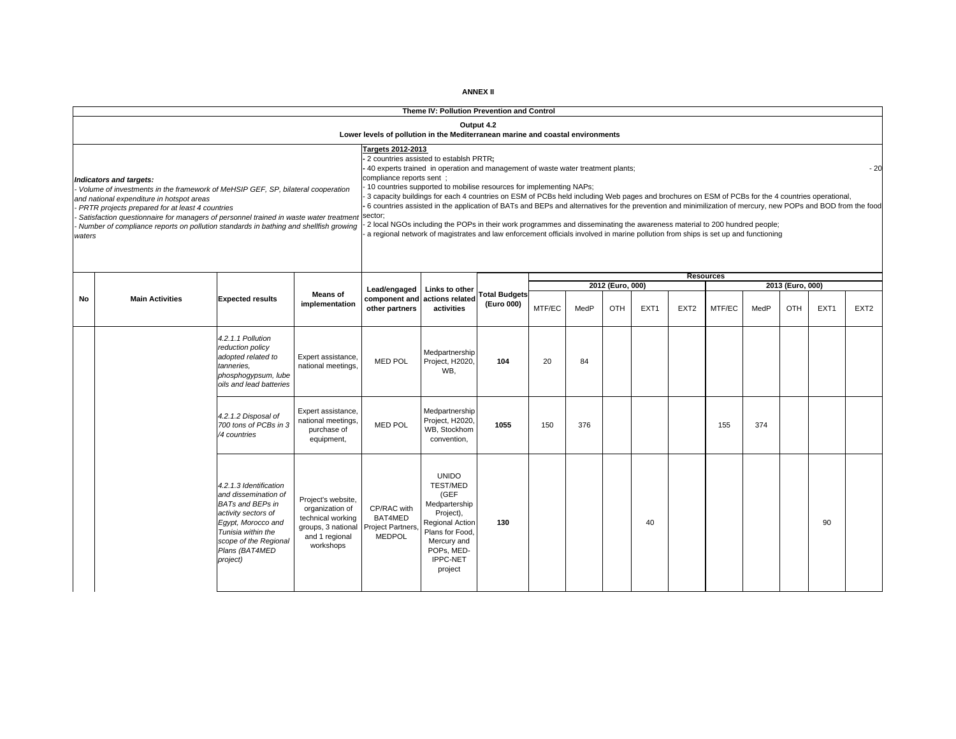|        |                                                                                                                                                                              |                                                |                                          |                                                                                | Theme IV: Pollution Prevention and Control                                                                                                                                                                             |                                    |        |      |                  |                  |                  |                  |      |                  |                  |                  |
|--------|------------------------------------------------------------------------------------------------------------------------------------------------------------------------------|------------------------------------------------|------------------------------------------|--------------------------------------------------------------------------------|------------------------------------------------------------------------------------------------------------------------------------------------------------------------------------------------------------------------|------------------------------------|--------|------|------------------|------------------|------------------|------------------|------|------------------|------------------|------------------|
|        |                                                                                                                                                                              |                                                |                                          |                                                                                |                                                                                                                                                                                                                        | Output 4.2                         |        |      |                  |                  |                  |                  |      |                  |                  |                  |
|        |                                                                                                                                                                              |                                                |                                          | Lower levels of pollution in the Mediterranean marine and coastal environments |                                                                                                                                                                                                                        |                                    |        |      |                  |                  |                  |                  |      |                  |                  |                  |
|        |                                                                                                                                                                              |                                                |                                          | Targets 2012-2013                                                              | - 2 countries assisted to establsh PRTR;<br>40 experts trained in operation and management of waste water treatment plants;                                                                                            |                                    |        |      |                  |                  |                  |                  |      |                  |                  | $-20$            |
|        | Indicators and targets:                                                                                                                                                      |                                                |                                          | compliance reports sent ;                                                      |                                                                                                                                                                                                                        |                                    |        |      |                  |                  |                  |                  |      |                  |                  |                  |
|        | Volume of investments in the framework of MeHSIP GEF, SP, bilateral cooperation<br>and national expenditure in hotspot areas                                                 |                                                |                                          |                                                                                | 10 countries supported to mobilise resources for implementing NAPs;<br>3 capacity buildings for each 4 countries on ESM of PCBs held including Web pages and brochures on ESM of PCBs for the 4 countries operational, |                                    |        |      |                  |                  |                  |                  |      |                  |                  |                  |
|        | PRTR projects prepared for at least 4 countries                                                                                                                              |                                                |                                          | sector;                                                                        | 6 countries assisted in the application of BATs and BEPs and alternatives for the prevention and minimilization of mercury, new POPs and BOD from the food                                                             |                                    |        |      |                  |                  |                  |                  |      |                  |                  |                  |
|        | Satisfaction questionnaire for managers of personnel trained in waste water treatmen<br>Number of compliance reports on pollution standards in bathing and shellfish growing |                                                |                                          |                                                                                | 2 local NGOs including the POPs in their work programmes and disseminating the awareness material to 200 hundred people;                                                                                               |                                    |        |      |                  |                  |                  |                  |      |                  |                  |                  |
| waters |                                                                                                                                                                              |                                                |                                          |                                                                                | a regional network of magistrates and law enforcement officials involved in marine pollution from ships is set up and functioning                                                                                      |                                    |        |      |                  |                  |                  |                  |      |                  |                  |                  |
|        |                                                                                                                                                                              |                                                |                                          |                                                                                |                                                                                                                                                                                                                        |                                    |        |      |                  |                  |                  |                  |      |                  |                  |                  |
|        |                                                                                                                                                                              |                                                |                                          |                                                                                |                                                                                                                                                                                                                        |                                    |        |      |                  |                  |                  |                  |      |                  |                  |                  |
|        |                                                                                                                                                                              |                                                |                                          | Lead/engaged                                                                   | Links to other                                                                                                                                                                                                         |                                    |        |      | 2012 (Euro, 000) |                  |                  | <b>Resources</b> |      | 2013 (Euro, 000) |                  |                  |
| No     | <b>Main Activities</b>                                                                                                                                                       | <b>Expected results</b>                        | <b>Means of</b><br>implementation        | component and                                                                  | actions related                                                                                                                                                                                                        | <b>Total Budgets</b><br>(Euro 000) |        |      |                  |                  |                  |                  |      |                  |                  |                  |
|        |                                                                                                                                                                              |                                                |                                          | other partners                                                                 | activities                                                                                                                                                                                                             |                                    | MTF/EC | MedP | OTH              | EXT <sub>1</sub> | EXT <sub>2</sub> | MTF/EC           | MedP | OTH              | EXT <sub>1</sub> | EXT <sub>2</sub> |
|        |                                                                                                                                                                              |                                                |                                          |                                                                                |                                                                                                                                                                                                                        |                                    |        |      |                  |                  |                  |                  |      |                  |                  |                  |
|        |                                                                                                                                                                              | 4.2.1.1 Pollution<br>reduction policy          |                                          |                                                                                |                                                                                                                                                                                                                        |                                    |        |      |                  |                  |                  |                  |      |                  |                  |                  |
|        |                                                                                                                                                                              | adopted related to<br>tanneries.               | Expert assistance,<br>national meetings, | <b>MED POL</b>                                                                 | Medpartnership<br>Project, H2020,                                                                                                                                                                                      | 104                                | 20     | 84   |                  |                  |                  |                  |      |                  |                  |                  |
|        |                                                                                                                                                                              | phosphogypsum, lube                            |                                          |                                                                                | WB.                                                                                                                                                                                                                    |                                    |        |      |                  |                  |                  |                  |      |                  |                  |                  |
|        |                                                                                                                                                                              | oils and lead batteries                        |                                          |                                                                                |                                                                                                                                                                                                                        |                                    |        |      |                  |                  |                  |                  |      |                  |                  |                  |
|        |                                                                                                                                                                              |                                                | Expert assistance,                       |                                                                                | Medpartnership                                                                                                                                                                                                         |                                    |        |      |                  |                  |                  |                  |      |                  |                  |                  |
|        |                                                                                                                                                                              | 4.2.1.2 Disposal of<br>700 tons of PCBs in 3   | national meetings,                       | <b>MED POL</b>                                                                 | Project, H2020                                                                                                                                                                                                         | 1055                               | 150    | 376  |                  |                  |                  | 155              | 374  |                  |                  |                  |
|        |                                                                                                                                                                              | /4 countries                                   | purchase of<br>equipment,                |                                                                                | WB, Stockhom<br>convention,                                                                                                                                                                                            |                                    |        |      |                  |                  |                  |                  |      |                  |                  |                  |
|        |                                                                                                                                                                              |                                                |                                          |                                                                                |                                                                                                                                                                                                                        |                                    |        |      |                  |                  |                  |                  |      |                  |                  |                  |
|        |                                                                                                                                                                              |                                                |                                          |                                                                                |                                                                                                                                                                                                                        |                                    |        |      |                  |                  |                  |                  |      |                  |                  |                  |
|        |                                                                                                                                                                              | 4.2.1.3 Identification                         |                                          |                                                                                | <b>UNIDO</b><br><b>TEST/MED</b>                                                                                                                                                                                        |                                    |        |      |                  |                  |                  |                  |      |                  |                  |                  |
|        |                                                                                                                                                                              | and dissemination of                           | Project's website,                       |                                                                                | (GEF                                                                                                                                                                                                                   |                                    |        |      |                  |                  |                  |                  |      |                  |                  |                  |
|        |                                                                                                                                                                              | <b>BATs and BEPs in</b><br>activity sectors of | organization of                          | CP/RAC with<br>BAT4MED                                                         | Medpartership<br>Project),                                                                                                                                                                                             |                                    |        |      |                  |                  |                  |                  |      |                  |                  |                  |
|        |                                                                                                                                                                              | Egypt, Morocco and<br>Tunisia within the       | technical working<br>groups, 3 national  | <b>Project Partners</b>                                                        | Regional Action<br>Plans for Food,                                                                                                                                                                                     | 130                                |        |      |                  | 40               |                  |                  |      |                  | 90               |                  |
|        |                                                                                                                                                                              | scope of the Regional                          | and 1 regional<br>workshops              | <b>MEDPOL</b>                                                                  | Mercury and                                                                                                                                                                                                            |                                    |        |      |                  |                  |                  |                  |      |                  |                  |                  |
|        |                                                                                                                                                                              | Plans (BAT4MED<br>project)                     |                                          |                                                                                | POPs, MED-<br><b>IPPC-NET</b>                                                                                                                                                                                          |                                    |        |      |                  |                  |                  |                  |      |                  |                  |                  |
|        |                                                                                                                                                                              |                                                |                                          |                                                                                | project                                                                                                                                                                                                                |                                    |        |      |                  |                  |                  |                  |      |                  |                  |                  |
|        |                                                                                                                                                                              |                                                |                                          |                                                                                |                                                                                                                                                                                                                        |                                    |        |      |                  |                  |                  |                  |      |                  |                  |                  |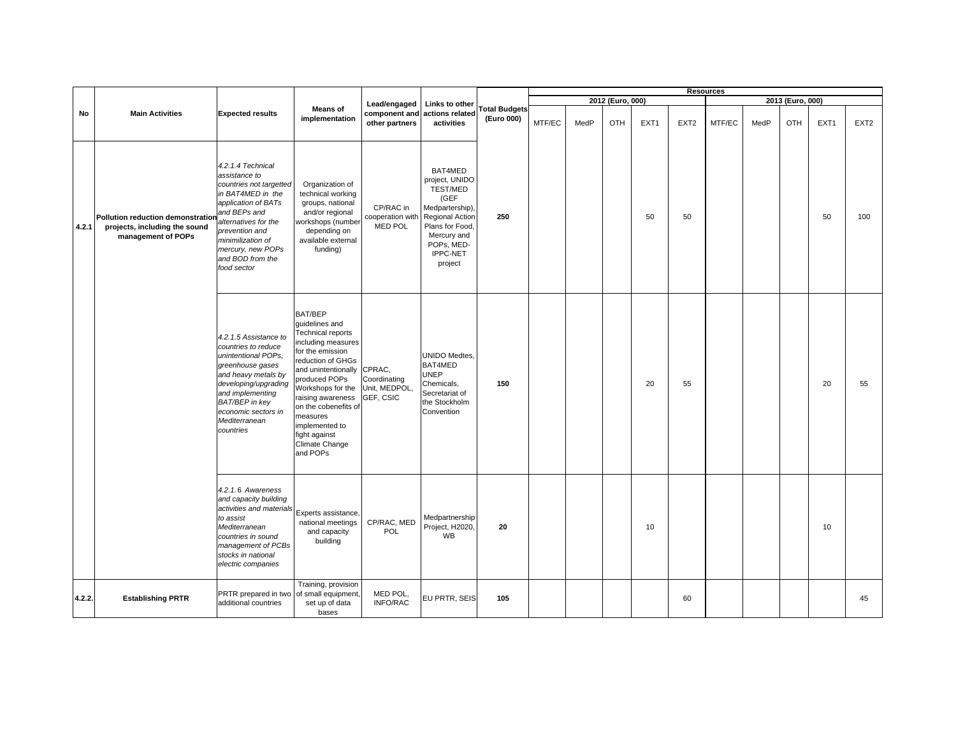|        |                                                                                          |                                                                                                                                                                                                                                                  |                                                                                                                                                                                                                                                                                                             |                                            |                                                                                                                                                                 |                                    |        |      |                  |                  |                  | <b>Resources</b> |      |                  |      |                  |
|--------|------------------------------------------------------------------------------------------|--------------------------------------------------------------------------------------------------------------------------------------------------------------------------------------------------------------------------------------------------|-------------------------------------------------------------------------------------------------------------------------------------------------------------------------------------------------------------------------------------------------------------------------------------------------------------|--------------------------------------------|-----------------------------------------------------------------------------------------------------------------------------------------------------------------|------------------------------------|--------|------|------------------|------------------|------------------|------------------|------|------------------|------|------------------|
|        |                                                                                          |                                                                                                                                                                                                                                                  |                                                                                                                                                                                                                                                                                                             | Lead/engaged                               | Links to other                                                                                                                                                  |                                    |        |      | 2012 (Euro, 000) |                  |                  |                  |      | 2013 (Euro, 000) |      |                  |
| No     | <b>Main Activities</b>                                                                   | <b>Expected results</b>                                                                                                                                                                                                                          | <b>Means of</b><br>implementation                                                                                                                                                                                                                                                                           | component and<br>other partners            | actions related<br>activities                                                                                                                                   | <b>Total Budgets</b><br>(Euro 000) | MTF/EC | MedP | OTH              | EXT <sub>1</sub> | EXT <sub>2</sub> | MTF/EC           | MedP | OTH              | EXT1 | EXT <sub>2</sub> |
| 4.2.1  | Pollution reduction demonstration<br>projects, including the sound<br>management of POPs | 4.2.1.4 Technical<br>assistance to<br>countries not targetted<br>in BAT4MED in the<br>application of BATs<br>and BEPs and<br>alternatives for the<br>prevention and<br>minimilization of<br>mercury, new POPs<br>and BOD from the<br>food sector | Organization of<br>technical working<br>groups, national<br>and/or regional<br>workshops (number<br>depending on<br>available external<br>funding)                                                                                                                                                          | CP/RAC in<br>cooperation with<br>MED POL   | BAT4MED<br>project, UNIDO<br>TEST/MED<br>(GEF<br>Medpartership)<br><b>Regional Action</b><br>Plans for Food<br>Mercury and<br>POPs, MED-<br>IPPC-NET<br>project | 250                                |        |      |                  | 50               | 50               |                  |      |                  | 50   | 100              |
|        |                                                                                          | 4.2.1.5 Assistance to<br>countries to reduce<br>unintentional POPs,<br>greenhouse gases<br>and heavy metals by<br>developing/upgrading<br>and implementing<br>BAT/BEP in key<br>economic sectors in<br>Mediterranean<br>countries                | BAT/BEP<br>quidelines and<br>Technical reports<br>including measures<br>for the emission<br>reduction of GHGs<br>and unintentionally CPRAC,<br>produced POPs<br>Workshops for the<br>raising awareness<br>on the cobenefits of<br>measures<br>implemented to<br>fight against<br>Climate Change<br>and POPs | Coordinating<br>Unit, MEDPOL,<br>GEF, CSIC | UNIDO Medtes,<br>BAT4MED<br><b>UNEP</b><br>Chemicals,<br>Secretariat of<br>the Stockholm<br>Convention                                                          | 150                                |        |      |                  | 20               | 55               |                  |      |                  | 20   | 55               |
|        |                                                                                          | 4.2.1.6 Awareness<br>and capacity building<br>activities and materials<br>to assist<br>Mediterranean<br>countries in sound<br>management of PCBs<br>stocks in national<br>electric companies                                                     | Experts assistance,<br>national meetings<br>and capacity<br>building                                                                                                                                                                                                                                        | CP/RAC, MED<br>POL                         | Medpartnership<br>Project, H2020<br>WB                                                                                                                          | 20                                 |        |      |                  | 10               |                  |                  |      |                  | 10   |                  |
| 4.2.2. | <b>Establishing PRTR</b>                                                                 | PRTR prepared in two<br>additional countries                                                                                                                                                                                                     | Training, provision<br>of small equipment,<br>set up of data<br>bases                                                                                                                                                                                                                                       | MED POL,<br>INFO/RAC                       | EU PRTR, SEIS                                                                                                                                                   | 105                                |        |      |                  |                  | 60               |                  |      |                  |      | 45               |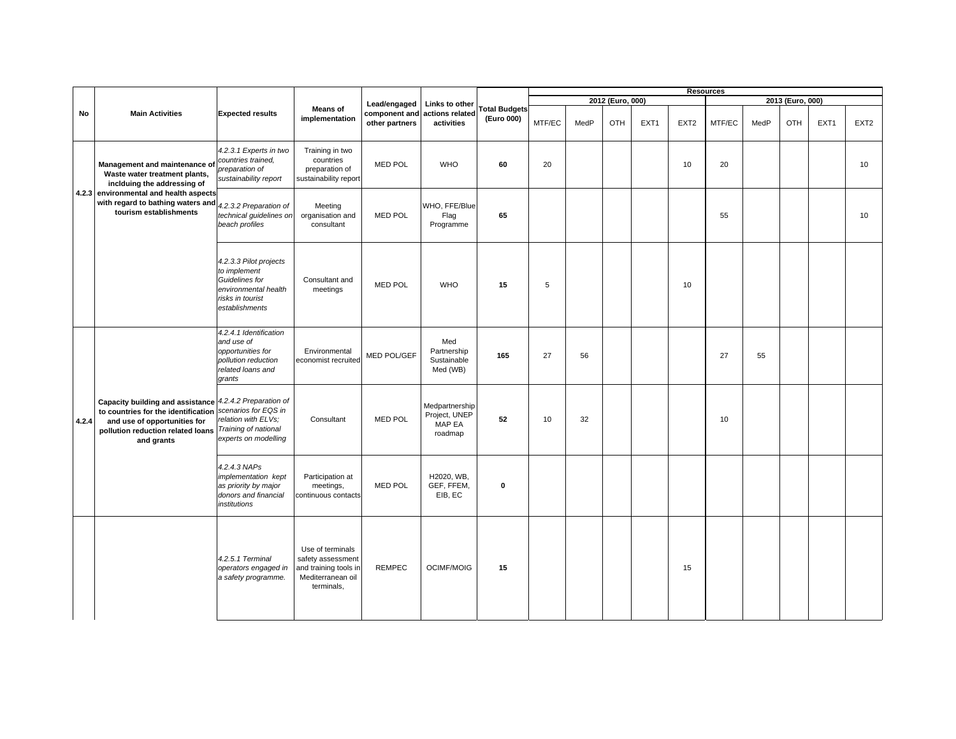|       |                                                                                                                                                                                   |                                                                                                                        |                                                                                                   |                                                 |                                                      |                                    |        |      |                  |                  |                  | <b>Resources</b> |      |                  |      |                  |
|-------|-----------------------------------------------------------------------------------------------------------------------------------------------------------------------------------|------------------------------------------------------------------------------------------------------------------------|---------------------------------------------------------------------------------------------------|-------------------------------------------------|------------------------------------------------------|------------------------------------|--------|------|------------------|------------------|------------------|------------------|------|------------------|------|------------------|
|       | <b>Main Activities</b>                                                                                                                                                            |                                                                                                                        |                                                                                                   |                                                 |                                                      |                                    |        |      | 2012 (Euro, 000) |                  |                  |                  |      | 2013 (Euro, 000) |      |                  |
| No    |                                                                                                                                                                                   | <b>Expected results</b>                                                                                                | <b>Means of</b><br>implementation                                                                 | Lead/engaged<br>component and<br>other partners | Links to other<br>actions related<br>activities      | <b>Total Budgets</b><br>(Euro 000) | MTF/EC | MedP | <b>OTH</b>       | EXT <sub>1</sub> | EXT <sub>2</sub> | MTF/EC           | MedP | OTH              | EXT1 | EXT <sub>2</sub> |
|       | Management and maintenance of<br>Waste water treatment plants,<br>inclduing the addressing of                                                                                     | 4.2.3.1 Experts in two<br>countries trained.<br>preparation of<br>sustainability report                                | Training in two<br>countries<br>preparation of<br>sustainability report                           | <b>MED POL</b>                                  | <b>WHO</b>                                           | 60                                 | 20     |      |                  |                  | 10               | 20               |      |                  |      | 10               |
|       | 4.2.3 environmental and health aspects<br>with regard to bathing waters and<br>tourism establishments                                                                             | 4.2.3.2 Preparation of<br>technical guidelines on<br>beach profiles                                                    | Meeting<br>organisation and<br>consultant                                                         | <b>MED POL</b>                                  | WHO, FFE/Blue<br>Flag<br>Programme                   | 65                                 |        |      |                  |                  |                  | 55               |      |                  |      | 10               |
|       |                                                                                                                                                                                   | 4.2.3.3 Pilot projects<br>to implement<br>Guidelines for<br>environmental health<br>risks in tourist<br>establishments | Consultant and<br>meetings                                                                        | <b>MED POL</b>                                  | <b>WHO</b>                                           | 15                                 | 5      |      |                  |                  | 10               |                  |      |                  |      |                  |
|       |                                                                                                                                                                                   | 4.2.4.1 Identification<br>and use of<br>opportunities for<br>pollution reduction<br>related loans and<br>grants        | Environmental<br>economist recruited                                                              | MED POL/GEF                                     | Med<br>Partnership<br>Sustainable<br>Med (WB)        | 165                                | 27     | 56   |                  |                  |                  | 27               | 55   |                  |      |                  |
| 4.2.4 | Capacity building and assistance 4.2.4.2 Preparation of<br>to countries for the identification<br>and use of opportunities for<br>pollution reduction related loans<br>and grants | scenarios for EQS in<br>relation with ELVs;<br>Training of national<br>experts on modelling                            | Consultant                                                                                        | <b>MED POL</b>                                  | Medpartnership<br>Project, UNEP<br>MAP EA<br>roadmap | 52                                 | 10     | 32   |                  |                  |                  | 10               |      |                  |      |                  |
|       |                                                                                                                                                                                   | 4.2.4.3 NAPs<br>implementation kept<br>as priority by major<br>donors and financial<br>institutions                    | Participation at<br>meetings,<br>continuous contacts                                              | <b>MED POL</b>                                  | H2020, WB,<br>GEF, FFEM,<br>EIB, EC                  | $\mathbf 0$                        |        |      |                  |                  |                  |                  |      |                  |      |                  |
|       |                                                                                                                                                                                   | 4.2.5.1 Terminal<br>operators engaged in<br>a safety programme.                                                        | Use of terminals<br>safety assessment<br>and training tools in<br>Mediterranean oil<br>terminals, | <b>REMPEC</b>                                   | <b>OCIMF/MOIG</b>                                    | 15                                 |        |      |                  |                  | 15               |                  |      |                  |      |                  |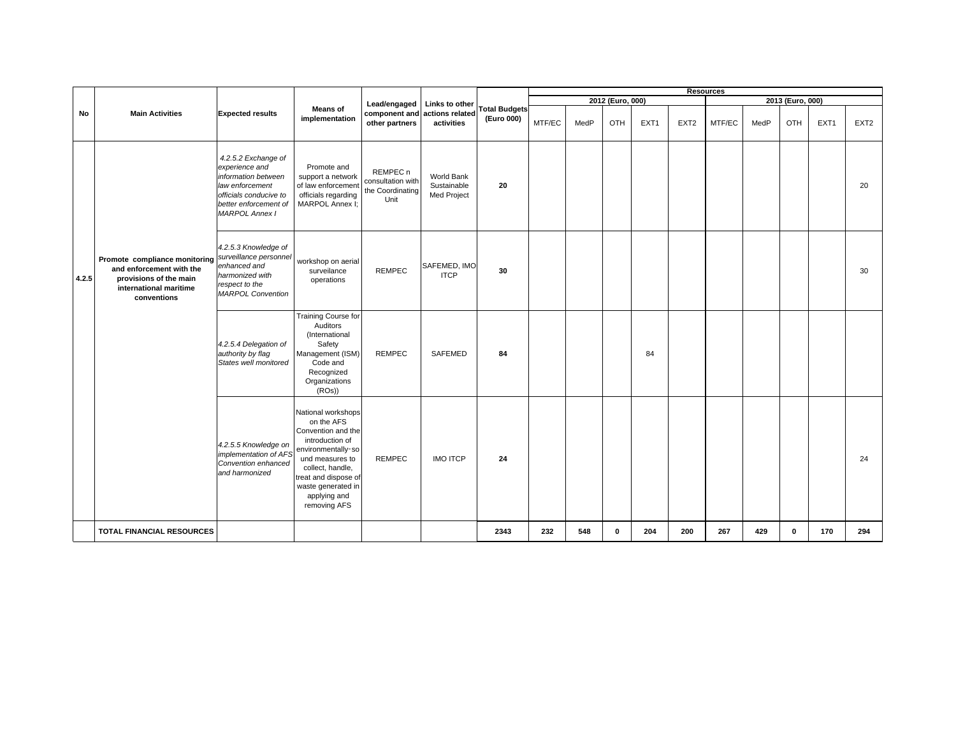|       |                                                                                                                              |                                                                                                                                                             |                                                                                                                                                                                                                      |                                                                      |                                          |                                    |        |      |                  |                  |                  | <b>Resources</b> |      |                  |                  |                  |
|-------|------------------------------------------------------------------------------------------------------------------------------|-------------------------------------------------------------------------------------------------------------------------------------------------------------|----------------------------------------------------------------------------------------------------------------------------------------------------------------------------------------------------------------------|----------------------------------------------------------------------|------------------------------------------|------------------------------------|--------|------|------------------|------------------|------------------|------------------|------|------------------|------------------|------------------|
|       |                                                                                                                              |                                                                                                                                                             |                                                                                                                                                                                                                      | Lead/engaged                                                         | Links to other                           |                                    |        |      | 2012 (Euro, 000) |                  |                  |                  |      | 2013 (Euro, 000) |                  |                  |
| No    | <b>Main Activities</b>                                                                                                       | <b>Expected results</b>                                                                                                                                     | <b>Means of</b><br>implementation                                                                                                                                                                                    | component and<br>other partners                                      | actions related<br>activities            | <b>Total Budgets</b><br>(Euro 000) | MTF/EC | MedP | OTH              | EXT <sub>1</sub> | EXT <sub>2</sub> | MTF/EC           | MedP | OTH              | EXT <sub>1</sub> | EXT <sub>2</sub> |
|       |                                                                                                                              | 4.2.5.2 Exchange of<br>experience and<br>information between<br>law enforcement<br>officials conducive to<br>better enforcement of<br><b>MARPOL Annex I</b> | Promote and<br>support a network<br>of law enforcement<br>officials regarding<br>MARPOL Annex I;                                                                                                                     | REMPEC <sub>n</sub><br>consultation with<br>the Coordinating<br>Unit | World Bank<br>Sustainable<br>Med Project | 20                                 |        |      |                  |                  |                  |                  |      |                  |                  | 20               |
| 4.2.5 | Promote compliance monitoring<br>and enforcement with the<br>provisions of the main<br>international maritime<br>conventions | 4.2.5.3 Knowledge of<br>surveillance personnel<br>enhanced and<br>harmonized with<br>respect to the<br><b>MARPOL Convention</b>                             | workshop on aerial<br>surveilance<br>operations                                                                                                                                                                      | <b>REMPEC</b>                                                        | SAFEMED, IMO<br><b>ITCP</b>              | 30                                 |        |      |                  |                  |                  |                  |      |                  |                  | 30               |
|       |                                                                                                                              | 4.2.5.4 Delegation of<br>authority by flag<br>States well monitored                                                                                         | Training Course for<br>Auditors<br>(International<br>Safety<br>Management (ISM)<br>Code and<br>Recognized<br>Organizations<br>(ROs)                                                                                  | <b>REMPEC</b>                                                        | SAFEMED                                  | 84                                 |        |      |                  | 84               |                  |                  |      |                  |                  |                  |
|       |                                                                                                                              | 4.2.5.5 Knowledge on<br>implementation of AFS<br>Convention enhanced<br>and harmonized                                                                      | National workshops<br>on the AFS<br>Convention and the<br>introduction of<br>environmentally-so<br>und measures to<br>collect, handle,<br>treat and dispose of<br>waste generated in<br>applying and<br>removing AFS | <b>REMPEC</b>                                                        | <b>IMO ITCP</b>                          | 24                                 |        |      |                  |                  |                  |                  |      |                  |                  | 24               |
|       | <b>TOTAL FINANCIAL RESOURCES</b>                                                                                             |                                                                                                                                                             |                                                                                                                                                                                                                      |                                                                      |                                          | 2343                               | 232    | 548  | $\mathbf{0}$     | 204              | 200              | 267              | 429  | 0                | 170              | 294              |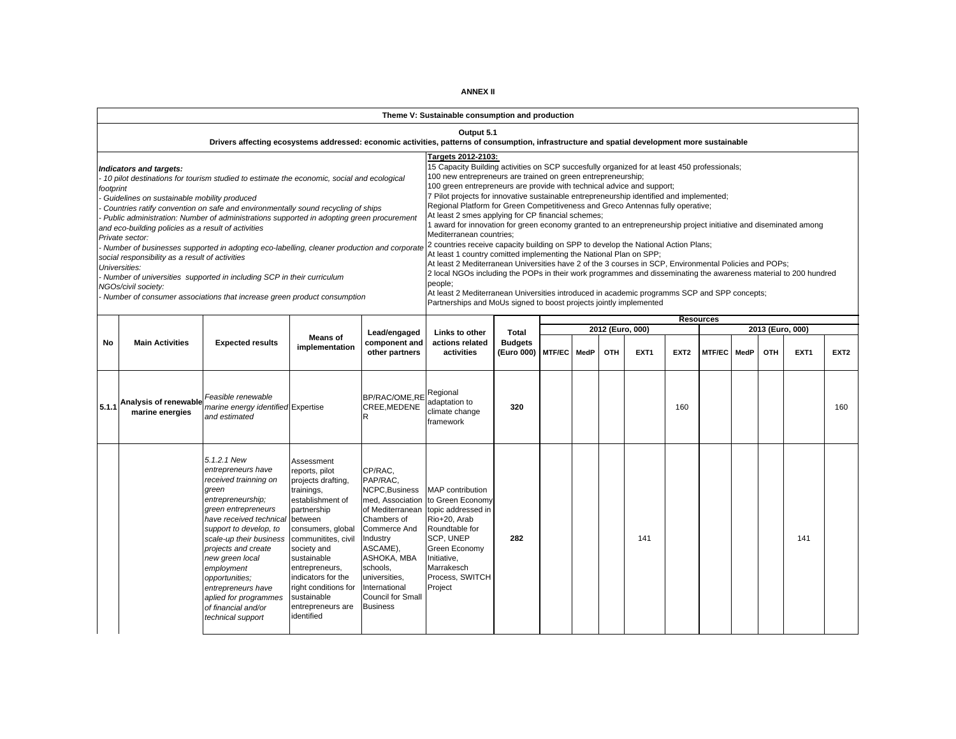|           |                                                                                                                                                                                                                                             |                                                                                                                                                                                                                                                                                                                                                                                                                                                                                                                                 |                                                                                                                                                                                                                                                                                                 |                                                                                                                                                                                                                                     | Theme V: Sustainable consumption and production                                                                                                                                                                                                                                                                                                                                                                                                                                                                                                                                                                                                                                                                                                                                                                                                                                                                                                                                                                                                                                                                                                                                                                              |               |             |                                |                  |                  |                  |      |                         |                  |                  |     |
|-----------|---------------------------------------------------------------------------------------------------------------------------------------------------------------------------------------------------------------------------------------------|---------------------------------------------------------------------------------------------------------------------------------------------------------------------------------------------------------------------------------------------------------------------------------------------------------------------------------------------------------------------------------------------------------------------------------------------------------------------------------------------------------------------------------|-------------------------------------------------------------------------------------------------------------------------------------------------------------------------------------------------------------------------------------------------------------------------------------------------|-------------------------------------------------------------------------------------------------------------------------------------------------------------------------------------------------------------------------------------|------------------------------------------------------------------------------------------------------------------------------------------------------------------------------------------------------------------------------------------------------------------------------------------------------------------------------------------------------------------------------------------------------------------------------------------------------------------------------------------------------------------------------------------------------------------------------------------------------------------------------------------------------------------------------------------------------------------------------------------------------------------------------------------------------------------------------------------------------------------------------------------------------------------------------------------------------------------------------------------------------------------------------------------------------------------------------------------------------------------------------------------------------------------------------------------------------------------------------|---------------|-------------|--------------------------------|------------------|------------------|------------------|------|-------------------------|------------------|------------------|-----|
|           |                                                                                                                                                                                                                                             | Drivers affecting ecosystems addressed: economic activities, patterns of consumption, infrastructure and spatial development more sustainable                                                                                                                                                                                                                                                                                                                                                                                   |                                                                                                                                                                                                                                                                                                 |                                                                                                                                                                                                                                     | Output 5.1                                                                                                                                                                                                                                                                                                                                                                                                                                                                                                                                                                                                                                                                                                                                                                                                                                                                                                                                                                                                                                                                                                                                                                                                                   |               |             |                                |                  |                  |                  |      |                         |                  |                  |     |
| footprint | Indicators and targets:<br>Guidelines on sustainable mobility produced<br>and eco-building policies as a result of activities<br>Private sector:<br>social responsibility as a result of activities<br>Universities:<br>NGOs/civil society: | 10 pilot destinations for tourism studied to estimate the economic, social and ecological<br>Countries ratify convention on safe and environmentally sound recycling of ships<br>Public administration: Number of administrations supported in adopting green procurement<br>- Number of businesses supported in adopting eco-labelling, cleaner production and corporate<br>Number of universities supported in including SCP in their curriculum<br>- Number of consumer associations that increase green product consumption |                                                                                                                                                                                                                                                                                                 |                                                                                                                                                                                                                                     | Targets 2012-2103:<br>15 Capacity Building activities on SCP succesfully organized for at least 450 professionals;<br>100 new entrepreneurs are trained on green entrepreneurship;<br>100 green entrepreneurs are provide with technical advice and support;<br>7 Pilot projects for innovative sustainable entrepreneurship identified and implemented;<br>Regional Platform for Green Competitiveness and Greco Antennas fully operative;<br>At least 2 smes applying for CP financial schemes;<br>1 award for innovation for green economy granted to an entrepreneurship project initiative and diseminated among<br>Mediterranean countries:<br>2 countries receive capacity building on SPP to develop the National Action Plans;<br>At least 1 country comitted implementing the National Plan on SPP;<br>At least 2 Mediterranean Universities have 2 of the 3 courses in SCP, Environmental Policies and POPs;<br>2 local NGOs including the POPs in their work programmes and disseminating the awareness material to 200 hundred<br>people;<br>At least 2 Mediterranean Universities introduced in academic programms SCP and SPP concepts;<br>Partnerships and MoUs signed to boost projects jointly implemented |               |             |                                |                  |                  |                  |      |                         |                  |                  |     |
|           |                                                                                                                                                                                                                                             |                                                                                                                                                                                                                                                                                                                                                                                                                                                                                                                                 |                                                                                                                                                                                                                                                                                                 |                                                                                                                                                                                                                                     |                                                                                                                                                                                                                                                                                                                                                                                                                                                                                                                                                                                                                                                                                                                                                                                                                                                                                                                                                                                                                                                                                                                                                                                                                              |               |             |                                |                  |                  | <b>Resources</b> |      |                         |                  |                  |     |
| No        | <b>Main Activities</b>                                                                                                                                                                                                                      | <b>Expected results</b>                                                                                                                                                                                                                                                                                                                                                                                                                                                                                                         | Lead/engaged<br>component and<br>other partners                                                                                                                                                                                                                                                 | Links to other<br>actions related<br>activities                                                                                                                                                                                     | Total<br><b>Budgets</b><br>(Euro 000)                                                                                                                                                                                                                                                                                                                                                                                                                                                                                                                                                                                                                                                                                                                                                                                                                                                                                                                                                                                                                                                                                                                                                                                        | <b>MTF/EC</b> | <b>MedP</b> | 2012 (Euro, 000)<br><b>OTH</b> | EXT <sub>1</sub> | EXT <sub>2</sub> | <b>MTF/EC</b>    | MedP | 2013 (Euro, 000)<br>OTH | EXT <sub>1</sub> | EXT <sub>2</sub> |     |
| 5.1.1     | Analysis of renewable<br>marine energies                                                                                                                                                                                                    | Feasible renewable<br>marine energy identified Expertise<br>and estimated                                                                                                                                                                                                                                                                                                                                                                                                                                                       |                                                                                                                                                                                                                                                                                                 | BP/RAC/OME,RE<br>CREE.MEDENE<br>R                                                                                                                                                                                                   | Regional<br>adaptation to<br>climate change<br>framework                                                                                                                                                                                                                                                                                                                                                                                                                                                                                                                                                                                                                                                                                                                                                                                                                                                                                                                                                                                                                                                                                                                                                                     | 320           |             |                                |                  |                  | 160              |      |                         |                  |                  | 160 |
|           |                                                                                                                                                                                                                                             | 5.1.2.1 New<br>entrepreneurs have<br>received trainning on<br>green<br>entrepreneurship;<br>green entrepreneurs<br>have received technical between<br>support to develop, to<br>scale-up their business<br>projects and create<br>new green local<br>employment<br>opportunities;<br>entrepreneurs have<br>aplied for programmes<br>of financial and/or<br>technical support                                                                                                                                                    | Assessment<br>reports, pilot<br>projects drafting,<br>trainings,<br>establishment of<br>partnership<br>consumers, global<br>communitites, civil<br>society and<br>sustainable<br>entrepreneurs,<br>indicators for the<br>right conditions for<br>sustainable<br>entrepreneurs are<br>identified | CP/RAC,<br>PAP/RAC,<br>NCPC, Business<br>of Mediterranean<br>Chambers of<br><b>Commerce And</b><br>Industry<br>ASCAME),<br>ASHOKA, MBA<br>schools.<br>universities,<br>International<br><b>Council for Small</b><br><b>Business</b> | <b>MAP</b> contribution<br>med, Association to Green Economy<br>topic addressed in<br>Rio+20, Arab<br>Roundtable for<br>SCP, UNEP<br>Green Economy<br>Initiative,<br>Marrakesch<br>Process, SWITCH<br>Project                                                                                                                                                                                                                                                                                                                                                                                                                                                                                                                                                                                                                                                                                                                                                                                                                                                                                                                                                                                                                | 282           |             |                                |                  | 141              |                  |      |                         |                  | 141              |     |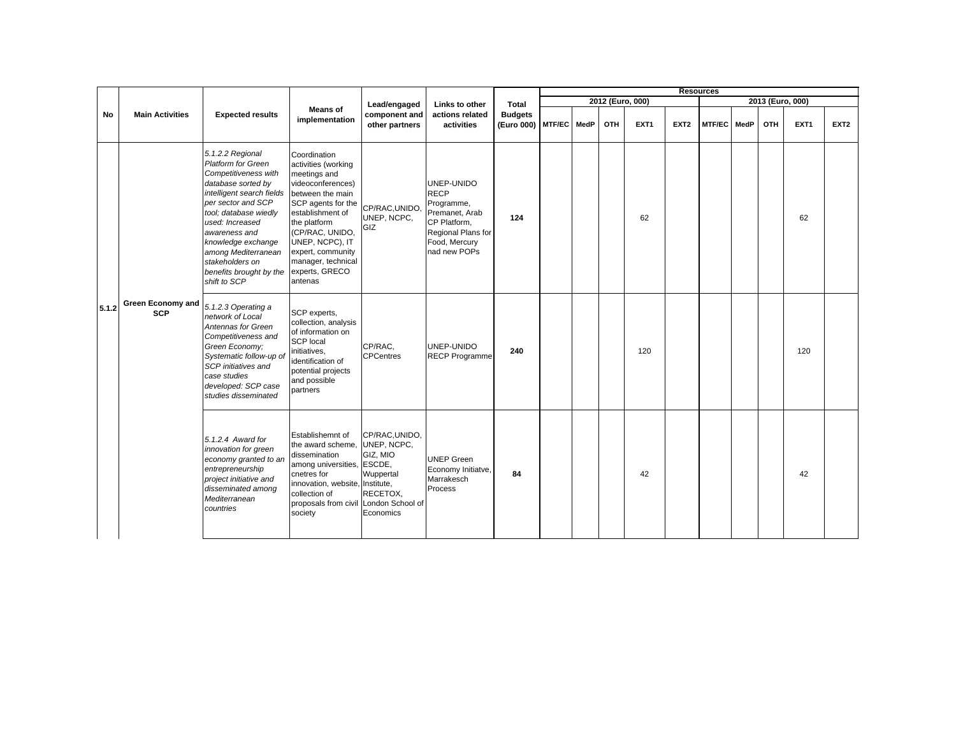|       |                                        |                                                                                                                                                                                                                                                                                                                        |                                                                                                                                                                                                                                                                      |                                                                                 |                                                                                                                                  |                                     |      |                  |                  |                  | <b>Resources</b> |      |                  |                  |                  |
|-------|----------------------------------------|------------------------------------------------------------------------------------------------------------------------------------------------------------------------------------------------------------------------------------------------------------------------------------------------------------------------|----------------------------------------------------------------------------------------------------------------------------------------------------------------------------------------------------------------------------------------------------------------------|---------------------------------------------------------------------------------|----------------------------------------------------------------------------------------------------------------------------------|-------------------------------------|------|------------------|------------------|------------------|------------------|------|------------------|------------------|------------------|
|       |                                        |                                                                                                                                                                                                                                                                                                                        |                                                                                                                                                                                                                                                                      | Lead/engaged                                                                    | Links to other                                                                                                                   | Total                               |      | 2012 (Euro, 000) |                  |                  |                  |      | 2013 (Euro, 000) |                  |                  |
| No    | <b>Main Activities</b>                 | <b>Expected results</b>                                                                                                                                                                                                                                                                                                | <b>Means of</b><br>implementation                                                                                                                                                                                                                                    | component and<br>other partners                                                 | actions related<br>activities                                                                                                    | <b>Budgets</b><br>(Euro 000) MTF/EC | MedP | OTH              | EXT <sub>1</sub> | EXT <sub>2</sub> | <b>MTF/EC</b>    | MedP | OTH              | EXT <sub>1</sub> | EXT <sub>2</sub> |
|       |                                        | 5.1.2.2 Regional<br><b>Platform for Green</b><br>Competitiveness with<br>database sorted by<br>intelligent search fields<br>per sector and SCP<br>tool; database wiedly<br>used: Increased<br>awareness and<br>knowledge exchange<br>among Mediterranean<br>stakeholders on<br>benefits brought by the<br>shift to SCP | Coordination<br>activities (working<br>meetings and<br>videoconferences)<br>between the main<br>SCP agents for the<br>establishment of<br>the platform<br>(CP/RAC, UNIDO,<br>UNEP, NCPC), IT<br>expert, community<br>manager, technical<br>experts, GRECO<br>antenas | CP/RAC, UNIDO,<br>UNEP, NCPC,<br>GIZ                                            | UNEP-UNIDO<br><b>RECP</b><br>Programme,<br>Premanet, Arab<br>CP Platform,<br>Regional Plans for<br>Food, Mercury<br>nad new POPs | 124                                 |      |                  | 62               |                  |                  |      |                  | 62               |                  |
| 5.1.2 | <b>Green Economy and</b><br><b>SCP</b> | 5.1.2.3 Operating a<br>network of Local<br>Antennas for Green<br>Competitiveness and<br>Green Economy;<br>Systematic follow-up of<br>SCP initiatives and<br>case studies<br>developed: SCP case<br>studies disseminated                                                                                                | SCP experts,<br>collection, analysis<br>of information on<br><b>SCP local</b><br>initiatives,<br>identification of<br>potential projects<br>and possible<br>partners                                                                                                 | CP/RAC.<br><b>CPCentres</b>                                                     | UNEP-UNIDO<br><b>RECP Programme</b>                                                                                              | 240                                 |      |                  | 120              |                  |                  |      |                  | 120              |                  |
|       |                                        | 5.1.2.4 Award for<br>innovation for green<br>economy granted to an<br>entrepreneurship<br>project initiative and<br>disseminated among<br>Mediterranean<br>countries                                                                                                                                                   | Establishemnt of<br>the award scheme,<br>dissemination<br>among universities, ESCDE,<br>cnetres for<br>innovation, website, Institute,<br>collection of<br>proposals from civil London School of<br>society                                                          | CP/RAC, UNIDO,<br>UNEP, NCPC,<br>GIZ, MIO<br>Wuppertal<br>RECETOX,<br>Economics | <b>UNEP Green</b><br>Economy Initiatve,<br>Marrakesch<br>Process                                                                 | 84                                  |      |                  | 42               |                  |                  |      |                  | 42               |                  |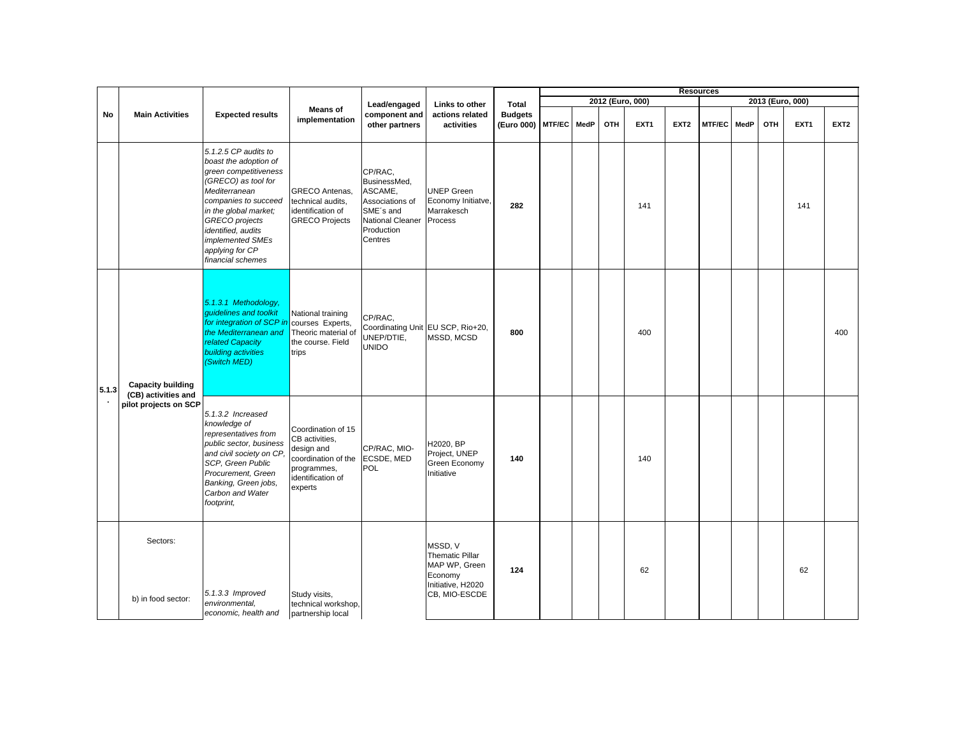|       |                                                 |                                                                                                                                                                                                                                                                            |                                                                                                                          |                                                                                                                 |                                                                                              |                                          |  |            |                  |                  | <b>Resources</b> |      |     |                  |                  |
|-------|-------------------------------------------------|----------------------------------------------------------------------------------------------------------------------------------------------------------------------------------------------------------------------------------------------------------------------------|--------------------------------------------------------------------------------------------------------------------------|-----------------------------------------------------------------------------------------------------------------|----------------------------------------------------------------------------------------------|------------------------------------------|--|------------|------------------|------------------|------------------|------|-----|------------------|------------------|
|       |                                                 |                                                                                                                                                                                                                                                                            |                                                                                                                          | Lead/engaged                                                                                                    | Links to other                                                                               | Total                                    |  |            | 2012 (Euro, 000) |                  |                  |      |     | 2013 (Euro, 000) |                  |
| No    | <b>Main Activities</b>                          | <b>Expected results</b>                                                                                                                                                                                                                                                    | <b>Means of</b><br>implementation                                                                                        | component and<br>other partners                                                                                 | actions related<br>activities                                                                | <b>Budgets</b><br>(Euro 000) MTF/EC MedP |  | <b>OTH</b> | EXT <sub>1</sub> | EXT <sub>2</sub> | MTF/EC           | MedP | OTH | EXT <sub>1</sub> | EXT <sub>2</sub> |
|       |                                                 | 5.1.2.5 CP audits to<br>boast the adoption of<br>green competitiveness<br>(GRECO) as tool for<br>Mediterranean<br>companies to succeed<br>in the global market;<br><b>GRECO</b> projects<br>identified, audits<br>implemented SMEs<br>applying for CP<br>financial schemes | GRECO Antenas,<br>technical audits,<br>identification of<br><b>GRECO Projects</b>                                        | CP/RAC,<br>BusinessMed,<br>ASCAME,<br>Associations of<br>SME's and<br>National Cleaner<br>Production<br>Centres | <b>UNEP Green</b><br>Economy Initiatve,<br>Marrakesch<br>Process                             | 282                                      |  |            | 141              |                  |                  |      |     | 141              |                  |
| 5.1.3 | <b>Capacity building</b><br>(CB) activities and | 5.1.3.1 Methodology,<br>quidelines and toolkit<br>for integration of SCP in<br>the Mediterranean and<br>related Capacity<br>building activities<br>(Switch MED)                                                                                                            | National training<br>courses Experts,<br>Theoric material of<br>the course. Field<br>trips                               | CP/RAC,<br>UNEP/DTIE,<br><b>UNIDO</b>                                                                           | Coordinating Unit EU SCP, Rio+20,<br>MSSD, MCSD                                              | 800                                      |  |            | 400              |                  |                  |      |     |                  | 400              |
|       | pilot projects on SCP                           | 5.1.3.2 Increased<br>knowledge of<br>representatives from<br>public sector, business<br>and civil society on CP,<br>SCP, Green Public<br>Procurement, Green<br>Banking, Green jobs,<br>Carbon and Water<br>footprint,                                                      | Coordination of 15<br>CB activities,<br>design and<br>coordination of the<br>programmes,<br>identification of<br>experts | CP/RAC, MIO-<br>ECSDE, MED<br>POL                                                                               | H2020, BP<br>Project, UNEP<br>Green Economy<br>Initiative                                    | 140                                      |  |            | 140              |                  |                  |      |     |                  |                  |
|       | Sectors:<br>b) in food sector:                  | 5.1.3.3 Improved<br>environmental,<br>economic, health and                                                                                                                                                                                                                 | Study visits,<br>technical workshop,<br>partnership local                                                                |                                                                                                                 | MSSD. V<br>Thematic Pillar<br>MAP WP, Green<br>Economy<br>Initiative, H2020<br>CB, MIO-ESCDE | 124                                      |  |            | 62               |                  |                  |      |     | 62               |                  |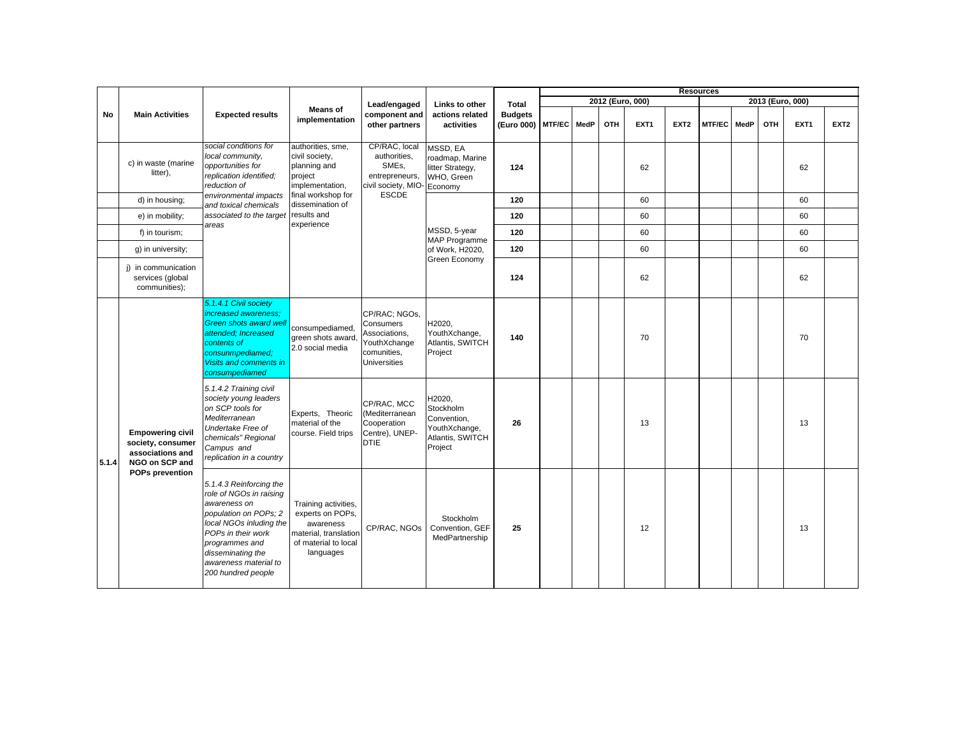|       |                                                                                    |                                                                                                                                                                                                                                    |                                                                                                                     |                                                                                                   |                                                                                    |                                          |  |     |                  | <b>Resources</b> |        |      |                  |                  |                  |
|-------|------------------------------------------------------------------------------------|------------------------------------------------------------------------------------------------------------------------------------------------------------------------------------------------------------------------------------|---------------------------------------------------------------------------------------------------------------------|---------------------------------------------------------------------------------------------------|------------------------------------------------------------------------------------|------------------------------------------|--|-----|------------------|------------------|--------|------|------------------|------------------|------------------|
|       |                                                                                    |                                                                                                                                                                                                                                    |                                                                                                                     | Lead/engaged                                                                                      | Links to other                                                                     | Total                                    |  |     | 2012 (Euro, 000) |                  |        |      | 2013 (Euro, 000) |                  |                  |
| No    | <b>Main Activities</b>                                                             | <b>Expected results</b>                                                                                                                                                                                                            | <b>Means of</b><br>implementation                                                                                   | component and<br>other partners                                                                   | actions related<br>activities                                                      | <b>Budgets</b><br>(Euro 000) MTF/EC MedP |  | OTH | EXT <sub>1</sub> | EXT <sub>2</sub> | MTF/EC | MedP | OTH              | EXT <sub>1</sub> | EXT <sub>2</sub> |
|       | c) in waste (marine<br>litter),                                                    | social conditions for<br>local community.<br>opportunities for<br>replication identified;<br>reduction of                                                                                                                          | authorities, sme,<br>civil society,<br>planning and<br>project<br>implementation,                                   | CP/RAC, local<br>authorities,<br>SME <sub>s</sub><br>entrepreneurs,<br>civil society, MIO-        | MSSD, EA<br>roadmap, Marine<br>litter Strategy,<br>WHO, Green<br>Economy           | 124                                      |  |     | 62               |                  |        |      |                  | 62               |                  |
|       | d) in housing;                                                                     | environmental impacts<br>and toxical chemicals                                                                                                                                                                                     | final workshop for<br>dissemination of                                                                              | <b>ESCDE</b>                                                                                      |                                                                                    | 120                                      |  |     | 60               |                  |        |      |                  | 60               |                  |
|       | e) in mobility;                                                                    | associated to the target results and                                                                                                                                                                                               |                                                                                                                     |                                                                                                   |                                                                                    | 120                                      |  |     | 60               |                  |        |      |                  | 60               |                  |
|       | f) in tourism;                                                                     | areas                                                                                                                                                                                                                              | experience                                                                                                          |                                                                                                   | MSSD, 5-year<br>MAP Programme                                                      | 120                                      |  |     | 60               |                  |        |      |                  | 60               |                  |
|       | q) in university;                                                                  |                                                                                                                                                                                                                                    |                                                                                                                     |                                                                                                   | of Work, H2020,                                                                    | 120                                      |  |     | 60               |                  |        |      |                  | 60               |                  |
|       | i) in communication<br>services (global<br>communities);                           |                                                                                                                                                                                                                                    |                                                                                                                     |                                                                                                   | Green Economy                                                                      | 124                                      |  |     | 62               |                  |        |      |                  | 62               |                  |
|       |                                                                                    | 5.1.4.1 Civil society<br>increased awareness:<br>Green shots award well<br>attended; Increased<br>contents of<br>consunmpediamed:<br>Visits and comments in<br>consumpediamed                                                      | consumpediamed,<br>green shots award<br>2.0 social media                                                            | CP/RAC: NGOs.<br>Consumers<br>Associations,<br>YouthXchange<br>comunities,<br><b>Universities</b> | H2020,<br>YouthXchange,<br>Atlantis, SWITCH<br>Project                             | 140                                      |  |     | 70               |                  |        |      |                  | 70               |                  |
| 5.1.4 | <b>Empowering civil</b><br>society, consumer<br>associations and<br>NGO on SCP and | 5.1.4.2 Training civil<br>society young leaders<br>on SCP tools for<br>Mediterranean<br>Undertake Free of<br>chemicals" Regional<br>Campus and<br>replication in a country                                                         | Experts, Theoric<br>material of the<br>course. Field trips                                                          | CP/RAC, MCC<br>(Mediterranean<br>Cooperation<br>Centre), UNEP-<br><b>DTIE</b>                     | H2020,<br>Stockholm<br>Convention,<br>YouthXchange,<br>Atlantis, SWITCH<br>Project | 26                                       |  |     | 13               |                  |        |      |                  | 13               |                  |
|       | <b>POPs prevention</b>                                                             | 5.1.4.3 Reinforcing the<br>role of NGOs in raising<br>awareness on<br>population on POPs; 2<br>local NGOs inluding the<br>POPs in their work<br>programmes and<br>disseminating the<br>awareness material to<br>200 hundred people | Training activities,<br>experts on POPs,<br>awareness<br>material, translation<br>of material to local<br>languages | CP/RAC, NGOs                                                                                      | Stockholm<br>Convention, GEF<br>MedPartnership                                     | 25                                       |  |     | 12               |                  |        |      |                  | 13               |                  |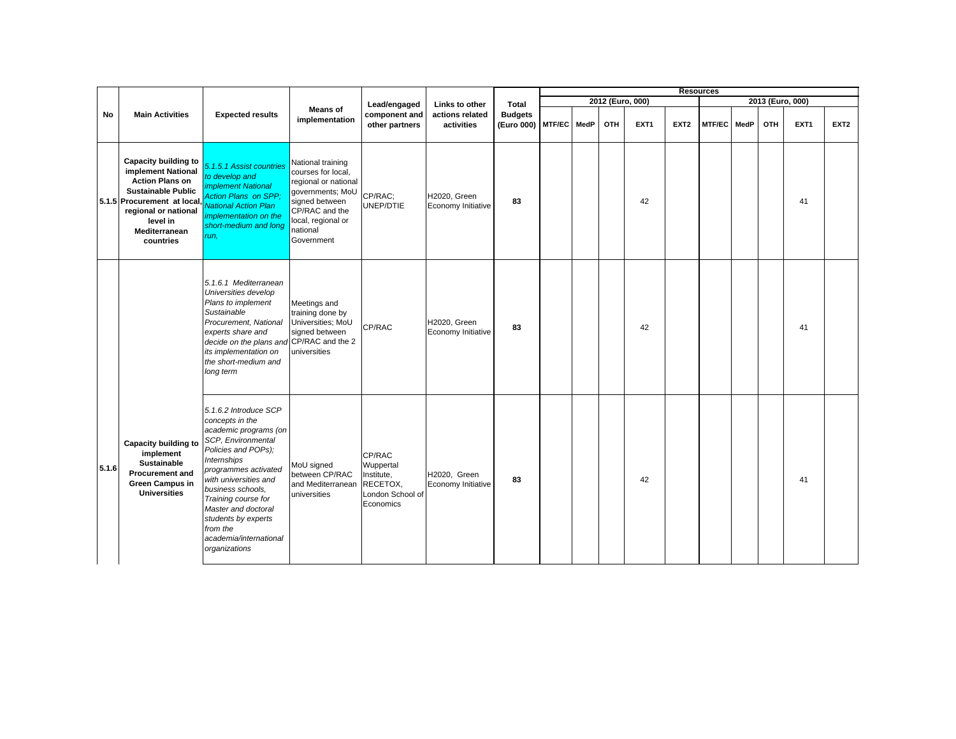|       |                                                                                                                                                                                                    |                                                                                                                                                                                                                                                                                                                                        |                                                                                                                                                                         |                                                                                |                                    |                              |        |      |     |                  |                  | <b>Resources</b> |      |                  |                  |                  |
|-------|----------------------------------------------------------------------------------------------------------------------------------------------------------------------------------------------------|----------------------------------------------------------------------------------------------------------------------------------------------------------------------------------------------------------------------------------------------------------------------------------------------------------------------------------------|-------------------------------------------------------------------------------------------------------------------------------------------------------------------------|--------------------------------------------------------------------------------|------------------------------------|------------------------------|--------|------|-----|------------------|------------------|------------------|------|------------------|------------------|------------------|
|       |                                                                                                                                                                                                    |                                                                                                                                                                                                                                                                                                                                        |                                                                                                                                                                         | Lead/engaged                                                                   | Links to other                     | Total                        |        |      |     | 2012 (Euro, 000) |                  |                  |      | 2013 (Euro, 000) |                  |                  |
| No    | <b>Main Activities</b>                                                                                                                                                                             | <b>Expected results</b>                                                                                                                                                                                                                                                                                                                | <b>Means of</b><br>implementation                                                                                                                                       | component and<br>other partners                                                | actions related<br>activities      | <b>Budgets</b><br>(Euro 000) | MTF/EC | MedP | OTH | EXT <sub>1</sub> | EXT <sub>2</sub> | <b>MTF/EC</b>    | MedP | OTH              | EXT <sub>1</sub> | EXT <sub>2</sub> |
|       | Capacity building to<br>implement National<br><b>Action Plans on</b><br><b>Sustainable Public</b><br>5.1.5 Procurement at local,<br>regional or national<br>level in<br>Mediterranean<br>countries | 5.1.5.1 Assist countries<br>to develop and<br><i><b>implement National</b></i><br><b>Action Plans on SPP:</b><br><b>National Action Plan</b><br>implementation on the<br>short-medium and long<br>run,                                                                                                                                 | National training<br>courses for local,<br>regional or national<br>governments; MoU<br>signed between<br>CP/RAC and the<br>local, regional or<br>national<br>Government | CP/RAC:<br>UNEP/DTIE                                                           | H2020, Green<br>Economy Initiative | 83                           |        |      |     | 42               |                  |                  |      |                  | 41               |                  |
|       |                                                                                                                                                                                                    | 5.1.6.1 Mediterranean<br>Universities develop<br>Plans to implement<br>Sustainable<br>Procurement, National<br>experts share and<br>decide on the plans and CP/RAC and the 2<br>its implementation on<br>the short-medium and<br>long term                                                                                             | Meetings and<br>training done by<br>Universities; MoU<br>signed between<br>universities                                                                                 | CP/RAC                                                                         | H2020, Green<br>Economy Initiative | 83                           |        |      |     | 42               |                  |                  |      |                  | 41               |                  |
| 5.1.6 | Capacity building to<br>implement<br><b>Sustainable</b><br><b>Procurement and</b><br><b>Green Campus in</b><br><b>Universities</b>                                                                 | 5.1.6.2 Introduce SCP<br>concepts in the<br>academic programs (on<br>SCP, Environmental<br>Policies and POPs);<br><b>Internships</b><br>programmes activated<br>with universities and<br>business schools,<br>Training course for<br>Master and doctoral<br>students by experts<br>from the<br>academia/international<br>organizations | MoU signed<br>between CP/RAC<br>and Mediterranean<br>universities                                                                                                       | CP/RAC<br>Wuppertal<br>Institute,<br>RECETOX,<br>London School of<br>Economics | H2020, Green<br>Economy Initiative | 83                           |        |      |     | 42               |                  |                  |      |                  | 41               |                  |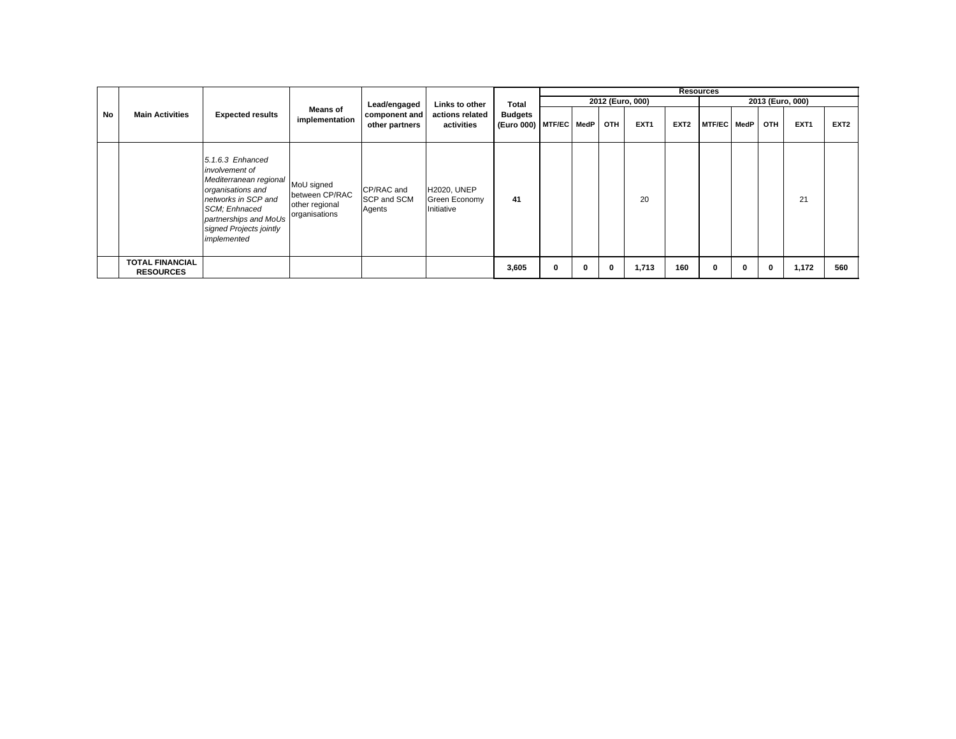|    |                                            |                                                                                                                                                                                                |                                                                 |                                     |                                                   |                                          |   |              |     |                  |                  | <b>Resources</b> |   |              |                  |                  |
|----|--------------------------------------------|------------------------------------------------------------------------------------------------------------------------------------------------------------------------------------------------|-----------------------------------------------------------------|-------------------------------------|---------------------------------------------------|------------------------------------------|---|--------------|-----|------------------|------------------|------------------|---|--------------|------------------|------------------|
|    |                                            |                                                                                                                                                                                                |                                                                 | Lead/engaged                        | Links to other                                    | Total                                    |   |              |     | 2012 (Euro, 000) |                  |                  |   |              | 2013 (Euro, 000) |                  |
| No | <b>Main Activities</b>                     | <b>Expected results</b>                                                                                                                                                                        | <b>Means of</b><br>implementation                               | component and<br>other partners     | actions related<br>activities                     | <b>Budgets</b><br>(Euro 000) MTF/EC MedP |   |              | OTH | EXT <sub>1</sub> | EXT <sub>2</sub> | MTF/EC MedP      |   | <b>OTH</b>   | EXT <sub>1</sub> | EXT <sub>2</sub> |
|    |                                            | $5.1.6.3$ Enhanced<br>involvement of<br>Mediterranean regional<br>organisations and<br>networks in SCP and<br>SCM: Enhnaced<br>partnerships and MoUs<br>signed Projects jointly<br>implemented | MoU signed<br>between CP/RAC<br>other regional<br>organisations | CP/RAC and<br>SCP and SCM<br>Agents | <b>H2020, UNEP</b><br>Green Economy<br>Initiative | 41                                       |   |              |     | 20               |                  |                  |   |              | 21               |                  |
|    | <b>TOTAL FINANCIAL</b><br><b>RESOURCES</b> |                                                                                                                                                                                                |                                                                 |                                     |                                                   | 3,605                                    | 0 | $\mathbf{0}$ | 0   | 1,713            | 160              | $\mathbf{0}$     | 0 | $\mathbf{0}$ | 1,172            | 560              |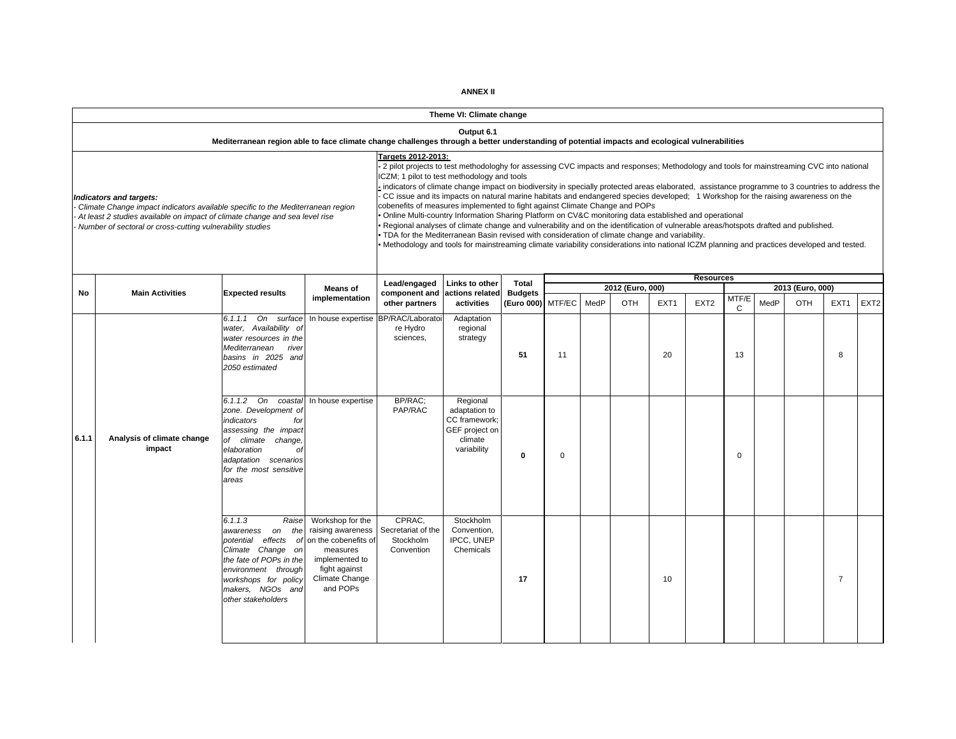|       |                                                                                                                                                                                                                                                                                                                                                        |                                                                                                                                                                                                  |                                    |                                                                                                                                                                                                                                                                                                                                                                                                                                                                                                                                                                                                                                                                                                                                                                                                                                                                                                                                                                                                                                                                                     | Theme VI: Climate change                                                               |                                     |          |      |                  |                  |                  |             |      |                  |                  |                  |
|-------|--------------------------------------------------------------------------------------------------------------------------------------------------------------------------------------------------------------------------------------------------------------------------------------------------------------------------------------------------------|--------------------------------------------------------------------------------------------------------------------------------------------------------------------------------------------------|------------------------------------|-------------------------------------------------------------------------------------------------------------------------------------------------------------------------------------------------------------------------------------------------------------------------------------------------------------------------------------------------------------------------------------------------------------------------------------------------------------------------------------------------------------------------------------------------------------------------------------------------------------------------------------------------------------------------------------------------------------------------------------------------------------------------------------------------------------------------------------------------------------------------------------------------------------------------------------------------------------------------------------------------------------------------------------------------------------------------------------|----------------------------------------------------------------------------------------|-------------------------------------|----------|------|------------------|------------------|------------------|-------------|------|------------------|------------------|------------------|
|       |                                                                                                                                                                                                                                                                                                                                                        | Mediterranean region able to face climate change challenges through a better understanding of potential impacts and ecological vulnerabilities                                                   |                                    |                                                                                                                                                                                                                                                                                                                                                                                                                                                                                                                                                                                                                                                                                                                                                                                                                                                                                                                                                                                                                                                                                     | Output 6.1                                                                             |                                     |          |      |                  |                  |                  |             |      |                  |                  |                  |
|       | Indicators and targets:<br>Climate Change impact indicators available specific to the Mediterranean region<br>At least 2 studies available on impact of climate change and sea level rise<br>Number of sectoral or cross-cutting vulnerability studies                                                                                                 |                                                                                                                                                                                                  |                                    | Targets 2012-2013:<br>2 pilot projects to test methodologhy for assessing CVC impacts and responses; Methodology and tools for mainstreaming CVC into national<br>ICZM; 1 pilot to test methodology and tools<br>indicators of climate change impact on biodiversity in specially protected areas elaborated, assistance programme to 3 countries to address the<br>CC issue and its impacts on natural marine habitats and endangered species developed; 1 Workshop for the raising awareness on the<br>cobenefits of measures implemented to fight against Climate Change and POPs<br>Online Multi-country Information Sharing Platform on CV&C monitoring data established and operational<br>Regional analyses of climate change and vulnerability and on the identification of vulnerable areas/hotspots drafted and published.<br>TDA for the Mediterranean Basin revised with consideration of climate change and variability.<br>Methodology and tools for mainstreaming climate variability considerations into national ICZM planning and practices developed and tested. |                                                                                        |                                     |          |      |                  |                  |                  |             |      |                  |                  |                  |
|       |                                                                                                                                                                                                                                                                                                                                                        |                                                                                                                                                                                                  | <b>Means of</b>                    | Lead/engaged                                                                                                                                                                                                                                                                                                                                                                                                                                                                                                                                                                                                                                                                                                                                                                                                                                                                                                                                                                                                                                                                        | Links to other                                                                         | <b>Total</b>                        |          |      | 2012 (Euro, 000) |                  | <b>Resources</b> |             |      | 2013 (Euro, 000) |                  |                  |
| No    | <b>Main Activities</b>                                                                                                                                                                                                                                                                                                                                 | <b>Expected results</b>                                                                                                                                                                          | implementation                     | component and<br>other partners                                                                                                                                                                                                                                                                                                                                                                                                                                                                                                                                                                                                                                                                                                                                                                                                                                                                                                                                                                                                                                                     | actions related<br>activities                                                          | <b>Budgets</b><br>(Euro 000) MTF/EC |          | MedP | OTH              | EXT <sub>1</sub> | EXT <sub>2</sub> | MTF/E<br>C  | MedP | <b>OTH</b>       | EXT <sub>1</sub> | EXT <sub>2</sub> |
|       |                                                                                                                                                                                                                                                                                                                                                        | 6.1.1.1 On<br>surface<br>water, Availability of<br>water resources in the<br>Mediterranean<br>river<br>basins in 2025 and<br>2050 estimated                                                      | In house expertise BP/RAC/Laborato | re Hydro<br>sciences.                                                                                                                                                                                                                                                                                                                                                                                                                                                                                                                                                                                                                                                                                                                                                                                                                                                                                                                                                                                                                                                               | Adaptation<br>regional<br>strategy                                                     | 51                                  | 11       |      |                  | 20               |                  | 13          |      |                  | 8                |                  |
| 6.1.1 | Analysis of climate change<br>impact                                                                                                                                                                                                                                                                                                                   | 6.1.1.2 On coastal<br>zone. Development of<br>indicators<br>for<br>assessing the impact<br>of climate<br>change,<br>elaboration<br>Оİ<br>adaptation scenarios<br>for the most sensitive<br>areas | In house expertise                 | BP/RAC;<br>PAP/RAC                                                                                                                                                                                                                                                                                                                                                                                                                                                                                                                                                                                                                                                                                                                                                                                                                                                                                                                                                                                                                                                                  | Regional<br>adaptation to<br>CC framework;<br>GEF project on<br>climate<br>variability | 0                                   | $\Omega$ |      |                  |                  |                  | $\mathbf 0$ |      |                  |                  |                  |
|       | 6.1.1.3<br>Raise<br>Workshop for the<br>raising awareness<br>the<br>awareness on<br>potential effects of<br>on the cobenefits of<br>measures<br>Climate Change on<br>the fate of POPs in the<br>implemented to<br>fight against<br>environment through<br>Climate Change<br>workshops for policy<br>and POPs<br>makers, NGOs and<br>other stakeholders |                                                                                                                                                                                                  |                                    | CPRAC.<br>Secretariat of the<br>Stockholm<br>Convention                                                                                                                                                                                                                                                                                                                                                                                                                                                                                                                                                                                                                                                                                                                                                                                                                                                                                                                                                                                                                             | Stockholm<br>Convention,<br>IPCC, UNEP<br>Chemicals                                    | 17                                  |          |      |                  | 10               |                  |             |      |                  | $\overline{7}$   |                  |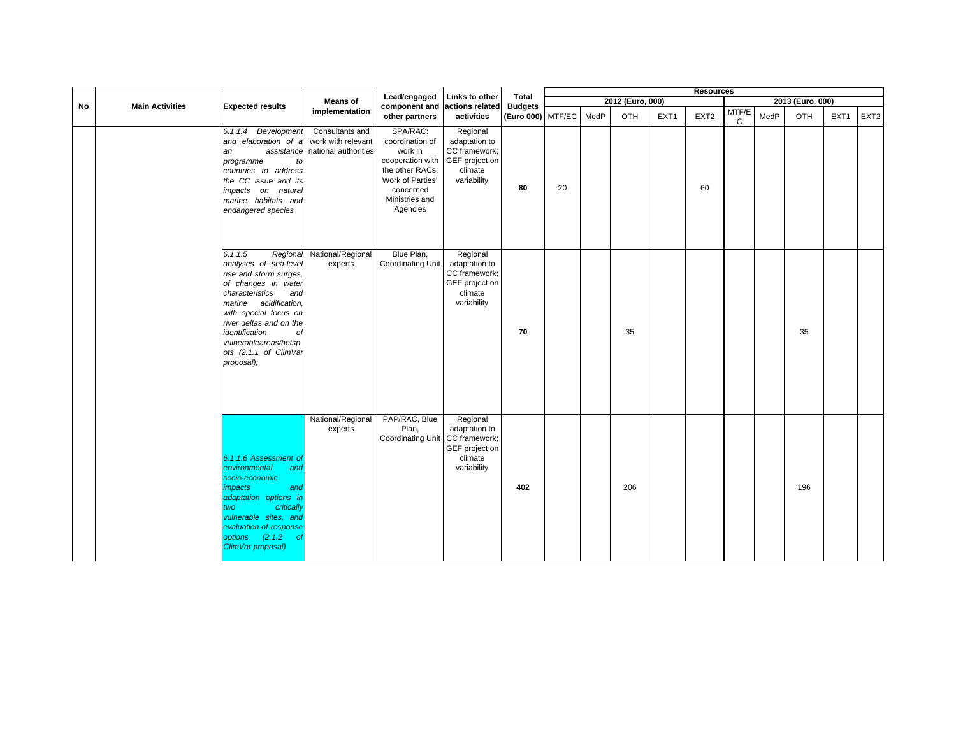|    |                        |                                                                                                                                                                                                                                                                                              |                                                               |                                                                                                                                                             |                                                                                        |                                     |    |      |                  |      | <b>Resources</b> |                       |      |                  |      |                  |
|----|------------------------|----------------------------------------------------------------------------------------------------------------------------------------------------------------------------------------------------------------------------------------------------------------------------------------------|---------------------------------------------------------------|-------------------------------------------------------------------------------------------------------------------------------------------------------------|----------------------------------------------------------------------------------------|-------------------------------------|----|------|------------------|------|------------------|-----------------------|------|------------------|------|------------------|
|    |                        |                                                                                                                                                                                                                                                                                              | <b>Means of</b>                                               | Lead/engaged                                                                                                                                                | Links to other                                                                         | Total                               |    |      | 2012 (Euro, 000) |      |                  |                       |      | 2013 (Euro, 000) |      |                  |
| No | <b>Main Activities</b> | <b>Expected results</b>                                                                                                                                                                                                                                                                      | implementation                                                | component and<br>other partners                                                                                                                             | actions related<br>activities                                                          | <b>Budgets</b><br>(Euro 000) MTF/EC |    | MedP | OTH              | EXT1 | EXT <sub>2</sub> | MTF/E<br>$\mathbf{C}$ | MedP | OTH              | EXT1 | EXT <sub>2</sub> |
|    |                        | 6.1.1.4 Development<br>and elaboration of a<br>assistance<br>an<br>programme<br>to<br>countries to address<br>the CC issue and its<br>impacts on natural<br>marine habitats and<br>endangered species                                                                                        | Consultants and<br>work with relevant<br>national authorities | SPA/RAC:<br>coordination of<br>work in<br>cooperation with GEF project on<br>the other RACs;<br>Work of Parties'<br>concerned<br>Ministries and<br>Agencies | Regional<br>adaptation to<br>CC framework;<br>climate<br>variability                   | 80                                  | 20 |      |                  |      | 60               |                       |      |                  |      |                  |
|    |                        | 6.1.1.5<br>Regional<br>analyses of sea-level<br>rise and storm surges,<br>of changes in water<br>characteristics<br>and<br>marine acidification,<br>with special focus on<br>river deltas and on the<br>identification<br>of<br>vulnerableareas/hotsp<br>ots (2.1.1 of ClimVar<br>proposal); | National/Regional<br>experts                                  | Blue Plan,<br>Coordinating Unit                                                                                                                             | Regional<br>adaptation to<br>CC framework;<br>GEF project on<br>climate<br>variability | 70                                  |    |      | 35               |      |                  |                       |      | 35               |      |                  |
|    |                        | 6.1.1.6 Assessment of<br>environmental<br>and<br>socio-economic<br><i>impacts</i><br>and<br>adaptation options in<br>critically<br>two<br>vulnerable sites, and<br>evaluation of response<br>options (2.1.2)<br>- of<br>ClimVar proposal)                                                    | National/Regional<br>experts                                  | PAP/RAC, Blue<br>Plan,<br>Coordinating Unit CC framework;                                                                                                   | Regional<br>adaptation to<br>GEF project on<br>climate<br>variability                  | 402                                 |    |      | 206              |      |                  |                       |      | 196              |      |                  |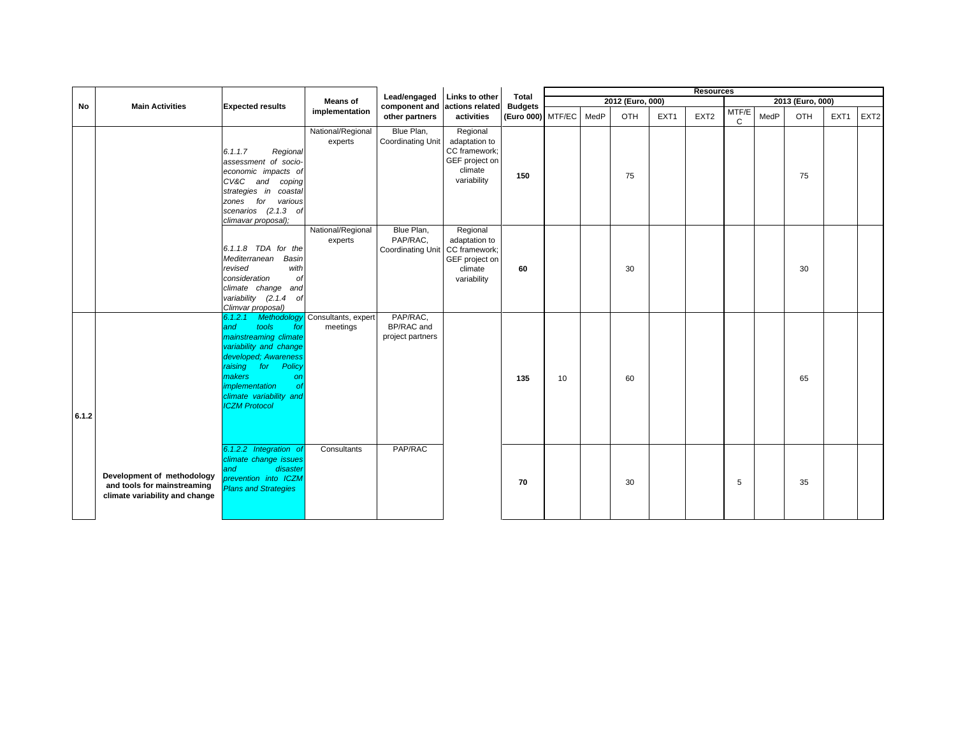|       |                                                                                             |                                                                                                                                                                                                                                             |                                             |                                             |                                                                                        |                                     |    |      |                  |      | <b>Resources</b> |            |      |                  |                  |                  |
|-------|---------------------------------------------------------------------------------------------|---------------------------------------------------------------------------------------------------------------------------------------------------------------------------------------------------------------------------------------------|---------------------------------------------|---------------------------------------------|----------------------------------------------------------------------------------------|-------------------------------------|----|------|------------------|------|------------------|------------|------|------------------|------------------|------------------|
|       | <b>Main Activities</b>                                                                      |                                                                                                                                                                                                                                             | <b>Means of</b>                             | Lead/engaged                                | Links to other                                                                         | Total                               |    |      | 2012 (Euro, 000) |      |                  |            |      | 2013 (Euro, 000) |                  |                  |
| No    |                                                                                             | <b>Expected results</b>                                                                                                                                                                                                                     | implementation                              | component and<br>other partners             | actions related<br>activities                                                          | <b>Budgets</b><br>(Euro 000) MTF/EC |    | MedP | OTH              | EXT1 | EXT <sub>2</sub> | MTF/E<br>C | MedP | <b>OTH</b>       | EXT <sub>1</sub> | EXT <sub>2</sub> |
|       |                                                                                             | 6.1.1.7<br>Regional<br>assessment of socio-<br>economic impacts of<br>CV&C and coping<br>strategies in coastal<br>zones for various<br>scenarios (2.1.3 of<br>climavar proposal);                                                           | National/Regional<br>experts                | Blue Plan,<br>Coordinating Unit             | Regional<br>adaptation to<br>CC framework;<br>GEF project on<br>climate<br>variability | 150                                 |    |      | 75               |      |                  |            |      | 75               |                  |                  |
|       |                                                                                             | 6.1.1.8 TDA for the<br>Mediterranean<br>Basin<br>revised<br>with<br>consideration<br>Оf<br>climate change and<br>variability (2.1.4 of<br>Climvar proposal)                                                                                 | National/Regional<br>experts                | Blue Plan,<br>PAP/RAC,<br>Coordinating Unit | Regional<br>adaptation to<br>CC framework;<br>GEF project on<br>climate<br>variability | 60                                  |    |      | 30               |      |                  |            |      | 30               |                  |                  |
| 6.1.2 |                                                                                             | 6.1.2.1<br>tools<br>and<br>for<br>mainstreaming climate<br>variability and change<br>developed; Awareness<br>raising for<br>Policy<br>makers<br><b>on</b><br>implementation<br><b>of</b><br>climate variability and<br><b>ICZM Protocol</b> | Methodology Consultants, expert<br>meetings | PAP/RAC,<br>BP/RAC and<br>project partners  |                                                                                        | 135                                 | 10 |      | 60               |      |                  |            |      | 65               |                  |                  |
|       | Development of methodology<br>and tools for mainstreaming<br>climate variability and change | 6.1.2.2 Integration of<br>climate change issues<br>disaster<br>and<br>prevention into ICZM<br><b>Plans and Strategies</b>                                                                                                                   | Consultants                                 | PAP/RAC                                     |                                                                                        | 70                                  |    |      | 30               |      |                  | 5          |      | 35               |                  |                  |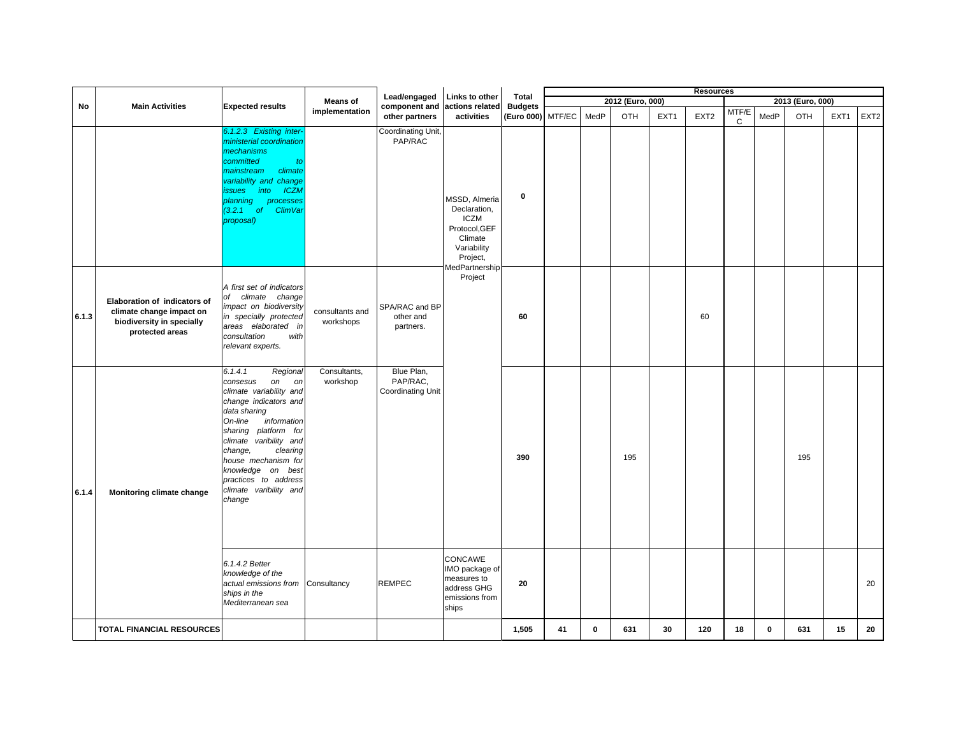|       |                                                                                                          |                                                                                                                                                                                                                                                                                                                         |                              | Lead/engaged                                       |                                                                                                                              |                         |    |             |                  |                  | <b>Resources</b> |                       |             |                  |                  |                  |
|-------|----------------------------------------------------------------------------------------------------------|-------------------------------------------------------------------------------------------------------------------------------------------------------------------------------------------------------------------------------------------------------------------------------------------------------------------------|------------------------------|----------------------------------------------------|------------------------------------------------------------------------------------------------------------------------------|-------------------------|----|-------------|------------------|------------------|------------------|-----------------------|-------------|------------------|------------------|------------------|
| No    | <b>Main Activities</b>                                                                                   | <b>Expected results</b>                                                                                                                                                                                                                                                                                                 | <b>Means of</b>              | component and                                      | Links to other<br>actions related                                                                                            | Total<br><b>Budgets</b> |    |             | 2012 (Euro, 000) |                  |                  |                       |             | 2013 (Euro, 000) |                  |                  |
|       |                                                                                                          |                                                                                                                                                                                                                                                                                                                         | implementation               | other partners                                     | activities                                                                                                                   | (Euro 000) MTF/EC       |    | MedP        | OTH              | EXT <sub>1</sub> | EXT <sub>2</sub> | MTF/E<br>$\mathsf{C}$ | MedP        | OTH              | EXT <sub>1</sub> | EXT <sub>2</sub> |
|       |                                                                                                          | 6.1.2.3 Existing inter<br>ministerial coordination<br>mechanisms<br>committed<br>to<br>climate<br>mainstream<br>variability and change<br>into<br><b>ICZN</b><br>ssues<br>planning<br>processes<br>(3.2.1 of ClimVar<br>proposal)                                                                                       |                              | <b>Coordinating Unit</b><br>PAP/RAC                | MSSD, Almeria<br>Declaration,<br><b>ICZM</b><br>Protocol, GEF<br>Climate<br>Variability<br>Project,<br><b>MedPartnership</b> | $\bf{0}$                |    |             |                  |                  |                  |                       |             |                  |                  |                  |
| 6.1.3 | Elaboration of indicators of<br>climate change impact on<br>biodiversity in specially<br>protected areas | A first set of indicators<br>of climate change<br>impact on biodiversity<br>in specially protected<br>areas elaborated in<br>consultation<br>with<br>relevant experts.                                                                                                                                                  | consultants and<br>workshops | SPA/RAC and BP<br>other and<br>partners.           | Project                                                                                                                      | 60                      |    |             |                  |                  | 60               |                       |             |                  |                  |                  |
| 6.1.4 | Monitoring climate change                                                                                | 6.1.4.1<br>Regional<br>on on<br>consesus<br>climate variability and<br>change indicators and<br>data sharing<br>On-line<br>information<br>sharing platform for<br>climate varibility and<br>change,<br>clearing<br>house mechanism for<br>knowledge on best<br>practices to address<br>climate varibility and<br>change | Consultants,<br>workshop     | Blue Plan,<br>PAP/RAC,<br><b>Coordinating Unit</b> |                                                                                                                              | 390                     |    |             | 195              |                  |                  |                       |             | 195              |                  |                  |
|       |                                                                                                          | 6.1.4.2 Better<br>knowledge of the<br>actual emissions from<br>ships in the<br>Mediterranean sea                                                                                                                                                                                                                        | Consultancy                  | <b>REMPEC</b>                                      | CONCAWE<br>IMO package of<br>measures to<br>address GHG<br>emissions from<br>ships                                           | 20                      |    |             |                  |                  |                  |                       |             |                  |                  | 20               |
|       | TOTAL FINANCIAL RESOURCES                                                                                |                                                                                                                                                                                                                                                                                                                         |                              |                                                    |                                                                                                                              | 1,505                   | 41 | $\mathbf 0$ | 631              | 30               | 120              | 18                    | $\mathbf 0$ | 631              | 15               | 20               |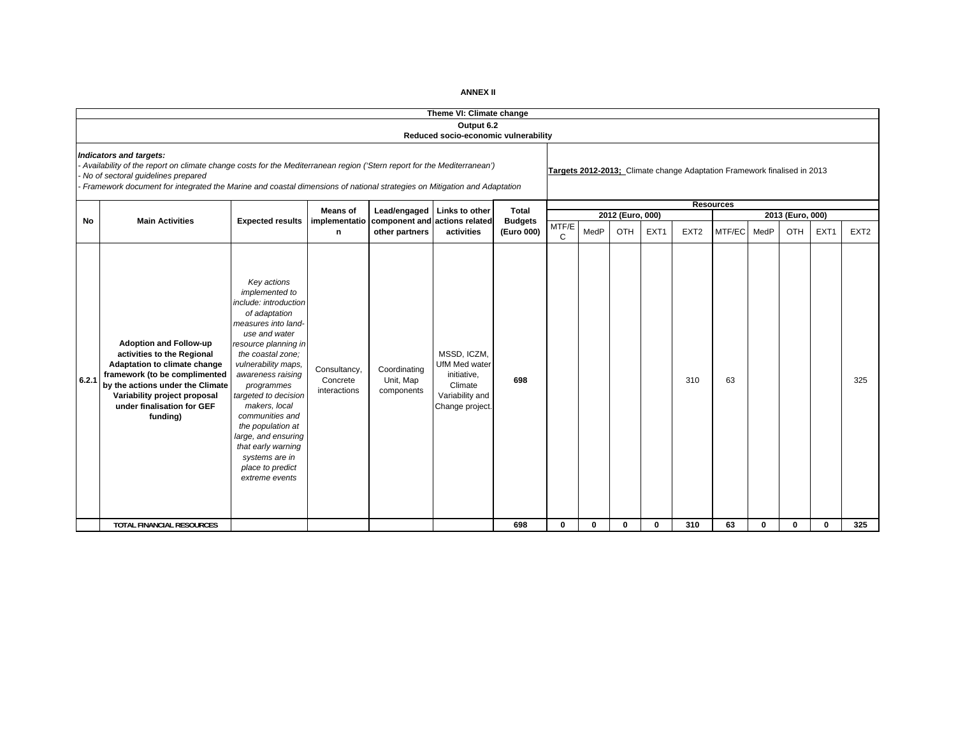|       |                                                                                                                                                                                                                                                                                                                    | Theme VI: Climate change                                                                                                                                                                                                                                                                                                                                                                                     |                                          |                                         |                                                                                                     |                |              |              |                  |                  |                                                                          |                  |      |                  |                  |                  |
|-------|--------------------------------------------------------------------------------------------------------------------------------------------------------------------------------------------------------------------------------------------------------------------------------------------------------------------|--------------------------------------------------------------------------------------------------------------------------------------------------------------------------------------------------------------------------------------------------------------------------------------------------------------------------------------------------------------------------------------------------------------|------------------------------------------|-----------------------------------------|-----------------------------------------------------------------------------------------------------|----------------|--------------|--------------|------------------|------------------|--------------------------------------------------------------------------|------------------|------|------------------|------------------|------------------|
|       |                                                                                                                                                                                                                                                                                                                    |                                                                                                                                                                                                                                                                                                                                                                                                              |                                          |                                         | Output 6.2<br>Reduced socio-economic vulnerability                                                  |                |              |              |                  |                  |                                                                          |                  |      |                  |                  |                  |
|       | Indicators and targets:<br>Availability of the report on climate change costs for the Mediterranean region ('Stern report for the Mediterranean')<br>No of sectoral guidelines prepared<br>Framework document for integrated the Marine and coastal dimensions of national strategies on Mitigation and Adaptation |                                                                                                                                                                                                                                                                                                                                                                                                              |                                          |                                         |                                                                                                     |                |              |              |                  |                  | Targets 2012-2013; Climate change Adaptation Framework finalised in 2013 |                  |      |                  |                  |                  |
|       |                                                                                                                                                                                                                                                                                                                    |                                                                                                                                                                                                                                                                                                                                                                                                              | <b>Means of</b>                          |                                         | Lead/engaged   Links to other                                                                       | Total          |              |              |                  |                  |                                                                          | <b>Resources</b> |      |                  |                  |                  |
| No    | <b>Main Activities</b>                                                                                                                                                                                                                                                                                             | <b>Expected results</b>                                                                                                                                                                                                                                                                                                                                                                                      | implementatio                            | component and actions related           |                                                                                                     | <b>Budgets</b> | MTF/E        |              | 2012 (Euro, 000) |                  |                                                                          |                  |      | 2013 (Euro, 000) |                  |                  |
|       |                                                                                                                                                                                                                                                                                                                    |                                                                                                                                                                                                                                                                                                                                                                                                              | n                                        | other partners                          | activities                                                                                          | (Euro 000)     | C            | MedP         | OTH              | EXT <sub>1</sub> | EXT <sub>2</sub>                                                         | MTF/EC           | MedP | <b>OTH</b>       | EXT <sub>1</sub> | EXT <sub>2</sub> |
| 6.2.1 | <b>Adoption and Follow-up</b><br>activities to the Regional<br>Adaptation to climate change<br>framework (to be complimented<br>by the actions under the Climate<br>Variability project proposal<br>under finalisation for GEF<br>funding)                                                                         | Key actions<br>implemented to<br>include: introduction<br>of adaptation<br>measures into land-<br>use and water<br>resource planning in<br>the coastal zone:<br>vulnerability maps,<br>awareness raising<br>programmes<br>targeted to decision<br>makers, local<br>communities and<br>the population at<br>large, and ensuring<br>that early warning<br>systems are in<br>place to predict<br>extreme events | Consultancy,<br>Concrete<br>interactions | Coordinating<br>Unit, Map<br>components | MSSD. ICZM.<br><b>UfM Med water</b><br>initiative,<br>Climate<br>Variability and<br>Change project. | 698            |              |              |                  |                  | 310                                                                      | 63               |      |                  |                  | 325              |
|       | <b>TOTAL FINANCIAL RESOURCES</b>                                                                                                                                                                                                                                                                                   |                                                                                                                                                                                                                                                                                                                                                                                                              |                                          |                                         |                                                                                                     | 698            | $\mathbf{0}$ | $\mathbf{0}$ | 0                | 0                | 310                                                                      | 63               | 0    | $\mathbf{0}$     | $\mathbf{0}$     | 325              |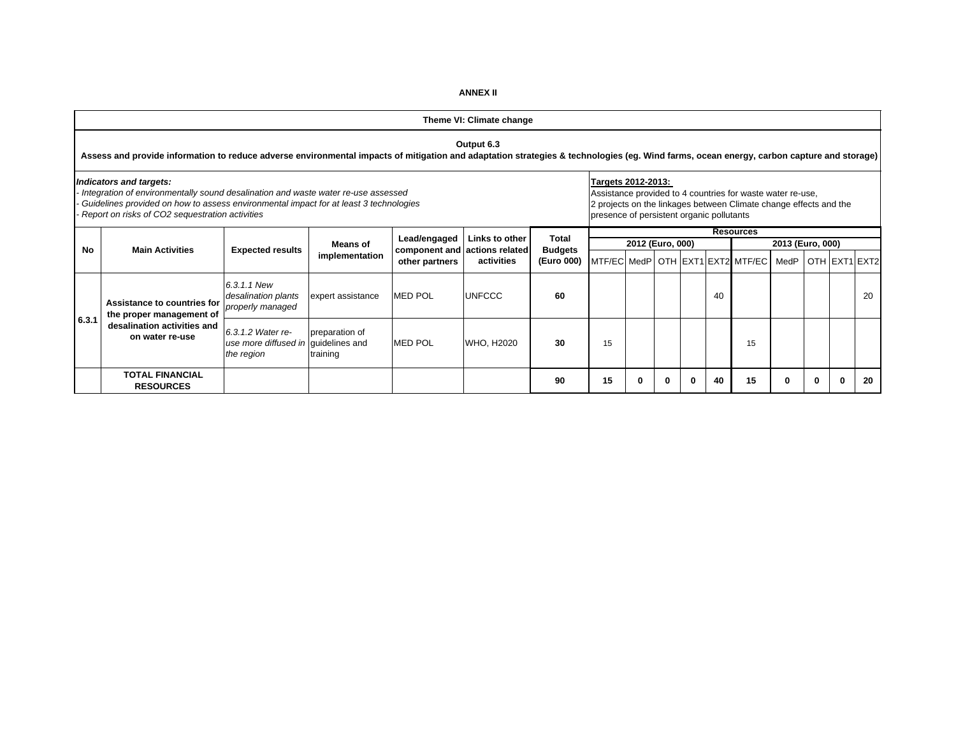MTF/EC MedP OTH EXT1 EXT2 MTF/EC MedP OTH EXT1 EXT2 *6.3.1.1 New desalination plants properly managed* expert assistance **MED POL UNFCCC 60** 40 20 20 20 20 20 20 *6.3.1.2 Water reuse more diffused in*  guidelines and *the region* preparation of training MED POL WHO, H2020 30 15 | | | | 15 **TOTAL FINANCIAL RESOURCES <sup>90</sup> <sup>15</sup> <sup>0</sup> <sup>0</sup> <sup>0</sup> <sup>40</sup> <sup>15</sup> <sup>0</sup> <sup>0</sup> <sup>0</sup> <sup>20</sup>** *Indicators and targets: - Integration of environmentally sound desalination and waste water re-use assessed - Guidelines provided on how to assess environmental impact for at least 3 technologies - Report on risks of CO2 sequestration activities* **Targets 2012-2013:**  Assistance provided to 4 countries for waste water re-use, 2 projects on the linkages between Climate change effects and the presence of persistent organic pollutants **Links to other actions related activitiesTheme VI: Climate change Output 6.3 Assess and provide information to reduce adverse environmental impacts of mitigation and adaptation strategies & technologies (eg. Wind farms, ocean energy, carbon capture and storage) NoTotal Budgets (Euro 000) Resources 2012 (Euro, 000) Assistance to countries for the proper management of desalination activities and on water re-use6.3.1** Main Activities<br>**Main Activities Expected results Means of component and actions related Budgets Budgets MAILEXT1 BEXT1 EXT2 MTF/EC** MedP OTH EXT1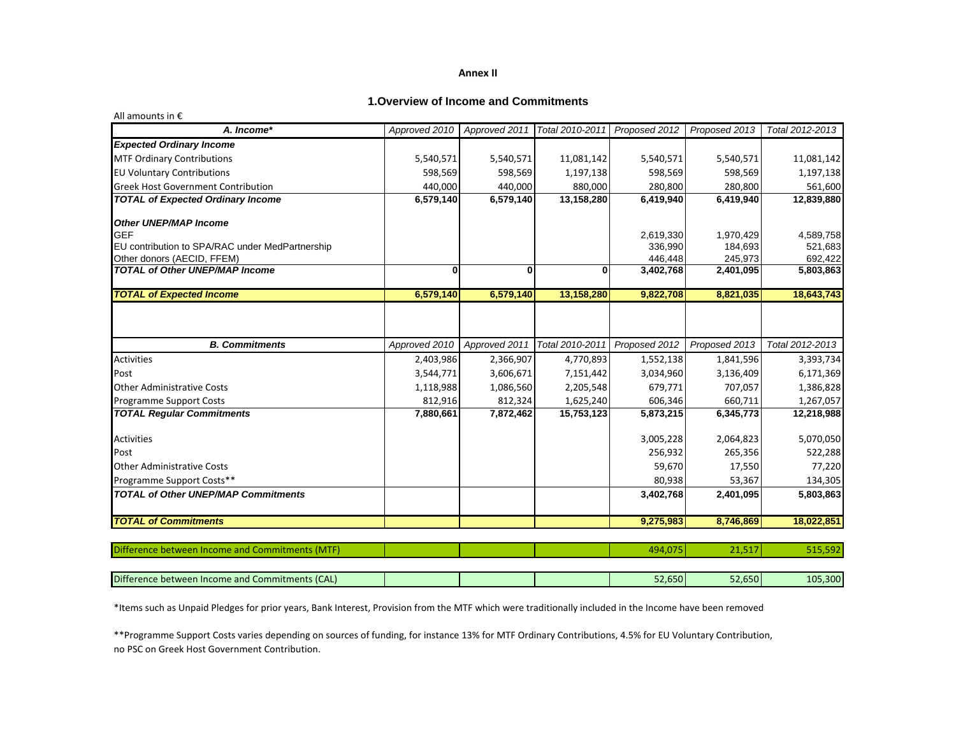## **1.Overview of Income and Commitments**

| All amounts in $\epsilon$                       |               |               |                 |               |               |                 |
|-------------------------------------------------|---------------|---------------|-----------------|---------------|---------------|-----------------|
| A. Income*                                      | Approved 2010 | Approved 2011 | Total 2010-2011 | Proposed 2012 | Proposed 2013 | Total 2012-2013 |
| <b>Expected Ordinary Income</b>                 |               |               |                 |               |               |                 |
| <b>MTF Ordinary Contributions</b>               | 5,540,571     | 5,540,571     | 11,081,142      | 5,540,571     | 5,540,571     | 11,081,142      |
| <b>EU Voluntary Contributions</b>               | 598,569       | 598,569       | 1,197,138       | 598,569       | 598,569       | 1,197,138       |
| <b>Greek Host Government Contribution</b>       | 440,000       | 440,000       | 880,000         | 280,800       | 280,800       | 561,600         |
| <b>TOTAL of Expected Ordinary Income</b>        | 6,579,140     | 6,579,140     | 13,158,280      | 6,419,940     | 6,419,940     | 12,839,880      |
| <b>Other UNEP/MAP Income</b>                    |               |               |                 |               |               |                 |
| <b>GEF</b>                                      |               |               |                 | 2,619,330     | 1,970,429     | 4,589,758       |
| EU contribution to SPA/RAC under MedPartnership |               |               |                 | 336,990       | 184,693       | 521,683         |
| Other donors (AECID, FFEM)                      |               |               |                 | 446,448       | 245,973       | 692,422         |
| <b>TOTAL of Other UNEP/MAP Income</b>           | ŋ             | $\bf{0}$      | 0               | 3,402,768     | 2,401,095     | 5,803,863       |
| <b>TOTAL of Expected Income</b>                 | 6,579,140     | 6,579,140     | 13,158,280      | 9,822,708     | 8,821,035     | 18,643,743      |
| <b>B.</b> Commitments                           | Approved 2010 | Approved 2011 | Total 2010-2011 | Proposed 2012 | Proposed 2013 | Total 2012-2013 |
|                                                 |               |               |                 |               |               |                 |
| <b>Activities</b>                               | 2,403,986     | 2,366,907     | 4,770,893       | 1,552,138     | 1,841,596     | 3,393,734       |
| Post                                            | 3,544,771     | 3,606,671     | 7,151,442       | 3,034,960     | 3,136,409     | 6,171,369       |
| <b>Other Administrative Costs</b>               | 1,118,988     | 1,086,560     | 2,205,548       | 679.771       | 707,057       | 1,386,828       |
| <b>Programme Support Costs</b>                  | 812,916       | 812,324       | 1,625,240       | 606,346       | 660,711       | 1,267,057       |
| <b>TOTAL Regular Commitments</b>                | 7,880,661     | 7,872,462     | 15,753,123      | 5,873,215     | 6,345,773     | 12,218,988      |
| <b>Activities</b>                               |               |               |                 | 3,005,228     | 2,064,823     | 5,070,050       |
| Post                                            |               |               |                 | 256,932       | 265,356       | 522,288         |
| <b>Other Administrative Costs</b>               |               |               |                 | 59,670        | 17,550        | 77,220          |
| Programme Support Costs**                       |               |               |                 | 80,938        | 53,367        | 134,305         |
| <b>TOTAL of Other UNEP/MAP Commitments</b>      |               |               |                 | 3,402,768     | 2,401,095     | 5,803,863       |
| <b>TOTAL of Commitments</b>                     |               |               |                 | 9,275,983     | 8,746,869     | 18,022,851      |
| Difference between Income and Commitments (MTF) |               |               |                 | 494,075       | 21,517        | 515,592         |
|                                                 |               |               |                 |               |               |                 |
| Difference between Income and Commitments (CAL) |               |               |                 | 52,650        | 52,650        | 105,300         |

\*Items such as Unpaid Pledges for prior years, Bank Interest, Provision from the MTF which were traditionally included in the Income have been removed

\*\*Programme Support Costs varies depending on sources of funding, for instance 13% for MTF Ordinary Contributions, 4.5% for EU Voluntary Contribution, no PSC on Greek Host Government Contribution.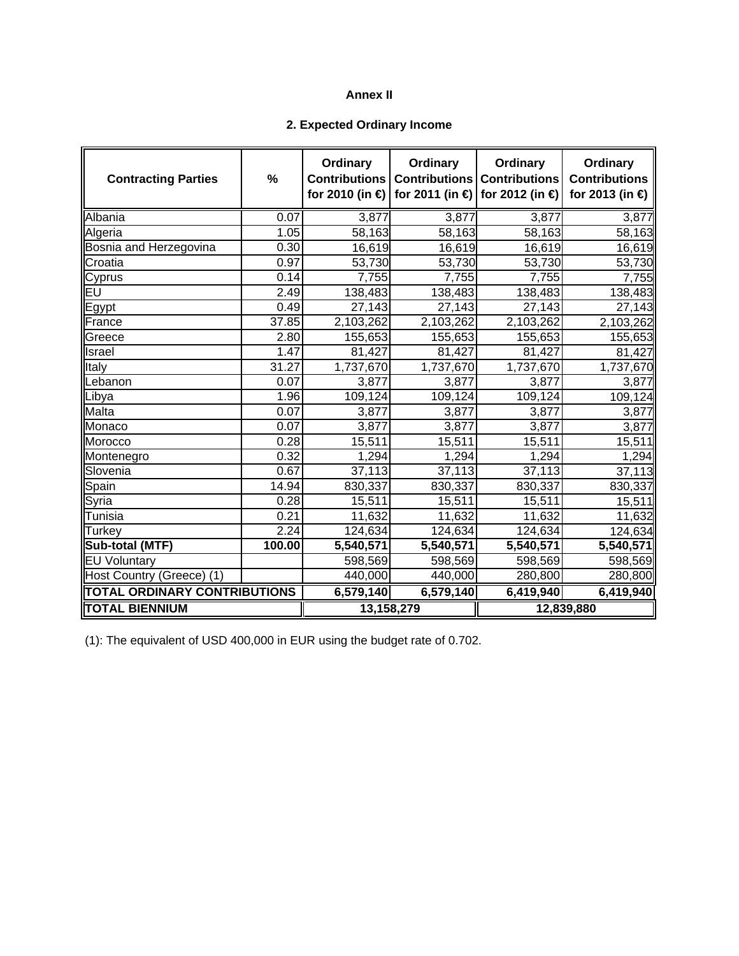# **2. Expected Ordinary Income**

| <b>Contracting Parties</b>          | %      | Ordinary<br><b>Contributions</b><br>for 2010 (in € | Ordinary<br><b>Contributions</b> | Ordinary<br><b>Contributions</b><br>for 2011 (in $\bigoplus$ for 2012 (in $\bigoplus$ | Ordinary<br><b>Contributions</b><br>for 2013 (in €) |
|-------------------------------------|--------|----------------------------------------------------|----------------------------------|---------------------------------------------------------------------------------------|-----------------------------------------------------|
| Albania                             | 0.07   | 3,877                                              | 3,877                            | 3,877                                                                                 | 3,877                                               |
| Algeria                             | 1.05   | 58,163                                             | 58,163                           | 58,163                                                                                | 58,163                                              |
| Bosnia and Herzegovina              | 0.30   | 16,619                                             | 16,619                           | 16,619                                                                                | 16,619                                              |
| Croatia                             | 0.97   | 53,730                                             | 53,730                           | 53,730                                                                                | 53,730                                              |
| Cyprus                              | 0.14   | 7,755                                              | 7,755                            | 7,755                                                                                 | 7,755                                               |
| EU                                  | 2.49   | 138,483                                            | 138,483                          | 138,483                                                                               | 138,483                                             |
| Egypt                               | 0.49   | 27,143                                             | 27,143                           | 27,143                                                                                | 27,143                                              |
| France                              | 37.85  | 2,103,262                                          | 2,103,262                        | 2,103,262                                                                             | 2,103,262                                           |
| Greece                              | 2.80   | 155,653                                            | 155,653                          | 155,653                                                                               | 155,653                                             |
| Israel                              | 1.47   | 81,427                                             | 81,427                           | 81,427                                                                                | 81,427                                              |
| Italy                               | 31.27  | 1,737,670                                          | 1,737,670                        | 1,737,670                                                                             | 1,737,670                                           |
| Lebanon                             | 0.07   | 3,877                                              | 3,877                            | 3,877                                                                                 | 3,877                                               |
| Libya                               | 1.96   | 109,124                                            | 109,124                          | 109,124                                                                               | 109,124                                             |
| Malta                               | 0.07   | 3,877                                              | 3,877                            | 3,877                                                                                 | 3,877                                               |
| Monaco                              | 0.07   | 3,877                                              | 3,877                            | 3,877                                                                                 | 3,877                                               |
| Morocco                             | 0.28   | 15,511                                             | 15,511                           | 15,511                                                                                | 15,511                                              |
| Montenegro                          | 0.32   | 1,294                                              | 1,294                            | 1,294                                                                                 | 1,294                                               |
| Slovenia                            | 0.67   | 37,113                                             | 37,113                           | 37,113                                                                                | 37,113                                              |
| Spain                               | 14.94  | 830,337                                            | 830,337                          | 830,337                                                                               | 830,337                                             |
| Syria                               | 0.28   | 15,511                                             | 15,511                           | 15,511                                                                                | 15,511                                              |
| Tunisia                             | 0.21   | 11,632                                             | 11,632                           | 11,632                                                                                | 11,632                                              |
| <b>Turkey</b>                       | 2.24   | 124,634                                            | 124,634                          | 124,634                                                                               | 124,634                                             |
| Sub-total (MTF)                     | 100.00 | 5,540,571                                          | 5,540,571                        | 5,540,571                                                                             | 5,540,571                                           |
| <b>EU Voluntary</b>                 |        | 598,569                                            | 598,569                          | 598,569                                                                               | 598,569                                             |
| Host Country (Greece) (1)           |        | 440,000                                            | 440,000                          | 280,800                                                                               | 280,800                                             |
| <b>TOTAL ORDINARY CONTRIBUTIONS</b> |        | 6,579,140                                          | 6,579,140                        | 6,419,940                                                                             | 6,419,940                                           |
| <b>TOTAL BIENNIUM</b>               |        | 13,158,279                                         |                                  |                                                                                       | 12,839,880                                          |

(1): The equivalent of USD 400,000 in EUR using the budget rate of 0.702.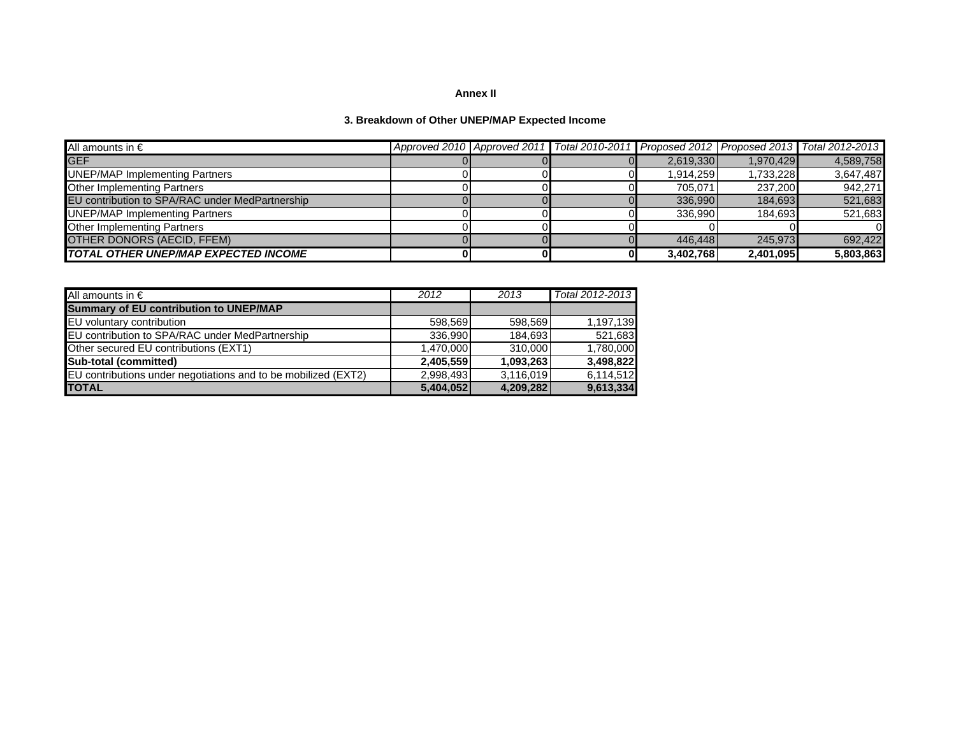# **3. Breakdown of Other UNEP/MAP Expected Income**

| All amounts in $\epsilon$                       |  | Approved 2010   Approved 2011   Total 2010-2011   Proposed 2012   Proposed 2013   Total 2012-2013 |           |           |           |
|-------------------------------------------------|--|---------------------------------------------------------------------------------------------------|-----------|-----------|-----------|
| <b>GEF</b>                                      |  |                                                                                                   | 2.619.330 | 1.970.429 | 4,589,758 |
| <b>UNEP/MAP Implementing Partners</b>           |  |                                                                                                   | 1.914.259 | 1,733,228 | 3,647,487 |
| <b>Other Implementing Partners</b>              |  |                                                                                                   | 705.071   | 237.200   | 942.271   |
| EU contribution to SPA/RAC under MedPartnership |  |                                                                                                   | 336,990   | 184,693   | 521,683   |
| <b>UNEP/MAP Implementing Partners</b>           |  |                                                                                                   | 336.990   | 184.693   | 521,683   |
| <b>Other Implementing Partners</b>              |  |                                                                                                   |           |           |           |
| OTHER DONORS (AECID, FFEM)                      |  |                                                                                                   | 446,448   | 245.973   | 692.422   |
| <b>TOTAL OTHER UNEP/MAP EXPECTED INCOME</b>     |  |                                                                                                   | 3,402,768 | 2,401,095 | 5,803,863 |

| All amounts in $\epsilon$                                      | 2012      | 2013      | Total 2012-2013 |
|----------------------------------------------------------------|-----------|-----------|-----------------|
| <b>Summary of EU contribution to UNEP/MAP</b>                  |           |           |                 |
| EU voluntary contribution                                      | 598.569   | 598.569   | 1,197,139       |
| EU contribution to SPA/RAC under MedPartnership                | 336.990   | 184.693   | 521,683         |
| Other secured EU contributions (EXT1)                          | 1,470,000 | 310.000   | 1,780,000       |
| <b>Sub-total (committed)</b>                                   | 2.405.559 | 1.093.263 | 3.498.822       |
| EU contributions under negotiations and to be mobilized (EXT2) | 2,998,493 | 3,116,019 | 6.114.512       |
| <b>TOTAL</b>                                                   | 5,404,052 | 4,209,282 | 9,613,334       |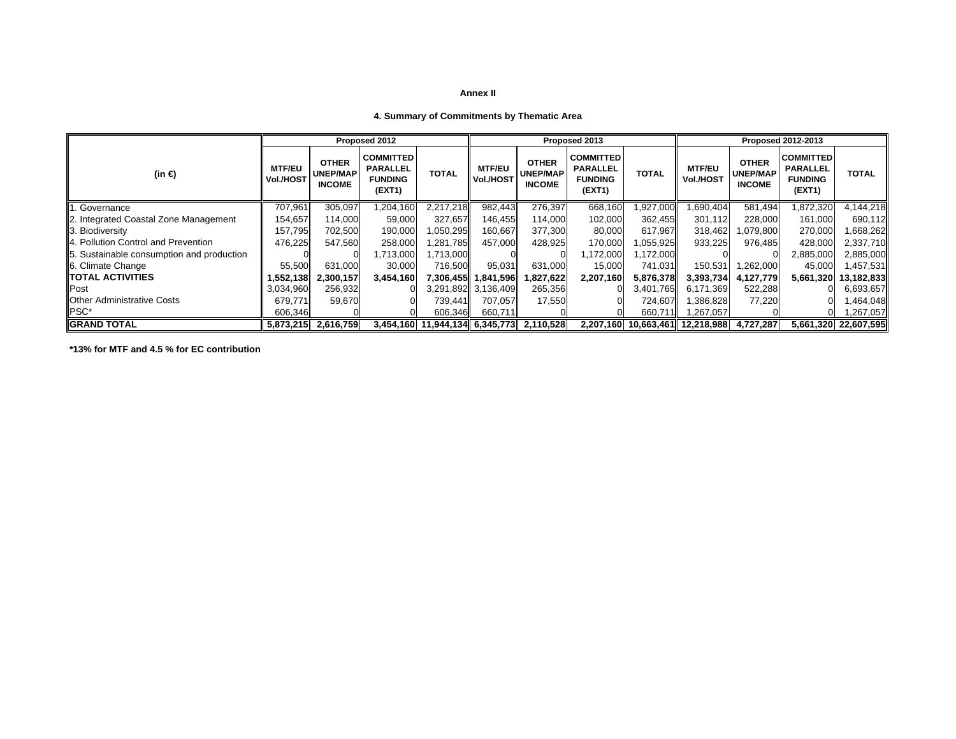## **4. Summary of Commitments by Thematic Area**

|                                           |                            |                                                  | Proposed 2012                                                   |                                |                            |                                                  | Proposed 2013                                                   |              | <b>Proposed 2012-2013</b>       |                                                  |                                                           |                      |  |  |
|-------------------------------------------|----------------------------|--------------------------------------------------|-----------------------------------------------------------------|--------------------------------|----------------------------|--------------------------------------------------|-----------------------------------------------------------------|--------------|---------------------------------|--------------------------------------------------|-----------------------------------------------------------|----------------------|--|--|
| (in $\bigoplus$                           | <b>MTF/EU</b><br>Vol./HOST | <b>OTHER</b><br><b>UNEP/MAP</b><br><b>INCOME</b> | <b>COMMITTED</b><br><b>PARALLEL</b><br><b>FUNDING</b><br>(EXT1) | <b>TOTAL</b>                   | <b>MTF/EU</b><br>Vol./HOST | <b>OTHER</b><br><b>UNEP/MAP</b><br><b>INCOME</b> | <b>COMMITTED</b><br><b>PARALLEL</b><br><b>FUNDING</b><br>(EXT1) | <b>TOTAL</b> | <b>MTF/EU</b><br>Vol./HOST      | <b>OTHER</b><br><b>UNEP/MAP</b><br><b>INCOME</b> | COMMITTED <br><b>PARALLEL</b><br><b>FUNDING</b><br>(EXT1) | <b>TOTAL</b>         |  |  |
| Governance<br>ll1                         | 707,961                    | 305,097                                          | 1,204,160                                                       | 2,217,218                      | 982,443                    | 276,397                                          | 668,160                                                         | 1,927,000    | .690,404                        | 581,494                                          | 1,872,320                                                 | 4,144,218            |  |  |
| 2. Integrated Coastal Zone Management     | 154,657                    | 114.000                                          | 59,000                                                          | 327,657                        | 146.455                    | 114,000                                          | 102,000                                                         | 362.455      | 301,112                         | 228.000                                          | 161.000                                                   | 690,112              |  |  |
| 3. Biodiversity                           | 157,795                    | 702,500                                          | 190,000                                                         | 1,050,295                      | 160,667                    | 377,300                                          | 80,000                                                          | 617,967      | 318,462                         | 1,079,800                                        | 270,000                                                   | 1,668,262            |  |  |
| 4. Pollution Control and Prevention       | 476,225                    | 547,560                                          | 258,000                                                         | 1,281,785                      | 457,000                    | 428,925                                          | 170,000                                                         | 1,055,925    | 933,225                         | 976,485                                          | 428,000                                                   | 2,337,710            |  |  |
| 5. Sustainable consumption and production |                            |                                                  | 1,713,000                                                       | 1,713,000                      |                            |                                                  | 1,172,000                                                       | ,172,000     |                                 |                                                  | 2,885,000                                                 | 2,885,000            |  |  |
| 6. Climate Change                         | 55,500                     | 631.000                                          | 30,000                                                          | 716,500                        | 95,031                     | 631,000                                          | 15,000                                                          | 741,031      | 150,531                         | 1,262,000                                        | 45,000                                                    | 1,457,531            |  |  |
| <b>ITOTAL ACTIVITIES</b>                  | .552,138                   | 2,300,157                                        | 3,454,160                                                       |                                | 7,306,455   1,841,596      | 1,827,622                                        | 2,207,160                                                       | 5,876,378    | 3,393,734                       | 4.127.779                                        | 5,661,320                                                 | 13,182,833           |  |  |
| Post                                      | 3,034,960                  | 256,932                                          |                                                                 |                                | 3,291,892 3,136,409        | 265,356                                          | ΩL                                                              | 3,401,765    | 6,171,369                       | 522,288                                          |                                                           | 6,693,657            |  |  |
| <b>IOther Administrative Costs</b>        | 679,771                    | 59,670                                           |                                                                 | 739,441                        | 707.057                    | 17,550                                           |                                                                 | 724,607      | 1,386,828                       | 77,220                                           |                                                           | 1,464,048            |  |  |
| IPSC*                                     | 606,346                    |                                                  |                                                                 | 606,346                        | 660,711                    |                                                  |                                                                 | 660,711      | 1,267,057                       |                                                  |                                                           | 1,267,057            |  |  |
| <b>IGRAND TOTAL</b>                       | 5,873,215                  | 2,616,759                                        |                                                                 | 3,454,160 11,944,134 6,345,773 |                            | 2,110,528                                        |                                                                 |              | 2,207,160 10,663,461 12,218,988 | 4,727,287                                        |                                                           | 5,661,320 22,607,595 |  |  |

**\*13% for MTF and 4.5 % for EC contribution**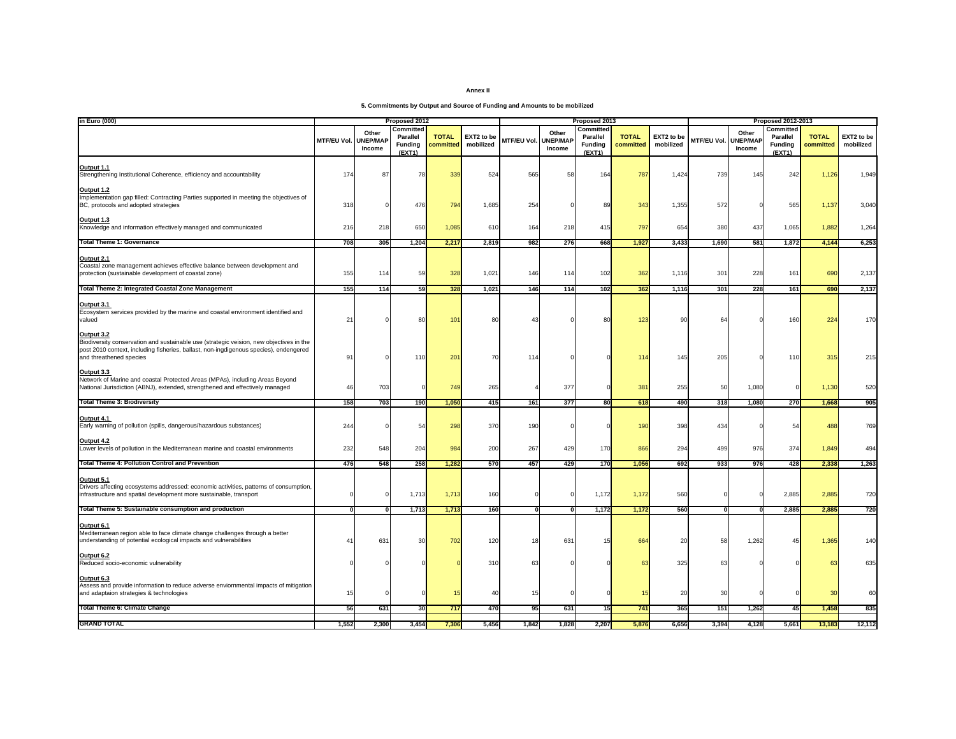**5. Commitments by Output and Source of Funding and Amounts to be mobilized**

| in Euro (000)                                                                                                                                                                                                             | Proposed 2012      |                                    |                                                   |                           |                         | Proposed 2013      |                                    |                                            |                           |                         | <b>Proposed 2012-2013</b> |                                    |                                            |                           |                         |
|---------------------------------------------------------------------------------------------------------------------------------------------------------------------------------------------------------------------------|--------------------|------------------------------------|---------------------------------------------------|---------------------------|-------------------------|--------------------|------------------------------------|--------------------------------------------|---------------------------|-------------------------|---------------------------|------------------------------------|--------------------------------------------|---------------------------|-------------------------|
|                                                                                                                                                                                                                           | <b>MTF/EU Vol.</b> | Other<br><b>UNEP/MAP</b><br>Income | Committed<br>Parallel<br><b>Funding</b><br>(EXT1) | <b>TOTAL</b><br>committed | EXT2 to be<br>mobilized | <b>MTF/EU Vol.</b> | Other<br><b>JNEP/MAF</b><br>Income | Committed<br>Parallel<br>Funding<br>(EXT1) | <b>TOTAL</b><br>committed | EXT2 to be<br>mobilized | MTF/EU Vol.               | Other<br><b>UNEP/MAP</b><br>Income | Committed<br>Parallel<br>Funding<br>(EXT1) | <b>TOTAL</b><br>committed | EXT2 to be<br>mobilized |
| Output 1.1<br>Strengthening Institutional Coherence, efficiency and accountability                                                                                                                                        | 174                | 87                                 | 78                                                | 339                       | 524                     | 565                | 58                                 | 164                                        | 787                       | 1,424                   | 739                       | 145                                | 242                                        | 1,126                     | 1,949                   |
| Output 1.2<br>Implementation gap filled: Contracting Parties supported in meeting the objectives of<br>BC, protocols and adopted strategies                                                                               | 318                |                                    | 476                                               | 794                       | 1,685                   | 254                |                                    | 89                                         | 343                       | 1,355                   | 572                       |                                    | 565                                        | 1,137                     | 3,040                   |
| <u>Output 1.3</u><br>Knowledge and information effectively managed and communicated                                                                                                                                       | 216                | 218                                | 650                                               | 1,085                     | 610                     | 164                | 218                                | 415                                        | 797                       | 65                      | 380                       | 437                                | 1,065                                      | 1,882                     | 1,264                   |
| <b>Total Theme 1: Governance</b>                                                                                                                                                                                          | 708                | 305                                | 1,204                                             | 2,217                     | 2,819                   | 982                | 276                                | 668                                        | 1,927                     | 3,433                   | 1,690                     | 581                                | 1,872                                      | 4,144                     | 6,253                   |
| Output 2.1<br>Coastal zone management achieves effective balance between development and<br>protection (sustainable development of coastal zone)                                                                          | 155                | 114                                | 59                                                | 328                       | 1,02                    | 146                | 114                                | 102                                        | 362                       | 1,116                   | 301                       | 228                                | 161                                        | 690                       | 2,137                   |
| <b>Total Theme 2: Integrated Coastal Zone Management</b>                                                                                                                                                                  | 155                | 114                                | 59                                                | 328                       | 1,021                   | 146                | 114                                | 102                                        | 362                       | 1,116                   | 301                       | 228                                | 161                                        | 690                       | 2,137                   |
| <u>Output 3.1</u><br>Ecosystem services provided by the marine and coastal environment identified and<br>valued                                                                                                           | 21                 |                                    | 80                                                | 10 <sup>1</sup>           | R(                      | 43                 |                                    | R(                                         | 123                       | <b>ar</b>               | 64                        |                                    | 160                                        | 224                       | 170                     |
| Output 3.2<br>Biodiversity conservation and sustainable use (strategic veision, new objectives in the<br>post 2010 context, including fisheries, ballast, non-ingdigenous species), endengered<br>and threathened species | 91                 |                                    | 110                                               | 20 <sup>°</sup>           | 7(                      | 11                 |                                    |                                            | 11 <sub>1</sub>           | 145                     | 205                       |                                    | 110                                        | 315                       | 215                     |
| Output 3.3<br>Network of Marine and coastal Protected Areas (MPAs), including Areas Beyond<br>National Jurisdiction (ABNJ), extended, strengthened and effectively managed                                                | 46                 | 703                                |                                                   | <b>749</b>                | 265                     |                    | 377                                |                                            | 38                        | 255                     | 50                        | 1,080                              |                                            | 1,130                     | 520                     |
| <b>Total Theme 3: Biodiversity</b>                                                                                                                                                                                        | 158                | 703                                | 190                                               | 1,050                     | 415                     | 161                | 377                                | 80                                         | 618                       | 490                     | 318                       | 1,080                              | 270                                        | 1,668                     | 905                     |
| Output 4.1<br>Early warning of pollution (spills, dangerous/hazardous substances)                                                                                                                                         | 244                |                                    | 54                                                | 298                       | 37C                     | 190                |                                    |                                            | 190                       | 398                     | 434                       |                                    | 54                                         | 488                       | 769                     |
| Output 4.2<br>Lower levels of pollution in the Mediterranean marine and coastal environments                                                                                                                              | 232                | 548                                | 204                                               | 984                       | 200                     | 267                | 429                                | 170                                        | 866                       | 294                     | 499                       | 976                                | 374                                        | 1,849                     | 494                     |
| <b>Total Theme 4: Pollution Control and Prevention</b>                                                                                                                                                                    | 476                | 548                                | 258                                               | 1,282                     | 570                     | 457                | 429                                | 170                                        | 1,056                     | 692                     | 933                       | 976                                | 428                                        | 2,338                     | 1,263                   |
| <u>Output 5.1</u><br>Drivers affecting ecosystems addressed: economic activities, patterns of consumption,<br>infrastructure and spatial development more sustainable, transport                                          |                    |                                    | 1,713                                             | 1,71                      | 160                     |                    |                                    | 1,172                                      | 1,172                     | 560                     |                           |                                    | 2,885                                      | 2,885                     | 720                     |
| Total Theme 5: Sustainable consumption and production                                                                                                                                                                     | U                  | $\mathbf{0}$                       | 1,713                                             | 1,713                     | 160                     | 0                  | 0                                  | 1,172                                      | 1,172                     | 560                     | ō                         |                                    | 2,885                                      | 2,885                     | 720                     |
| Output 6.1<br>Mediterranean region able to face climate change challenges through a better<br>understanding of potential ecological impacts and vulnerabilities                                                           | $\mathbf{4}$       | 631                                | 30                                                | 702                       | 120                     | 18                 | 631                                |                                            | 664                       | 20                      | 58                        | 1,262                              | 45                                         | 1,365                     | 140                     |
| Output 6.2<br>Reduced socio-economic vulnerability                                                                                                                                                                        |                    |                                    |                                                   |                           | 31 <sub>0</sub>         | 63                 |                                    |                                            |                           | 325                     | 63                        |                                    |                                            | 63                        | 635                     |
| Output 6.3<br>Assess and provide information to reduce adverse enviornmental impacts of mitigation<br>and adaptaion strategies & technologies                                                                             | 15                 |                                    |                                                   |                           | $\Delta$                | 15                 |                                    |                                            |                           | 20                      | 30                        |                                    |                                            | 30                        | 60                      |
| Total Theme 6: Climate Change                                                                                                                                                                                             | 56                 | 631                                | 30                                                | 717                       | 470                     | 95                 | 631                                | 15                                         | 741                       | 365                     | 151                       | 1,262                              | 45                                         | 1,458                     | 835                     |
| <b>GRAND TOTAL</b>                                                                                                                                                                                                        | 1,552              | 2,300                              | 3,454                                             | 7,306                     | 5,456                   | 1,842              | 1,828                              | 2,207                                      | 5,876                     | 6,656                   | 3,394                     | 4,128                              | 5,661                                      | 13,183                    | 12,112                  |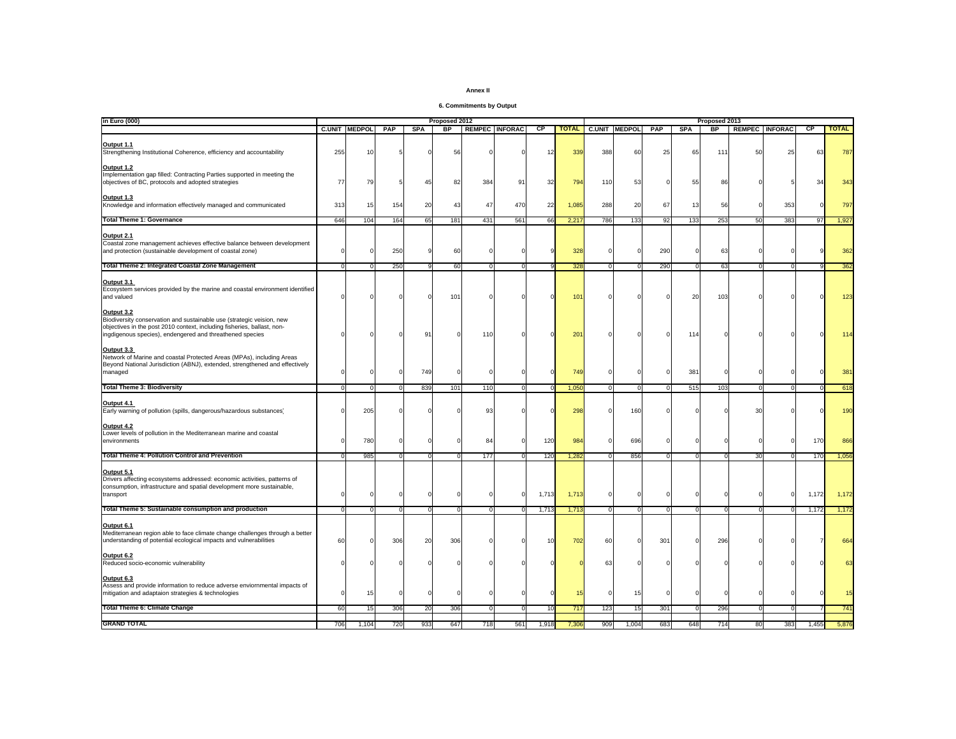| Annex II |  |
|----------|--|
|----------|--|

**6. Commitments by Output**

| in Euro (000)                                                                                                                                                                                                | Proposed 2012 |                      |          |            |                 |     |                       | Proposed 2013 |              |                |                      |         |            |             |    |                       |       |              |
|--------------------------------------------------------------------------------------------------------------------------------------------------------------------------------------------------------------|---------------|----------------------|----------|------------|-----------------|-----|-----------------------|---------------|--------------|----------------|----------------------|---------|------------|-------------|----|-----------------------|-------|--------------|
|                                                                                                                                                                                                              |               | <b>C.UNIT MEDPOL</b> | PAP      | <b>SPA</b> | $_{\rm BP}$     |     | <b>REMPEC INFORAC</b> | CP.           | <b>TOTAL</b> |                | <b>C.UNIT MEDPOL</b> | PAP     | <b>SPA</b> | $_{\rm BP}$ |    | <b>REMPEC INFORAC</b> | CP    | <b>TOTAL</b> |
| <b>Output 1.1</b><br>Strengthening Institutional Coherence, efficiency and accountability                                                                                                                    | 255           | 10                   |          |            | 51              |     |                       | 12            | 339          | 388            | 60                   | 25      | 65         | 111         | 50 | 25                    | 61    | 787          |
| Output 1.2<br>Implementation gap filled: Contracting Parties supported in meeting the<br>objectives of BC, protocols and adopted strategies                                                                  | 77            | 79                   |          | 45         | 8               | 384 | 91                    | 32            | 794          | 110            | 53                   |         | 55         | 86          |    |                       |       | 343          |
| Output 1.3<br>Knowledge and information effectively managed and communicated                                                                                                                                 | 313           | 15                   | 154      | 20         | $\mathbf{A}$    | 47  | 470                   | 22            | 1,085        | 288            | 20                   | 67      | 13         | 56          |    | 353                   |       | 797          |
| <b>Total Theme 1: Governance</b>                                                                                                                                                                             | 646           | 104                  | 164      | 65         | 181             | 431 | 561                   | 66            | 2,21         | 786            | 133                  | 92      | 133        | 253         | 50 | 383                   | 97    | 1,927        |
| Output 2.1<br>Coastal zone management achieves effective balance between development<br>and protection (sustainable development of coastal zone)                                                             |               |                      | 250      |            | 60              |     |                       |               | 328          | C              |                      | 290     |            | 63          |    |                       |       | 362          |
| Total Theme 2: Integrated Coastal Zone Management                                                                                                                                                            | $\Omega$      |                      | 250      |            | 60              |     | <sup>n</sup>          |               | 328          | $\overline{0}$ | $\Omega$             | 290     | $\Omega$   | 63          |    | $\Omega$              |       | 362          |
| Output 3.1<br>Ecosystem services provided by the marine and coastal environment identified<br>and valued<br>Output 3.2                                                                                       |               |                      |          |            | 10 <sup>°</sup> |     |                       |               | 101          |                |                      |         | 20         | 103         |    |                       |       | 123          |
| Biodiversity conservation and sustainable use (strategic veision, new<br>objectives in the post 2010 context, including fisheries, ballast, non-<br>ingdigenous species), endengered and threathened species |               |                      |          | 9          |                 | 11( |                       |               | 201          |                |                      |         | 114        |             |    |                       |       | 114          |
| Output 3.3<br>Network of Marine and coastal Protected Areas (MPAs), including Areas<br>Beyond National Jurisdiction (ABNJ), extended, strengthened and effectively<br>managed                                |               |                      |          | 749        |                 |     |                       |               | 749          |                |                      |         | 381        |             |    | $\Omega$              |       | 381          |
| <b>Total Theme 3: Biodiversity</b>                                                                                                                                                                           |               |                      |          | 839        | 101             | 110 | $\Omega$              |               | 1,050        | $\mathbf{0}$   | $\Omega$             |         | 515        | 103         |    | - 0                   |       | 618          |
| Output 4.1<br>Early warning of pollution (spills, dangerous/hazardous substances)                                                                                                                            |               | 205                  |          |            |                 | 93  |                       |               | 298          |                | 160                  |         |            |             |    |                       |       | 190          |
| Output 4.2<br>Lower levels of pollution in the Mediterranean marine and coastal<br>environments                                                                                                              |               | 780                  |          |            |                 | 84  |                       | 120           | 984          |                | 696                  |         |            |             |    | $\Omega$              | 170   | 866          |
| <b>Total Theme 4: Pollution Control and Prevention</b>                                                                                                                                                       |               | 985                  |          |            |                 | 177 |                       | 120           | 1,282        |                | 856                  |         | O          |             | 30 |                       | 170   | 1,056        |
| <b>Output 5.1</b><br>Drivers affecting ecosystems addressed: economic activities, patterns of<br>consumption, infrastructure and spatial development more sustainable,<br>transport                          |               |                      |          |            |                 |     |                       | 1,713         | 1,713        |                |                      |         |            |             |    | $\mathbf 0$           | 1,172 | 1,172        |
| Total Theme 5: Sustainable consumption and production                                                                                                                                                        | $\mathbf{0}$  | $\Omega$             | $\Omega$ | $\Omega$   | $\Omega$        |     | <sup>0</sup>          | 1,713         | 1,713        | $\mathbf{0}$   | $\mathbf{0}$         | $\circ$ | $\circ$    | $\circ$     |    | $\Omega$              | 1,172 | 1,172        |
| Output 6.1<br>Mediterranean region able to face climate change challenges through a better<br>understanding of potential ecological impacts and vulnerabilities                                              | 60            |                      | 306      | 20         | 306             |     |                       | 10            | 702          | 60             |                      | 301     |            | 296         |    |                       |       | 664          |
| Output 6.2<br>Reduced socio-economic vulnerability                                                                                                                                                           |               |                      |          |            |                 |     |                       |               |              | 61             |                      |         |            |             |    |                       |       |              |
| Output 6.3<br>Assess and provide information to reduce adverse enviornmental impacts of<br>mitigation and adaptaion strategies & technologies                                                                |               | 15                   |          |            |                 |     |                       |               |              |                | 15                   |         |            |             |    |                       |       |              |
| <b>Total Theme 6: Climate Change</b>                                                                                                                                                                         | 60            | 15                   | 306      | 20         | 306             |     | $\Omega$              | 10            | 717          | 123            | 15                   | 301     | $\Omega$   | 296         |    | $\Omega$              |       | 741          |
| <b>GRAND TOTAL</b>                                                                                                                                                                                           | 706           | 1,104                | 720      | 933        | 647             | 718 | 561                   | 1,918         | 7,306        | 909            | 1,004                | 683     | 648        | 714         | 80 | 383                   | ,455  | 5,876        |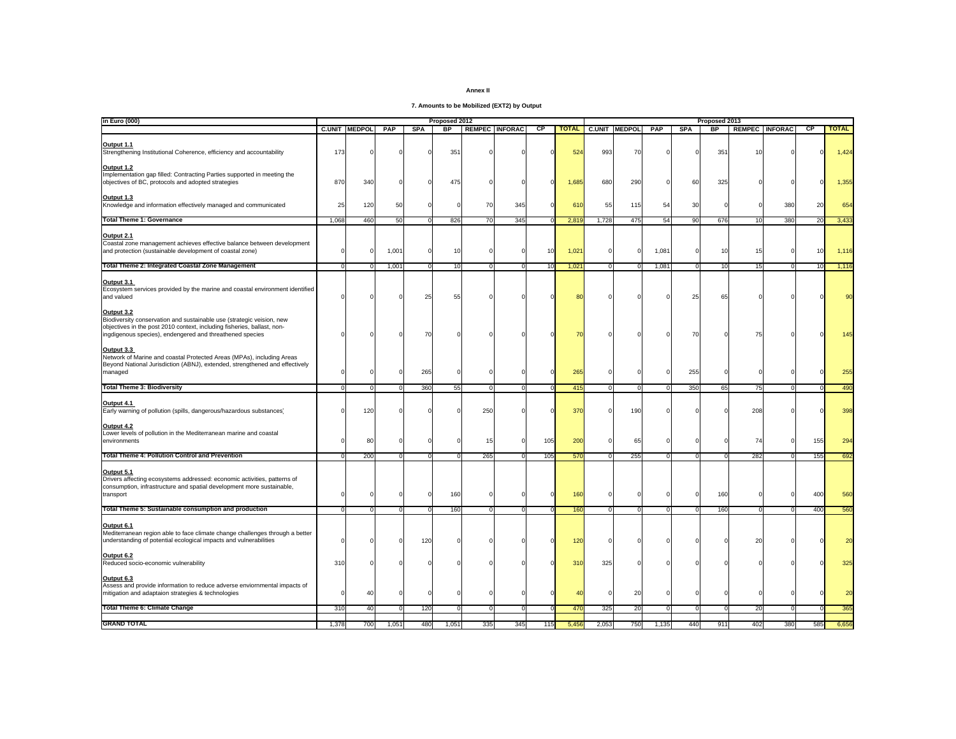**7. Amounts to be Mobilized (EXT2) by Output** 

| in Euro (000)                                                                                                                                                                                                                     | Proposed 2012 |                      |       |            |                 |     | Proposed 2013         |     |                 |              |                      |            |            |              |                |                       |                |              |
|-----------------------------------------------------------------------------------------------------------------------------------------------------------------------------------------------------------------------------------|---------------|----------------------|-------|------------|-----------------|-----|-----------------------|-----|-----------------|--------------|----------------------|------------|------------|--------------|----------------|-----------------------|----------------|--------------|
|                                                                                                                                                                                                                                   |               | <b>C.UNIT MEDPOL</b> | PAP   | <b>SPA</b> | $_{\rm BP}$     |     | <b>REMPEC INFORAC</b> | СP  | <b>TOTAL</b>    |              | <b>C.UNIT MEDPOL</b> | <b>PAP</b> | <b>SPA</b> | <b>BP</b>    |                | <b>REMPEC INFORAC</b> | <b>CP</b>      | <b>TOTAL</b> |
| <b>Output 1.1</b><br>Strengthening Institutional Coherence, efficiency and accountability                                                                                                                                         | 173           |                      |       |            | 35 <sup>°</sup> |     |                       |     | 524             | 993          | 70                   |            |            | 351          |                |                       |                | 1,424        |
| Output 1.2<br>Implementation gap filled: Contracting Parties supported in meeting the<br>objectives of BC, protocols and adopted strategies                                                                                       | 870           | 340                  |       |            | 475             |     |                       |     | 1,685           | 680          | 290                  |            | 60         | 325          |                |                       |                | 1,355        |
| Output 1.3<br>Knowledge and information effectively managed and communicated                                                                                                                                                      | 25            | 120                  | 50    |            |                 | 70  | 345                   |     | 610             | 55           | 115                  | 54         | 30         |              |                | 380                   | $\mathfrak{p}$ | 654          |
| <b>Total Theme 1: Governance</b>                                                                                                                                                                                                  | 1.068         | 460                  | 50    | $\Omega$   | 826             | 70  | 345                   |     | 2.819           | 1,728        | 475                  | 54         | 90         | 676          | 10             | 380                   | 20             | 3,433        |
| Output 2.1<br>Coastal zone management achieves effective balance between development<br>and protection (sustainable development of coastal zone)                                                                                  |               |                      | 1,001 | $\Omega$   | 10              |     |                       | 10  | 1,021           | C            |                      | 1,081      |            | 10           |                | $\Omega$              |                | 1,116        |
| <b>Total Theme 2: Integrated Coastal Zone Management</b>                                                                                                                                                                          | $\Omega$      |                      | 1,001 | $\Omega$   | 10              |     | 0                     | 10  | 1,021           | $\mathbf{0}$ | $\Omega$             | 1,081      | $\circ$    | 10           | 15             | $\Omega$              | 10             | 1,116        |
| Output 3.1<br>Ecosystem services provided by the marine and coastal environment identified<br>and valued                                                                                                                          |               |                      |       | 25         | 55              |     |                       |     |                 |              |                      |            | 25         | 65           |                |                       |                |              |
| <b>Output 3.2</b><br>Biodiversity conservation and sustainable use (strategic veision, new<br>objectives in the post 2010 context, including fisheries, ballast, non-<br>ingdigenous species), endengered and threathened species |               |                      |       | 70         |                 |     |                       |     |                 |              |                      |            | 70         |              |                |                       |                | 145          |
| Output 3.3<br>Network of Marine and coastal Protected Areas (MPAs), including Areas<br>Beyond National Jurisdiction (ABNJ), extended, strengthened and effectively<br>managed                                                     |               |                      |       | 265        |                 |     |                       |     | 265             |              |                      |            | 255        |              |                | $\Omega$              |                | 255          |
| <b>Total Theme 3: Biodiversity</b>                                                                                                                                                                                                | $\Omega$      |                      | n     | 360        | 55              |     | $\Omega$              |     | 415             | $\Omega$     | $\Omega$             | $\Omega$   | 350        | 65           | 75             | $\Omega$              |                | 490          |
| Output 4.1<br>Early warning of pollution (spills, dangerous/hazardous substances)                                                                                                                                                 |               | 120                  |       |            |                 | 250 |                       |     | 37 <sub>0</sub> |              | <b>190</b>           |            |            |              | 208            |                       |                | 398          |
| Output 4.2<br>Lower levels of pollution in the Mediterranean marine and coastal<br>environments                                                                                                                                   |               | 80                   |       |            |                 | 15  |                       | 105 | 200             | <sup>0</sup> | 65                   |            |            |              | 74             | $\Omega$              | 155            | 294          |
| <b>Total Theme 4: Pollution Control and Prevention</b>                                                                                                                                                                            |               | 200                  | n     |            |                 | 265 |                       | 105 | 570             | $\Omega$     | 255                  | $\Omega$   | $\Omega$   | <sup>0</sup> | 282            |                       | 155            | 692          |
| Output 5.1 Content of Output Dutch<br>Drivers affecting ecosystems addressed: economic activities, patterns of<br>consumption, infrastructure and spatial development more sustainable,<br>transport                              |               |                      |       | $\Omega$   | 160             |     |                       |     | 160             |              |                      |            | $\Omega$   | 160          |                | $\Omega$              | 400            | 560          |
| Total Theme 5: Sustainable consumption and production                                                                                                                                                                             | $\Omega$      |                      | n     |            | 160             |     | $\Omega$              |     | 160             | $\mathbf{0}$ | $\Omega$             | $\circ$    | $\Omega$   | 160          |                | $\Omega$              | 400            | 560          |
| Output 6.1<br>Mediterranean region able to face climate change challenges through a better<br>understanding of potential ecological impacts and vulnerabilities                                                                   |               |                      |       | 120        |                 |     |                       |     | 120             |              |                      |            |            |              | $\overline{2}$ |                       |                | 20           |
| Output 6.2<br>Reduced socio-economic vulnerability                                                                                                                                                                                | 31C           |                      |       |            |                 |     |                       |     | 31(             | 325          |                      |            |            |              |                |                       |                | 325          |
| Output 6.3<br>Assess and provide information to reduce adverse enviornmental impacts of<br>mitigation and adaptaion strategies & technologies                                                                                     |               | 40                   |       |            |                 |     |                       |     |                 |              | 20                   |            |            |              |                |                       |                |              |
| <b>Total Theme 6: Climate Change</b>                                                                                                                                                                                              | 310           | 40                   |       | 120        |                 |     | $\Omega$              |     | 470             | 325          | 20                   | $\Omega$   | $\Omega$   | 0            | 20             | $\Omega$              |                | 365          |
| <b>GRAND TOTAL</b>                                                                                                                                                                                                                | 1,378         | 700                  | 1,051 | 480        | 1,051           | 335 | 345                   | 115 | 5,456           | 2,053        | 750                  | 1,135      | 440        | 911          | 402            | 380                   | 585            | 6,656        |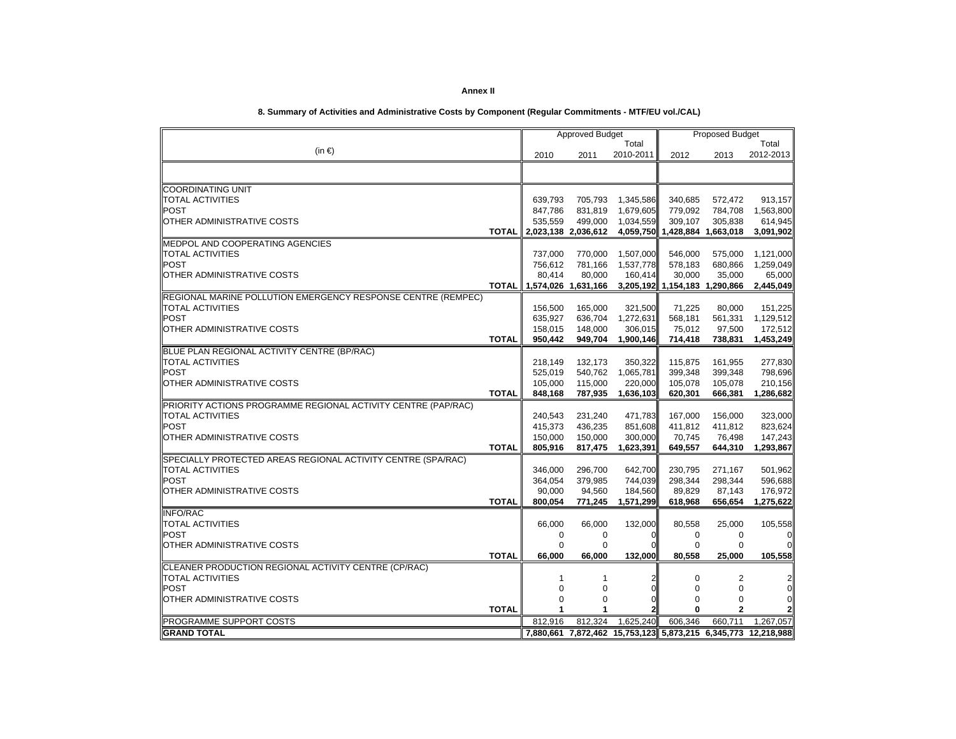|                                                                        |                |                     | <b>Approved Budget</b> |                      |                               | <b>Proposed Budget</b>        |                                                               |
|------------------------------------------------------------------------|----------------|---------------------|------------------------|----------------------|-------------------------------|-------------------------------|---------------------------------------------------------------|
| (in €)                                                                 |                |                     |                        | Total                |                               |                               | Total                                                         |
|                                                                        |                | 2010                | 2011                   | 2010-2011            | 2012                          | 2013                          | 2012-2013                                                     |
|                                                                        |                |                     |                        |                      |                               |                               |                                                               |
| <b>COORDINATING UNIT</b>                                               |                |                     |                        |                      |                               |                               |                                                               |
| <b>TOTAL ACTIVITIES</b>                                                |                | 639,793             | 705,793                | 1,345,586            | 340,685                       | 572,472                       | 913,157                                                       |
| POST                                                                   |                | 847,786             | 831,819                | 1,679,605            | 779,092                       | 784,708                       | 1,563,800                                                     |
| OTHER ADMINISTRATIVE COSTS                                             |                | 535,559             | 499,000                | 1,034,559            | 309,107                       | 305,838                       | 614,945                                                       |
|                                                                        | <b>TOTAL I</b> | 2,023,138 2,036,612 |                        |                      |                               | 4,059,750 1,428,884 1,663,018 | 3,091,902                                                     |
| MEDPOL AND COOPERATING AGENCIES                                        |                |                     |                        |                      |                               |                               |                                                               |
| <b>TOTAL ACTIVITIES</b>                                                |                | 737,000             | 770,000                | 1,507,000            | 546,000                       | 575,000                       | 1,121,000                                                     |
| <b>POST</b>                                                            |                | 756.612             | 781,166                | 1,537,778            | 578,183                       | 680,866                       | 1,259,049                                                     |
| OTHER ADMINISTRATIVE COSTS                                             |                | 80,414              | 80,000                 | 160,414              | 30,000                        | 35,000                        | 65,000                                                        |
|                                                                        | <b>TOTAL</b>   | 1,574,026 1,631,166 |                        |                      | 3,205,192 1,154,183 1,290,866 |                               | 2,445,049                                                     |
| <b>REGIONAL MARINE POLLUTION EMERGENCY RESPONSE CENTRE (REMPEC)</b>    |                |                     |                        |                      |                               |                               |                                                               |
| <b>TOTAL ACTIVITIES</b>                                                |                | 156,500             | 165,000                | 321,500              | 71,225                        | 80,000                        | 151,225                                                       |
| <b>POST</b>                                                            |                | 635,927             | 636,704                | 1,272,631            | 568,181                       | 561,331                       | 1,129,512                                                     |
| OTHER ADMINISTRATIVE COSTS                                             | <b>TOTAL</b>   | 158,015<br>950,442  | 148,000<br>949,704     | 306,015<br>1,900,146 | 75,012<br>714,418             | 97,500<br>738,831             | 172,512                                                       |
|                                                                        |                |                     |                        |                      |                               |                               | 1,453,249                                                     |
| BLUE PLAN REGIONAL ACTIVITY CENTRE (BP/RAC)<br><b>TOTAL ACTIVITIES</b> |                |                     |                        |                      |                               |                               |                                                               |
| <b>POST</b>                                                            |                | 218,149<br>525,019  | 132,173<br>540,762     | 350,322<br>1,065,781 | 115,875<br>399,348            | 161,955<br>399,348            | 277,830<br>798,696                                            |
| OTHER ADMINISTRATIVE COSTS                                             |                | 105,000             | 115,000                | 220,000              | 105,078                       | 105,078                       | 210,156                                                       |
|                                                                        | <b>TOTAL</b>   | 848,168             | 787,935                | 1,636,103            | 620,301                       | 666,381                       | 1,286,682                                                     |
| PRIORITY ACTIONS PROGRAMME REGIONAL ACTIVITY CENTRE (PAP/RAC)          |                |                     |                        |                      |                               |                               |                                                               |
| <b>TOTAL ACTIVITIES</b>                                                |                | 240,543             | 231,240                | 471,783              | 167,000                       | 156,000                       | 323,000                                                       |
| <b>POST</b>                                                            |                | 415,373             | 436,235                | 851,608              | 411,812                       | 411,812                       | 823,624                                                       |
| OTHER ADMINISTRATIVE COSTS                                             |                | 150,000             | 150,000                | 300,000              | 70,745                        | 76,498                        | 147,243                                                       |
|                                                                        | <b>TOTAL</b>   | 805,916             | 817,475                | 1,623,391            | 649,557                       | 644,310                       | 1,293,867                                                     |
| SPECIALLY PROTECTED AREAS REGIONAL ACTIVITY CENTRE (SPA/RAC)           |                |                     |                        |                      |                               |                               |                                                               |
| <b>TOTAL ACTIVITIES</b>                                                |                | 346,000             | 296,700                | 642,700              | 230,795                       | 271,167                       | 501,962                                                       |
| <b>POST</b>                                                            |                | 364,054             | 379,985                | 744,039              | 298,344                       | 298,344                       | 596,688                                                       |
| OTHER ADMINISTRATIVE COSTS                                             |                | 90,000              | 94,560                 | 184,560              | 89,829                        | 87,143                        | 176,972                                                       |
|                                                                        | <b>TOTAL</b>   | 800,054             | 771,245                | 1,571,299            | 618,968                       | 656,654                       | 1,275,622                                                     |
| <b>INFO/RAC</b>                                                        |                |                     |                        |                      |                               |                               |                                                               |
| <b>TOTAL ACTIVITIES</b>                                                |                | 66,000              | 66,000                 | 132,000              | 80,558                        | 25,000                        | 105,558                                                       |
| <b>POST</b>                                                            |                | 0                   | 0                      | $\mathbf 0$          | 0                             | 0                             | $\mathbf 0$                                                   |
| OTHER ADMINISTRATIVE COSTS                                             |                | $\Omega$            | $\Omega$               |                      | $\Omega$                      | $\Omega$                      | $\Omega$                                                      |
|                                                                        | <b>TOTAL</b>   | 66,000              | 66,000                 | 132,000              | 80,558                        | 25,000                        | 105,558                                                       |
| CLEANER PRODUCTION REGIONAL ACTIVITY CENTRE (CP/RAC)                   |                |                     |                        |                      |                               |                               |                                                               |
| <b>TOTAL ACTIVITIES</b>                                                |                | 1                   | 1                      | $\overline{c}$       | $\mathbf 0$                   | 2                             | $\overline{2}$                                                |
| <b>POST</b>                                                            |                | $\Omega$            | $\Omega$               | $\Omega$             | $\Omega$                      | $\mathbf 0$                   | $\overline{0}$                                                |
| OTHER ADMINISTRATIVE COSTS                                             |                | $\Omega$<br>1       | $\Omega$               | 0                    | 0<br>$\Omega$                 | 0<br>$\mathbf{2}$             | $\mathbf{2}$                                                  |
|                                                                        | <b>TOTAL</b>   |                     |                        |                      |                               |                               |                                                               |
| <b>PROGRAMME SUPPORT COSTS</b>                                         |                | 812,916             | 812,324                | 1,625,240            | 606,346                       | 660,711                       | 1,267,057                                                     |
| <b>GRAND TOTAL</b>                                                     |                |                     |                        |                      |                               |                               | 7,880,661 7,872,462 15,753,123 5,873,215 6,345,773 12,218,988 |

## **8. Summary of Activities and Administrative Costs by Component (Regular Commitments - MTF/EU vol./CAL)**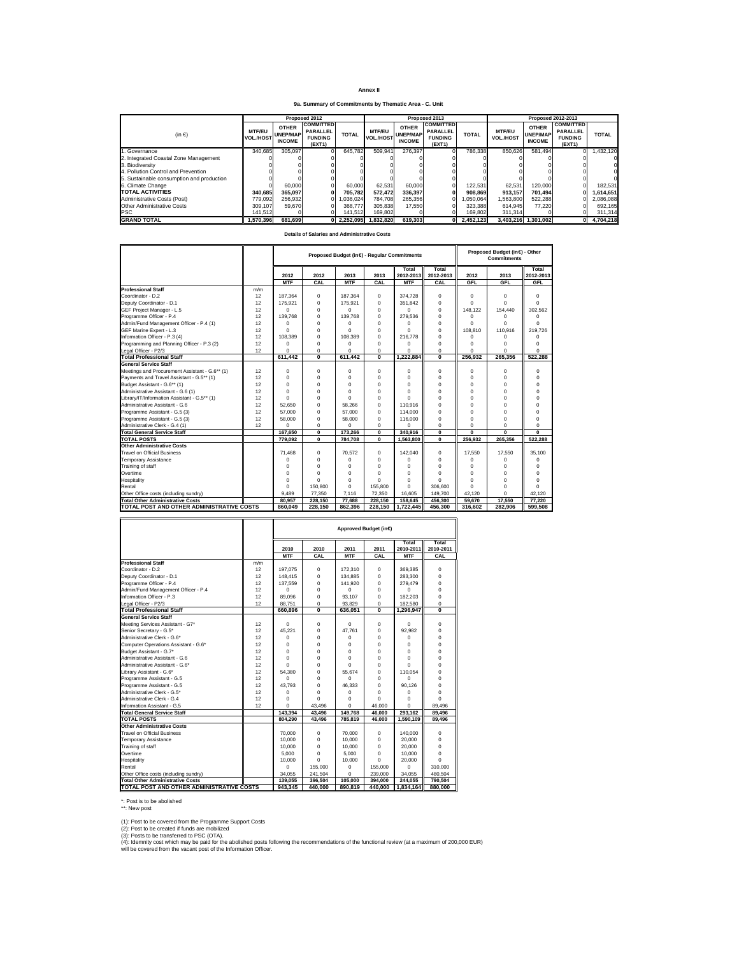| Annex II |  |
|----------|--|
|----------|--|

**9a. Summary of Commitments by Thematic Area - C. Unit**

|                                           |                                   |                                                  | Proposed 2012                                                   |              |                            |                                                  | Proposed 2013                                                   |              | Proposed 2012-2013                |                                                  |                                                                 |              |  |  |
|-------------------------------------------|-----------------------------------|--------------------------------------------------|-----------------------------------------------------------------|--------------|----------------------------|--------------------------------------------------|-----------------------------------------------------------------|--------------|-----------------------------------|--------------------------------------------------|-----------------------------------------------------------------|--------------|--|--|
| $(in \in)$                                | <b>MTF/EU</b><br><b>VOL./HOST</b> | <b>OTHER</b><br><b>UNEP/MAP</b><br><b>INCOME</b> | <b>COMMITTED</b><br><b>PARALLEL</b><br><b>FUNDING</b><br>(EXT1) | <b>TOTAL</b> | <b>MTF/EU</b><br>VOL./HOST | <b>OTHER</b><br><b>UNEP/MAP</b><br><b>INCOME</b> | <b>COMMITTED</b><br><b>PARALLEL</b><br><b>FUNDING</b><br>(EXT1) | <b>TOTAL</b> | <b>MTF/EU</b><br><b>VOL./HOST</b> | <b>OTHER</b><br><b>UNEP/MAP</b><br><b>INCOME</b> | <b>COMMITTED</b><br><b>PARALLEL</b><br><b>FUNDING</b><br>(EXT1) | <b>TOTAL</b> |  |  |
| 1. Governance                             | 340.685                           | 305.097                                          |                                                                 | 645.782      | 509.941                    | 276.397                                          |                                                                 | 786.338      | 850.626                           | 581.494                                          |                                                                 | 1.432.120    |  |  |
| 2. Integrated Coastal Zone Management     |                                   |                                                  |                                                                 |              |                            |                                                  |                                                                 |              |                                   |                                                  |                                                                 |              |  |  |
| 3. Biodiversity                           |                                   |                                                  |                                                                 |              |                            |                                                  |                                                                 |              |                                   |                                                  |                                                                 |              |  |  |
| 4. Pollution Control and Prevention       |                                   |                                                  |                                                                 |              |                            |                                                  |                                                                 |              |                                   |                                                  |                                                                 |              |  |  |
| 5. Sustainable consumption and production |                                   |                                                  |                                                                 |              |                            |                                                  |                                                                 |              |                                   |                                                  |                                                                 |              |  |  |
| 6. Climate Change                         |                                   | 60,000                                           |                                                                 | 60,000       | 62.531                     | 60,000                                           |                                                                 | 122.531      | 62.531                            | 120.000                                          |                                                                 | 182.531      |  |  |
| <b>TOTAL ACTIVITIES</b>                   | 340.685                           | 365.097                                          |                                                                 | 705.782      | 572.472                    | 336.397                                          |                                                                 | 908.869      | 913.157                           | 701.494                                          |                                                                 | 1.614.651    |  |  |
| Administrative Costs (Post)               | 779.092                           | 256.932                                          |                                                                 | 1,036,024    | 784.708                    | 265.356                                          |                                                                 | 050.064      | 1.563.800                         | 522.288                                          |                                                                 | 2.086.088    |  |  |
| <b>Other Administrative Costs</b>         | 309.107                           | 59,670                                           |                                                                 | 368,777      | 305.838                    | 17,550                                           |                                                                 | 323.388      | 614.945                           | 77.220                                           |                                                                 | 692.165      |  |  |
| IPSC                                      | 141.512                           |                                                  |                                                                 | 141.512      | 169,802                    |                                                  |                                                                 | 169.802      | 311.314                           |                                                  |                                                                 | 311,314      |  |  |
| <b>GRAND TOTAL</b>                        | 1.570.396                         | 681.699                                          |                                                                 | 2.252.095    | 1.832.820                  | 619.303                                          |                                                                 | 2.452.123    |                                   | 3.403.216 1.301.002                              |                                                                 | 4.704.218    |  |  |

## **Details of Salaries and Administrative Costs**

|                                                |     |             |                | Proposed Budget (in $\Theta$ - Regular Commitments |                |                    | Proposed Budget (in 6) - Other<br><b>Commitments</b> |          |              |                    |
|------------------------------------------------|-----|-------------|----------------|----------------------------------------------------|----------------|--------------------|------------------------------------------------------|----------|--------------|--------------------|
|                                                |     | 2012        | 2012           | 2013                                               | 2013           | Total<br>2012-2013 | Total<br>2012-2013                                   | 2012     | 2013         | Total<br>2012-2013 |
|                                                |     | <b>MTF</b>  | CAL            | <b>MTF</b>                                         | CAL            | <b>MTF</b>         | CAL                                                  | GFL      | GFL          | GFL                |
| <b>Professional Staff</b>                      | m/m |             |                |                                                    |                |                    |                                                      |          |              |                    |
| Coordinator - D.2                              | 12  | 187.364     | $\Omega$       | 187,364                                            | $\mathbf 0$    | 374.728            | $\mathbf 0$                                          | $\Omega$ | $\Omega$     | 0                  |
| Deputy Coordinator - D.1                       | 12  | 175.921     | $\Omega$       | 175.921                                            | $\Omega$       | 351.842            | $\Omega$                                             | $\Omega$ | $\Omega$     | $\Omega$           |
| GEF Project Manager - L.5                      | 12  | $\Omega$    | $\Omega$       | $\Omega$                                           | $\mathbf 0$    | n                  | 0                                                    | 148.122  | 154,440      | 302.562            |
| Programme Officer - P.4                        | 12  | 139.768     | $\Omega$       | 139.768                                            | $\mathbf 0$    | 279.536            | $\Omega$                                             | Ō        | $\Omega$     | 0                  |
| Admin/Fund Management Officer - P.4 (1)        | 12  | $\Omega$    | $\Omega$       | $\Omega$                                           | $\Omega$       | $\Omega$           | $\Omega$                                             | $\Omega$ | $\Omega$     | $\Omega$           |
| GEF Marine Expert - L.3                        | 12  | $\Omega$    | $\Omega$       | $\Omega$                                           | $\Omega$       | $\Omega$           | $\Omega$                                             | 108.810  | 110.916      | 219,726            |
| Information Officer - P.3 (4)                  | 12  | 108,389     | $\Omega$       | 108.389                                            | $\Omega$       | 216,778            | $\Omega$                                             | $\Omega$ | $\Omega$     | $\Omega$           |
| Programming and Planning Officer - P.3 (2)     | 12  | $\mathbf 0$ | 0              | 0                                                  | 0              | $\Omega$           | $\mathbf 0$                                          | 0        | $\Omega$     | 0                  |
| Legal Officer - P2/3                           | 12  | $\Omega$    | 0              | $\Omega$                                           | $\mathbf 0$    | $\Omega$           | 0                                                    | 0        | $\Omega$     | $\Omega$           |
| <b>Total Professional Staff</b>                |     | 611.442     | $\overline{0}$ | 611,442                                            | $\overline{0}$ | 1.222.884          | $\overline{0}$                                       | 256.932  | 265.356      | 522.288            |
| General Service Staff                          |     |             |                |                                                    |                |                    |                                                      |          |              |                    |
| Meetings and Procurement Assistant - G.6** (1) | 12  | $\Omega$    | $\Omega$       | $\Omega$                                           | $\Omega$       | $\Omega$           | $\Omega$                                             | $\Omega$ | $\Omega$     | 0                  |
| Payments and Travel Assistant - G.5** (1)      | 12  | $\Omega$    | $\Omega$       | $\Omega$                                           | $\Omega$       | $\Omega$           | $\Omega$                                             | $\Omega$ | $\Omega$     | $\Omega$           |
| Budget Assistant - G.6** (1)                   | 12  | $\mathbf 0$ | $\Omega$       | $\Omega$                                           | $\Omega$       | $\Omega$           | $\Omega$                                             | 0        | $\Omega$     | $\Omega$           |
| Administrative Assistant - G.6 (1)             | 12  | $\Omega$    | $\Omega$       | $\Omega$                                           | $\Omega$       | $\Omega$           | $\Omega$                                             | $\Omega$ | $\Omega$     | 0                  |
| Library/IT/Information Assistant - G.5** (1)   | 12  | $\Omega$    | $\Omega$       | $\Omega$                                           | $\Omega$       | $\Omega$           | $\Omega$                                             | $\Omega$ | $\Omega$     | $\Omega$           |
| Administrative Assistant - G.6                 | 12  | 52.650      | $\Omega$       | 58.266                                             | $\Omega$       | 110,916            | $\Omega$                                             | $\Omega$ | $\Omega$     | $\Omega$           |
| Programme Assistant - G.5 (3)                  | 12  | 57,000      | $\Omega$       | 57,000                                             | $\mathbf 0$    | 114,000            | $\mathbf 0$                                          | $\Omega$ | $\Omega$     | $\Omega$           |
| Programme Assistant - G.5 (3)                  | 12  | 58,000      | $\mathbf 0$    | 58,000                                             | $\mathbf 0$    | 116,000            | $\mathbf 0$                                          | $\Omega$ | $\Omega$     | 0                  |
| Administrative Clerk - G.4 (1)                 | 12  | $\Omega$    | 0              | $\Omega$                                           | $\mathbf 0$    | $\Omega$           | 0                                                    | 0        | $\Omega$     | $\Omega$           |
| <b>Total General Service Staff</b>             |     | 167.650     | $\mathbf 0$    | 173.266                                            | $\mathbf 0$    | 340.916            | $\mathbf{0}$                                         | $\bf{0}$ | $\mathbf{0}$ | $\bf{0}$           |
| <b>TOTAL POSTS</b>                             |     | 779.092     | $\mathbf{0}$   | 784.708                                            | $\bf{0}$       | 1.563.800          | $\mathbf{0}$                                         | 256.932  | 265.356      | 522.288            |
| <b>Other Administrative Costs</b>              |     |             |                |                                                    |                |                    |                                                      |          |              |                    |
| Travel on Official Business                    |     | 71.468      | 0              | 70.572                                             | $\mathbf 0$    | 142.040            | 0                                                    | 17.550   | 17.550       | 35.100             |
| Temporary Assistance                           |     | $\Omega$    | $\Omega$       | $\Omega$                                           | $\Omega$       | $\Omega$           | $\Omega$                                             | 0        | $\Omega$     | 0                  |
| Training of staff                              |     | $\Omega$    | $\Omega$       | $\Omega$                                           | $\Omega$       | $\Omega$           | $\Omega$                                             | $\Omega$ | $\Omega$     | $\Omega$           |
| Overtime                                       |     | $\Omega$    | $\Omega$       | $\Omega$                                           | O              | $\Omega$           | $\Omega$                                             | 0        | $\Omega$     | $\Omega$           |
| Hospitality                                    |     | $\Omega$    | $\Omega$       | $\Omega$                                           | $\Omega$       | $\Omega$           | $\Omega$                                             | $\Omega$ | $\Omega$     | $\Omega$           |
| Rental                                         |     | $\Omega$    | 150,800        | $\Omega$                                           | 155,800        | $\Omega$           | 306,600                                              | 0        | $\Omega$     | $\Omega$           |
| Other Office costs (including sundry)          |     | 9.489       | 77,350         | 7,116                                              | 72,350         | 16,605             | 149.700                                              | 42.120   | $\Omega$     | 42.120             |
| <b>Total Other Administrative Costs</b>        |     | 80.957      | 228.150        | 77.688                                             | 228.150        | 158.645            | 456.300                                              | 59.670   | 17.550       | 77.220             |
| TOTAL POST AND OTHER ADMINISTRATIVE COSTS      |     | 860.049     | 228.150        | 862.396                                            | 228.150        | 1.722.445          | 456.300                                              | 316.602  | 282.906      | 599.508            |

|                                           |     |            |                |            | Approved Budget (in€ |                    |                    |
|-------------------------------------------|-----|------------|----------------|------------|----------------------|--------------------|--------------------|
|                                           |     | 2010       | 2010           | 2011       | 2011                 | Total<br>2010-2011 | Total<br>2010-2011 |
|                                           |     | <b>MTF</b> | CAL            | <b>MTF</b> | CAL                  | <b>MTF</b>         | CAL                |
| <b>Professional Staff</b>                 | m/m |            |                |            |                      |                    |                    |
| Coordinator - D.2                         | 12  | 197.075    | $\Omega$       | 172.310    | $\Omega$             | 369.385            | 0                  |
| Deputy Coordinator - D.1                  | 12  | 148.415    | $\Omega$       | 134.885    | $\Omega$             | 283.300            | $\Omega$           |
| Programme Officer - P.4                   | 12  | 137,559    | 0              | 141.920    | 0                    | 279.479            | $\Omega$           |
| Admin/Fund Management Officer - P.4       | 12  | $\Omega$   | $\Omega$       | 0          | $\Omega$             | 0                  | $\Omega$           |
| Information Officer - P.3                 | 12  | 89.096     | $\Omega$       | 93.107     | $\Omega$             | 182.203            | $\Omega$           |
| Legal Officer - P2/3                      | 12  | 88.751     | 0              | 93.829     | 0                    | 182,580            | O                  |
| <b>Total Professional Staff</b>           |     | 660.896    | $\overline{0}$ | 636.051    | n                    | 1.296.947          | n                  |
| <b>General Service Staff</b>              |     |            |                |            |                      |                    |                    |
| Meeting Services Assistant - G7*          | 12  | $\Omega$   | 0              | $\Omega$   | 0                    | 0                  | $\Omega$           |
| Senior Secretary - G.5*                   | 12  | 45.221     | 0              | 47.761     | $\Omega$             | 92.982             | 0                  |
| Administrative Clerk - G.6*               | 12  | $\Omega$   | $\Omega$       | 0          | $\Omega$             | n                  | $\Omega$           |
| Computer Operations Assistant - G.6*      | 12  | $\Omega$   | $\Omega$       | 0          | $\Omega$             | 0                  | $\Omega$           |
| Budget Assistant - G.7*                   | 12  | $\Omega$   | 0              | 0          | $\Omega$             | $\Omega$           | $\Omega$           |
| Administrative Assistant - G.6            | 12  | $\Omega$   | $\Omega$       | 0          | $\Omega$             | $\Omega$           | $\Omega$           |
| Administrative Assistant - G.6*           | 12  | $\Omega$   | $\mathbf 0$    | 0          | $\Omega$             | O                  | $\Omega$           |
| Library Assistant - G.6*                  | 12  | 54.380     | $\Omega$       | 55.674     | $\Omega$             | 110,054            | $\Omega$           |
| Programme Assistant - G.5                 | 12  | 0          | $\Omega$       | $\Omega$   | $\Omega$             | n                  | $\Omega$           |
| Programme Assistant - G.5                 | 12  | 43.793     | $\Omega$       | 46.333     | $\Omega$             | 90.126             | $\Omega$           |
| Administrative Clerk - G.5*               | 12  | 0          | $\Omega$       | 0          | $\Omega$             | 0                  | $\Omega$           |
| Administrative Clerk - G.4                | 12  | $\Omega$   | $\Omega$       | 0          | $\Omega$             | 0                  | $\Omega$           |
| Information Assistant - G.5               | 12  | $\Omega$   | 43.496         | 0          | 46.000               | 0                  | 89.496             |
| <b>Total General Service Staff</b>        |     | 143.394    | 43.496         | 149.768    | 46.000               | 293.162            | 89.496             |
| <b>TOTAL POSTS</b>                        |     | 804,290    | 43,496         | 785,819    | 46,000               | 1,590,109          | 89,496             |
| Other Administrative Costs                |     |            |                |            |                      |                    |                    |
| <b>Travel on Official Business</b>        |     | 70,000     | 0              | 70,000     | 0                    | 140,000            | $\Omega$           |
| <b>Temporary Assistance</b>               |     | 10,000     | $\Omega$       | 10,000     | 0                    | 20,000             | O                  |
| Training of staff                         |     | 10.000     | $\Omega$       | 10,000     | $\Omega$             | 20,000             | $\Omega$           |
| Overtime                                  |     | 5.000      | $\Omega$       | 5.000      | $\Omega$             | 10,000             | $\Omega$           |
| Hospitality                               |     | 10,000     | $\Omega$       | 10,000     | $\Omega$             | 20,000             | $\Omega$           |
| Rental                                    |     | 0          | 155,000        | $\Omega$   | 155,000              | 0                  | 310,000            |
| Other Office costs (including sundry)     |     | 34.055     | 241.504        | 0          | 239,000              | 34.055             | 480.504            |
| <b>Total Other Administrative Costs</b>   |     | 139.055    | 396.504        | 105,000    | 394.000              | 244.055            | 790.504            |
| TOTAL POST AND OTHER ADMINISTRATIVE COSTS |     | 943.345    | 440.000        | 890.819    | 440.000              | 1,834,164          | 880.000            |

\*: Post is to be abolished \*\*: New post

(1): Post to be covered from the Programme Support Costs<br>(2): Post to be created if funds are mobilized<br>(3): Posts to be transferred to PSC (OTA).<br>(4): Idemnity cost which may be paid for the abolished posts following the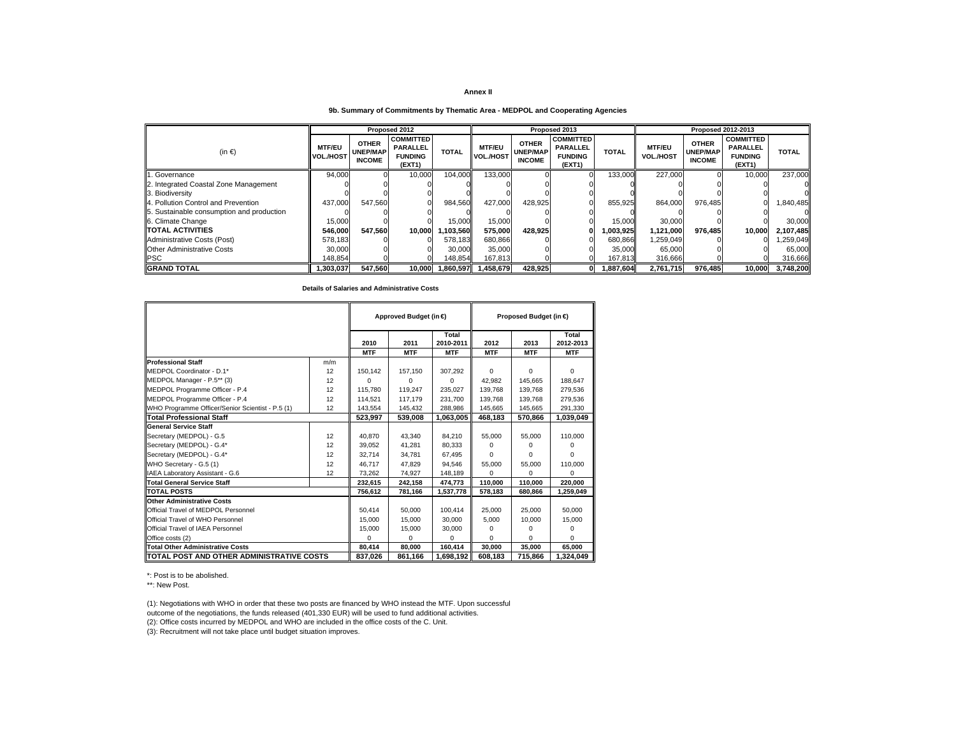## **9b. Summary of Commitments by Thematic Area - MEDPOL and Cooperating Agencies**

|                                           |                                   |                                                  | Proposed 2012                                                   |              |                                   |                                                  | Proposed 2013                                                   |              | Proposed 2012-2013                |                                                  |                                                                 |              |  |  |
|-------------------------------------------|-----------------------------------|--------------------------------------------------|-----------------------------------------------------------------|--------------|-----------------------------------|--------------------------------------------------|-----------------------------------------------------------------|--------------|-----------------------------------|--------------------------------------------------|-----------------------------------------------------------------|--------------|--|--|
| $(in \in)$                                | <b>MTF/EU</b><br><b>VOL./HOST</b> | <b>OTHER</b><br><b>UNEP/MAP</b><br><b>INCOME</b> | <b>COMMITTED</b><br><b>PARALLEL</b><br><b>FUNDING</b><br>(EXT1) | <b>TOTAL</b> | <b>MTF/EU</b><br><b>VOL./HOST</b> | <b>OTHER</b><br><b>UNEP/MAP</b><br><b>INCOME</b> | <b>COMMITTED</b><br><b>PARALLEL</b><br><b>FUNDING</b><br>(EXT1) | <b>TOTAL</b> | <b>MTF/EU</b><br><b>VOL./HOST</b> | <b>OTHER</b><br><b>UNEP/MAP</b><br><b>INCOME</b> | <b>COMMITTED</b><br><b>PARALLEL</b><br><b>FUNDING</b><br>(EXT1) | <b>TOTAL</b> |  |  |
| . Governance                              | 94,000                            |                                                  | 10,000                                                          | 104,000      | 133,000                           |                                                  |                                                                 | 133,000      | 227,000                           |                                                  | 10,000                                                          | 237,000      |  |  |
| 2. Integrated Coastal Zone Management     |                                   |                                                  |                                                                 |              |                                   |                                                  |                                                                 |              |                                   |                                                  |                                                                 |              |  |  |
| 3. Biodiversity                           |                                   |                                                  |                                                                 |              |                                   |                                                  |                                                                 |              |                                   |                                                  |                                                                 |              |  |  |
| 4. Pollution Control and Prevention       | 437.000                           | 547.560                                          |                                                                 | 984.560      | 427.000                           | 428.925                                          |                                                                 | 855.925      | 864.000                           | 976.485                                          |                                                                 | 1.840.485    |  |  |
| 5. Sustainable consumption and production |                                   |                                                  |                                                                 |              |                                   |                                                  |                                                                 |              |                                   |                                                  |                                                                 |              |  |  |
| 6. Climate Change                         | 15,000                            |                                                  |                                                                 | 15,000       | 15,000                            |                                                  |                                                                 | 15,000       | 30,000                            |                                                  |                                                                 | 30,000       |  |  |
| <b>TOTAL ACTIVITIES</b>                   | 546.000                           | 547.560                                          | 10.000                                                          | .103.560     | 575.000                           | 428.925                                          |                                                                 | 1.003.925    | 1,121,000                         | 976.485                                          | 10.000                                                          | 2,107,485    |  |  |
| Administrative Costs (Post)               | 578,183                           |                                                  |                                                                 | 578.183      | 680.866                           |                                                  |                                                                 | 680,866      | 1,259,049                         |                                                  |                                                                 | ,259,049     |  |  |
| <b>Other Administrative Costs</b>         | 30,000                            |                                                  |                                                                 | 30,000       | 35,000                            |                                                  |                                                                 | 35,000       | 65,000                            |                                                  |                                                                 | 65,000       |  |  |
| <b>PSC</b>                                | 148.854                           |                                                  |                                                                 | 148.854      | 167.813                           |                                                  |                                                                 | 167,813      | 316,666                           |                                                  |                                                                 | 316,666      |  |  |
| <b>GRAND TOTAL</b>                        | 1,303,037                         | 547,560                                          | 10,000                                                          | 1.860.597    | 1.458.679                         | 428,925                                          |                                                                 | 1,887,604    | 2,761,715                         | 976.485                                          | 10.000                                                          | 3,748,200    |  |  |

**Details of Salaries and Administrative Costs**

|                                                  |        |            | Approved Budget (in € |            | Proposed Budget (in € |            |              |  |
|--------------------------------------------------|--------|------------|-----------------------|------------|-----------------------|------------|--------------|--|
|                                                  |        |            |                       | Total      |                       |            | Total        |  |
|                                                  |        | 2010       | 2011                  | 2010-2011  | 2012                  | 2013       | 2012-2013    |  |
|                                                  |        | <b>MTF</b> | <b>MTF</b>            | <b>MTF</b> | <b>MTF</b>            | <b>MTF</b> | <b>MTF</b>   |  |
| <b>Professional Staff</b>                        | m/m    |            |                       |            |                       |            |              |  |
| MEDPOL Coordinator - D.1*                        | 12     | 150,142    | 157,150               | 307,292    | $\Omega$              | 0          | $\Omega$     |  |
| MEDPOL Manager - P.5** (3)                       | 12     | $\Omega$   | 0                     | $\Omega$   | 42.982                | 145.665    | 188.647      |  |
| MEDPOL Programme Officer - P.4                   | 12     | 115.780    | 119.247               | 235.027    | 139.768               | 139.768    | 279,536      |  |
| MEDPOL Programme Officer - P.4                   | 12     | 114,521    | 117.179               | 231.700    | 139.768               | 139.768    | 279,536      |  |
| WHO Programme Officer/Senior Scientist - P.5 (1) | 12     | 143.554    | 145,432               | 288,986    | 145,665               | 145,665    | 291,330      |  |
| Total Professional Staff                         |        | 523,997    | 539.008               | 1,063,005  | 468.183               | 570.866    | 1,039,049    |  |
| <b>General Service Staff</b>                     |        |            |                       |            |                       |            |              |  |
| Secretary (MEDPOL) - G.5                         | 12     | 40.870     | 43,340                | 84,210     | 55,000                | 55.000     | 110,000      |  |
| Secretary (MEDPOL) - G.4*                        | 12     | 39,052     | 41.281                | 80,333     | $\Omega$              | 0          | 0            |  |
| Secretary (MEDPOL) - G.4*                        | 12     | 32.714     | 34.781                | 67.495     | $\Omega$              | $\Omega$   | $\Omega$     |  |
| WHO Secretary - G.5 (1)                          | 12     | 46.717     | 47.829                | 94.546     | 55,000                | 55,000     | 110,000      |  |
| IAEA Laboratory Assistant - G.6                  | 12     | 73,262     | 74,927                | 148,189    | $\Omega$              | n          | $\Omega$     |  |
| <b>Total General Service Staff</b>               |        | 232,615    | 242,158               | 474,773    | 110.000               | 110.000    | 220,000      |  |
| <b>TOTAL POSTS</b>                               |        | 756,612    | 781,166               | 1,537,778  | 578,183               | 680,866    | 1,259,049    |  |
| <b>Other Administrative Costs</b>                |        |            |                       |            |                       |            |              |  |
| Official Travel of MEDPOL Personnel              |        | 50.414     | 50.000                | 100.414    | 25,000                | 25,000     | 50,000       |  |
| Official Travel of WHO Personnel                 |        | 15,000     | 15,000                | 30,000     | 5,000                 | 10,000     | 15,000       |  |
| Official Travel of IAEA Personnel                |        | 15,000     | 15,000                | 30,000     | 0                     | 0          | 0            |  |
| Office costs (2)                                 |        | $\Omega$   | 0                     | $\Omega$   | $\Omega$              | $\Omega$   | <sup>0</sup> |  |
| <b>Total Other Administrative Costs</b>          | 80,414 | 80,000     | 160.414               | 30,000     | 35,000                | 65,000     |              |  |
| TOTAL POST AND OTHER ADMINISTRATIVE COSTS        |        | 837.026    | 861,166               | 1,698,192  | 608.183               | 715.866    | 1,324,049    |  |

\*: Post is to be abolished.

\*\*: New Post.

(1): Negotiations with WHO in order that these two posts are financed by WHO instead the MTF. Upon successful outcome of the negotiations, the funds released (401,330 EUR) will be used to fund additional activities.

(2): Office costs incurred by MEDPOL and WHO are included in the office costs of the C. Unit.

(3): Recruitment will not take place until budget situation improves.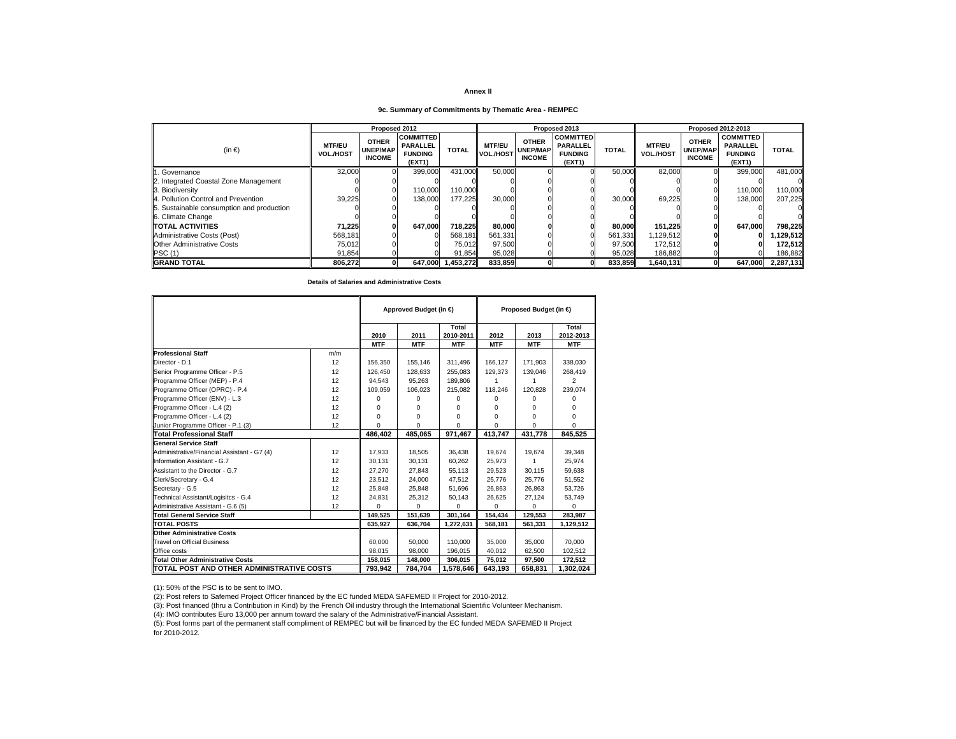## **9c. Summary of Commitments by Thematic Area - REMPEC**

|                                           |                                   | Proposed 2012                                    |                                                                 |              |                                   |                                                  | Proposed 2013                                                   |              |                                   |                                           | <b>Proposed 2012-2013</b>                                       |              |
|-------------------------------------------|-----------------------------------|--------------------------------------------------|-----------------------------------------------------------------|--------------|-----------------------------------|--------------------------------------------------|-----------------------------------------------------------------|--------------|-----------------------------------|-------------------------------------------|-----------------------------------------------------------------|--------------|
| (in $\epsilon$ )                          | <b>MTF/EU</b><br><b>VOL./HOST</b> | <b>OTHER</b><br><b>UNEP/MAP</b><br><b>INCOME</b> | <b>COMMITTED</b><br><b>PARALLEL</b><br><b>FUNDING</b><br>(EXT1) | <b>TOTAL</b> | <b>MTF/EU</b><br><b>VOL./HOST</b> | <b>OTHER</b><br><b>UNEP/MAP</b><br><b>INCOME</b> | <b>COMMITTED</b><br><b>PARALLEL</b><br><b>FUNDING</b><br>(EXT1) | <b>TOTAL</b> | <b>MTF/EU</b><br><b>VOL./HOST</b> | <b>OTHER</b><br>UNEP/MAP<br><b>INCOME</b> | <b>COMMITTED</b><br><b>PARALLEL</b><br><b>FUNDING</b><br>(EXT1) | <b>TOTAL</b> |
| . Governance                              | 32.000                            |                                                  | 399.000                                                         | 431,000      | 50,000                            |                                                  |                                                                 | 50,000       | 82.000                            |                                           | 399,000                                                         | 481.000      |
| 2. Integrated Coastal Zone Management     |                                   |                                                  |                                                                 |              |                                   |                                                  |                                                                 |              |                                   |                                           |                                                                 |              |
| 3. Biodiversity                           |                                   |                                                  | 110,000                                                         | 110.000I     |                                   |                                                  |                                                                 |              |                                   |                                           | 110.000                                                         | 110,000      |
| 4. Pollution Control and Prevention       | 39,225                            |                                                  | 138,000                                                         | 177,225      | 30,000                            |                                                  |                                                                 | 30,000       | 69,225                            |                                           | 138,000                                                         | 207,225      |
| 5. Sustainable consumption and production |                                   |                                                  |                                                                 |              |                                   |                                                  |                                                                 |              |                                   |                                           |                                                                 |              |
| 6. Climate Change                         |                                   |                                                  |                                                                 |              |                                   |                                                  |                                                                 |              |                                   |                                           |                                                                 |              |
| <b>TOTAL ACTIVITIES</b>                   | 71.225                            |                                                  | 647.000                                                         | 718.225      | 80,000                            |                                                  |                                                                 | 80.000       | 151,225                           |                                           | 647.000                                                         | 798,225      |
| Administrative Costs (Post)               | 568.181                           |                                                  |                                                                 | 568.181      | 561,331                           |                                                  |                                                                 | 561,331      | 1,129,512                         |                                           |                                                                 | ,129,512     |
| <b>Other Administrative Costs</b>         | 75.012                            |                                                  |                                                                 | 75.012       | 97,500                            |                                                  |                                                                 | 97,500       | 172.512                           |                                           |                                                                 | 172.512      |
| PSC(1)                                    | 91,854                            |                                                  |                                                                 | 91,854       | 95,028                            |                                                  |                                                                 | 95,028       | 186,882                           |                                           |                                                                 | 186,882      |
| <b>GRAND TOTAL</b>                        | 806.272                           |                                                  | 647.000                                                         | 1.453.272    | 833.859                           |                                                  |                                                                 | 833.859      | 1,640,131                         |                                           | 647.000                                                         | 2.287.131    |

**Details of Salaries and Administrative Costs**

|                                             |         |            | Approved Budget (in € |                    |            | Proposed Budget (in €) |                    |
|---------------------------------------------|---------|------------|-----------------------|--------------------|------------|------------------------|--------------------|
|                                             |         | 2010       | 2011                  | Total<br>2010-2011 | 2012       | 2013                   | Total<br>2012-2013 |
|                                             |         | <b>MTF</b> | <b>MTF</b>            | <b>MTF</b>         | <b>MTF</b> | <b>MTF</b>             | <b>MTF</b>         |
| <b>Professional Staff</b>                   | m/m     |            |                       |                    |            |                        |                    |
| Director - D.1                              | 12      | 156,350    | 155,146               | 311,496            | 166.127    | 171.903                | 338,030            |
| Senior Programme Officer - P.5              | 12      | 126.450    | 128.633               | 255.083            | 129.373    | 139,046                | 268,419            |
| Programme Officer (MEP) - P.4               | 12      | 94.543     | 95,263                | 189,806            |            |                        | $\overline{2}$     |
| Programme Officer (OPRC) - P.4              | 12      | 109,059    | 106,023               | 215,082            | 118,246    | 120,828                | 239,074            |
| Programme Officer (ENV) - L.3               | 12      | 0          | 0                     | 0                  | $\Omega$   | 0                      | 0                  |
| Programme Officer - L.4 (2)                 | 12      | $\Omega$   | 0                     | 0                  | $\Omega$   | 0                      | O                  |
| Programme Officer - L.4 (2)                 | 12      | 0          | 0                     | 0                  | $\Omega$   | 0                      | 0                  |
| Junior Programme Officer - P.1 (3)          | 12      | $\Omega$   | $\Omega$              | $\Omega$           | $\Omega$   | $\Omega$               | $\Omega$           |
| <b>Total Professional Staff</b>             |         | 486,402    | 485,065               | 971,467            | 413,747    | 431,778                | 845,525            |
| <b>General Service Staff</b>                |         |            |                       |                    |            |                        |                    |
| Administrative/Financial Assistant - G7 (4) | 12      | 17.933     | 18,505                | 36,438             | 19.674     | 19,674                 | 39,348             |
| Information Assistant - G.7                 | 12      | 30.131     | 30,131                | 60.262             | 25.973     | 1                      | 25,974             |
| Assistant to the Director - G.7             | 12      | 27,270     | 27,843                | 55,113             | 29,523     | 30,115                 | 59,638             |
| Clerk/Secretary - G.4                       | 12      | 23.512     | 24,000                | 47.512             | 25.776     | 25.776                 | 51,552             |
| Secretary - G.5                             | 12      | 25.848     | 25,848                | 51.696             | 26,863     | 26.863                 | 53,726             |
| Technical Assistant/Logisitcs - G.4         | 12      | 24,831     | 25,312                | 50,143             | 26,625     | 27,124                 | 53,749             |
| Administrative Assistant - G.6 (5)          | 12      | $\Omega$   | $\Omega$              | $\Omega$           | $\Omega$   | $\Omega$               | 0                  |
| <b>Total General Service Staff</b>          |         | 149,525    | 151,639               | 301,164            | 154,434    | 129,553                | 283,987            |
| <b>TOTAL POSTS</b>                          |         | 635.927    | 636,704               | 1.272.631          | 568,181    | 561,331                | 1,129,512          |
| <b>Other Administrative Costs</b>           |         |            |                       |                    |            |                        |                    |
| <b>Travel on Official Business</b>          |         | 60,000     | 50,000                | 110,000            | 35,000     | 35,000                 | 70.000             |
| Office costs                                |         | 98,015     | 98,000                | 196,015            | 40,012     | 62,500                 | 102,512            |
| <b>Total Other Administrative Costs</b>     | 158,015 | 148,000    | 306,015               | 75,012             | 97,500     | 172,512                |                    |
| TOTAL POST AND OTHER ADMINISTRATIVE COSTS   |         | 793.942    | 784.704               | 1,578,646          | 643.193    | 658.831                | 1.302.024          |

(1): 50% of the PSC is to be sent to IMO.

(2): Post refers to Safemed Project Officer financed by the EC funded MEDA SAFEMED II Project for 2010-2012.

(3): Post financed (thru a Contribution in Kind) by the French Oil industry through the International Scientific Volunteer Mechanism.

(4): IMO contributes Euro 13,000 per annum toward the salary of the Administrative/Financial Assistant.

(5): Post forms part of the permanent staff compliment of REMPEC but will be financed by the EC funded MEDA SAFEMED II Project for 2010-2012.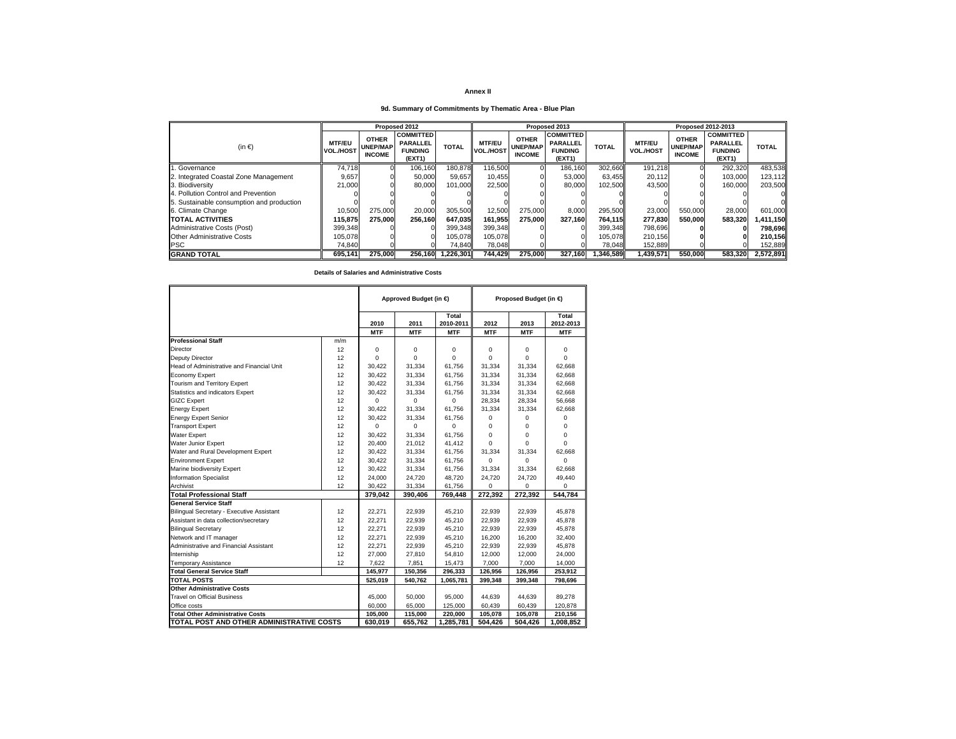## **9d. Summary of Commitments by Thematic Area - Blue Plan**

|                                           |                                   |                                                  | Proposed 2012                                                   |              |                                   |                                                  | Proposed 2013                                                   |              |                                   | Proposed 2012-2013                               |                                                                 |              |
|-------------------------------------------|-----------------------------------|--------------------------------------------------|-----------------------------------------------------------------|--------------|-----------------------------------|--------------------------------------------------|-----------------------------------------------------------------|--------------|-----------------------------------|--------------------------------------------------|-----------------------------------------------------------------|--------------|
| $(in \in )$                               | <b>MTF/EU</b><br><b>VOL./HOST</b> | <b>OTHER</b><br><b>UNEP/MAP</b><br><b>INCOME</b> | <b>COMMITTED</b><br><b>PARALLEL</b><br><b>FUNDING</b><br>(EXT1) | <b>TOTAL</b> | <b>MTF/EU</b><br><b>VOL./HOST</b> | <b>OTHER</b><br><b>UNEP/MAP</b><br><b>INCOME</b> | <b>COMMITTED</b><br><b>PARALLEL</b><br><b>FUNDING</b><br>(EXT1) | <b>TOTAL</b> | <b>MTF/EU</b><br><b>VOL./HOST</b> | <b>OTHER</b><br><b>UNEP/MAP</b><br><b>INCOME</b> | <b>COMMITTED</b><br><b>PARALLEL</b><br><b>FUNDING</b><br>(EXT1) | <b>TOTAL</b> |
| 1. Governance                             | 74.718                            |                                                  | 106.160                                                         | 180,878      | 116,500                           |                                                  | 186,160                                                         | 302,660      | 191.218                           |                                                  | 292,320                                                         | 483,538      |
| 2. Integrated Coastal Zone Management     | 9.657                             |                                                  | 50.000                                                          | 59.657       | 10.455                            |                                                  | 53.000                                                          | 63.455       | 20.112                            | ΩI                                               | 103.000                                                         | 123,112      |
| 3. Biodiversity                           | 21,000                            |                                                  | 80,000                                                          | 101.000      | 22.500                            |                                                  | 80,000                                                          | 102.500      | 43.500                            |                                                  | 160,000                                                         | 203,500      |
| 4. Pollution Control and Prevention       |                                   |                                                  |                                                                 |              |                                   |                                                  |                                                                 |              |                                   |                                                  |                                                                 |              |
| 5. Sustainable consumption and production |                                   |                                                  |                                                                 |              |                                   |                                                  |                                                                 |              |                                   |                                                  |                                                                 |              |
| 6. Climate Change                         | 10.500                            | 275,000                                          | 20,000                                                          | 305,500      | 12,500                            | 275.000                                          | 8.000                                                           | 295,500      | 23,000                            | 550,000                                          | 28.000                                                          | 601,000      |
| <b>TOTAL ACTIVITIES</b>                   | 115.875                           | 275.000                                          | 256.160                                                         | 647.035      | 161.955                           | 275.000                                          | 327.160                                                         | 764.115      | 277.830                           | 550.000                                          | 583.320                                                         | 1,411,150    |
| Administrative Costs (Post)               | 399.348                           |                                                  |                                                                 | 399,348      | 399.348                           |                                                  |                                                                 | 399.348      | 798.696                           |                                                  |                                                                 | 798,696      |
| <b>Other Administrative Costs</b>         | 105.078                           |                                                  |                                                                 | 105.078      | 105.078                           |                                                  |                                                                 | 105.078      | 210.156                           |                                                  |                                                                 | 210,156      |
| <b>PSC</b>                                | 74.840                            |                                                  |                                                                 | 74.840       | 78.048                            |                                                  |                                                                 | 78.048       | 152,889                           |                                                  |                                                                 | 152,889      |
| <b>GRAND TOTAL</b>                        | 695.141                           | 275,000                                          | 256.160                                                         | 1,226,301    | 744,429                           | 275,000                                          | 327.160                                                         | 1.346.589    | 1,439,571                         | 550,000                                          | 583,320                                                         | 2,572,891    |

|                                           |     |                    | Approved Budget (in € |                                  |                    | Proposed Budget (in € |                                  |
|-------------------------------------------|-----|--------------------|-----------------------|----------------------------------|--------------------|-----------------------|----------------------------------|
|                                           |     | 2010<br><b>MTF</b> | 2011<br><b>MTF</b>    | Total<br>2010-2011<br><b>MTF</b> | 2012<br><b>MTF</b> | 2013<br><b>MTF</b>    | Total<br>2012-2013<br><b>MTF</b> |
| <b>Professional Staff</b>                 | m/m |                    |                       |                                  |                    |                       |                                  |
| Director                                  | 12  | 0                  | 0                     | 0                                | 0                  | 0                     | $\mathbf 0$                      |
| <b>Deputy Director</b>                    | 12  | $\Omega$           | $\Omega$              | $\Omega$                         | $\Omega$           | $\Omega$              | $\Omega$                         |
| Head of Administrative and Financial Unit | 12  | 30.422             | 31,334                | 61.756                           | 31.334             | 31,334                | 62.668                           |
| <b>Economy Expert</b>                     | 12  | 30.422             | 31.334                | 61.756                           | 31,334             | 31,334                | 62.668                           |
| Tourism and Territory Expert              | 12  | 30.422             | 31.334                | 61.756                           | 31.334             | 31.334                | 62.668                           |
| Statistics and indicators Expert          | 12  | 30,422             | 31,334                | 61,756                           | 31,334             | 31,334                | 62,668                           |
| <b>GIZC Expert</b>                        | 12  | $\Omega$           | $\Omega$              | $\Omega$                         | 28,334             | 28,334                | 56,668                           |
| <b>Energy Expert</b>                      | 12  | 30.422             | 31.334                | 61.756                           | 31.334             | 31.334                | 62.668                           |
| <b>Energy Expert Senior</b>               | 12  | 30.422             | 31,334                | 61.756                           | 0                  | $\Omega$              | $\Omega$                         |
| <b>Transport Expert</b>                   | 12  | $\Omega$           | $\Omega$              | $\Omega$                         | 0                  | $\Omega$              | $\Omega$                         |
| <b>Water Expert</b>                       | 12  | 30.422             | 31.334                | 61.756                           | $\Omega$           | $\Omega$              | $\Omega$                         |
| <b>Water Junior Expert</b>                | 12  | 20,400             | 21,012                | 41,412                           | $\Omega$           | $\Omega$              | $\Omega$                         |
| Water and Rural Development Expert        | 12  | 30,422             | 31,334                | 61,756                           | 31,334             | 31,334                | 62.668                           |
| <b>Environment Expert</b>                 | 12  | 30,422             | 31,334                | 61,756                           | $\Omega$           | $\Omega$              | $\Omega$                         |
| Marine biodiversity Expert                | 12  | 30,422             | 31,334                | 61,756                           | 31.334             | 31,334                | 62.668                           |
| <b>Information Specialist</b>             | 12  | 24,000             | 24,720                | 48.720                           | 24,720             | 24.720                | 49,440                           |
| Archivist                                 | 12  | 30,422             | 31,334                | 61,756                           | $\Omega$           | $\Omega$              | $\Omega$                         |
| <b>Total Professional Staff</b>           |     | 379,042            | 390,406               | 769,448                          | 272,392            | 272,392               | 544,784                          |
| <b>General Service Staff</b>              |     |                    |                       |                                  |                    |                       |                                  |
| Bilingual Secretary - Executive Assistant | 12  | 22,271             | 22,939                | 45,210                           | 22,939             | 22,939                | 45,878                           |
| Assistant in data collection/secretary    | 12  | 22,271             | 22,939                | 45,210                           | 22,939             | 22,939                | 45,878                           |
| <b>Bilingual Secretary</b>                | 12  | 22,271             | 22,939                | 45,210                           | 22,939             | 22,939                | 45,878                           |
| Network and IT manager                    | 12  | 22,271             | 22,939                | 45,210                           | 16,200             | 16,200                | 32,400                           |
| Administrative and Financial Assistant    | 12  | 22,271             | 22,939                | 45,210                           | 22,939             | 22,939                | 45,878                           |
| Interniship                               | 12  | 27,000             | 27,810                | 54,810                           | 12,000             | 12,000                | 24,000                           |
| <b>Temporary Assistance</b>               | 12  | 7,622              | 7,851                 | 15,473                           | 7,000              | 7,000                 | 14,000                           |
| <b>Total General Service Staff</b>        |     | 145,977            | 150,356               | 296,333                          | 126,956            | 126,956               | 253,912                          |
| <b>TOTAL POSTS</b>                        |     | 525,019            | 540,762               | 1,065,781                        | 399,348            | 399,348               | 798,696                          |
| <b>Other Administrative Costs</b>         |     |                    |                       |                                  |                    |                       |                                  |
| <b>Travel on Official Business</b>        |     | 45,000             | 50.000                | 95,000                           | 44.639             | 44.639                | 89,278                           |
| Office costs                              |     | 60,000             | 65,000                | 125,000                          | 60,439             | 60,439                | 120,878                          |
| <b>Total Other Administrative Costs</b>   |     | 105,000            | 115,000               | 220.000                          | 105.078            | 105.078               | 210,156                          |
| TOTAL POST AND OTHER ADMINISTRATIVE COSTS |     | 630,019            | 655,762               | 1,285,781                        | 504,426            | 504,426               | 1,008,852                        |

**Details of Salaries and Administrative Costs**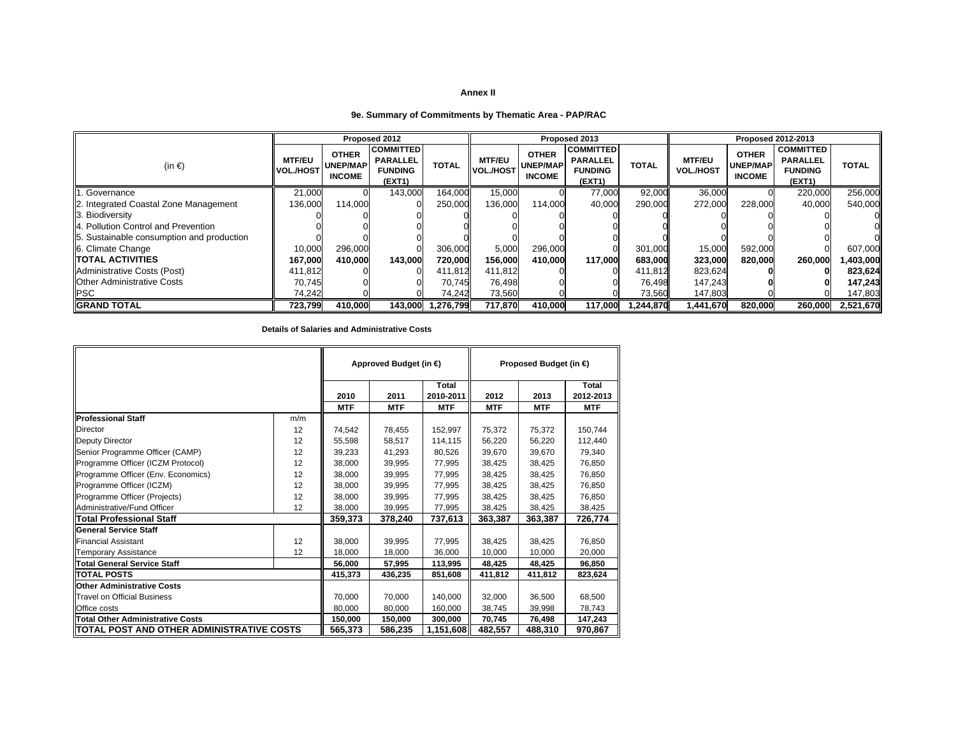## **9e. Summary of Commitments by Thematic Area - PAP/RAC**

|                                           |                                   |                                                  | Proposed 2012                                                   |              |                                   |                                                  | Proposed 2013                                                   |              |                                   |                                                  | Proposed 2012-2013                                              |              |
|-------------------------------------------|-----------------------------------|--------------------------------------------------|-----------------------------------------------------------------|--------------|-----------------------------------|--------------------------------------------------|-----------------------------------------------------------------|--------------|-----------------------------------|--------------------------------------------------|-----------------------------------------------------------------|--------------|
| (in $\epsilon$ )                          | <b>MTF/EU</b><br><b>VOL./HOST</b> | <b>OTHER</b><br><b>UNEP/MAP</b><br><b>INCOME</b> | <b>COMMITTED</b><br><b>PARALLEL</b><br><b>FUNDING</b><br>(EXT1) | <b>TOTAL</b> | <b>MTF/EU</b><br><b>VOL./HOST</b> | <b>OTHER</b><br><b>UNEP/MAP</b><br><b>INCOME</b> | <b>COMMITTED</b><br><b>PARALLEL</b><br><b>FUNDING</b><br>(EXT1) | <b>TOTAL</b> | <b>MTF/EU</b><br><b>VOL./HOST</b> | <b>OTHER</b><br><b>UNEP/MAP</b><br><b>INCOME</b> | <b>COMMITTED</b><br><b>PARALLEL</b><br><b>FUNDING</b><br>(EXT1) | <b>TOTAL</b> |
| Governance                                | 21,000                            |                                                  | 143,000                                                         | 164,000      | 15,000                            |                                                  | 77,000                                                          | 92,000       | 36,000                            |                                                  | 220,000                                                         | 256,000      |
| 2. Integrated Coastal Zone Management     | 136,000                           | 114.000                                          |                                                                 | 250,000      | 136.000                           | 114.000                                          | 40,000                                                          | 290.000      | 272,000                           | 228.000                                          | 40,000                                                          | 540.000      |
| 3. Biodiversity                           |                                   |                                                  |                                                                 |              |                                   |                                                  |                                                                 |              |                                   |                                                  |                                                                 |              |
| 4. Pollution Control and Prevention       |                                   |                                                  |                                                                 |              |                                   |                                                  |                                                                 |              |                                   |                                                  |                                                                 |              |
| 5. Sustainable consumption and production |                                   |                                                  |                                                                 |              |                                   |                                                  |                                                                 |              |                                   |                                                  |                                                                 |              |
| 6. Climate Change                         | 10,000                            | 296,000                                          |                                                                 | 306,000      | 5,000                             | 296,000                                          |                                                                 | 301,000      | 15,000                            | 592,000                                          |                                                                 | 607,000      |
| <b>TOTAL ACTIVITIES</b>                   | 167,000                           | 410.000                                          | 143,000                                                         | 720,000      | 156,000                           | 410,000                                          | 117,000                                                         | 683,000      | 323,000                           | 820,000                                          | 260,000                                                         | ,403,000     |
| Administrative Costs (Post)               | 411,812                           |                                                  |                                                                 | 411,812      | 411,812                           |                                                  |                                                                 | 411,812      | 823,624                           |                                                  |                                                                 | 823,624      |
| <b>IOther Administrative Costs</b>        | 70.745                            |                                                  |                                                                 | 70.745       | 76,498                            |                                                  |                                                                 | 76,498       | 147.243                           |                                                  |                                                                 | 147,243      |
| <b>PSC</b>                                | 74.242                            |                                                  |                                                                 | 74,242       | 73,560                            |                                                  |                                                                 | 73,560       | 147,803                           |                                                  |                                                                 | 147,803      |
| <b>GRAND TOTAL</b>                        | 723.799                           | 410.000                                          | 143.000                                                         | 1.276.799    | 717.870                           | 410.000                                          | 117.000                                                         | 1.244.870    | 1,441,670                         | 820,000                                          | 260,000                                                         | 2,521,670    |

## **Details of Salaries and Administrative Costs**

|                                           |         |            | Approved Budget (in €) |              |            | Proposed Budget (in €) |            |
|-------------------------------------------|---------|------------|------------------------|--------------|------------|------------------------|------------|
|                                           |         |            |                        | <b>Total</b> |            |                        | Total      |
|                                           |         | 2010       | 2011                   | 2010-2011    | 2012       | 2013                   | 2012-2013  |
|                                           |         | <b>MTF</b> | <b>MTF</b>             | <b>MTF</b>   | <b>MTF</b> | <b>MTF</b>             | <b>MTF</b> |
| <b>Professional Staff</b>                 | m/m     |            |                        |              |            |                        |            |
| <b>Director</b>                           | 12      | 74.542     | 78.455                 | 152.997      | 75,372     | 75,372                 | 150,744    |
| Deputy Director                           | 12      | 55,598     | 58.517                 | 114,115      | 56,220     | 56,220                 | 112,440    |
| Senior Programme Officer (CAMP)           | 12      | 39.233     | 41,293                 | 80,526       | 39.670     | 39.670                 | 79,340     |
| Programme Officer (ICZM Protocol)         | 12      | 38.000     | 39.995                 | 77.995       | 38.425     | 38.425                 | 76.850     |
| Programme Officer (Env. Economics)        | 12      | 38.000     | 39,995                 | 77,995       | 38,425     | 38,425                 | 76,850     |
| Programme Officer (ICZM)                  | 12      | 38.000     | 39,995                 | 77,995       | 38,425     | 38,425                 | 76,850     |
| Programme Officer (Projects)              | 12      | 38.000     | 39.995                 | 77,995       | 38.425     | 38,425                 | 76,850     |
| Administrative/Fund Officer               | 12      | 38.000     | 39.995                 | 77.995       | 38.425     | 38.425                 | 38.425     |
| Total Professional Staff                  |         | 359,373    | 378,240                | 737,613      | 363,387    | 363,387                | 726,774    |
| <b>General Service Staff</b>              |         |            |                        |              |            |                        |            |
| <b>Financial Assistant</b>                | 12      | 38.000     | 39.995                 | 77.995       | 38.425     | 38.425                 | 76.850     |
| <b>Temporary Assistance</b>               | 12      | 18,000     | 18,000                 | 36,000       | 10,000     | 10,000                 | 20,000     |
| Total General Service Staff               |         | 56.000     | 57.995                 | 113,995      | 48,425     | 48,425                 | 96,850     |
| <b>TOTAL POSTS</b>                        |         | 415,373    | 436,235                | 851,608      | 411,812    | 411,812                | 823,624    |
| <b>Other Administrative Costs</b>         |         |            |                        |              |            |                        |            |
| <b>Travel on Official Business</b>        | 70.000  | 70.000     | 140.000                | 32.000       | 36.500     | 68,500                 |            |
| Office costs                              | 80.000  | 80.000     | 160.000                | 38.745       | 39.998     | 78,743                 |            |
| Total Other Administrative Costs          | 150.000 | 150.000    | 300,000                | 70.745       | 76,498     | 147.243                |            |
| TOTAL POST AND OTHER ADMINISTRATIVE COSTS |         | 565,373    | 586,235                | 1,151,608    | 482,557    | 488,310                | 970,867    |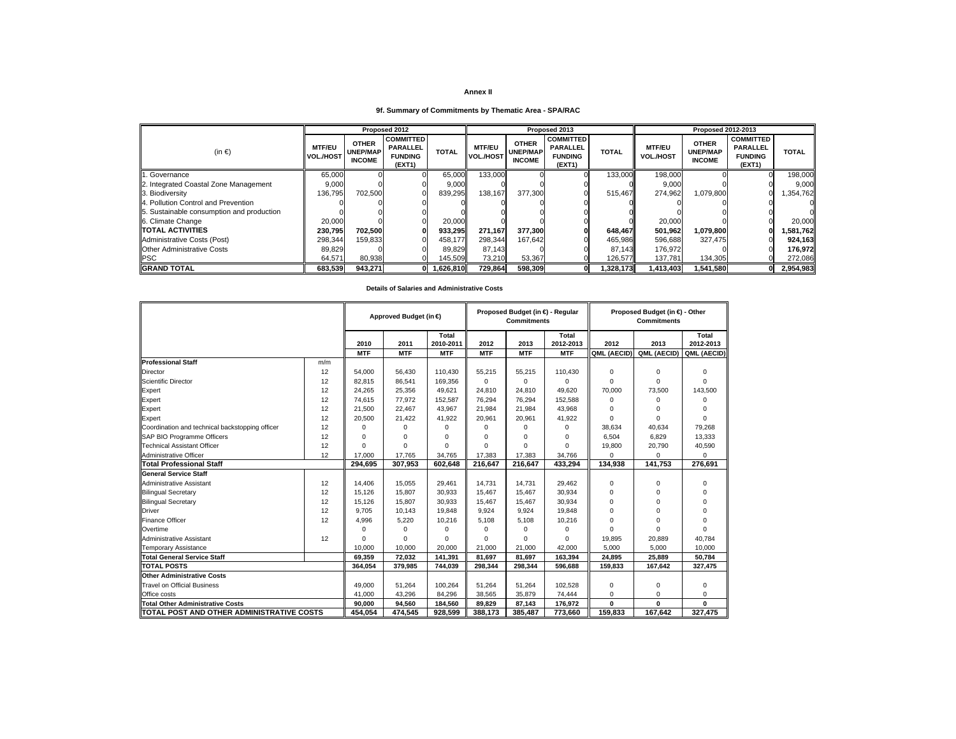## **9f. Summary of Commitments by Thematic Area - SPA/RAC**

|                                           |                                   |                                                  | Proposed 2012                                                   |              |                                   |                                                  | Proposed 2013                                                   |                |                                   | <b>Proposed 2012-2013</b>                        |                                                                 |              |
|-------------------------------------------|-----------------------------------|--------------------------------------------------|-----------------------------------------------------------------|--------------|-----------------------------------|--------------------------------------------------|-----------------------------------------------------------------|----------------|-----------------------------------|--------------------------------------------------|-----------------------------------------------------------------|--------------|
| $(in \in)$                                | <b>MTF/EU</b><br><b>VOL./HOST</b> | <b>OTHER</b><br><b>UNEP/MAP</b><br><b>INCOME</b> | <b>COMMITTED</b><br><b>PARALLEL</b><br><b>FUNDING</b><br>(EXT1) | <b>TOTAL</b> | <b>MTF/EU</b><br><b>VOL./HOST</b> | <b>OTHER</b><br><b>UNEP/MAP</b><br><b>INCOME</b> | <b>COMMITTED</b><br><b>PARALLEL</b><br><b>FUNDING</b><br>(EXT1) | <b>TOTAL</b>   | <b>MTF/EU</b><br><b>VOL./HOST</b> | <b>OTHER</b><br><b>UNEP/MAP</b><br><b>INCOME</b> | <b>COMMITTED</b><br><b>PARALLEL</b><br><b>FUNDING</b><br>(EXT1) | <b>TOTAL</b> |
| 1. Governance                             | 65,000                            |                                                  |                                                                 | 65,000       | 133.000                           |                                                  |                                                                 | <b>133,000</b> | 198.000                           |                                                  |                                                                 | 198,000      |
| 2. Integrated Coastal Zone Management     | 9,000                             |                                                  |                                                                 | 9,000        |                                   |                                                  |                                                                 |                | 9,000                             |                                                  |                                                                 | 9,000        |
| 3. Biodiversity                           | 136,795                           | 702.500                                          |                                                                 | 839,295      | 138.167                           | 377.300                                          |                                                                 | 515.467        | 274.962                           | 1,079,800                                        |                                                                 | .354.762     |
| 4. Pollution Control and Prevention       |                                   |                                                  |                                                                 |              |                                   |                                                  |                                                                 |                |                                   |                                                  |                                                                 |              |
| 5. Sustainable consumption and production |                                   |                                                  |                                                                 |              |                                   |                                                  |                                                                 |                |                                   |                                                  |                                                                 |              |
| 6. Climate Change                         | 20,000                            |                                                  |                                                                 | 20,000       |                                   |                                                  |                                                                 |                | 20,000                            |                                                  |                                                                 | 20,000       |
| <b>TOTAL ACTIVITIES</b>                   | 230,795                           | 702.500                                          |                                                                 | 933.295      | 271.167                           | 377.300                                          |                                                                 | 648.467        | 501.962                           | 1,079,800                                        |                                                                 | 581,762      |
| Administrative Costs (Post)               | 298,344                           | 159.833                                          |                                                                 | 458.177      | 298,344                           | 167.642                                          |                                                                 | 465,986        | 596,688                           | 327.475                                          |                                                                 | 924,163      |
| <b>Other Administrative Costs</b>         | 89,829                            |                                                  |                                                                 | 89.829       | 87.143                            |                                                  |                                                                 | 87.143         | 176.972                           |                                                  |                                                                 | 176.972      |
| <b>PSC</b>                                | 64,571                            | 80,938                                           |                                                                 | 145.509      | 73.210                            | 53,367                                           |                                                                 | 126.577        | 137.781                           | 134,305                                          |                                                                 | 272,086      |
| <b>GRAND TOTAL</b>                        | 683.539                           | 943.271                                          |                                                                 | 1.626.810    | 729.864                           | 598.309                                          | 0.                                                              | .328.173       | 1.413.403                         | 1.541.580                                        |                                                                 | 2,954,983    |

|                                                  |     |            | Approved Budget (in € |                    |            | Proposed Budget (in € - Regular<br><b>Commitments</b> |                    |             | Proposed Budget (in €) - Other<br><b>Commitments</b> |                    |
|--------------------------------------------------|-----|------------|-----------------------|--------------------|------------|-------------------------------------------------------|--------------------|-------------|------------------------------------------------------|--------------------|
|                                                  |     | 2010       | 2011                  | Total<br>2010-2011 | 2012       | 2013                                                  | Total<br>2012-2013 | 2012        | 2013                                                 | Total<br>2012-2013 |
|                                                  |     | <b>MTF</b> | <b>MTF</b>            | <b>MTF</b>         | <b>MTF</b> | <b>MTF</b>                                            | <b>MTF</b>         | QML (AECID) | QML (AECID)                                          | QML (AECID)        |
| <b>Professional Staff</b>                        | m/m |            |                       |                    |            |                                                       |                    |             |                                                      |                    |
| <b>Director</b>                                  | 12  | 54.000     | 56.430                | 110,430            | 55,215     | 55,215                                                | 110,430            | 0           | 0                                                    | $\mathbf 0$        |
| <b>Scientific Director</b>                       | 12  | 82,815     | 86,541                | 169,356            | $\Omega$   | $\Omega$                                              | $\Omega$           | $\Omega$    | $\Omega$                                             | $\Omega$           |
| Expert                                           | 12  | 24,265     | 25,356                | 49,621             | 24,810     | 24,810                                                | 49,620             | 70,000      | 73,500                                               | 143,500            |
| Expert                                           | 12  | 74,615     | 77.972                | 152.587            | 76.294     | 76.294                                                | 152.588            | $\Omega$    | 0                                                    | $\Omega$           |
| Expert                                           | 12  | 21,500     | 22.467                | 43,967             | 21.984     | 21,984                                                | 43.968             | $\Omega$    | $\Omega$                                             | 0                  |
| Expert                                           | 12  | 20,500     | 21.422                | 41,922             | 20,961     | 20,961                                                | 41,922             | $\Omega$    | $\Omega$                                             | $\mathbf 0$        |
| Coordination and technical backstopping officer  | 12  | $\Omega$   | $\Omega$              | 0                  | $\Omega$   | $\Omega$                                              | 0                  | 38.634      | 40.634                                               | 79,268             |
| SAP BIO Programme Officers                       | 12  | 0          | $\Omega$              | $\Omega$           | $\Omega$   | $\Omega$                                              | 0                  | 6,504       | 6,829                                                | 13,333             |
| <b>Technical Assistant Officer</b>               | 12  | $\Omega$   | $\Omega$              | $\Omega$           | $\Omega$   | $\Omega$                                              | $\Omega$           | 19,800      | 20,790                                               | 40,590             |
| Administrative Officer                           | 12  | 17,000     | 17,765                | 34,765             | 17,383     | 17,383                                                | 34,766             | ŋ           | 0                                                    | 0                  |
| <b>Total Professional Staff</b>                  |     | 294,695    | 307,953               | 602,648            | 216,647    | 216,647                                               | 433,294            | 134,938     | 141,753                                              | 276,691            |
| <b>General Service Staff</b>                     |     |            |                       |                    |            |                                                       |                    |             |                                                      |                    |
| Administrative Assistant                         | 12  | 14,406     | 15.055                | 29,461             | 14.731     | 14,731                                                | 29,462             | 0           | 0                                                    | 0                  |
| <b>Bilingual Secretary</b>                       | 12  | 15,126     | 15.807                | 30,933             | 15.467     | 15,467                                                | 30,934             | 0           | 0                                                    | $\Omega$           |
| <b>Bilingual Secretary</b>                       | 12  | 15,126     | 15,807                | 30,933             | 15,467     | 15,467                                                | 30,934             | 0           | $\Omega$                                             | $\Omega$           |
| <b>Driver</b>                                    | 12  | 9,705      | 10.143                | 19,848             | 9,924      | 9,924                                                 | 19,848             | $\Omega$    | $\Omega$                                             | $\Omega$           |
| <b>Finance Officer</b>                           | 12  | 4,996      | 5.220                 | 10,216             | 5.108      | 5.108                                                 | 10,216             | 0           | $\Omega$                                             | 0                  |
| Overtime                                         |     | 0          | 0                     | 0                  | 0          | 0                                                     | 0                  | $\Omega$    | $\Omega$                                             | 0                  |
| Administrative Assistant                         | 12  | $\Omega$   | $\Omega$              | $\Omega$           | $\Omega$   | $\Omega$                                              | 0                  | 19,895      | 20,889                                               | 40,784             |
| <b>Temporary Assistance</b>                      |     | 10,000     | 10.000                | 20,000             | 21,000     | 21,000                                                | 42,000             | 5.000       | 5.000                                                | 10,000             |
| <b>Total General Service Staff</b>               |     | 69.359     | 72.032                | 141.391            | 81.697     | 81.697                                                | 163.394            | 24.895      | 25.889                                               | 50.784             |
| <b>TOTAL POSTS</b>                               |     | 364,054    | 379.985               | 744.039            | 298,344    | 298,344                                               | 596.688            | 159,833     | 167.642                                              | 327,475            |
| <b>Other Administrative Costs</b>                |     |            |                       |                    |            |                                                       |                    |             |                                                      |                    |
| <b>Travel on Official Business</b>               |     | 49,000     | 51.264                | 100,264            | 51,264     | 51,264                                                | 102,528            | 0           | 0                                                    | $\mathbf 0$        |
| Office costs                                     |     | 41,000     | 43,296                | 84,296             | 38,565     | 35,879                                                | 74,444             | 0           | 0                                                    | 0                  |
| <b>Total Other Administrative Costs</b>          |     | 90,000     | 94,560                | 184,560            | 89.829     | 87,143                                                | 176,972            | $\bf{0}$    | <sup>0</sup>                                         | $\mathbf{0}$       |
| <b>TOTAL POST AND OTHER ADMINISTRATIVE COSTS</b> |     | 454.054    | 474.545               | 928.599            | 388,173    | 385,487                                               | 773,660            | 159.833     | 167.642                                              | 327,475            |

#### **Details of Salaries and Administrative Costs**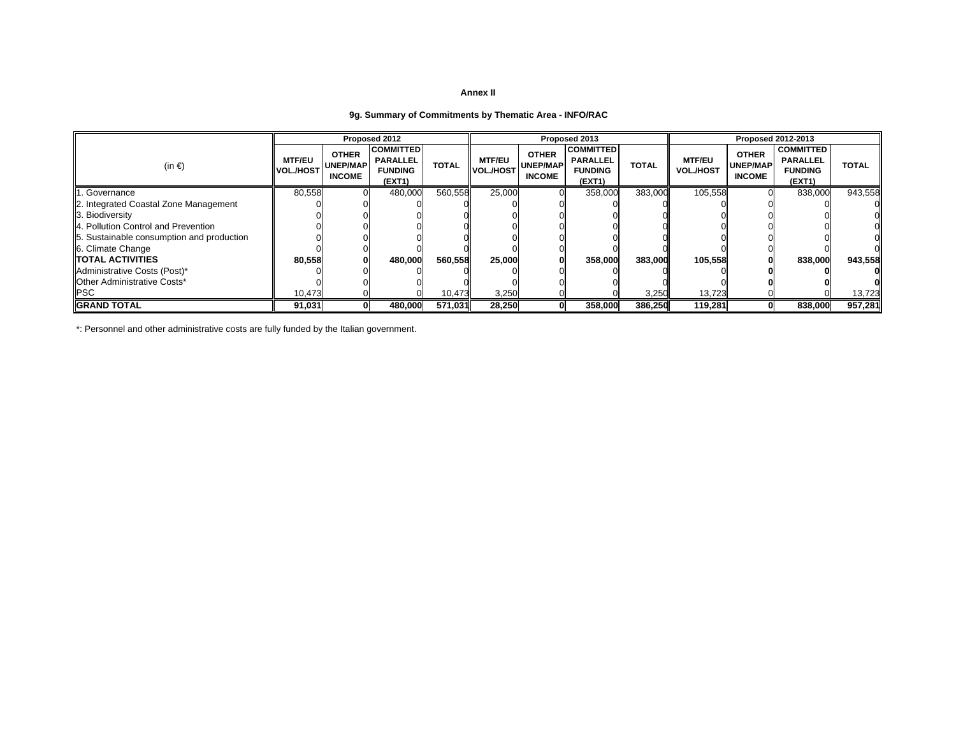## **9g. Summary of Commitments by Thematic Area - INFO/RAC**

|                                           |                                   |                                                  | Proposed 2012                                                   |              |                                   |                                                  | Proposed 2013                                                   |              |                                   |                                                  | Proposed 2012-2013                                              |              |
|-------------------------------------------|-----------------------------------|--------------------------------------------------|-----------------------------------------------------------------|--------------|-----------------------------------|--------------------------------------------------|-----------------------------------------------------------------|--------------|-----------------------------------|--------------------------------------------------|-----------------------------------------------------------------|--------------|
| $(in \in)$                                | <b>MTF/EU</b><br><b>VOL./HOST</b> | <b>OTHER</b><br><b>UNEP/MAP</b><br><b>INCOME</b> | <b>COMMITTED</b><br><b>PARALLEL</b><br><b>FUNDING</b><br>(EXT1) | <b>TOTAL</b> | <b>MTF/EU</b><br><b>VOL./HOST</b> | <b>OTHER</b><br><b>UNEP/MAP</b><br><b>INCOME</b> | <b>COMMITTED</b><br><b>PARALLEL</b><br><b>FUNDING</b><br>(EXT1) | <b>TOTAL</b> | <b>MTF/EU</b><br><b>VOL./HOST</b> | <b>OTHER</b><br><b>UNEP/MAP</b><br><b>INCOME</b> | <b>COMMITTED</b><br><b>PARALLEL</b><br><b>FUNDING</b><br>(EXT1) | <b>TOTAL</b> |
| . Governance                              | 80,558                            |                                                  | 480,000                                                         | 560,558      | 25,000                            |                                                  | 358,000                                                         | 383,000      | 105,558                           |                                                  | 838,000                                                         | 943,558      |
| 2. Integrated Coastal Zone Management     |                                   |                                                  |                                                                 |              |                                   |                                                  |                                                                 |              |                                   |                                                  |                                                                 |              |
| 3. Biodiversity                           |                                   |                                                  |                                                                 |              |                                   |                                                  |                                                                 |              |                                   |                                                  |                                                                 |              |
| 4. Pollution Control and Prevention       |                                   |                                                  |                                                                 |              |                                   |                                                  |                                                                 |              |                                   |                                                  |                                                                 |              |
| 5. Sustainable consumption and production |                                   |                                                  |                                                                 |              |                                   |                                                  |                                                                 |              |                                   |                                                  |                                                                 |              |
| 6. Climate Change                         |                                   |                                                  |                                                                 |              |                                   |                                                  |                                                                 |              |                                   |                                                  |                                                                 |              |
| <b>ITOTAL ACTIVITIES</b>                  | 80,558                            | $\bf{0}$                                         | 480,000                                                         | 560,558      | 25,000                            |                                                  | 358,000                                                         | 383,000      | 105,558                           |                                                  | 838,000                                                         | 943,558      |
| Administrative Costs (Post)*              |                                   |                                                  |                                                                 |              |                                   |                                                  |                                                                 |              |                                   |                                                  |                                                                 |              |
| <b>IOther Administrative Costs*</b>       |                                   |                                                  |                                                                 |              |                                   |                                                  |                                                                 |              |                                   |                                                  |                                                                 |              |
| <b>PSC</b>                                | 10,473                            |                                                  |                                                                 | 10,473       | 3,250                             |                                                  |                                                                 | 3,250        | 13,723                            |                                                  |                                                                 | 13,723       |
| <b>IGRAND TOTAL</b>                       | 91.031                            | 0l                                               | 480.000                                                         | 571.031      | 28,250                            |                                                  | 358,000                                                         | 386.250      | 119,281                           | 0l                                               | 838,000                                                         | 957,281      |

\*: Personnel and other administrative costs are fully funded by the Italian government.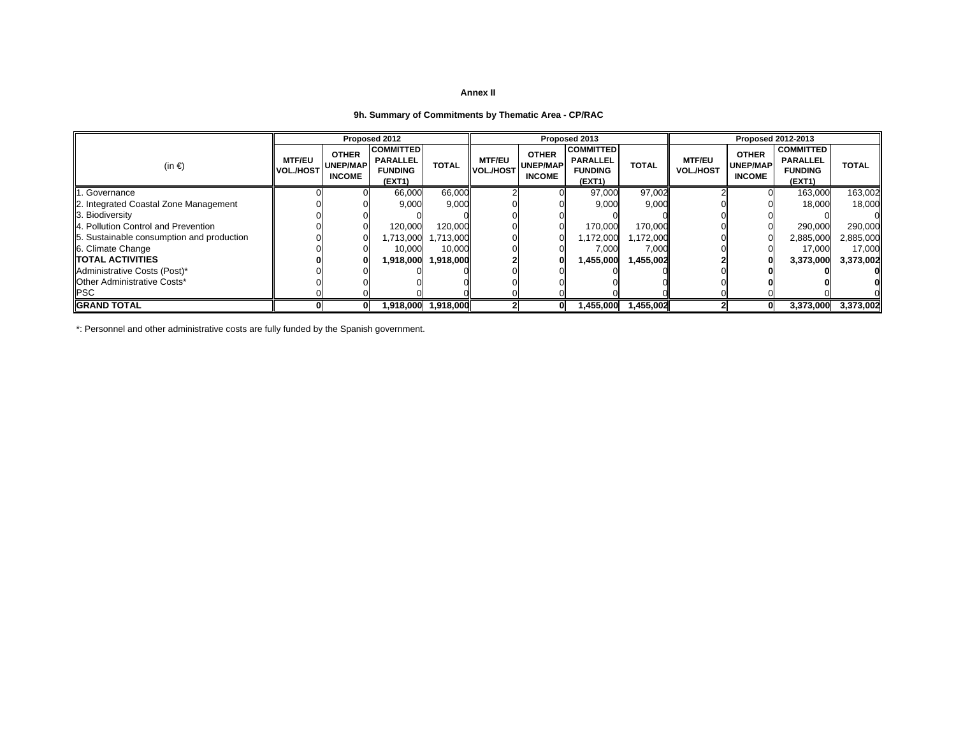## **9h. Summary of Commitments by Thematic Area - CP/RAC**

|                                           |                                   |                                                  | Proposed 2012                                                   |                     |                            |                                                  | Proposed 2013                                                   |              |                                   |                                                  | <b>Proposed 2012-2013</b>                                       |              |
|-------------------------------------------|-----------------------------------|--------------------------------------------------|-----------------------------------------------------------------|---------------------|----------------------------|--------------------------------------------------|-----------------------------------------------------------------|--------------|-----------------------------------|--------------------------------------------------|-----------------------------------------------------------------|--------------|
| (in $\epsilon$ )                          | <b>MTF/EU</b><br><b>VOL./HOST</b> | <b>OTHER</b><br><b>UNEP/MAP</b><br><b>INCOME</b> | <b>COMMITTED</b><br><b>PARALLEL</b><br><b>FUNDING</b><br>(EXT1) | <b>TOTAL</b>        | <b>MTF/EU</b><br>VOL./HOST | <b>OTHER</b><br><b>UNEP/MAP</b><br><b>INCOME</b> | <b>COMMITTED</b><br><b>PARALLEL</b><br><b>FUNDING</b><br>(EXT1) | <b>TOTAL</b> | <b>MTF/EU</b><br><b>VOL./HOST</b> | <b>OTHER</b><br><b>UNEP/MAP</b><br><b>INCOME</b> | <b>COMMITTED</b><br><b>PARALLEL</b><br><b>FUNDING</b><br>(EXT1) | <b>TOTAL</b> |
| Governance                                |                                   |                                                  | 66,000                                                          | 66,000              |                            |                                                  | 97,000                                                          | 97,002       |                                   |                                                  | 163,000                                                         | 163,002      |
| 2. Integrated Coastal Zone Management     |                                   |                                                  | 9,000                                                           | 9,000               |                            |                                                  | 9,000                                                           | 9,000        |                                   |                                                  | 18,000                                                          | 18,000       |
| 3. Biodiversity                           |                                   |                                                  |                                                                 |                     |                            |                                                  |                                                                 |              |                                   |                                                  |                                                                 |              |
| 4. Pollution Control and Prevention       |                                   |                                                  | 120,000                                                         | 120,000             |                            |                                                  | 170,000                                                         | 170,000      |                                   |                                                  | 290,000                                                         | 290,000      |
| 5. Sustainable consumption and production |                                   |                                                  | 1,713,000                                                       | ,713,000            |                            |                                                  | 1,172,000                                                       | 1,172,000    |                                   |                                                  | 2,885,000                                                       | 2,885,000    |
| 6. Climate Change                         |                                   |                                                  | 10,000                                                          | 10,000              |                            |                                                  | 7,000                                                           | 7,000        |                                   |                                                  | 17,000                                                          | 17,000       |
| <b>ITOTAL ACTIVITIES</b>                  |                                   |                                                  | 1,918,000                                                       | 1,918,000           |                            |                                                  | 1,455,000                                                       | 1,455,002    |                                   |                                                  | 3,373,000                                                       | 3,373,002    |
| Administrative Costs (Post)*              |                                   |                                                  |                                                                 |                     |                            |                                                  |                                                                 |              |                                   |                                                  |                                                                 |              |
| <b>IOther Administrative Costs*</b>       |                                   |                                                  |                                                                 |                     |                            |                                                  |                                                                 |              |                                   |                                                  |                                                                 |              |
| <b>PSC</b>                                |                                   |                                                  |                                                                 |                     |                            |                                                  |                                                                 |              |                                   |                                                  |                                                                 |              |
| <b>IGRAND TOTAL</b>                       |                                   | 01                                               |                                                                 | 1,918,000 1,918,000 |                            |                                                  | 1,455,000                                                       | 1,455,002    |                                   | 0                                                | 3,373,000                                                       | 3,373,002    |

\*: Personnel and other administrative costs are fully funded by the Spanish government.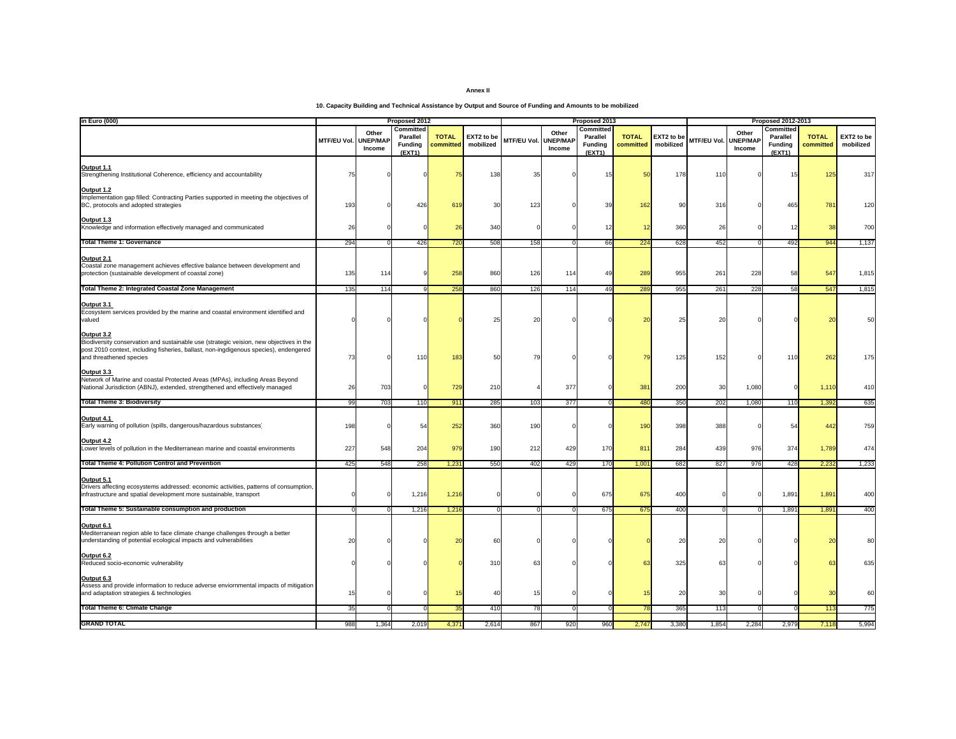**10. Capacity Building and Technical Assistance by Output and Source of Funding and Amounts to be mobilized**

| in Euro (000)                                                                                                                                                                                                             |                    |                                    | Proposed 2012                              |                           |                         |                             |                 | Proposed 2013                                            |                           |                         |                |                                    | <b>Proposed 2012-2013</b>                  |                           |                         |
|---------------------------------------------------------------------------------------------------------------------------------------------------------------------------------------------------------------------------|--------------------|------------------------------------|--------------------------------------------|---------------------------|-------------------------|-----------------------------|-----------------|----------------------------------------------------------|---------------------------|-------------------------|----------------|------------------------------------|--------------------------------------------|---------------------------|-------------------------|
|                                                                                                                                                                                                                           | <b>MTF/EU Vol.</b> | Other<br><b>JNEP/MAP</b><br>Income | Committed<br>Parallel<br>Funding<br>(EXT1) | <b>TOTAL</b><br>committed | EXT2 to be<br>mobilized | <b>MTF/EU Vol. UNEP/MAF</b> | Other<br>Income | Committed<br><b>Parallel</b><br><b>Funding</b><br>(EXT1) | <b>TOTAL</b><br>committed | EXT2 to be<br>mobilized | MTF/EU Vol.    | Other<br><b>UNEP/MAP</b><br>Income | Committed<br>Parallel<br>Funding<br>(EXT1) | <b>TOTAL</b><br>committed | EXT2 to be<br>mobilized |
| <b>Output 1.1</b><br>Strengthening Institutional Coherence, efficiency and accountability                                                                                                                                 | 75                 |                                    |                                            | 75                        | 138                     | 35                          |                 | 15                                                       | 5(                        | 178                     | 110            |                                    | 15                                         | 125                       | 317                     |
| Output 1.2<br>Implementation gap filled: Contracting Parties supported in meeting the objectives of<br>BC, protocols and adopted strategies                                                                               | 193                |                                    | 426                                        | 619                       | 3(                      | 123                         |                 | 39                                                       | 162                       | 90                      | 316            |                                    | 465                                        | 781                       | 120                     |
| Output 1.3<br>Knowledge and information effectively managed and communicated                                                                                                                                              | 26                 |                                    |                                            | 26                        | 340                     |                             |                 | 1:                                                       |                           | 360                     | 26             |                                    |                                            | 38                        | 700                     |
| <b>Total Theme 1: Governance</b>                                                                                                                                                                                          | 294                |                                    | 426                                        | 720                       | 508                     | 158                         |                 | 66                                                       | 224                       | 628                     | 452            |                                    | 492                                        | 944                       | 1,137                   |
| Output 2.1<br>Coastal zone management achieves effective balance between development and<br>protection (sustainable development of coastal zone)                                                                          | 135                | 114                                |                                            | 258                       | 860                     | 126                         | 114             | 49                                                       | 289                       | 955                     | 26'            | 228                                | 58                                         | 547                       | 1,815                   |
| <b>Total Theme 2: Integrated Coastal Zone Management</b>                                                                                                                                                                  | 135                | 114                                |                                            | 258                       | 860                     | 126                         | 114             | 49                                                       | 289                       | 955                     | 261            | 228                                | 58                                         | 547                       | 1,815                   |
| Output 3.1<br>Ecosystem services provided by the marine and coastal environment identified and<br>valued                                                                                                                  |                    |                                    |                                            |                           | 2!                      | 20                          |                 |                                                          |                           | 25                      | $\overline{2}$ |                                    |                                            | 2 <sub>C</sub>            | 50                      |
| Output 3.2<br>Biodiversity conservation and sustainable use (strategic veision, new objectives in the<br>post 2010 context, including fisheries, ballast, non-ingdigenous species), endengered<br>and threathened species | 73                 |                                    | 11C                                        | 183                       | 51                      | 79                          |                 |                                                          |                           | 125                     | 152            |                                    | 11                                         | 262                       | 175                     |
| Output 3.3<br>Network of Marine and coastal Protected Areas (MPAs), including Areas Beyond<br>National Jurisdiction (ABNJ), extended, strengthened and effectively managed                                                | 26                 | 703                                |                                            | 729                       | 210                     |                             | 377             |                                                          | 38'                       | 200                     | 30             | 1,080                              |                                            | 1,110                     | 410                     |
| <b>Total Theme 3: Biodiversity</b>                                                                                                                                                                                        | 99                 | 703                                | 110                                        | 911                       | 285                     | 103                         | 377             |                                                          | 48 <sub>C</sub>           | 350                     | 202            | 1,080                              | 110                                        | 1,392                     | 635                     |
| Output 4.1<br>Early warning of pollution (spills, dangerous/hazardous substances)                                                                                                                                         | 198                |                                    | 54                                         | 252                       | 360                     | 190                         |                 |                                                          | 190                       | 398                     | 388            |                                    | 54                                         | 442                       | 759                     |
| Output 4.2<br>Lower levels of pollution in the Mediterranean marine and coastal environments                                                                                                                              | 227                | 548                                | 204                                        | 979                       | 190                     | 212                         | 429             | 170                                                      | 81                        | 284                     | 439            | 976                                | 374                                        | 1,789                     | 474                     |
| <b>Total Theme 4: Pollution Control and Prevention</b>                                                                                                                                                                    | 425                | 548                                | 258                                        | 1,23                      | 550                     | 402                         | 429             | 170                                                      | $1,00^{\circ}$            | 682                     | 827            | 976                                | 428                                        | 2,232                     | 1,233                   |
| Output 5.1<br>Drivers affecting ecosystems addressed: economic activities, patterns of consumption,<br>infrastructure and spatial development more sustainable, transport                                                 |                    |                                    | 1,216                                      | 1,216                     |                         |                             |                 | 675                                                      | 675                       | 400                     |                |                                    | 1,891                                      | 1,891                     | 400                     |
| Total Theme 5: Sustainable consumption and production                                                                                                                                                                     | $\Omega$           | $\Omega$                           | 1,216                                      | 1,216                     |                         | - 0                         | $\Omega$        | 675                                                      | 675                       | 400                     | $\overline{0}$ |                                    | 1,891                                      | 1,891                     | 400                     |
| Output 6.1<br>Mediterranean region able to face climate change challenges through a better<br>understanding of potential ecological impacts and vulnerabilities                                                           | 20                 |                                    |                                            | $\overline{2}$            |                         |                             |                 |                                                          |                           | 20                      | $\overline{2}$ |                                    |                                            | $\overline{2}$            |                         |
| Output 6.2<br>Reduced socio-economic vulnerability                                                                                                                                                                        |                    |                                    |                                            |                           | 310                     | 63                          |                 |                                                          |                           | 325                     | 6              |                                    |                                            | 63                        | 635                     |
| Output 6.3<br>Assess and provide information to reduce adverse enviornmental impacts of mitigation<br>and adaptation strategies & technologies                                                                            | 15                 |                                    |                                            | -15                       | $\Delta($               | 15                          |                 |                                                          |                           | 20                      | 30             |                                    |                                            | 3 <sub>C</sub>            | 60                      |
| <b>Total Theme 6: Climate Change</b>                                                                                                                                                                                      | 35                 |                                    |                                            | 3!                        | 410                     | 78                          | $\Omega$        |                                                          |                           | 365                     | 113            |                                    |                                            | 113                       | 775                     |
| <b>GRAND TOTAL</b>                                                                                                                                                                                                        | 988                | 1,364                              | 2,019                                      | 4,37                      | 2,614                   | 867                         | 920             | 96C                                                      | 2,74                      | 3,380                   | 1,854          | 2,284                              | 2,979                                      | 7,118                     | 5,994                   |